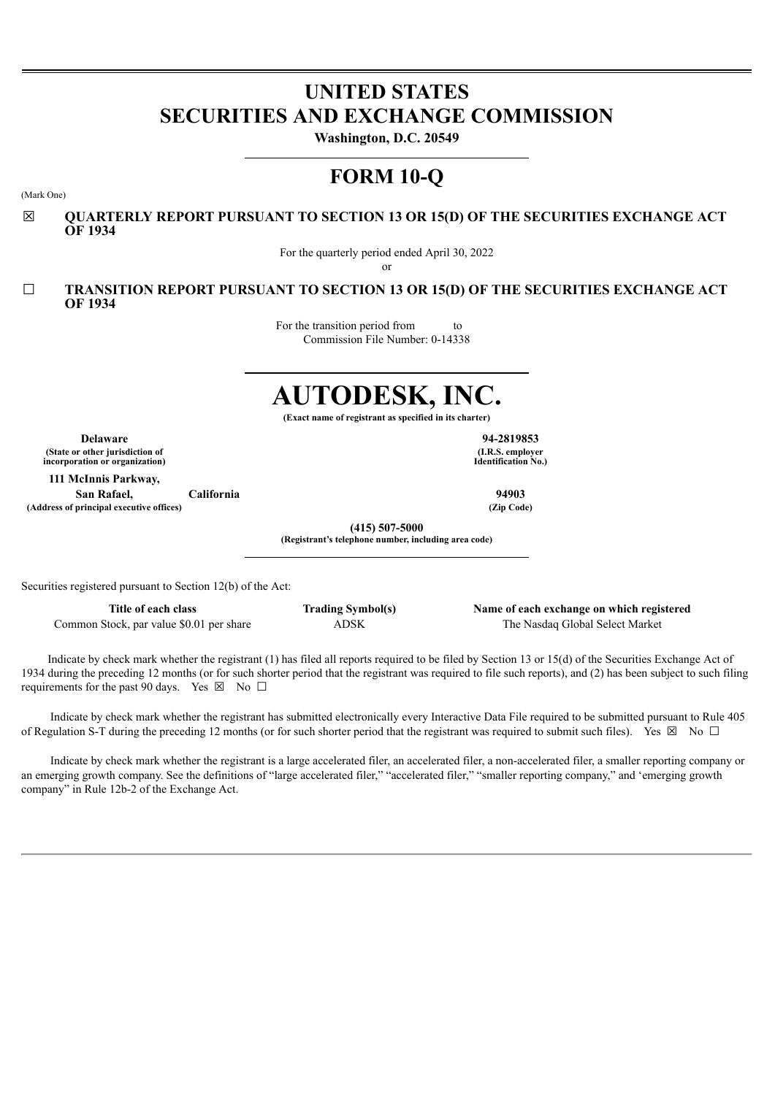# **UNITED STATES SECURITIES AND EXCHANGE COMMISSION**

**Washington, D.C. 20549**

## **FORM 10-Q**

(Mark One)

☒ **QUARTERLY REPORT PURSUANT TO SECTION 13 OR 15(D) OF THE SECURITIES EXCHANGE ACT OF 1934**

For the quarterly period ended April 30, 2022

or

☐ **TRANSITION REPORT PURSUANT TO SECTION 13 OR 15(D) OF THE SECURITIES EXCHANGE ACT OF 1934**

> For the transition period from to Commission File Number: 0-14338

# **AUTODESK, INC.**

**(Exact name of registrant as specified in its charter)**

**Delaware 94-2819853 (State or other jurisdiction of incorporation or organization)**

**111 McInnis Parkway, San Rafael, California 94903 (Address of principal executive offices) (Zip Code)**

**(I.R.S. employer Identification No.)**

**(415) 507-5000**

**(Registrant's telephone number, including area code)**

Securities registered pursuant to Section 12(b) of the Act:

**Title of each class Trading Symbol(s) Name of each exchange on which registered** Common Stock, par value \$0.01 per share ADSK The Nasdaq Global Select Market

Indicate by check mark whether the registrant (1) has filed all reports required to be filed by Section 13 or 15(d) of the Securities Exchange Act of 1934 during the preceding 12 months (or for such shorter period that the registrant was required to file such reports), and (2) has been subject to such filing requirements for the past 90 days. Yes  $\boxtimes$  No  $\Box$ 

Indicate by check mark whether the registrant has submitted electronically every Interactive Data File required to be submitted pursuant to Rule 405 of Regulation S-T during the preceding 12 months (or for such shorter period that the registrant was required to submit such files). Yes  $\boxtimes$  No  $\Box$ 

Indicate by check mark whether the registrant is a large accelerated filer, an accelerated filer, a non-accelerated filer, a smaller reporting company or an emerging growth company. See the definitions of "large accelerated filer," "accelerated filer," "smaller reporting company," and 'emerging growth company" in Rule 12b-2 of the Exchange Act.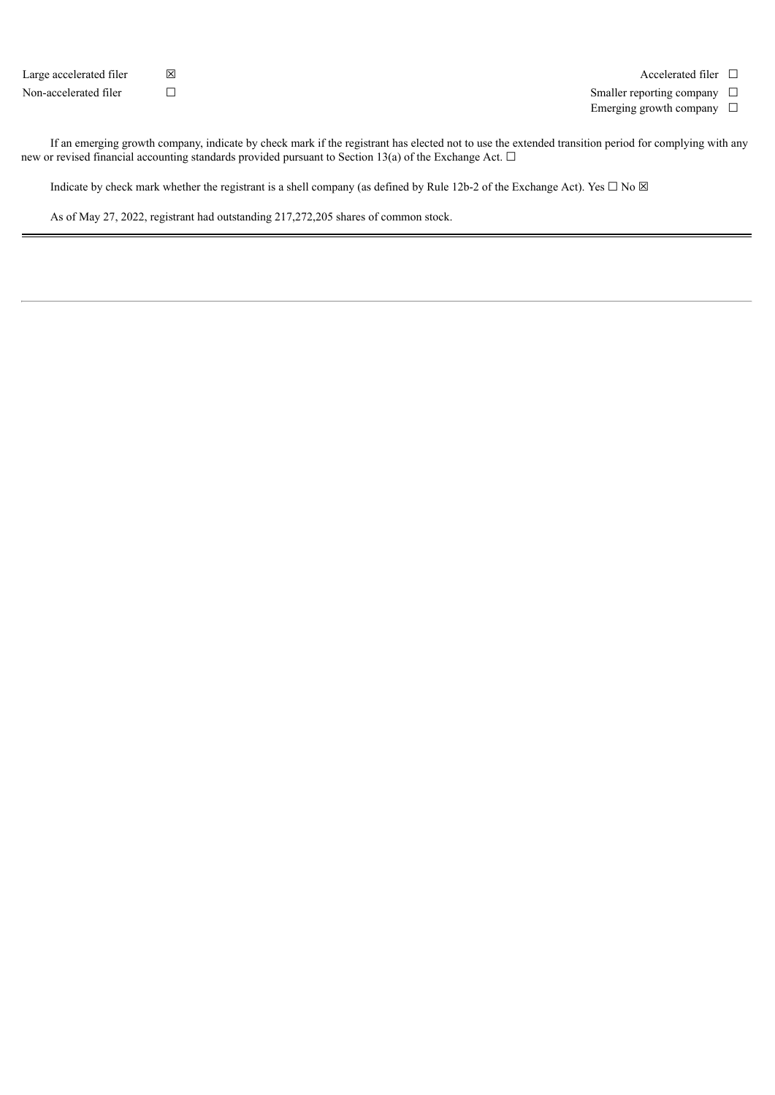| Large accelerated filer | ⊠      |  |
|-------------------------|--------|--|
| Non-accelerated filer   | $\Box$ |  |

Accelerated filer  $□$ 

Smaller reporting company  $\Box$ 

Emerging growth company  $\Box$ 

If an emerging growth company, indicate by check mark if the registrant has elected not to use the extended transition period for complying with any new or revised financial accounting standards provided pursuant to Section 13(a) of the Exchange Act. □

Indicate by check mark whether the registrant is a shell company (as defined by Rule 12b-2 of the Exchange Act). Yes  $\Box$  No  $\boxtimes$ 

As of May 27, 2022, registrant had outstanding 217,272,205 shares of common stock.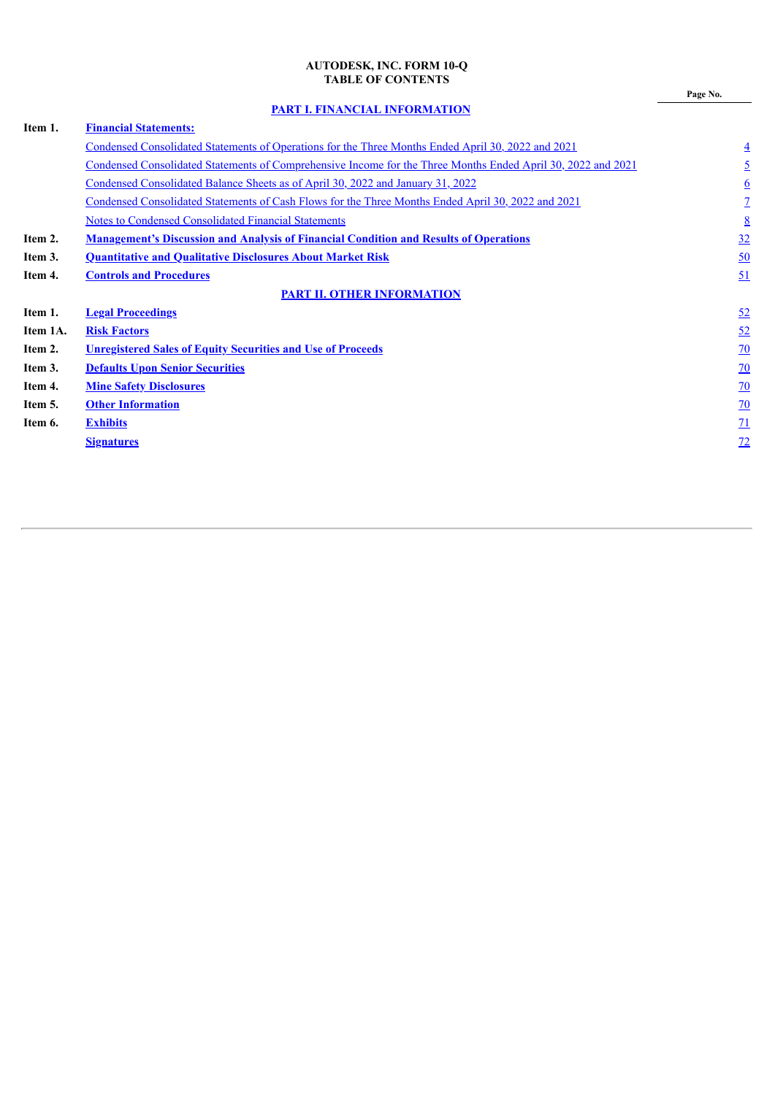## **AUTODESK, INC. FORM 10-Q TABLE OF CONTENTS**

**Page No.**

**PART I. FINANCIAL [INFORMATION](#page-2-0)**

<span id="page-2-0"></span>

| <b>Financial Statements:</b>                                                                                 |                  |
|--------------------------------------------------------------------------------------------------------------|------------------|
| <u>Condensed Consolidated Statements of Operations for the Three Months Ended April 30, 2022 and 2021</u>    | $\overline{4}$   |
| Condensed Consolidated Statements of Comprehensive Income for the Three Months Ended April 30, 2022 and 2021 | $\overline{2}$   |
| Condensed Consolidated Balance Sheets as of April 30, 2022 and January 31, 2022                              | $\underline{6}$  |
| Condensed Consolidated Statements of Cash Flows for the Three Months Ended April 30, 2022 and 2021           | $\overline{1}$   |
| <b>Notes to Condensed Consolidated Financial Statements</b>                                                  | 8                |
| <b>Management's Discussion and Analysis of Financial Condition and Results of Operations</b>                 | 32               |
| <b>Quantitative and Qualitative Disclosures About Market Risk</b>                                            | $\underline{50}$ |
| <b>Controls and Procedures</b>                                                                               | 51               |
| <b>PART II. OTHER INFORMATION</b>                                                                            |                  |
| <b>Legal Proceedings</b>                                                                                     | 52               |
| <b>Risk Factors</b>                                                                                          | 52               |
| <b>Unregistered Sales of Equity Securities and Use of Proceeds</b>                                           | <u>70</u>        |
| <b>Defaults Upon Senior Securities</b>                                                                       | $\underline{70}$ |
| <b>Mine Safety Disclosures</b>                                                                               | $\overline{20}$  |
| <b>Other Information</b>                                                                                     | $\overline{20}$  |
| <b>Exhibits</b>                                                                                              | $\overline{11}$  |
| <b>Signatures</b>                                                                                            | 72               |
|                                                                                                              |                  |
|                                                                                                              |                  |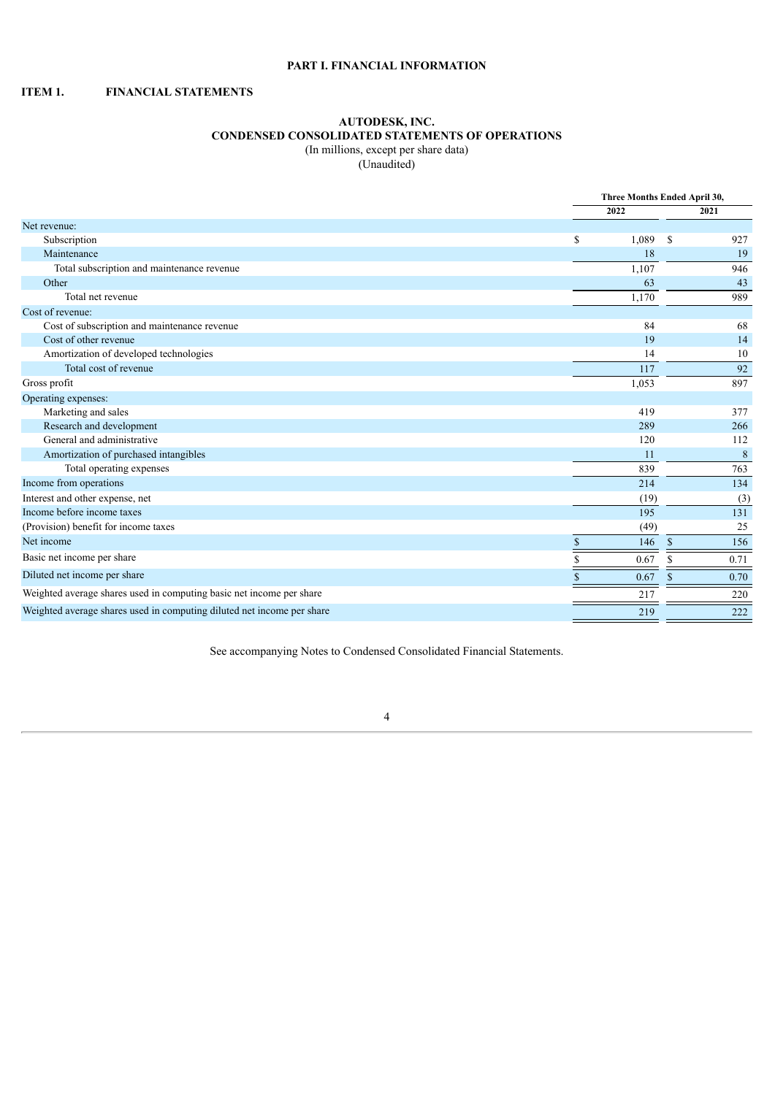## **PART I. FINANCIAL INFORMATION**

## <span id="page-3-1"></span><span id="page-3-0"></span>**ITEM 1. FINANCIAL STATEMENTS**

## **AUTODESK, INC. CONDENSED CONSOLIDATED STATEMENTS OF OPERATIONS** (In millions, except per share data)

(Unaudited)

|                                                                        |             | Three Months Ended April 30, |             |  |  |
|------------------------------------------------------------------------|-------------|------------------------------|-------------|--|--|
|                                                                        | 2022        |                              | 2021        |  |  |
| Net revenue:                                                           |             |                              |             |  |  |
| Subscription                                                           | 1,089<br>\$ | S                            | 927         |  |  |
| Maintenance                                                            |             | 18                           | 19          |  |  |
| Total subscription and maintenance revenue                             | 1,107       |                              | 946         |  |  |
| Other                                                                  |             | 63                           | 43          |  |  |
| Total net revenue                                                      | 1,170       |                              | 989         |  |  |
| Cost of revenue:                                                       |             |                              |             |  |  |
| Cost of subscription and maintenance revenue                           |             | 84                           | 68          |  |  |
| Cost of other revenue                                                  |             | 19                           | 14          |  |  |
| Amortization of developed technologies                                 |             | 14                           | 10          |  |  |
| Total cost of revenue                                                  |             | 117                          | 92          |  |  |
| Gross profit                                                           | 1,053       |                              | 897         |  |  |
| Operating expenses:                                                    |             |                              |             |  |  |
| Marketing and sales                                                    | 419         |                              | 377         |  |  |
| Research and development                                               | 289         |                              | 266         |  |  |
| General and administrative                                             | 120         |                              | 112         |  |  |
| Amortization of purchased intangibles                                  |             | 11                           | $\,$ 8 $\,$ |  |  |
| Total operating expenses                                               | 839         |                              | 763         |  |  |
| Income from operations                                                 | 214         |                              | 134         |  |  |
| Interest and other expense, net                                        |             | (19)                         | (3)         |  |  |
| Income before income taxes                                             |             | 195                          | 131         |  |  |
| (Provision) benefit for income taxes                                   |             | (49)                         | 25          |  |  |
| Net income                                                             | \$          | 146<br>$\mathbf{s}$          | 156         |  |  |
| Basic net income per share                                             | 0.67        | S                            | 0.71        |  |  |
| Diluted net income per share                                           | 0.67        |                              | 0.70        |  |  |
| Weighted average shares used in computing basic net income per share   | 217         |                              | 220         |  |  |
| Weighted average shares used in computing diluted net income per share | 219         |                              | 222         |  |  |

<span id="page-3-2"></span>See accompanying Notes to Condensed Consolidated Financial Statements.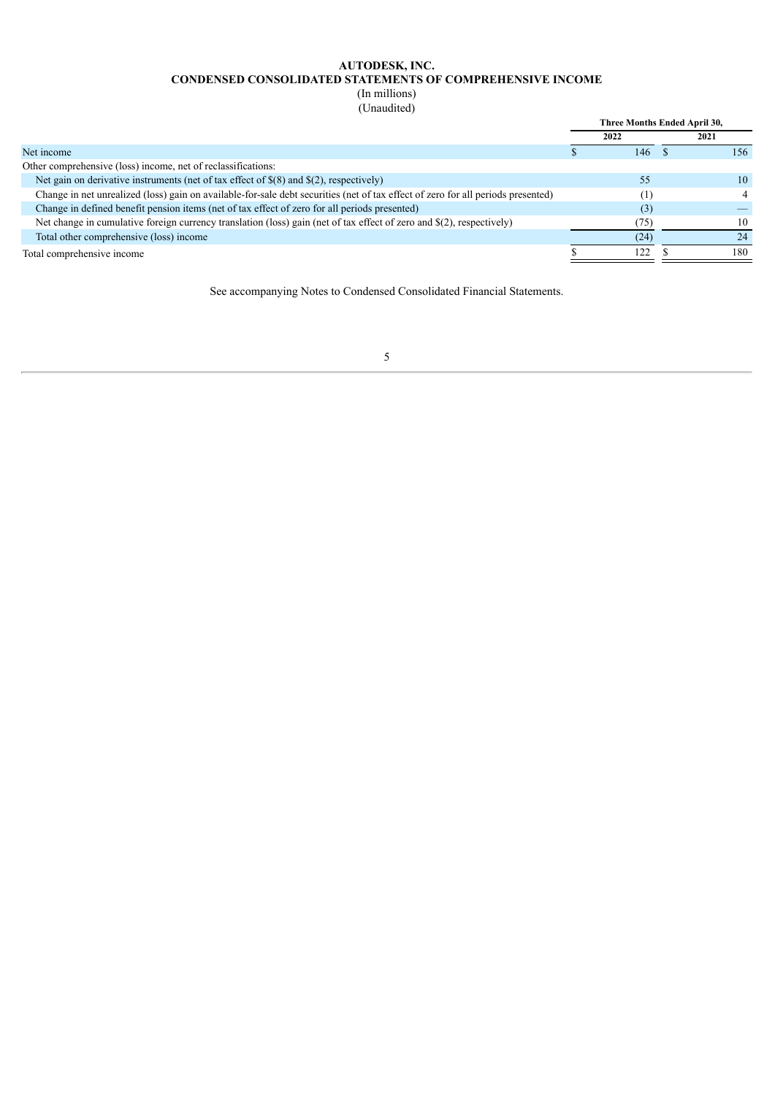## **AUTODESK, INC. CONDENSED CONSOLIDATED STATEMENTS OF COMPREHENSIVE INCOME**

(In millions)

(Unaudited)

| ------------                                                                                                                     |                              |      |
|----------------------------------------------------------------------------------------------------------------------------------|------------------------------|------|
|                                                                                                                                  | Three Months Ended April 30, |      |
|                                                                                                                                  | 2022                         | 2021 |
| Net income                                                                                                                       | 146                          | 156  |
| Other comprehensive (loss) income, net of reclassifications:                                                                     |                              |      |
| Net gain on derivative instruments (net of tax effect of $\$(8)$ and $\$(2)$ , respectively)                                     | 55                           | 10   |
| Change in net unrealized (loss) gain on available-for-sale debt securities (net of tax effect of zero for all periods presented) | [1]                          |      |
| Change in defined benefit pension items (net of tax effect of zero for all periods presented)                                    | (3)                          |      |
| Net change in cumulative foreign currency translation (loss) gain (net of tax effect of zero and \$(2), respectively)            | 75)                          | 10   |
| Total other comprehensive (loss) income                                                                                          | (24)                         | 24   |
| Total comprehensive income                                                                                                       | 122                          | 180  |
|                                                                                                                                  |                              |      |

<span id="page-4-0"></span>See accompanying Notes to Condensed Consolidated Financial Statements.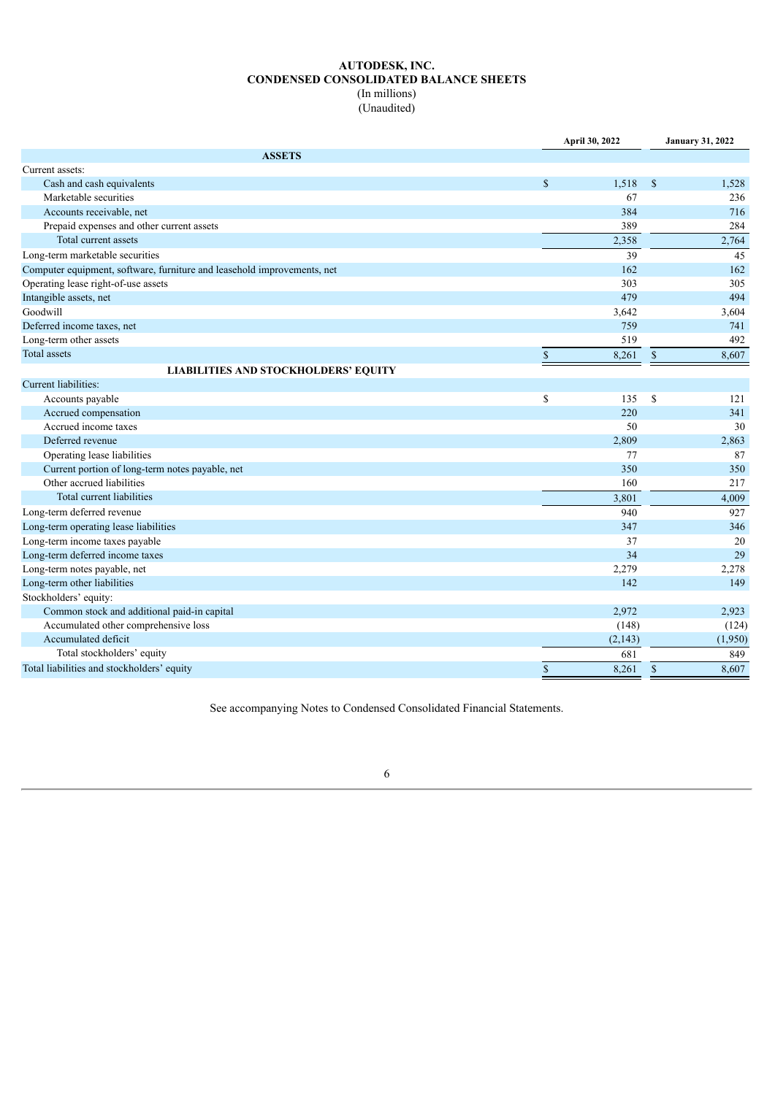## **AUTODESK, INC. CONDENSED CONSOLIDATED BALANCE SHEETS** (In millions)

(Unaudited)

|                                                                         | April 30, 2022 |         |               | <b>January 31, 2022</b> |
|-------------------------------------------------------------------------|----------------|---------|---------------|-------------------------|
| <b>ASSETS</b>                                                           |                |         |               |                         |
| Current assets:                                                         |                |         |               |                         |
| Cash and cash equivalents                                               | $\mathbb{S}$   | 1,518   | $\mathcal{S}$ | 1,528                   |
| Marketable securities                                                   |                | 67      |               | 236                     |
| Accounts receivable, net                                                |                | 384     |               | 716                     |
| Prepaid expenses and other current assets                               |                | 389     |               | 284                     |
| Total current assets                                                    |                | 2,358   |               | 2,764                   |
| Long-term marketable securities                                         |                | 39      |               | 45                      |
| Computer equipment, software, furniture and leasehold improvements, net |                | 162     |               | 162                     |
| Operating lease right-of-use assets                                     |                | 303     |               | 305                     |
| Intangible assets, net                                                  |                | 479     |               | 494                     |
| Goodwill                                                                |                | 3,642   |               | 3,604                   |
| Deferred income taxes, net                                              |                | 759     |               | 741                     |
| Long-term other assets                                                  |                | 519     |               | 492                     |
| <b>Total assets</b>                                                     | $\mathbb{S}$   | 8,261   | $\mathbb{S}$  | 8,607                   |
| <b>LIABILITIES AND STOCKHOLDERS' EQUITY</b>                             |                |         |               |                         |
| Current liabilities:                                                    |                |         |               |                         |
| Accounts payable                                                        | \$             | 135     | \$            | 121                     |
| Accrued compensation                                                    |                | 220     |               | 341                     |
| Accrued income taxes                                                    |                | 50      |               | 30                      |
| Deferred revenue                                                        |                | 2,809   |               | 2,863                   |
| Operating lease liabilities                                             |                | 77      |               | 87                      |
| Current portion of long-term notes payable, net                         |                | 350     |               | 350                     |
| Other accrued liabilities                                               |                | 160     |               | 217                     |
| Total current liabilities                                               |                | 3,801   |               | 4,009                   |
| Long-term deferred revenue                                              |                | 940     |               | 927                     |
| Long-term operating lease liabilities                                   |                | 347     |               | 346                     |
| Long-term income taxes payable                                          |                | 37      |               | 20                      |
| Long-term deferred income taxes                                         |                | 34      |               | 29                      |
| Long-term notes payable, net                                            |                | 2,279   |               | 2,278                   |
| Long-term other liabilities                                             |                | 142     |               | 149                     |
| Stockholders' equity:                                                   |                |         |               |                         |
| Common stock and additional paid-in capital                             |                | 2,972   |               | 2,923                   |
| Accumulated other comprehensive loss                                    |                | (148)   |               | (124)                   |
| Accumulated deficit                                                     |                | (2,143) |               | (1,950)                 |
| Total stockholders' equity                                              |                | 681     |               | 849                     |
| Total liabilities and stockholders' equity                              | $\mathbf S$    | 8,261   | $\mathbf S$   | 8,607                   |

<span id="page-5-0"></span>See accompanying Notes to Condensed Consolidated Financial Statements.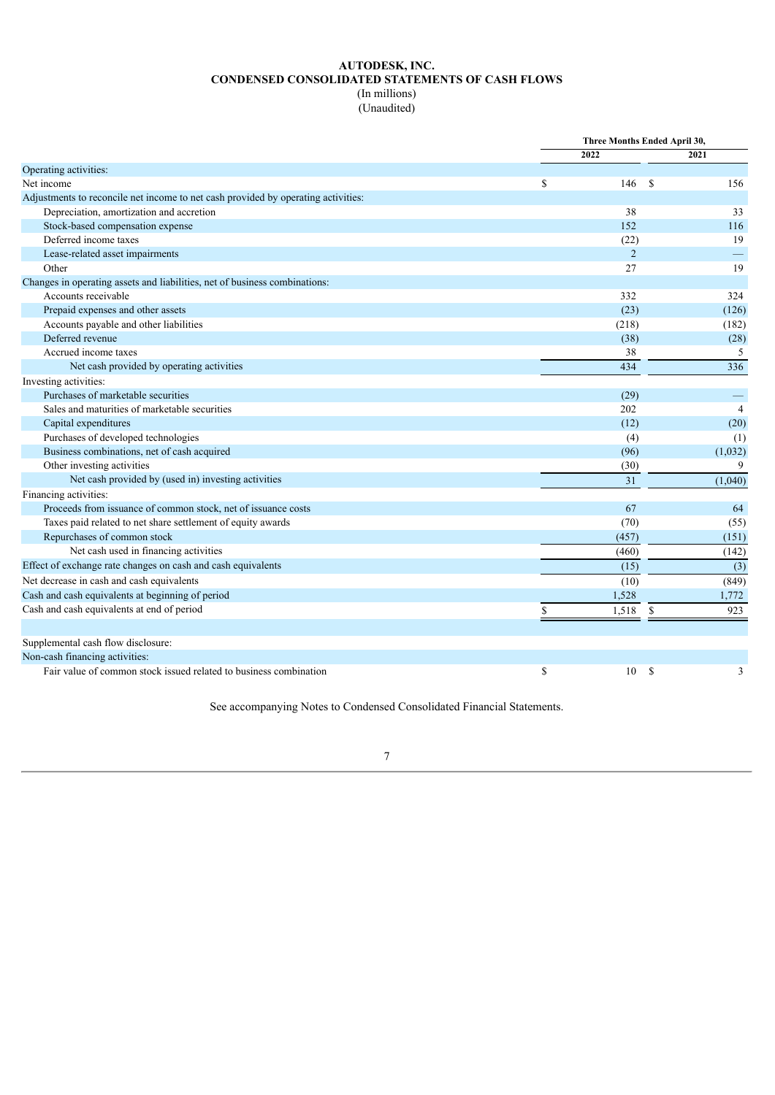## **AUTODESK, INC. CONDENSED CONSOLIDATED STATEMENTS OF CASH FLOWS** (In millions)

(Unaudited)

|                                                                                   |    | Three Months Ended April 30, |               |                |
|-----------------------------------------------------------------------------------|----|------------------------------|---------------|----------------|
|                                                                                   |    | 2022                         |               | 2021           |
| Operating activities:                                                             |    |                              |               |                |
| Net income                                                                        | \$ | 146                          | - \$          | 156            |
| Adjustments to reconcile net income to net cash provided by operating activities: |    |                              |               |                |
| Depreciation, amortization and accretion                                          |    | 38                           |               | 33             |
| Stock-based compensation expense                                                  |    | 152                          |               | 116            |
| Deferred income taxes                                                             |    | (22)                         |               | 19             |
| Lease-related asset impairments                                                   |    | $\overline{2}$               |               |                |
| Other                                                                             |    | 27                           |               | 19             |
| Changes in operating assets and liabilities, net of business combinations:        |    |                              |               |                |
| Accounts receivable                                                               |    | 332                          |               | 324            |
| Prepaid expenses and other assets                                                 |    | (23)                         |               | (126)          |
| Accounts payable and other liabilities                                            |    | (218)                        |               | (182)          |
| Deferred revenue                                                                  |    | (38)                         |               | (28)           |
| Accrued income taxes                                                              |    | 38                           |               | 5              |
| Net cash provided by operating activities                                         |    | 434                          |               | 336            |
| Investing activities:                                                             |    |                              |               |                |
| Purchases of marketable securities                                                |    | (29)                         |               |                |
| Sales and maturities of marketable securities                                     |    | 202                          |               | $\overline{4}$ |
| Capital expenditures                                                              |    | (12)                         |               | (20)           |
| Purchases of developed technologies                                               |    | (4)                          |               | (1)            |
| Business combinations, net of cash acquired                                       |    | (96)                         |               | (1,032)        |
| Other investing activities                                                        |    | (30)                         |               | 9              |
| Net cash provided by (used in) investing activities                               |    | 31                           |               | (1,040)        |
| Financing activities:                                                             |    |                              |               |                |
| Proceeds from issuance of common stock, net of issuance costs                     |    | 67                           |               | 64             |
| Taxes paid related to net share settlement of equity awards                       |    | (70)                         |               | (55)           |
| Repurchases of common stock                                                       |    | (457)                        |               | (151)          |
| Net cash used in financing activities                                             |    | (460)                        |               | (142)          |
| Effect of exchange rate changes on cash and cash equivalents                      |    | (15)                         |               | (3)            |
| Net decrease in cash and cash equivalents                                         |    | (10)                         |               | (849)          |
| Cash and cash equivalents at beginning of period                                  |    | 1,528                        |               | 1,772          |
| Cash and cash equivalents at end of period                                        | S  | 1,518                        | \$            | 923            |
|                                                                                   |    |                              |               |                |
| Supplemental cash flow disclosure:                                                |    |                              |               |                |
| Non-cash financing activities:                                                    |    |                              |               |                |
| Fair value of common stock issued related to business combination                 | \$ | 10                           | <sup>\$</sup> | 3              |

<span id="page-6-0"></span>See accompanying Notes to Condensed Consolidated Financial Statements.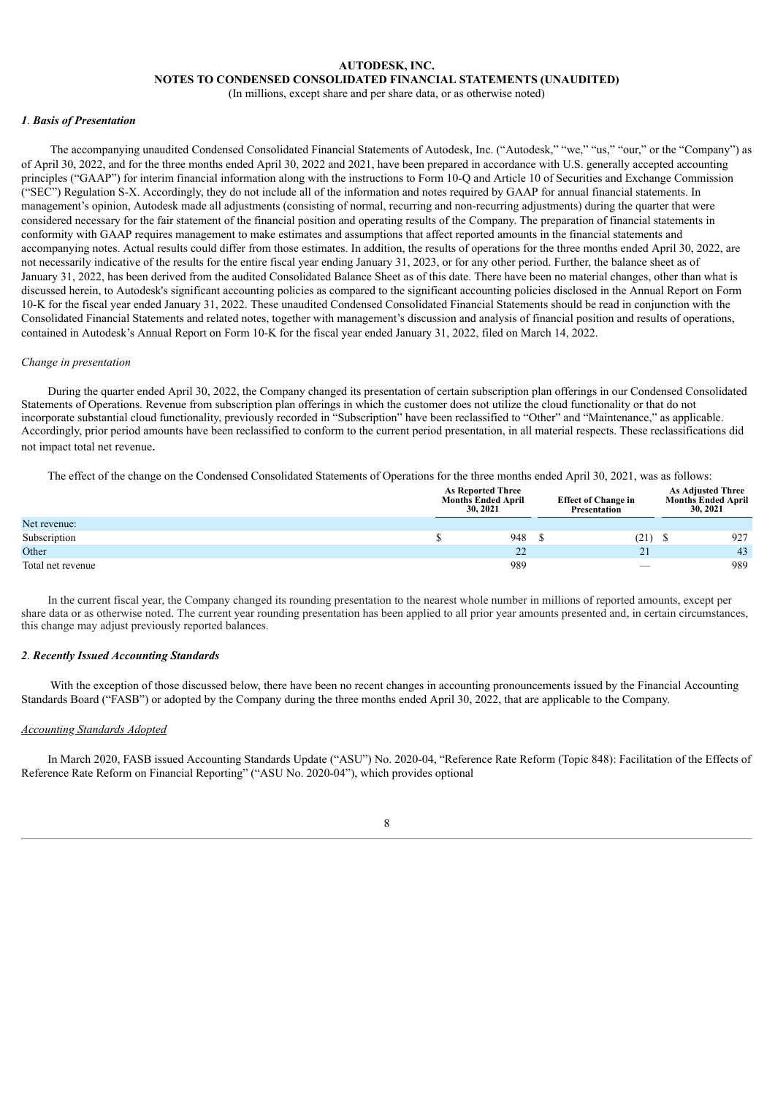## **AUTODESK, INC. NOTES TO CONDENSED CONSOLIDATED FINANCIAL STATEMENTS (UNAUDITED)**

(In millions, except share and per share data, or as otherwise noted)

#### *1*. *Basis of Presentation*

The accompanying unaudited Condensed Consolidated Financial Statements of Autodesk, Inc. ("Autodesk," "we," "us," "our," or the "Company") as of April 30, 2022, and for the three months ended April 30, 2022 and 2021, have been prepared in accordance with U.S. generally accepted accounting principles ("GAAP") for interim financial information along with the instructions to Form 10-Q and Article 10 of Securities and Exchange Commission ("SEC") Regulation S-X. Accordingly, they do not include all of the information and notes required by GAAP for annual financial statements. In management's opinion, Autodesk made all adjustments (consisting of normal, recurring and non-recurring adjustments) during the quarter that were considered necessary for the fair statement of the financial position and operating results of the Company. The preparation of financial statements in conformity with GAAP requires management to make estimates and assumptions that affect reported amounts in the financial statements and accompanying notes. Actual results could differ from those estimates. In addition, the results of operations for the three months ended April 30, 2022, are not necessarily indicative of the results for the entire fiscal year ending January 31, 2023, or for any other period. Further, the balance sheet as of January 31, 2022, has been derived from the audited Consolidated Balance Sheet as of this date. There have been no material changes, other than what is discussed herein, to Autodesk's significant accounting policies as compared to the significant accounting policies disclosed in the Annual Report on Form 10-K for the fiscal year ended January 31, 2022. These unaudited Condensed Consolidated Financial Statements should be read in conjunction with the Consolidated Financial Statements and related notes, together with management's discussion and analysis of financial position and results of operations, contained in Autodesk's Annual Report on Form 10-K for the fiscal year ended January 31, 2022, filed on March 14, 2022.

#### *Change in presentation*

During the quarter ended April 30, 2022, the Company changed its presentation of certain subscription plan offerings in our Condensed Consolidated Statements of Operations. Revenue from subscription plan offerings in which the customer does not utilize the cloud functionality or that do not incorporate substantial cloud functionality, previously recorded in "Subscription" have been reclassified to "Other" and "Maintenance," as applicable. Accordingly, prior period amounts have been reclassified to conform to the current period presentation, in all material respects. These reclassifications did not impact total net revenue*.*

The effect of the change on the Condensed Consolidated Statements of Operations for the three months ended April 30, 2021, was as follows:

|                   |  | <b>As Reported Three</b><br><b>Months Ended April</b><br>30, 2021 | <b>Effect of Change in</b><br>Presentation | <b>As Adjusted Three</b><br><b>Months Ended April</b><br>30, 2021 |  |
|-------------------|--|-------------------------------------------------------------------|--------------------------------------------|-------------------------------------------------------------------|--|
| Net revenue:      |  |                                                                   |                                            |                                                                   |  |
| Subscription      |  | 948                                                               | (21)                                       | 927                                                               |  |
| Other             |  | 22                                                                | 21                                         | 43                                                                |  |
| Total net revenue |  | 989                                                               | $\overline{\phantom{m}}$                   | 989                                                               |  |

In the current fiscal year, the Company changed its rounding presentation to the nearest whole number in millions of reported amounts, except per share data or as otherwise noted. The current year rounding presentation has been applied to all prior year amounts presented and, in certain circumstances, this change may adjust previously reported balances.

#### *2*. *Recently Issued Accounting Standards*

With the exception of those discussed below, there have been no recent changes in accounting pronouncements issued by the Financial Accounting Standards Board ("FASB") or adopted by the Company during the three months ended April 30, 2022, that are applicable to the Company.

#### *Accounting Standards Adopted*

In March 2020, FASB issued Accounting Standards Update ("ASU") No. 2020-04, "Reference Rate Reform (Topic 848): Facilitation of the Effects of Reference Rate Reform on Financial Reporting" ("ASU No. 2020-04"), which provides optional

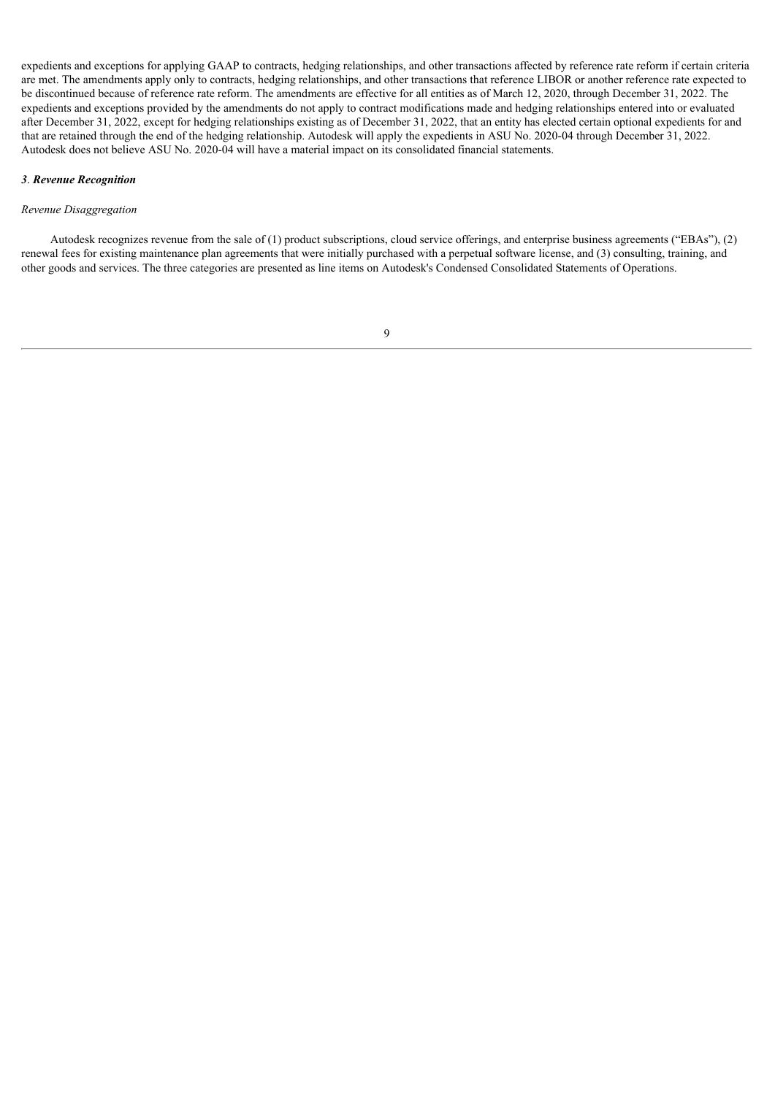expedients and exceptions for applying GAAP to contracts, hedging relationships, and other transactions affected by reference rate reform if certain criteria are met. The amendments apply only to contracts, hedging relationships, and other transactions that reference LIBOR or another reference rate expected to be discontinued because of reference rate reform. The amendments are effective for all entities as of March 12, 2020, through December 31, 2022. The expedients and exceptions provided by the amendments do not apply to contract modifications made and hedging relationships entered into or evaluated after December 31, 2022, except for hedging relationships existing as of December 31, 2022, that an entity has elected certain optional expedients for and that are retained through the end of the hedging relationship. Autodesk will apply the expedients in ASU No. 2020-04 through December 31, 2022. Autodesk does not believe ASU No. 2020-04 will have a material impact on its consolidated financial statements.

#### *3*. *Revenue Recognition*

#### *Revenue Disaggregation*

Autodesk recognizes revenue from the sale of (1) product subscriptions, cloud service offerings, and enterprise business agreements ("EBAs"), (2) renewal fees for existing maintenance plan agreements that were initially purchased with a perpetual software license, and (3) consulting, training, and other goods and services. The three categories are presented as line items on Autodesk's Condensed Consolidated Statements of Operations.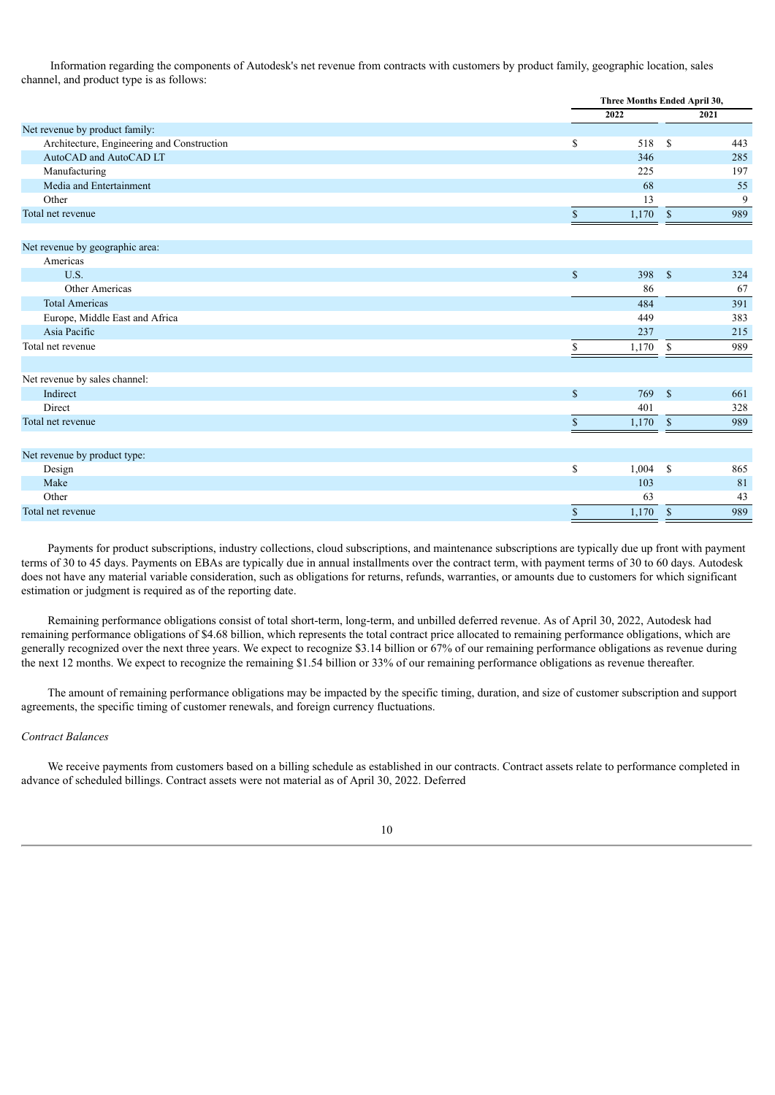Information regarding the components of Autodesk's net revenue from contracts with customers by product family, geographic location, sales channel, and product type is as follows:

|                                            |              | Three Months Ended April 30, |     |  |
|--------------------------------------------|--------------|------------------------------|-----|--|
|                                            | 2022         | 2021                         |     |  |
| Net revenue by product family:             |              |                              |     |  |
| Architecture, Engineering and Construction | S            | 518<br><sup>\$</sup>         | 443 |  |
| AutoCAD and AutoCAD LT                     |              | 346                          | 285 |  |
| Manufacturing                              |              | 225                          | 197 |  |
| Media and Entertainment                    |              | 68                           | 55  |  |
| Other                                      |              | 13                           | 9   |  |
| Total net revenue                          | $\mathbb{S}$ | 1,170<br>$\mathbb{S}$        | 989 |  |
|                                            |              |                              |     |  |
| Net revenue by geographic area:            |              |                              |     |  |
| Americas                                   |              |                              |     |  |
| U.S.                                       | $\mathbb{S}$ | 398<br>$\mathbf{\hat{s}}$    | 324 |  |
| Other Americas                             |              | 86                           | 67  |  |
| <b>Total Americas</b>                      |              | 484                          | 391 |  |
| Europe, Middle East and Africa             |              | 449                          | 383 |  |
| Asia Pacific                               |              | 237                          | 215 |  |
| Total net revenue                          | S            | 1,170<br>-S                  | 989 |  |
|                                            |              |                              |     |  |
| Net revenue by sales channel:              |              |                              |     |  |
| Indirect                                   | $\mathbf S$  | $\mathbb{S}$<br>769          | 661 |  |
| <b>Direct</b>                              |              | 401                          | 328 |  |
| Total net revenue                          | $\mathbf S$  | $\mathbb{S}$<br>1,170        | 989 |  |
|                                            |              |                              |     |  |
| Net revenue by product type:               |              |                              |     |  |
| Design                                     | \$           | 1,004<br>\$                  | 865 |  |
| Make                                       |              | 103                          | 81  |  |
| Other                                      |              | 63                           | 43  |  |

Payments for product subscriptions, industry collections, cloud subscriptions, and maintenance subscriptions are typically due up front with payment terms of 30 to 45 days. Payments on EBAs are typically due in annual installments over the contract term, with payment terms of 30 to 60 days. Autodesk does not have any material variable consideration, such as obligations for returns, refunds, warranties, or amounts due to customers for which significant estimation or judgment is required as of the reporting date.

Total net revenue  $\begin{array}{ccc} 8 & 1,170 & 8 \end{array}$  989

Remaining performance obligations consist of total short-term, long-term, and unbilled deferred revenue. As of April 30, 2022, Autodesk had remaining performance obligations of \$4.68 billion, which represents the total contract price allocated to remaining performance obligations, which are generally recognized over the next three years. We expect to recognize \$3.14 billion or 67% of our remaining performance obligations as revenue during the next 12 months. We expect to recognize the remaining \$1.54 billion or 33% of our remaining performance obligations as revenue thereafter.

The amount of remaining performance obligations may be impacted by the specific timing, duration, and size of customer subscription and support agreements, the specific timing of customer renewals, and foreign currency fluctuations.

#### *Contract Balances*

We receive payments from customers based on a billing schedule as established in our contracts. Contract assets relate to performance completed in advance of scheduled billings. Contract assets were not material as of April 30, 2022. Deferred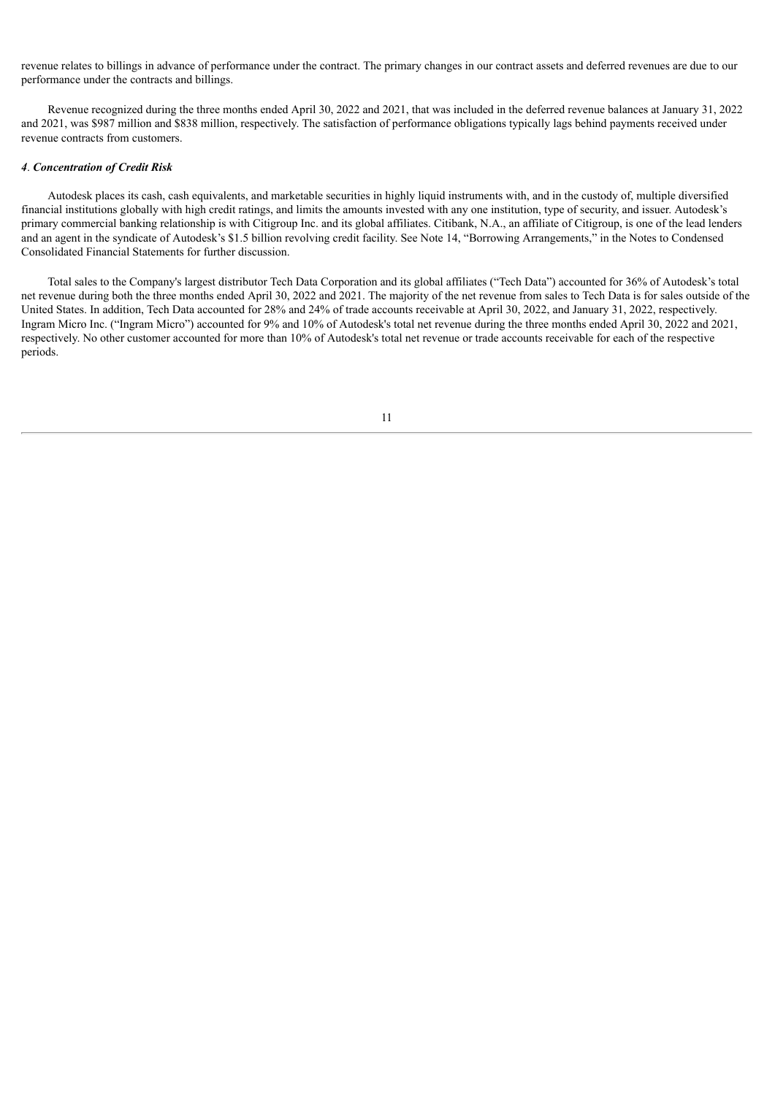revenue relates to billings in advance of performance under the contract. The primary changes in our contract assets and deferred revenues are due to our performance under the contracts and billings.

Revenue recognized during the three months ended April 30, 2022 and 2021, that was included in the deferred revenue balances at January 31, 2022 and 2021, was \$987 million and \$838 million, respectively. The satisfaction of performance obligations typically lags behind payments received under revenue contracts from customers.

#### *4*. *Concentration of Credit Risk*

Autodesk places its cash, cash equivalents, and marketable securities in highly liquid instruments with, and in the custody of, multiple diversified financial institutions globally with high credit ratings, and limits the amounts invested with any one institution, type of security, and issuer. Autodesk's primary commercial banking relationship is with Citigroup Inc. and its global affiliates. Citibank, N.A., an affiliate of Citigroup, is one of the lead lenders and an agent in the syndicate of Autodesk's \$1.5 billion revolving credit facility. See Note 14, "Borrowing Arrangements," in the Notes to Condensed Consolidated Financial Statements for further discussion.

Total sales to the Company's largest distributor Tech Data Corporation and its global affiliates ("Tech Data") accounted for 36% of Autodesk's total net revenue during both the three months ended April 30, 2022 and 2021. The majority of the net revenue from sales to Tech Data is for sales outside of the United States. In addition, Tech Data accounted for 28% and 24% of trade accounts receivable at April 30, 2022, and January 31, 2022, respectively. Ingram Micro Inc. ("Ingram Micro") accounted for 9% and 10% of Autodesk's total net revenue during the three months ended April 30, 2022 and 2021, respectively. No other customer accounted for more than 10% of Autodesk's total net revenue or trade accounts receivable for each of the respective periods.

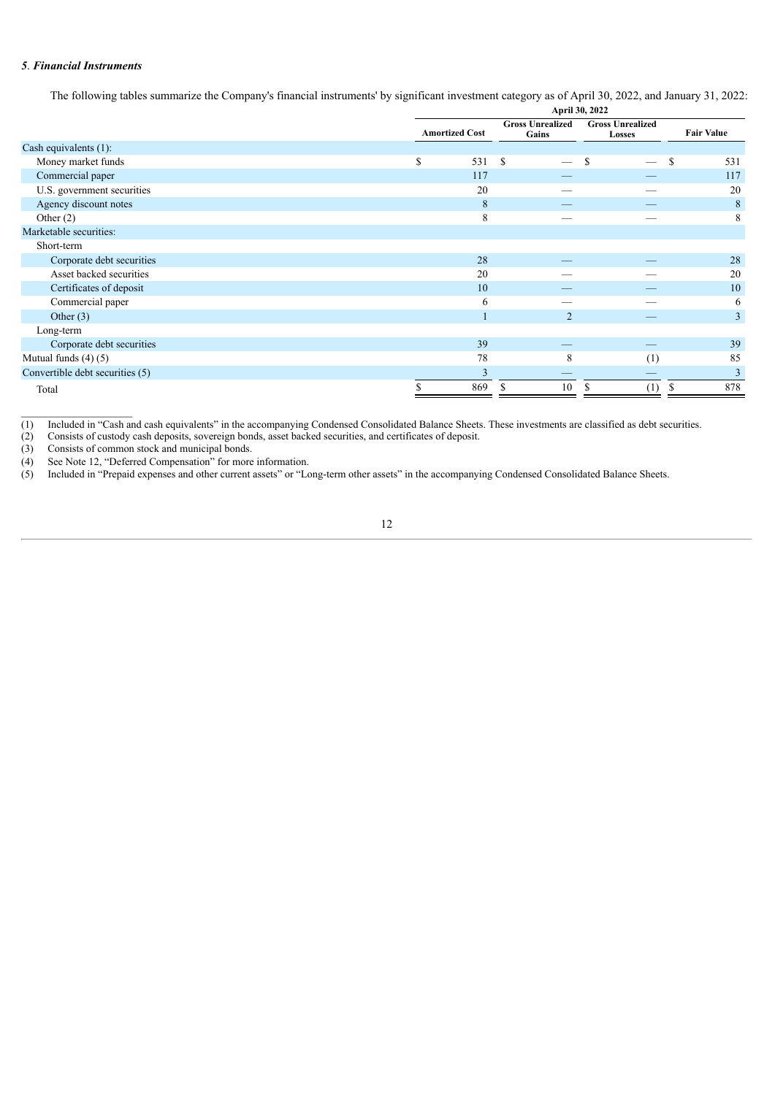#### *5*. *Financial Instruments*

The following tables summarize the Company's financial instruments' by significant investment category as of April 30, 2022, and January 31, 2022:

|                                 | April 30, 2022        |     |                                 |     |                         |  |  |  |                                  |                                   |                   |
|---------------------------------|-----------------------|-----|---------------------------------|-----|-------------------------|--|--|--|----------------------------------|-----------------------------------|-------------------|
|                                 | <b>Amortized Cost</b> |     |                                 |     |                         |  |  |  | <b>Gross Unrealized</b><br>Gains | <b>Gross Unrealized</b><br>Losses | <b>Fair Value</b> |
| Cash equivalents (1):           |                       |     |                                 |     |                         |  |  |  |                                  |                                   |                   |
| Money market funds              | \$                    | 531 | - S<br>$\overline{\phantom{0}}$ | S   | S<br>531                |  |  |  |                                  |                                   |                   |
| Commercial paper                |                       | 117 |                                 |     | 117                     |  |  |  |                                  |                                   |                   |
| U.S. government securities      |                       | 20  |                                 |     | 20                      |  |  |  |                                  |                                   |                   |
| Agency discount notes           |                       | 8   |                                 |     | 8                       |  |  |  |                                  |                                   |                   |
| Other $(2)$                     |                       | 8   |                                 |     | 8                       |  |  |  |                                  |                                   |                   |
| Marketable securities:          |                       |     |                                 |     |                         |  |  |  |                                  |                                   |                   |
| Short-term                      |                       |     |                                 |     |                         |  |  |  |                                  |                                   |                   |
| Corporate debt securities       |                       | 28  |                                 |     | 28                      |  |  |  |                                  |                                   |                   |
| Asset backed securities         |                       | 20  |                                 |     | 20                      |  |  |  |                                  |                                   |                   |
| Certificates of deposit         |                       | 10  |                                 |     | 10                      |  |  |  |                                  |                                   |                   |
| Commercial paper                |                       | 6   |                                 |     | 6                       |  |  |  |                                  |                                   |                   |
| Other $(3)$                     |                       |     | $\overline{2}$                  |     | $\overline{3}$          |  |  |  |                                  |                                   |                   |
| Long-term                       |                       |     |                                 |     |                         |  |  |  |                                  |                                   |                   |
| Corporate debt securities       |                       | 39  |                                 |     | 39                      |  |  |  |                                  |                                   |                   |
| Mutual funds $(4)$ $(5)$        |                       | 78  | 8                               | (1) | 85                      |  |  |  |                                  |                                   |                   |
| Convertible debt securities (5) |                       | 3   |                                 |     | $\overline{\mathbf{3}}$ |  |  |  |                                  |                                   |                   |
| Total                           |                       | 869 | 10                              | (1) | 878<br>ъ                |  |  |  |                                  |                                   |                   |

(1) Included in "Cash and cash equivalents" in the accompanying Condensed Consolidated Balance Sheets. These investments are classified as debt securities.

(2) Consists of custody cash deposits, sovereign bonds, asset backed securities, and certificates of deposit.

 $\mathcal{L}_\text{max}$ 

(3) Consists of common stock and municipal bonds.<br>
(4) See Note 12, "Deferred Compensation" for more<br>
(5) Included in "Prepaid expenses and other current (4) See Note 12, "Deferred Compensation" for more information.

(5) Included in "Prepaid expenses and other current assets" or "Long-term other assets" in the accompanying Condensed Consolidated Balance Sheets.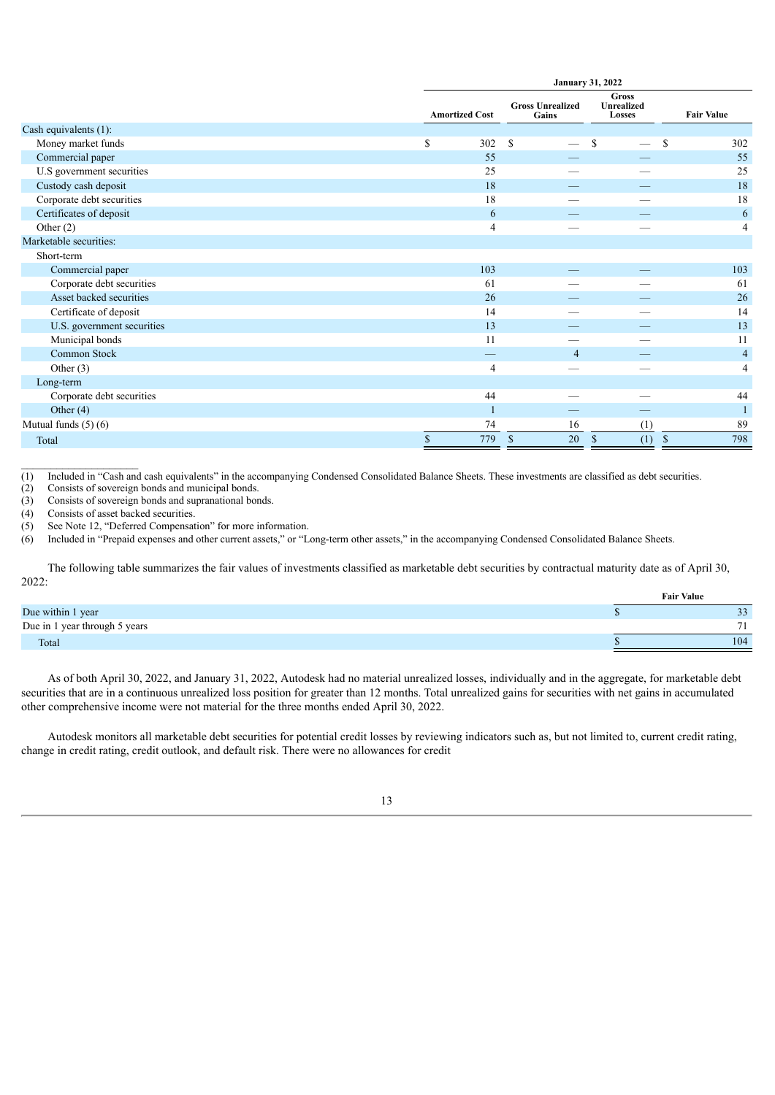|                            | <b>January 31, 2022</b> |                                  |                                      |                      |  |
|----------------------------|-------------------------|----------------------------------|--------------------------------------|----------------------|--|
|                            | <b>Amortized Cost</b>   | <b>Gross Unrealized</b><br>Gains | <b>Gross</b><br>Unrealized<br>Losses | <b>Fair Value</b>    |  |
| Cash equivalents (1):      |                         |                                  |                                      |                      |  |
| Money market funds         | \$<br>302               | S                                | <sup>\$</sup>                        | <sup>\$</sup><br>302 |  |
| Commercial paper           | 55                      |                                  |                                      | 55                   |  |
| U.S government securities  | 25                      |                                  |                                      | 25                   |  |
| Custody cash deposit       | 18                      |                                  |                                      | 18                   |  |
| Corporate debt securities  | 18                      |                                  |                                      | 18                   |  |
| Certificates of deposit    | 6                       |                                  |                                      | 6                    |  |
| Other $(2)$                | $\overline{4}$          | –                                |                                      | 4                    |  |
| Marketable securities:     |                         |                                  |                                      |                      |  |
| Short-term                 |                         |                                  |                                      |                      |  |
| Commercial paper           | 103                     |                                  |                                      | 103                  |  |
| Corporate debt securities  | 61                      |                                  |                                      | 61                   |  |
| Asset backed securities    | 26                      |                                  |                                      | 26                   |  |
| Certificate of deposit     | 14                      |                                  |                                      | 14                   |  |
| U.S. government securities | 13                      |                                  |                                      | 13                   |  |
| Municipal bonds            | 11                      |                                  |                                      | 11                   |  |
| Common Stock               |                         | $\overline{4}$                   |                                      | $\overline{4}$       |  |
| Other $(3)$                | 4                       |                                  |                                      | $\overline{4}$       |  |
| Long-term                  |                         |                                  |                                      |                      |  |
| Corporate debt securities  | 44                      |                                  |                                      | 44                   |  |
| Other $(4)$                |                         |                                  |                                      | $\mathbf{1}$         |  |
| Mutual funds $(5)$ $(6)$   | 74                      | 16                               | (1)                                  | 89                   |  |
| Total                      | \$<br>779               | 20<br>$\mathbb{S}$               | $\mathbb{S}$<br>(1)                  | 798<br>$\mathbb{S}$  |  |

(1) Included in "Cash and cash equivalents" in the accompanying Condensed Consolidated Balance Sheets. These investments are classified as debt securities.<br>
(2) Consists of sovereign bonds and municipal bonds.

Consists of sovereign bonds and municipal bonds.

(3) Consists of sovereign bonds and supranational bonds.

(4) Consists of asset backed securities.

 $\mathcal{L}_\text{max}$ 

(5) See Note 12, "Deferred Compensation" for more information.

(6) Included in "Prepaid expenses and other current assets," or "Long-term other assets," in the accompanying Condensed Consolidated Balance Sheets.

The following table summarizes the fair values of investments classified as marketable debt securities by contractual maturity date as of April 30, 2022:

|                               |  | <b>Fair Value</b> |  |
|-------------------------------|--|-------------------|--|
| Due within 1 year             |  |                   |  |
| Due in 1 year through 5 years |  |                   |  |
| Total                         |  | 104               |  |

As of both April 30, 2022, and January 31, 2022, Autodesk had no material unrealized losses, individually and in the aggregate, for marketable debt securities that are in a continuous unrealized loss position for greater than 12 months. Total unrealized gains for securities with net gains in accumulated other comprehensive income were not material for the three months ended April 30, 2022.

Autodesk monitors all marketable debt securities for potential credit losses by reviewing indicators such as, but not limited to, current credit rating, change in credit rating, credit outlook, and default risk. There were no allowances for credit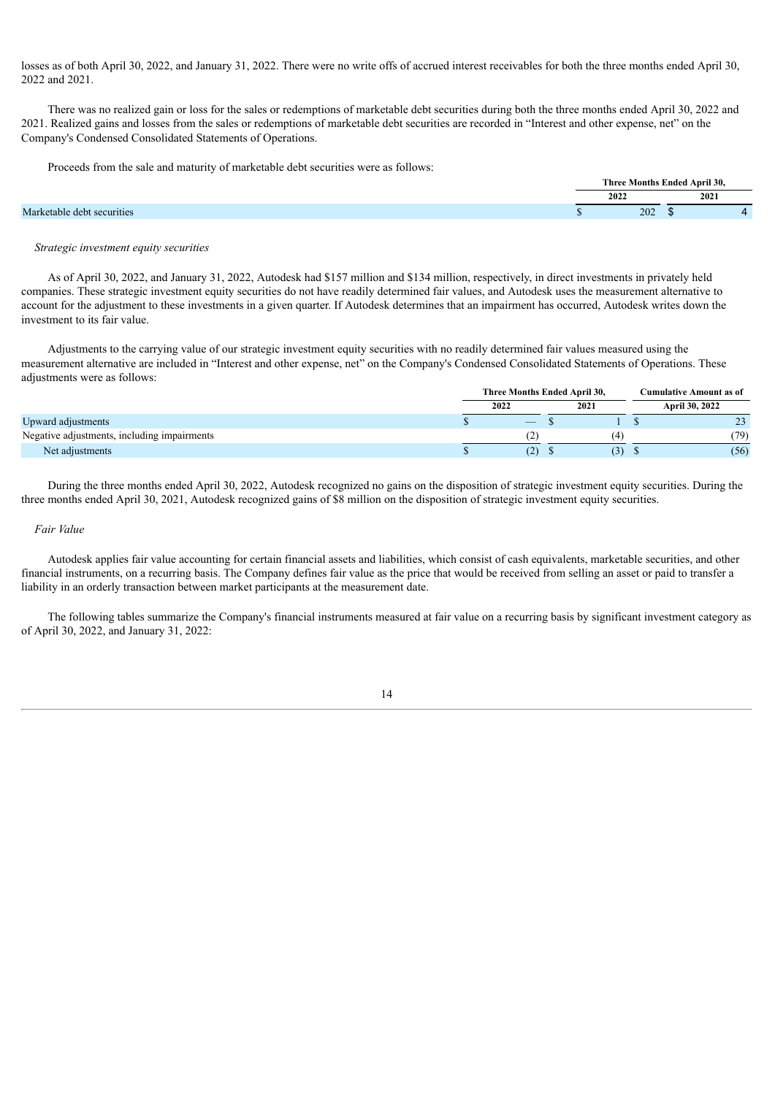losses as of both April 30, 2022, and January 31, 2022. There were no write offs of accrued interest receivables for both the three months ended April 30, 2022 and 2021.

There was no realized gain or loss for the sales or redemptions of marketable debt securities during both the three months ended April 30, 2022 and 2021. Realized gains and losses from the sales or redemptions of marketable debt securities are recorded in "Interest and other expense, net" on the Company's Condensed Consolidated Statements of Operations.

Proceeds from the sale and maturity of marketable debt securities were as follows:

|                            |      |     | Three Months Ended April 30. |      |
|----------------------------|------|-----|------------------------------|------|
|                            | 2022 |     |                              | 2021 |
| Marketable debt securities |      | 202 |                              |      |

#### *Strategic investment equity securities*

As of April 30, 2022, and January 31, 2022, Autodesk had \$157 million and \$134 million, respectively, in direct investments in privately held companies. These strategic investment equity securities do not have readily determined fair values, and Autodesk uses the measurement alternative to account for the adjustment to these investments in a given quarter. If Autodesk determines that an impairment has occurred, Autodesk writes down the investment to its fair value.

Adjustments to the carrying value of our strategic investment equity securities with no readily determined fair values measured using the measurement alternative are included in "Interest and other expense, net" on the Company's Condensed Consolidated Statements of Operations. These adjustments were as follows:

|                                             |      | Three Months Ended April 30, |  |      | <b>Cumulative Amount as of</b> |                |  |  |
|---------------------------------------------|------|------------------------------|--|------|--------------------------------|----------------|--|--|
|                                             | 2022 |                              |  | 2021 |                                | April 30, 2022 |  |  |
| Upward adjustments                          |      |                              |  |      |                                | 23<br>رے       |  |  |
| Negative adjustments, including impairments |      | (2)                          |  | (4   |                                | (79)           |  |  |
| Net adjustments                             |      | (2)                          |  | 3)   |                                | (56)           |  |  |

During the three months ended April 30, 2022, Autodesk recognized no gains on the disposition of strategic investment equity securities. During the three months ended April 30, 2021, Autodesk recognized gains of \$8 million on the disposition of strategic investment equity securities.

#### *Fair Value*

Autodesk applies fair value accounting for certain financial assets and liabilities, which consist of cash equivalents, marketable securities, and other financial instruments, on a recurring basis. The Company defines fair value as the price that would be received from selling an asset or paid to transfer a liability in an orderly transaction between market participants at the measurement date.

The following tables summarize the Company's financial instruments measured at fair value on a recurring basis by significant investment category as of April 30, 2022, and January 31, 2022: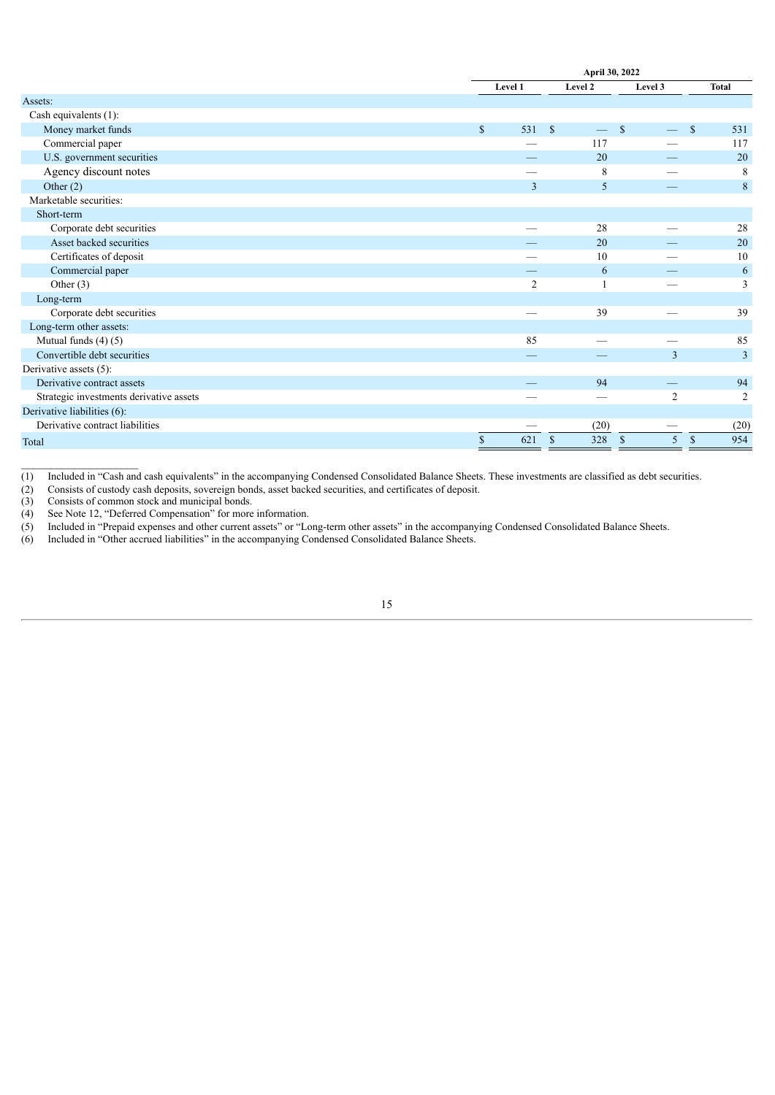|                                         |                           | April 30, 2022 |               |         |                    |               |                |
|-----------------------------------------|---------------------------|----------------|---------------|---------|--------------------|---------------|----------------|
|                                         |                           | Level 1        |               | Level 2 | Level 3            |               | <b>Total</b>   |
| Assets:                                 |                           |                |               |         |                    |               |                |
| Cash equivalents (1):                   |                           |                |               |         |                    |               |                |
| Money market funds                      | $\mathbb{S}$              | 531            | $\mathcal{S}$ |         | <sup>\$</sup>      | $\mathbb{S}$  | 531            |
| Commercial paper                        |                           |                |               | 117     |                    |               | 117            |
| U.S. government securities              |                           |                |               | 20      |                    |               | 20             |
| Agency discount notes                   |                           |                |               | 8       |                    |               | 8              |
| Other $(2)$                             |                           | 3              |               | 5       |                    |               | 8              |
| Marketable securities:                  |                           |                |               |         |                    |               |                |
| Short-term                              |                           |                |               |         |                    |               |                |
| Corporate debt securities               |                           |                |               | 28      |                    |               | 28             |
| Asset backed securities                 |                           |                |               | 20      |                    |               | 20             |
| Certificates of deposit                 |                           |                |               | 10      |                    |               | 10             |
| Commercial paper                        |                           |                |               | 6       |                    |               | 6              |
| Other $(3)$                             |                           | $\overline{2}$ |               |         |                    |               | 3              |
| Long-term                               |                           |                |               |         |                    |               |                |
| Corporate debt securities               |                           |                |               | 39      |                    |               | 39             |
| Long-term other assets:                 |                           |                |               |         |                    |               |                |
| Mutual funds $(4)$ $(5)$                |                           | 85             |               |         |                    |               | 85             |
| Convertible debt securities             |                           |                |               |         | $\overline{3}$     |               | 3              |
| Derivative assets (5):                  |                           |                |               |         |                    |               |                |
| Derivative contract assets              |                           |                |               | 94      |                    |               | 94             |
| Strategic investments derivative assets |                           |                |               |         | $\overline{2}$     |               | $\overline{2}$ |
| Derivative liabilities (6):             |                           |                |               |         |                    |               |                |
| Derivative contract liabilities         |                           |                |               | (20)    |                    |               | (20)           |
| Total                                   | $\boldsymbol{\mathsf{S}}$ | 621            | $\mathcal{S}$ | 328     | $\mathcal{S}$<br>5 | $\mathcal{S}$ | 954            |

(1) Included in "Cash and cash equivalents" in the accompanying Condensed Consolidated Balance Sheets. These investments are classified as debt securities.<br>
(2) Consists of custody cash deposits, sovereign bonds, asset ba

(2) Consists of custody cash deposits, sovereign bonds, asset backed securities, and certificates of deposit.

Consists of common stock and municipal bonds.

 $\mathcal{L}_\text{max}$ 

(4) See Note 12, "Deferred Compensation" for more information.

(5) Included in "Prepaid expenses and other current assets" or "Long-term other assets" in the accompanying Condensed Consolidated Balance Sheets.

(6) Included in "Other accrued liabilities" in the accompanying Condensed Consolidated Balance Sheets.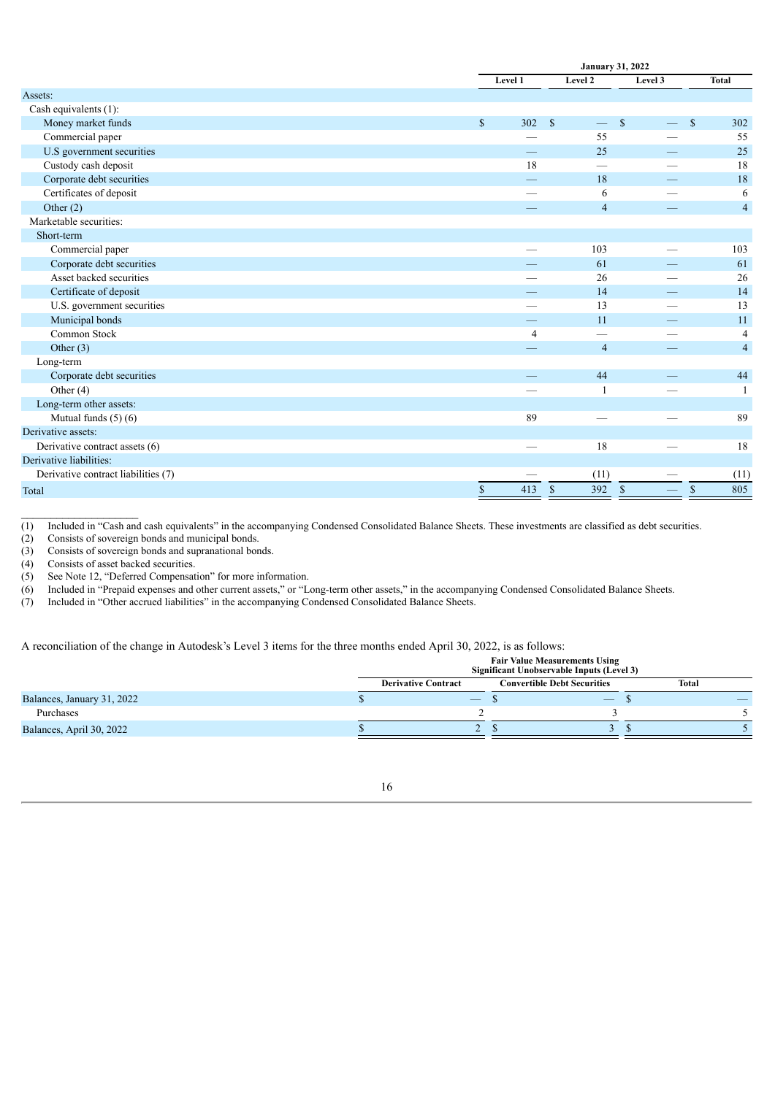|                                     |              | <b>January 31, 2022</b> |                                          |               |                      |  |  |
|-------------------------------------|--------------|-------------------------|------------------------------------------|---------------|----------------------|--|--|
|                                     |              | Level 1                 | Level 2                                  | Level 3       | <b>Total</b>         |  |  |
| Assets:                             |              |                         |                                          |               |                      |  |  |
| Cash equivalents (1):               |              |                         |                                          |               |                      |  |  |
| Money market funds                  | $\mathbb{S}$ | 302                     | $\mathbf{s}$<br>$\overline{\phantom{0}}$ | $\mathcal{S}$ | $\mathbf{s}$<br>302  |  |  |
| Commercial paper                    |              |                         | 55                                       |               | 55                   |  |  |
| U.S government securities           |              |                         | 25                                       |               | 25                   |  |  |
| Custody cash deposit                |              | 18                      |                                          |               | 18                   |  |  |
| Corporate debt securities           |              |                         | 18                                       |               | 18                   |  |  |
| Certificates of deposit             |              |                         | 6                                        |               | 6                    |  |  |
| Other $(2)$                         |              |                         | $\overline{4}$                           |               | $\overline{4}$       |  |  |
| Marketable securities:              |              |                         |                                          |               |                      |  |  |
| Short-term                          |              |                         |                                          |               |                      |  |  |
| Commercial paper                    |              |                         | 103                                      |               | 103                  |  |  |
| Corporate debt securities           |              |                         | 61                                       |               | 61                   |  |  |
| Asset backed securities             |              |                         | 26                                       |               | 26                   |  |  |
| Certificate of deposit              |              |                         | 14                                       |               | 14                   |  |  |
| U.S. government securities          |              |                         | 13                                       |               | 13                   |  |  |
| Municipal bonds                     |              |                         | 11                                       |               | 11                   |  |  |
| Common Stock                        |              | $\overline{4}$          |                                          |               | $\overline{4}$       |  |  |
| Other $(3)$                         |              |                         | $\overline{4}$                           |               | $\overline{4}$       |  |  |
| Long-term                           |              |                         |                                          |               |                      |  |  |
| Corporate debt securities           |              |                         | 44                                       |               | 44                   |  |  |
| Other $(4)$                         |              |                         |                                          |               | $\mathbf{1}$         |  |  |
| Long-term other assets:             |              |                         |                                          |               |                      |  |  |
| Mutual funds (5) (6)                |              | 89                      |                                          |               | 89                   |  |  |
| Derivative assets:                  |              |                         |                                          |               |                      |  |  |
| Derivative contract assets (6)      |              |                         | 18                                       |               | 18                   |  |  |
| Derivative liabilities:             |              |                         |                                          |               |                      |  |  |
| Derivative contract liabilities (7) |              |                         | (11)                                     |               | (11)                 |  |  |
| Total                               | $\mathbb{S}$ | 413                     | $\mathbb{S}$<br>392                      | $\mathbb{S}$  | 805<br>$\mathcal{S}$ |  |  |

(1) Included in "Cash and cash equivalents" in the accompanying Condensed Consolidated Balance Sheets. These investments are classified as debt securities.<br>
(2) Consists of sovereign bonds and municipal bonds.

(2) Consists of sovereign bonds and municipal bonds.<br>
(3) Consists of sovereign bonds and supranational bor

Consists of sovereign bonds and supranational bonds.

(4) Consists of asset backed securities.<br>(5) See Note 12, "Deferred Compensat

See Note 12, "Deferred Compensation" for more information.

(6) Included in "Prepaid expenses and other current assets," or "Long-term other assets," in the accompanying Condensed Consolidated Balance Sheets.

(7) Included in "Other accrued liabilities" in the accompanying Condensed Consolidated Balance Sheets.

A reconciliation of the change in Autodesk's Level 3 items for the three months ended April 30, 2022, is as follows:

|                            | <b>Fair Value Measurements Using</b><br>Significant Unobservable Inputs (Level 3) |                                             |  |       |  |  |  |  |
|----------------------------|-----------------------------------------------------------------------------------|---------------------------------------------|--|-------|--|--|--|--|
|                            | <b>Convertible Debt Securities</b><br><b>Derivative Contract</b>                  |                                             |  | Total |  |  |  |  |
| Balances, January 31, 2022 |                                                                                   | $\hspace{1.0cm} \overbrace{\hspace{1.0cm}}$ |  |       |  |  |  |  |
| Purchases                  |                                                                                   |                                             |  |       |  |  |  |  |
| Balances, April 30, 2022   |                                                                                   |                                             |  |       |  |  |  |  |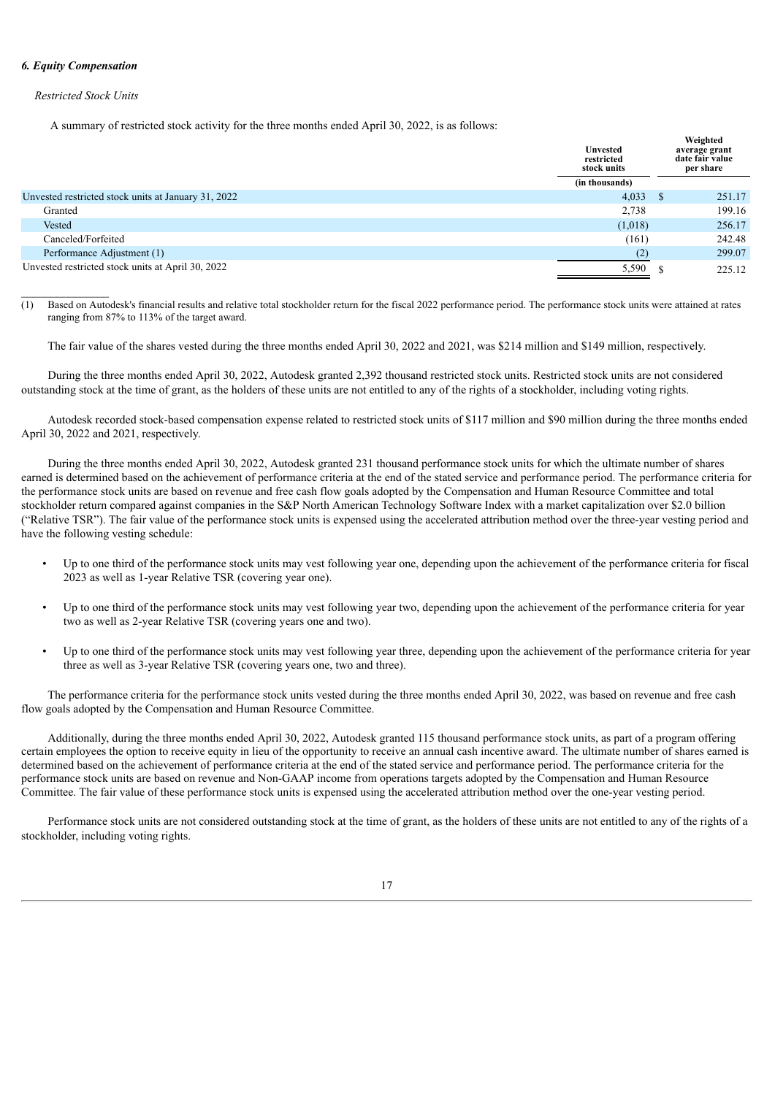#### *6. Equity Compensation*

#### *Restricted Stock Units*

A summary of restricted stock activity for the three months ended April 30, 2022, is as follows:

|                                                     | <b>Unvested</b><br>restricted<br>stock units |      | Weighted<br>average grant<br>date fair value<br>per share |
|-----------------------------------------------------|----------------------------------------------|------|-----------------------------------------------------------|
|                                                     | (in thousands)                               |      |                                                           |
| Unvested restricted stock units at January 31, 2022 | 4,033                                        | - \$ | 251.17                                                    |
| Granted                                             | 2,738                                        |      | 199.16                                                    |
| Vested                                              | (1,018)                                      |      | 256.17                                                    |
| Canceled/Forfeited                                  | (161)                                        |      | 242.48                                                    |
| Performance Adjustment (1)                          | (2)                                          |      | 299.07                                                    |
| Unvested restricted stock units at April 30, 2022   | 5,590                                        |      | 225.12                                                    |

 $\overline{(1)}$  Based on Autodesk's financial results and relative total stockholder return for the fiscal 2022 performance period. The performance stock units were attained at rates ranging from 87% to 113% of the target award.

The fair value of the shares vested during the three months ended April 30, 2022 and 2021, was \$214 million and \$149 million, respectively.

During the three months ended April 30, 2022, Autodesk granted 2,392 thousand restricted stock units. Restricted stock units are not considered outstanding stock at the time of grant, as the holders of these units are not entitled to any of the rights of a stockholder, including voting rights.

Autodesk recorded stock-based compensation expense related to restricted stock units of \$117 million and \$90 million during the three months ended April 30, 2022 and 2021, respectively.

During the three months ended April 30, 2022, Autodesk granted 231 thousand performance stock units for which the ultimate number of shares earned is determined based on the achievement of performance criteria at the end of the stated service and performance period. The performance criteria for the performance stock units are based on revenue and free cash flow goals adopted by the Compensation and Human Resource Committee and total stockholder return compared against companies in the S&P North American Technology Software Index with a market capitalization over \$2.0 billion ("Relative TSR"). The fair value of the performance stock units is expensed using the accelerated attribution method over the three-year vesting period and have the following vesting schedule:

- Up to one third of the performance stock units may vest following year one, depending upon the achievement of the performance criteria for fiscal 2023 as well as 1-year Relative TSR (covering year one).
- Up to one third of the performance stock units may vest following year two, depending upon the achievement of the performance criteria for year two as well as 2-year Relative TSR (covering years one and two).
- Up to one third of the performance stock units may vest following year three, depending upon the achievement of the performance criteria for year three as well as 3-year Relative TSR (covering years one, two and three).

The performance criteria for the performance stock units vested during the three months ended April 30, 2022, was based on revenue and free cash flow goals adopted by the Compensation and Human Resource Committee.

Additionally, during the three months ended April 30, 2022, Autodesk granted 115 thousand performance stock units, as part of a program offering certain employees the option to receive equity in lieu of the opportunity to receive an annual cash incentive award. The ultimate number of shares earned is determined based on the achievement of performance criteria at the end of the stated service and performance period. The performance criteria for the performance stock units are based on revenue and Non-GAAP income from operations targets adopted by the Compensation and Human Resource Committee. The fair value of these performance stock units is expensed using the accelerated attribution method over the one-year vesting period.

Performance stock units are not considered outstanding stock at the time of grant, as the holders of these units are not entitled to any of the rights of a stockholder, including voting rights.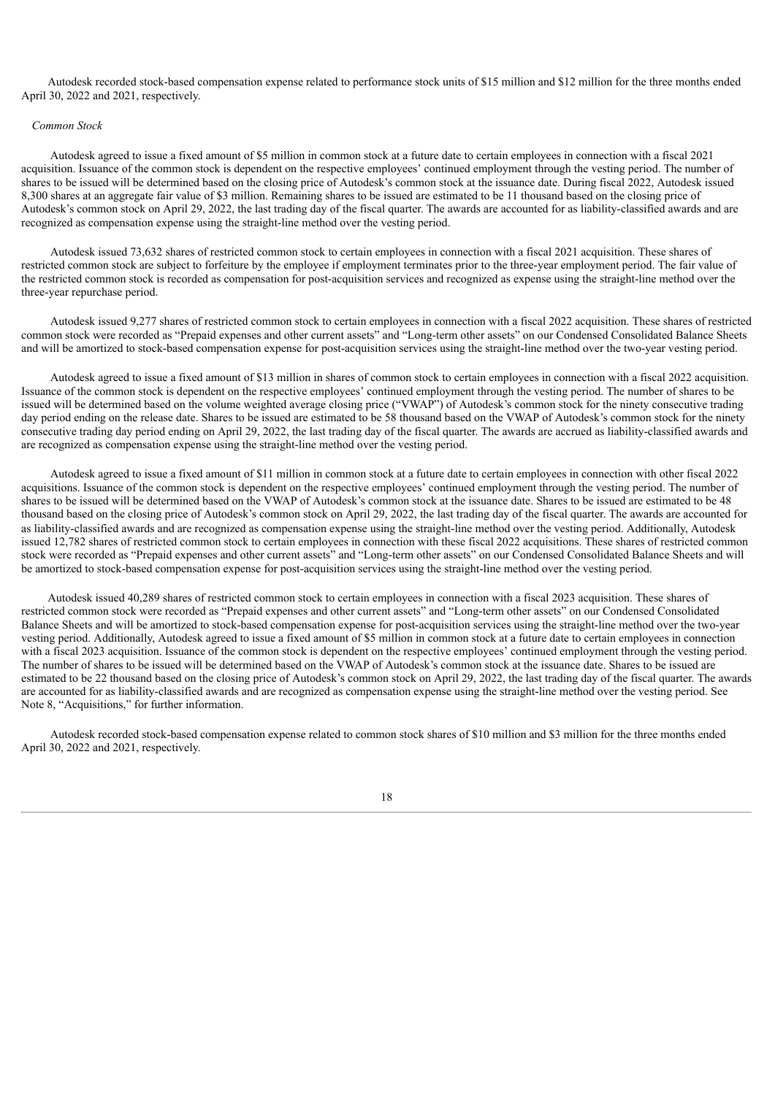Autodesk recorded stock-based compensation expense related to performance stock units of \$15 million and \$12 million for the three months ended April 30, 2022 and 2021, respectively.

#### *Common Stock*

Autodesk agreed to issue a fixed amount of \$5 million in common stock at a future date to certain employees in connection with a fiscal 2021 acquisition. Issuance of the common stock is dependent on the respective employees' continued employment through the vesting period. The number of shares to be issued will be determined based on the closing price of Autodesk's common stock at the issuance date. During fiscal 2022, Autodesk issued 8,300 shares at an aggregate fair value of \$3 million. Remaining shares to be issued are estimated to be 11 thousand based on the closing price of Autodesk's common stock on April 29, 2022, the last trading day of the fiscal quarter. The awards are accounted for as liability-classified awards and are recognized as compensation expense using the straight-line method over the vesting period.

Autodesk issued 73,632 shares of restricted common stock to certain employees in connection with a fiscal 2021 acquisition. These shares of restricted common stock are subject to forfeiture by the employee if employment terminates prior to the three-year employment period. The fair value of the restricted common stock is recorded as compensation for post-acquisition services and recognized as expense using the straight-line method over the three-year repurchase period.

Autodesk issued 9,277 shares of restricted common stock to certain employees in connection with a fiscal 2022 acquisition. These shares of restricted common stock were recorded as "Prepaid expenses and other current assets" and "Long-term other assets" on our Condensed Consolidated Balance Sheets and will be amortized to stock-based compensation expense for post-acquisition services using the straight-line method over the two-year vesting period.

Autodesk agreed to issue a fixed amount of \$13 million in shares of common stock to certain employees in connection with a fiscal 2022 acquisition. Issuance of the common stock is dependent on the respective employees' continued employment through the vesting period. The number of shares to be issued will be determined based on the volume weighted average closing price ("VWAP") of Autodesk's common stock for the ninety consecutive trading day period ending on the release date. Shares to be issued are estimated to be 58 thousand based on the VWAP of Autodesk's common stock for the ninety consecutive trading day period ending on April 29, 2022, the last trading day of the fiscal quarter. The awards are accrued as liability-classified awards and are recognized as compensation expense using the straight-line method over the vesting period.

Autodesk agreed to issue a fixed amount of \$11 million in common stock at a future date to certain employees in connection with other fiscal 2022 acquisitions. Issuance of the common stock is dependent on the respective employees' continued employment through the vesting period. The number of shares to be issued will be determined based on the VWAP of Autodesk's common stock at the issuance date. Shares to be issued are estimated to be 48 thousand based on the closing price of Autodesk's common stock on April 29, 2022, the last trading day of the fiscal quarter. The awards are accounted for as liability-classified awards and are recognized as compensation expense using the straight-line method over the vesting period. Additionally, Autodesk issued 12,782 shares of restricted common stock to certain employees in connection with these fiscal 2022 acquisitions. These shares of restricted common stock were recorded as "Prepaid expenses and other current assets" and "Long-term other assets" on our Condensed Consolidated Balance Sheets and will be amortized to stock-based compensation expense for post-acquisition services using the straight-line method over the vesting period.

Autodesk issued 40,289 shares of restricted common stock to certain employees in connection with a fiscal 2023 acquisition. These shares of restricted common stock were recorded as "Prepaid expenses and other current assets" and "Long-term other assets" on our Condensed Consolidated Balance Sheets and will be amortized to stock-based compensation expense for post-acquisition services using the straight-line method over the two-year vesting period. Additionally, Autodesk agreed to issue a fixed amount of \$5 million in common stock at a future date to certain employees in connection with a fiscal 2023 acquisition. Issuance of the common stock is dependent on the respective employees' continued employment through the vesting period. The number of shares to be issued will be determined based on the VWAP of Autodesk's common stock at the issuance date. Shares to be issued are estimated to be 22 thousand based on the closing price of Autodesk's common stock on April 29, 2022, the last trading day of the fiscal quarter. The awards are accounted for as liability-classified awards and are recognized as compensation expense using the straight-line method over the vesting period. See Note 8, "Acquisitions," for further information.

Autodesk recorded stock-based compensation expense related to common stock shares of \$10 million and \$3 million for the three months ended April 30, 2022 and 2021, respectively.

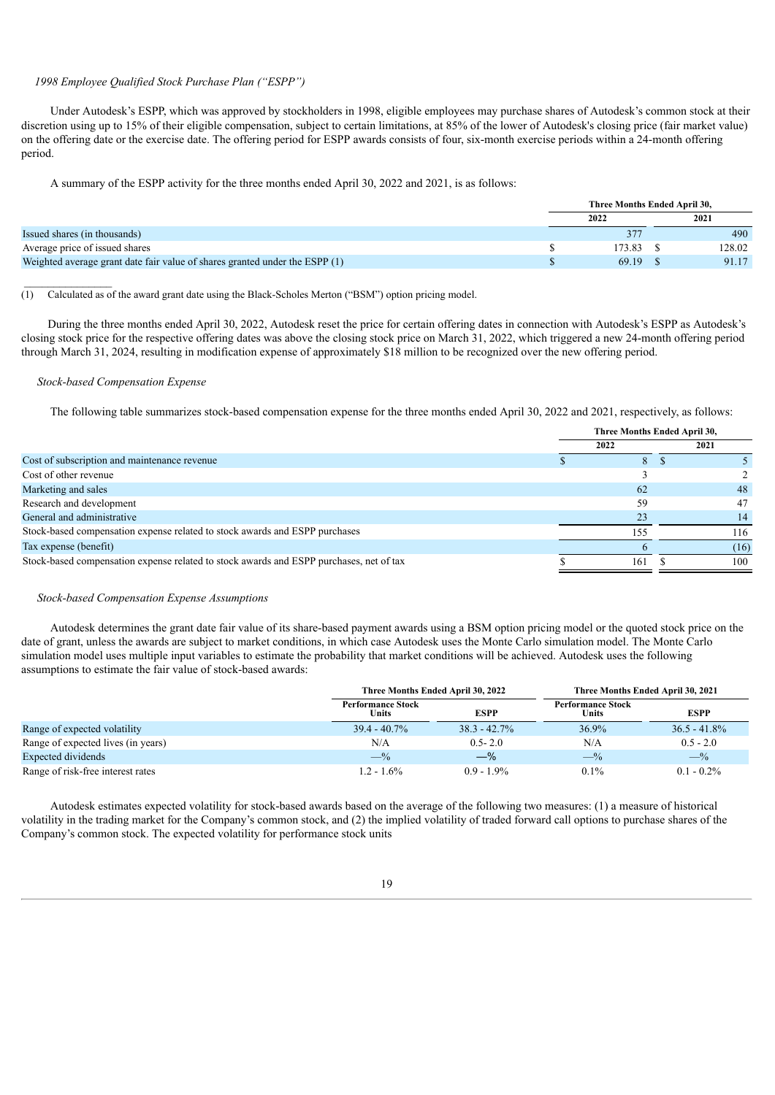## *1998 Employee Qualified Stock Purchase Plan ("ESPP")*

Under Autodesk's ESPP, which was approved by stockholders in 1998, eligible employees may purchase shares of Autodesk's common stock at their discretion using up to 15% of their eligible compensation, subject to certain limitations, at 85% of the lower of Autodesk's closing price (fair market value) on the offering date or the exercise date. The offering period for ESPP awards consists of four, six-month exercise periods within a 24-month offering period.

A summary of the ESPP activity for the three months ended April 30, 2022 and 2021, is as follows:

|                                                                             | Three Months Ended April 30, |              |  |        |
|-----------------------------------------------------------------------------|------------------------------|--------------|--|--------|
|                                                                             |                              | 2022         |  | 2021   |
| Issued shares (in thousands)                                                |                              | $37^{\circ}$ |  | 490    |
| Average price of issued shares                                              |                              | 173.83       |  | 128.02 |
| Weighted average grant date fair value of shares granted under the ESPP (1) |                              | 69.19        |  | 91.17  |

(1) Calculated as of the award grant date using the Black-Scholes Merton ("BSM") option pricing model.

During the three months ended April 30, 2022, Autodesk reset the price for certain offering dates in connection with Autodesk's ESPP as Autodesk's closing stock price for the respective offering dates was above the closing stock price on March 31, 2022, which triggered a new 24-month offering period through March 31, 2024, resulting in modification expense of approximately \$18 million to be recognized over the new offering period.

#### *Stock-based Compensation Expense*

The following table summarizes stock-based compensation expense for the three months ended April 30, 2022 and 2021, respectively, as follows:

|                                                                                         | Three Months Ended April 30, |      |  |      |  |
|-----------------------------------------------------------------------------------------|------------------------------|------|--|------|--|
|                                                                                         |                              | 2022 |  | 2021 |  |
| Cost of subscription and maintenance revenue                                            |                              | 8.   |  |      |  |
| Cost of other revenue                                                                   |                              |      |  |      |  |
| Marketing and sales                                                                     |                              | 62   |  | 48   |  |
| Research and development                                                                |                              | 59   |  | 47   |  |
| General and administrative                                                              |                              | 23   |  | 14   |  |
| Stock-based compensation expense related to stock awards and ESPP purchases             |                              | 55   |  | 116  |  |
| Tax expense (benefit)                                                                   |                              |      |  | (16) |  |
| Stock-based compensation expense related to stock awards and ESPP purchases, net of tax |                              | 161  |  | 100  |  |

#### *Stock-based Compensation Expense Assumptions*

Autodesk determines the grant date fair value of its share-based payment awards using a BSM option pricing model or the quoted stock price on the date of grant, unless the awards are subject to market conditions, in which case Autodesk uses the Monte Carlo simulation model. The Monte Carlo simulation model uses multiple input variables to estimate the probability that market conditions will be achieved. Autodesk uses the following assumptions to estimate the fair value of stock-based awards:

|                                                  | Three Months Ended April 30, 2022 |                 | Three Months Ended April 30, 2021 |                 |
|--------------------------------------------------|-----------------------------------|-----------------|-----------------------------------|-----------------|
| <b>Performance Stock</b><br><b>ESPP</b><br>Units |                                   |                 | <b>Performance Stock</b><br>Units | <b>ESPP</b>     |
| Range of expected volatility                     | $39.4 - 40.7\%$                   | $38.3 - 42.7\%$ | 36.9%                             | $36.5 - 41.8\%$ |
| Range of expected lives (in years)               | N/A                               | $0.5 - 2.0$     | N/A                               | $0.5 - 2.0$     |
| Expected dividends                               | $-$ %                             | $-\%$           | $-$ %                             | $-$ %           |
| Range of risk-free interest rates                | $1.2 - 1.6\%$                     | $0.9 - 1.9\%$   | $0.1\%$                           | $0.1 - 0.2\%$   |

Autodesk estimates expected volatility for stock-based awards based on the average of the following two measures: (1) a measure of historical volatility in the trading market for the Company's common stock, and (2) the implied volatility of traded forward call options to purchase shares of the Company's common stock. The expected volatility for performance stock units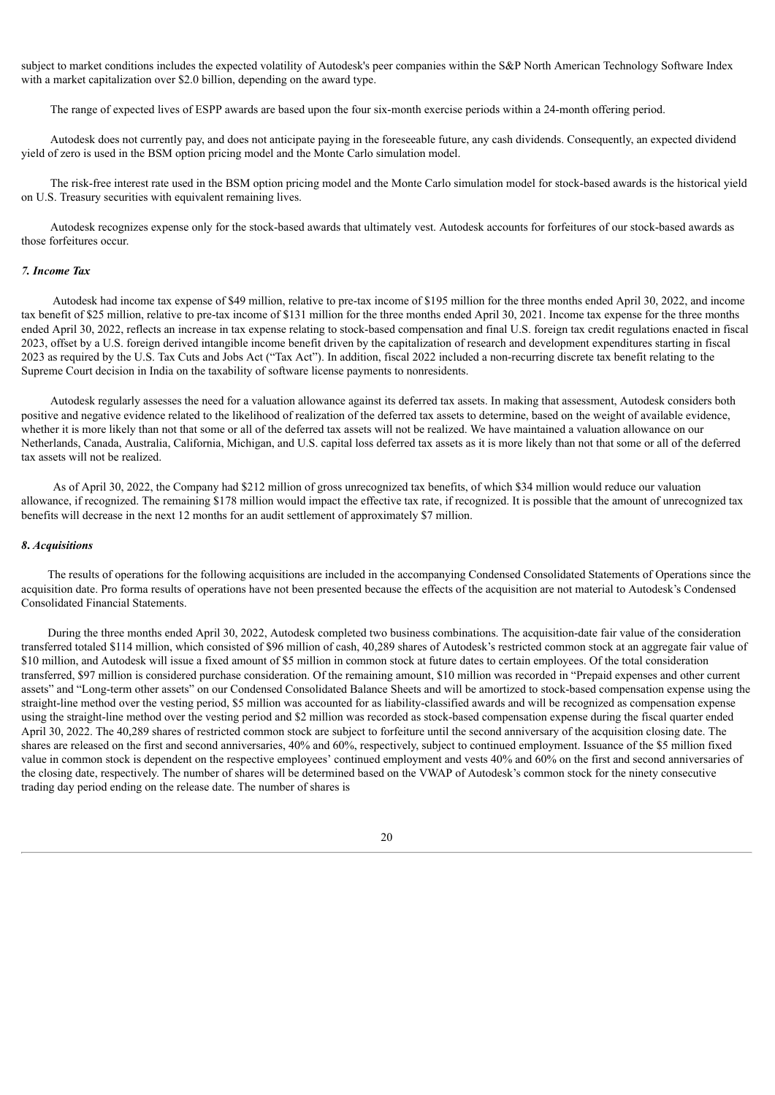subject to market conditions includes the expected volatility of Autodesk's peer companies within the S&P North American Technology Software Index with a market capitalization over \$2.0 billion, depending on the award type.

The range of expected lives of ESPP awards are based upon the four six-month exercise periods within a 24-month offering period.

Autodesk does not currently pay, and does not anticipate paying in the foreseeable future, any cash dividends. Consequently, an expected dividend yield of zero is used in the BSM option pricing model and the Monte Carlo simulation model.

The risk-free interest rate used in the BSM option pricing model and the Monte Carlo simulation model for stock-based awards is the historical yield on U.S. Treasury securities with equivalent remaining lives.

Autodesk recognizes expense only for the stock-based awards that ultimately vest. Autodesk accounts for forfeitures of our stock-based awards as those forfeitures occur.

#### *7. Income Tax*

Autodesk had income tax expense of \$49 million, relative to pre-tax income of \$195 million for the three months ended April 30, 2022, and income tax benefit of \$25 million, relative to pre-tax income of \$131 million for the three months ended April 30, 2021. Income tax expense for the three months ended April 30, 2022, reflects an increase in tax expense relating to stock-based compensation and final U.S. foreign tax credit regulations enacted in fiscal 2023, offset by a U.S. foreign derived intangible income benefit driven by the capitalization of research and development expenditures starting in fiscal 2023 as required by the U.S. Tax Cuts and Jobs Act ("Tax Act"). In addition, fiscal 2022 included a non-recurring discrete tax benefit relating to the Supreme Court decision in India on the taxability of software license payments to nonresidents.

Autodesk regularly assesses the need for a valuation allowance against its deferred tax assets. In making that assessment, Autodesk considers both positive and negative evidence related to the likelihood of realization of the deferred tax assets to determine, based on the weight of available evidence, whether it is more likely than not that some or all of the deferred tax assets will not be realized. We have maintained a valuation allowance on our Netherlands, Canada, Australia, California, Michigan, and U.S. capital loss deferred tax assets as it is more likely than not that some or all of the deferred tax assets will not be realized.

As of April 30, 2022, the Company had \$212 million of gross unrecognized tax benefits, of which \$34 million would reduce our valuation allowance, if recognized. The remaining \$178 million would impact the effective tax rate, if recognized. It is possible that the amount of unrecognized tax benefits will decrease in the next 12 months for an audit settlement of approximately \$7 million.

#### *8***.** *Acquisitions*

The results of operations for the following acquisitions are included in the accompanying Condensed Consolidated Statements of Operations since the acquisition date. Pro forma results of operations have not been presented because the effects of the acquisition are not material to Autodesk's Condensed Consolidated Financial Statements.

During the three months ended April 30, 2022, Autodesk completed two business combinations. The acquisition-date fair value of the consideration transferred totaled \$114 million, which consisted of \$96 million of cash, 40,289 shares of Autodesk's restricted common stock at an aggregate fair value of \$10 million, and Autodesk will issue a fixed amount of \$5 million in common stock at future dates to certain employees. Of the total consideration transferred, \$97 million is considered purchase consideration. Of the remaining amount, \$10 million was recorded in "Prepaid expenses and other current assets" and "Long-term other assets" on our Condensed Consolidated Balance Sheets and will be amortized to stock-based compensation expense using the straight-line method over the vesting period, \$5 million was accounted for as liability-classified awards and will be recognized as compensation expense using the straight-line method over the vesting period and \$2 million was recorded as stock-based compensation expense during the fiscal quarter ended April 30, 2022. The 40,289 shares of restricted common stock are subject to forfeiture until the second anniversary of the acquisition closing date. The shares are released on the first and second anniversaries, 40% and 60%, respectively, subject to continued employment. Issuance of the \$5 million fixed value in common stock is dependent on the respective employees' continued employment and vests 40% and 60% on the first and second anniversaries of the closing date, respectively. The number of shares will be determined based on the VWAP of Autodesk's common stock for the ninety consecutive trading day period ending on the release date. The number of shares is

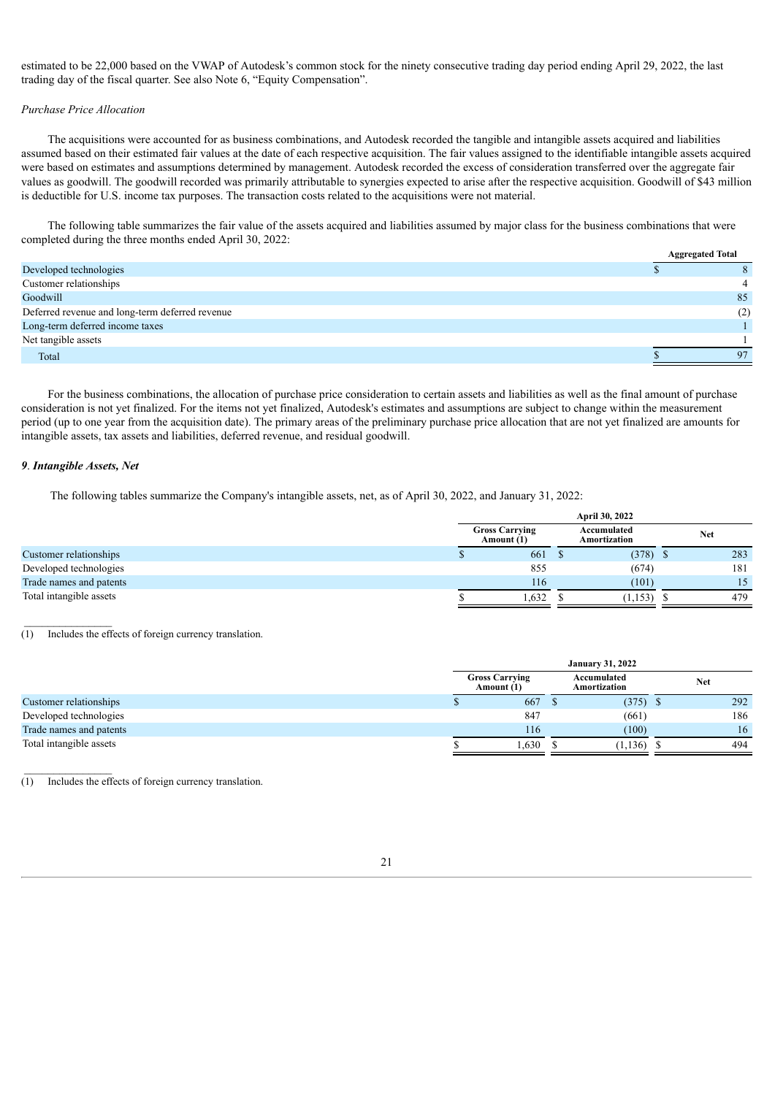estimated to be 22,000 based on the VWAP of Autodesk's common stock for the ninety consecutive trading day period ending April 29, 2022, the last trading day of the fiscal quarter. See also Note 6, "Equity Compensation".

#### *Purchase Price Allocation*

The acquisitions were accounted for as business combinations, and Autodesk recorded the tangible and intangible assets acquired and liabilities assumed based on their estimated fair values at the date of each respective acquisition. The fair values assigned to the identifiable intangible assets acquired were based on estimates and assumptions determined by management. Autodesk recorded the excess of consideration transferred over the aggregate fair values as goodwill. The goodwill recorded was primarily attributable to synergies expected to arise after the respective acquisition. Goodwill of \$43 million is deductible for U.S. income tax purposes. The transaction costs related to the acquisitions were not material.

The following table summarizes the fair value of the assets acquired and liabilities assumed by major class for the business combinations that were completed during the three months ended April 30, 2022:

|                                                 | <b>Aggregated Total</b> |
|-------------------------------------------------|-------------------------|
| Developed technologies                          |                         |
| Customer relationships                          |                         |
| Goodwill                                        | 85                      |
| Deferred revenue and long-term deferred revenue | (2)                     |
| Long-term deferred income taxes                 |                         |
| Net tangible assets                             |                         |
| Total                                           | 97                      |

For the business combinations, the allocation of purchase price consideration to certain assets and liabilities as well as the final amount of purchase consideration is not yet finalized. For the items not yet finalized, Autodesk's estimates and assumptions are subject to change within the measurement period (up to one year from the acquisition date). The primary areas of the preliminary purchase price allocation that are not yet finalized are amounts for intangible assets, tax assets and liabilities, deferred revenue, and residual goodwill.

#### *9*. *Intangible Assets, Net*

 $\mathcal{L}_\text{max}$ 

The following tables summarize the Company's intangible assets, net, as of April 30, 2022, and January 31, 2022:

| <b>April 30, 2022</b>               |                             |          |            |            |
|-------------------------------------|-----------------------------|----------|------------|------------|
| <b>Gross Carrying</b><br>Amount (1) | Accumulated<br>Amortization |          | <b>Net</b> |            |
| 661                                 |                             |          |            | 283        |
| 855                                 |                             | (674)    |            | 181        |
| 116                                 |                             | (101)    |            | 15         |
| 1,632                               |                             | (1, 153) |            | 479        |
|                                     |                             |          |            | $(378)$ \$ |

(1) Includes the effects of foreign currency translation.

|                         | <b>January 31, 2022</b>             |       |                             |            |            |     |
|-------------------------|-------------------------------------|-------|-----------------------------|------------|------------|-----|
|                         | <b>Gross Carrying</b><br>Amount (1) |       | Accumulated<br>Amortization |            | <b>Net</b> |     |
| Customer relationships  |                                     | 667   |                             | $(375)$ \$ |            | 292 |
| Developed technologies  |                                     | 847   |                             | (661)      |            | 186 |
| Trade names and patents |                                     | 116   |                             | (100)      |            | 16  |
| Total intangible assets |                                     | 1,630 |                             | (1,136)    |            | 494 |

(1) Includes the effects of foreign currency translation.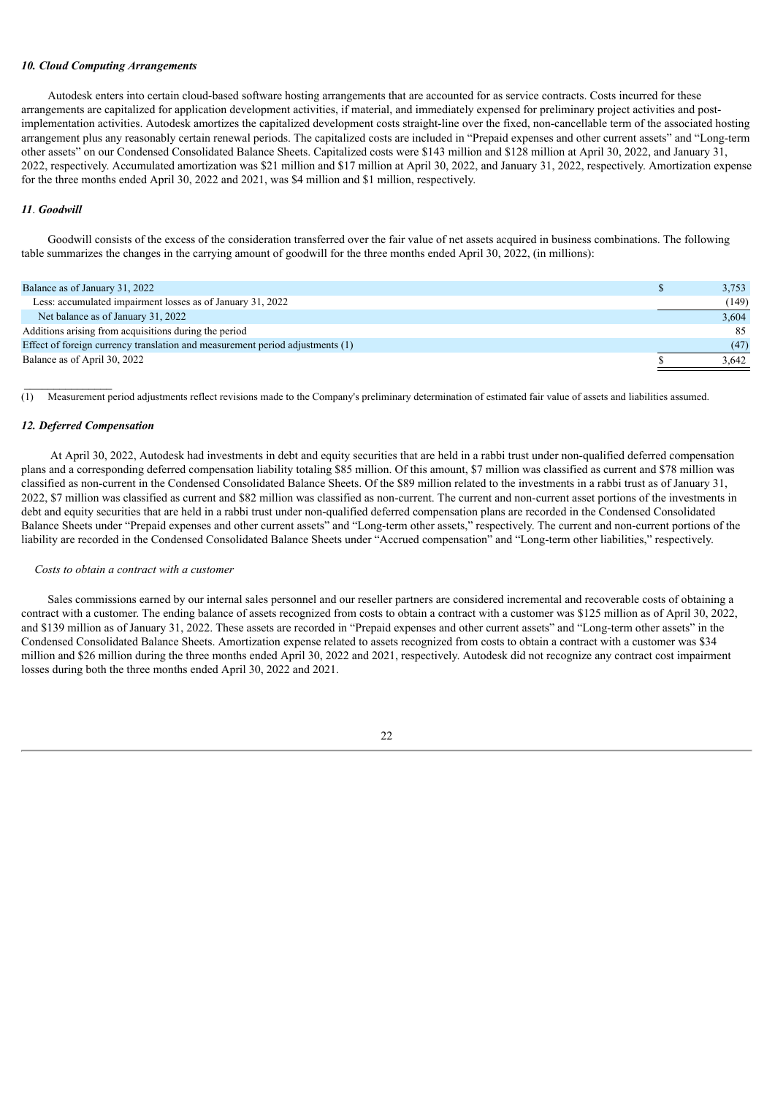#### *10. Cloud Computing Arrangements*

Autodesk enters into certain cloud-based software hosting arrangements that are accounted for as service contracts. Costs incurred for these arrangements are capitalized for application development activities, if material, and immediately expensed for preliminary project activities and postimplementation activities. Autodesk amortizes the capitalized development costs straight-line over the fixed, non-cancellable term of the associated hosting arrangement plus any reasonably certain renewal periods. The capitalized costs are included in "Prepaid expenses and other current assets" and "Long-term other assets" on our Condensed Consolidated Balance Sheets. Capitalized costs were \$143 million and \$128 million at April 30, 2022, and January 31, 2022, respectively. Accumulated amortization was \$21 million and \$17 million at April 30, 2022, and January 31, 2022, respectively. Amortization expense for the three months ended April 30, 2022 and 2021, was \$4 million and \$1 million, respectively.

#### *11*. *Goodwill*

Goodwill consists of the excess of the consideration transferred over the fair value of net assets acquired in business combinations. The following table summarizes the changes in the carrying amount of goodwill for the three months ended April 30, 2022, (in millions):

| Balance as of January 31, 2022                                                | 3,753 |
|-------------------------------------------------------------------------------|-------|
| Less: accumulated impairment losses as of January 31, 2022                    | (149) |
| Net balance as of January 31, 2022                                            | 3,604 |
| Additions arising from acquisitions during the period                         | 85    |
| Effect of foreign currency translation and measurement period adjustments (1) | (47)  |
| Balance as of April 30, 2022                                                  | 3.642 |
|                                                                               |       |

(1) Measurement period adjustments reflect revisions made to the Company's preliminary determination of estimated fair value of assets and liabilities assumed.

#### *12. Deferred Compensation*

 $\mathcal{L}_\text{max}$ 

At April 30, 2022, Autodesk had investments in debt and equity securities that are held in a rabbi trust under non-qualified deferred compensation plans and a corresponding deferred compensation liability totaling \$85 million. Of this amount, \$7 million was classified as current and \$78 million was classified as non-current in the Condensed Consolidated Balance Sheets. Of the \$89 million related to the investments in a rabbi trust as of January 31, 2022, \$7 million was classified as current and \$82 million was classified as non-current. The current and non-current asset portions of the investments in debt and equity securities that are held in a rabbi trust under non-qualified deferred compensation plans are recorded in the Condensed Consolidated Balance Sheets under "Prepaid expenses and other current assets" and "Long-term other assets," respectively. The current and non-current portions of the liability are recorded in the Condensed Consolidated Balance Sheets under "Accrued compensation" and "Long-term other liabilities," respectively.

#### *Costs to obtain a contract with a customer*

Sales commissions earned by our internal sales personnel and our reseller partners are considered incremental and recoverable costs of obtaining a contract with a customer. The ending balance of assets recognized from costs to obtain a contract with a customer was \$125 million as of April 30, 2022, and \$139 million as of January 31, 2022. These assets are recorded in "Prepaid expenses and other current assets" and "Long-term other assets" in the Condensed Consolidated Balance Sheets. Amortization expense related to assets recognized from costs to obtain a contract with a customer was \$34 million and \$26 million during the three months ended April 30, 2022 and 2021, respectively. Autodesk did not recognize any contract cost impairment losses during both the three months ended April 30, 2022 and 2021.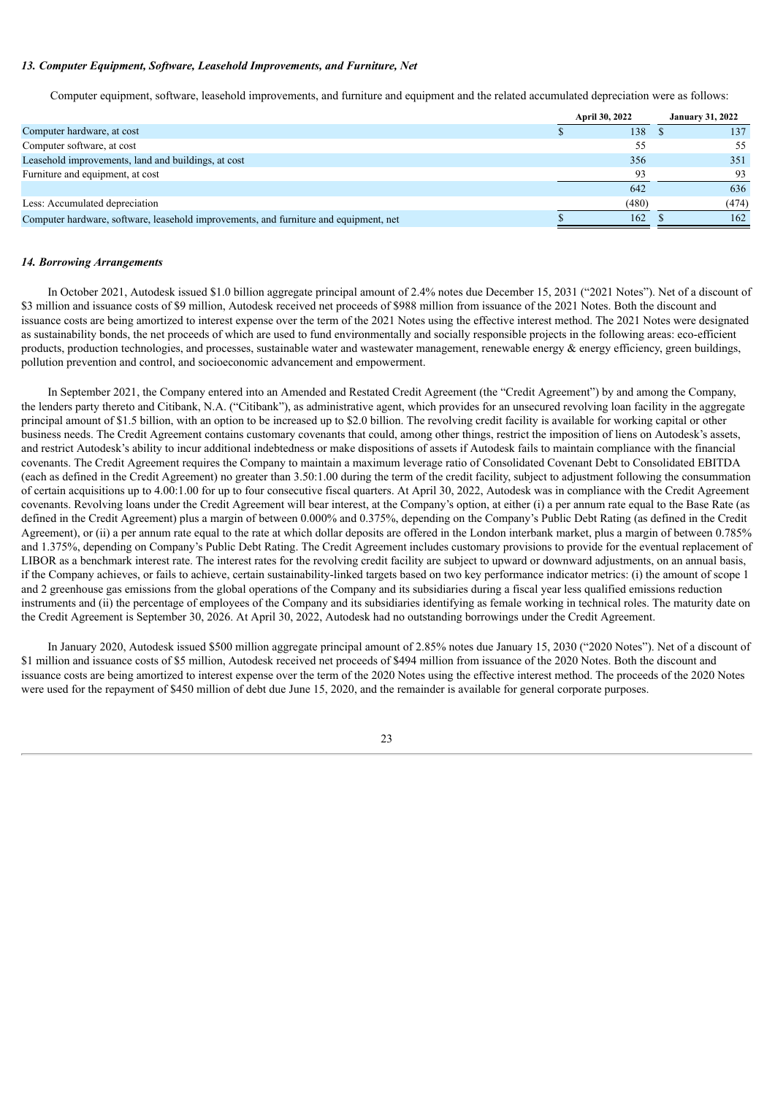#### *13. Computer Equipment, Software, Leasehold Improvements, and Furniture, Net*

Computer equipment, software, leasehold improvements, and furniture and equipment and the related accumulated depreciation were as follows:

|                                                                                       | April 30, 2022 | <b>January 31, 2022</b> |       |  |
|---------------------------------------------------------------------------------------|----------------|-------------------------|-------|--|
| Computer hardware, at cost                                                            | 138            |                         | 137   |  |
| Computer software, at cost                                                            | 55             |                         | 55    |  |
| Leasehold improvements, land and buildings, at cost                                   | 356            |                         | 351   |  |
| Furniture and equipment, at cost                                                      | 93             |                         | 93    |  |
|                                                                                       | 642            |                         | 636   |  |
| Less: Accumulated depreciation                                                        | (480)          |                         | (474) |  |
| Computer hardware, software, leasehold improvements, and furniture and equipment, net | 162            |                         | 162   |  |

#### *14. Borrowing Arrangements*

In October 2021, Autodesk issued \$1.0 billion aggregate principal amount of 2.4% notes due December 15, 2031 ("2021 Notes"). Net of a discount of \$3 million and issuance costs of \$9 million, Autodesk received net proceeds of \$988 million from issuance of the 2021 Notes. Both the discount and issuance costs are being amortized to interest expense over the term of the 2021 Notes using the effective interest method. The 2021 Notes were designated as sustainability bonds, the net proceeds of which are used to fund environmentally and socially responsible projects in the following areas: eco-efficient products, production technologies, and processes, sustainable water and wastewater management, renewable energy  $\&$  energy efficiency, green buildings, pollution prevention and control, and socioeconomic advancement and empowerment.

In September 2021, the Company entered into an Amended and Restated Credit Agreement (the "Credit Agreement") by and among the Company, the lenders party thereto and Citibank, N.A. ("Citibank"), as administrative agent, which provides for an unsecured revolving loan facility in the aggregate principal amount of \$1.5 billion, with an option to be increased up to \$2.0 billion. The revolving credit facility is available for working capital or other business needs. The Credit Agreement contains customary covenants that could, among other things, restrict the imposition of liens on Autodesk's assets, and restrict Autodesk's ability to incur additional indebtedness or make dispositions of assets if Autodesk fails to maintain compliance with the financial covenants. The Credit Agreement requires the Company to maintain a maximum leverage ratio of Consolidated Covenant Debt to Consolidated EBITDA (each as defined in the Credit Agreement) no greater than 3.50:1.00 during the term of the credit facility, subject to adjustment following the consummation of certain acquisitions up to 4.00:1.00 for up to four consecutive fiscal quarters. At April 30, 2022, Autodesk was in compliance with the Credit Agreement covenants. Revolving loans under the Credit Agreement will bear interest, at the Company's option, at either (i) a per annum rate equal to the Base Rate (as defined in the Credit Agreement) plus a margin of between 0.000% and 0.375%, depending on the Company's Public Debt Rating (as defined in the Credit Agreement), or (ii) a per annum rate equal to the rate at which dollar deposits are offered in the London interbank market, plus a margin of between 0.785% and 1.375%, depending on Company's Public Debt Rating. The Credit Agreement includes customary provisions to provide for the eventual replacement of LIBOR as a benchmark interest rate. The interest rates for the revolving credit facility are subject to upward or downward adjustments, on an annual basis, if the Company achieves, or fails to achieve, certain sustainability-linked targets based on two key performance indicator metrics: (i) the amount of scope 1 and 2 greenhouse gas emissions from the global operations of the Company and its subsidiaries during a fiscal year less qualified emissions reduction instruments and (ii) the percentage of employees of the Company and its subsidiaries identifying as female working in technical roles. The maturity date on the Credit Agreement is September 30, 2026. At April 30, 2022, Autodesk had no outstanding borrowings under the Credit Agreement.

In January 2020, Autodesk issued \$500 million aggregate principal amount of 2.85% notes due January 15, 2030 ("2020 Notes"). Net of a discount of \$1 million and issuance costs of \$5 million, Autodesk received net proceeds of \$494 million from issuance of the 2020 Notes. Both the discount and issuance costs are being amortized to interest expense over the term of the 2020 Notes using the effective interest method. The proceeds of the 2020 Notes were used for the repayment of \$450 million of debt due June 15, 2020, and the remainder is available for general corporate purposes.

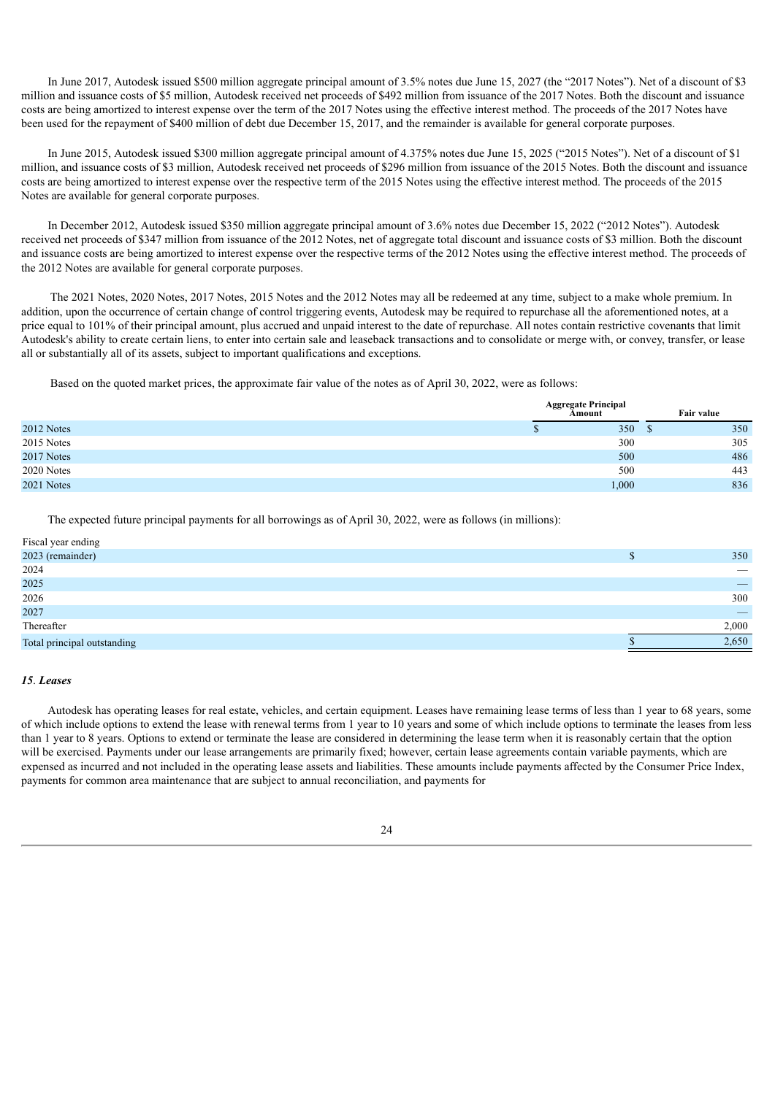In June 2017, Autodesk issued \$500 million aggregate principal amount of 3.5% notes due June 15, 2027 (the "2017 Notes"). Net of a discount of \$3 million and issuance costs of \$5 million, Autodesk received net proceeds of \$492 million from issuance of the 2017 Notes. Both the discount and issuance costs are being amortized to interest expense over the term of the 2017 Notes using the effective interest method. The proceeds of the 2017 Notes have been used for the repayment of \$400 million of debt due December 15, 2017, and the remainder is available for general corporate purposes.

In June 2015, Autodesk issued \$300 million aggregate principal amount of 4.375% notes due June 15, 2025 ("2015 Notes"). Net of a discount of \$1 million, and issuance costs of \$3 million, Autodesk received net proceeds of \$296 million from issuance of the 2015 Notes. Both the discount and issuance costs are being amortized to interest expense over the respective term of the 2015 Notes using the effective interest method. The proceeds of the 2015 Notes are available for general corporate purposes.

In December 2012, Autodesk issued \$350 million aggregate principal amount of 3.6% notes due December 15, 2022 ("2012 Notes"). Autodesk received net proceeds of \$347 million from issuance of the 2012 Notes, net of aggregate total discount and issuance costs of \$3 million. Both the discount and issuance costs are being amortized to interest expense over the respective terms of the 2012 Notes using the effective interest method. The proceeds of the 2012 Notes are available for general corporate purposes.

The 2021 Notes, 2020 Notes, 2017 Notes, 2015 Notes and the 2012 Notes may all be redeemed at any time, subject to a make whole premium. In addition, upon the occurrence of certain change of control triggering events, Autodesk may be required to repurchase all the aforementioned notes, at a price equal to 101% of their principal amount, plus accrued and unpaid interest to the date of repurchase. All notes contain restrictive covenants that limit Autodesk's ability to create certain liens, to enter into certain sale and leaseback transactions and to consolidate or merge with, or convey, transfer, or lease all or substantially all of its assets, subject to important qualifications and exceptions.

Based on the quoted market prices, the approximate fair value of the notes as of April 30, 2022, were as follows:

|            | <b>Aggregate Principal</b><br>Amount | Fair value |
|------------|--------------------------------------|------------|
| 2012 Notes | 350                                  | 350<br>D   |
| 2015 Notes | 300                                  | 305        |
| 2017 Notes | 500                                  | 486        |
| 2020 Notes | 500                                  | 443        |
| 2021 Notes | 000.1                                | 836        |

The expected future principal payments for all borrowings as of April 30, 2022, were as follows (in millions):

| Fiscal year ending          |                          |
|-----------------------------|--------------------------|
| 2023 (remainder)            | 350                      |
| 2024                        | $\overline{\phantom{a}}$ |
| 2025                        |                          |
| 2026                        | 300                      |
| 2027                        |                          |
| Thereafter                  | 2,000                    |
| Total principal outstanding | 2,650                    |

#### *15*. *Leases*

Autodesk has operating leases for real estate, vehicles, and certain equipment. Leases have remaining lease terms of less than 1 year to 68 years, some of which include options to extend the lease with renewal terms from 1 year to 10 years and some of which include options to terminate the leases from less than 1 year to 8 years. Options to extend or terminate the lease are considered in determining the lease term when it is reasonably certain that the option will be exercised. Payments under our lease arrangements are primarily fixed; however, certain lease agreements contain variable payments, which are expensed as incurred and not included in the operating lease assets and liabilities. These amounts include payments affected by the Consumer Price Index, payments for common area maintenance that are subject to annual reconciliation, and payments for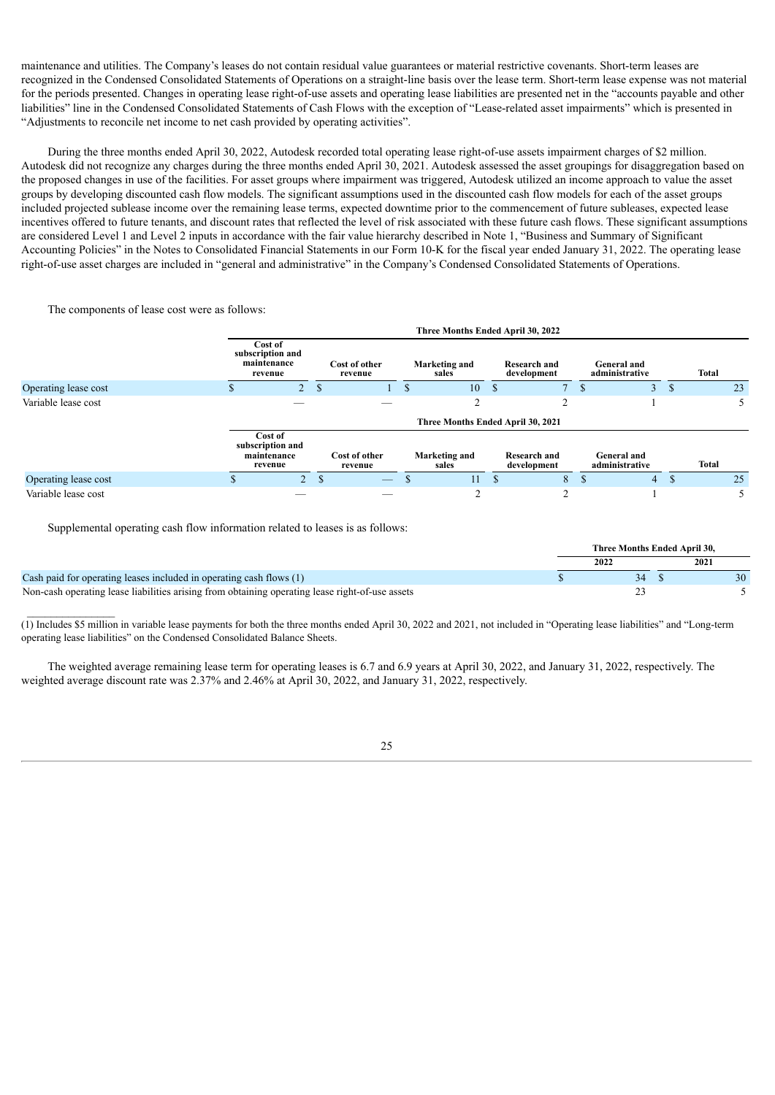maintenance and utilities. The Company's leases do not contain residual value guarantees or material restrictive covenants. Short-term leases are recognized in the Condensed Consolidated Statements of Operations on a straight-line basis over the lease term. Short-term lease expense was not material for the periods presented. Changes in operating lease right-of-use assets and operating lease liabilities are presented net in the "accounts payable and other liabilities" line in the Condensed Consolidated Statements of Cash Flows with the exception of "Lease-related asset impairments" which is presented in "Adjustments to reconcile net income to net cash provided by operating activities".

During the three months ended April 30, 2022, Autodesk recorded total operating lease right-of-use assets impairment charges of \$2 million. Autodesk did not recognize any charges during the three months ended April 30, 2021. Autodesk assessed the asset groupings for disaggregation based on the proposed changes in use of the facilities. For asset groups where impairment was triggered, Autodesk utilized an income approach to value the asset groups by developing discounted cash flow models. The significant assumptions used in the discounted cash flow models for each of the asset groups included projected sublease income over the remaining lease terms, expected downtime prior to the commencement of future subleases, expected lease incentives offered to future tenants, and discount rates that reflected the level of risk associated with these future cash flows. These significant assumptions are considered Level 1 and Level 2 inputs in accordance with the fair value hierarchy described in Note 1, "Business and Summary of Significant Accounting Policies" in the Notes to Consolidated Financial Statements in our Form 10-K for the fiscal year ended January 31, 2022. The operating lease right-of-use asset charges are included in "general and administrative" in the Company's Condensed Consolidated Statements of Operations.

The components of lease cost were as follows:

|                      | Three Months Ended April 30, 2022                     |              |                          |  |                                   |               |                                    |  |                                      |  |              |    |
|----------------------|-------------------------------------------------------|--------------|--------------------------|--|-----------------------------------|---------------|------------------------------------|--|--------------------------------------|--|--------------|----|
|                      | Cost of<br>subscription and<br>maintenance<br>revenue |              | Cost of other<br>revenue |  | <b>Marketing and</b><br>sales     |               | <b>Research and</b><br>development |  | <b>General and</b><br>administrative |  | Total        |    |
| Operating lease cost | 2 <sup>1</sup>                                        | <sup>S</sup> |                          |  | 10                                | <sup>\$</sup> |                                    |  | 3                                    |  |              | 23 |
| Variable lease cost  |                                                       |              |                          |  |                                   |               |                                    |  |                                      |  |              |    |
|                      |                                                       |              |                          |  | Three Months Ended April 30, 2021 |               |                                    |  |                                      |  |              |    |
|                      | Cost of<br>subscription and<br>maintenance<br>revenue |              | Cost of other<br>revenue |  | Marketing and<br>sales            |               | <b>Research and</b><br>development |  | <b>General and</b><br>administrative |  | <b>Total</b> |    |
| Operating lease cost |                                                       | $\mathbf S$  |                          |  | 11                                |               | 8                                  |  | 4                                    |  |              | 25 |
| Variable lease cost  |                                                       |              |                          |  | ◠                                 |               | ◠                                  |  |                                      |  |              |    |

Supplemental operating cash flow information related to leases is as follows:

|                                                                                                 | Three Months Ended April 30. |      |
|-------------------------------------------------------------------------------------------------|------------------------------|------|
|                                                                                                 | 2022                         | 2021 |
| Cash paid for operating leases included in operating cash flows (1)                             | 34                           |      |
| Non-cash operating lease liabilities arising from obtaining operating lease right-of-use assets |                              |      |

(1) Includes \$5 million in variable lease payments for both the three months ended April 30, 2022 and 2021, not included in "Operating lease liabilities" and "Long-term operating lease liabilities" on the Condensed Consolidated Balance Sheets.

The weighted average remaining lease term for operating leases is 6.7 and 6.9 years at April 30, 2022, and January 31, 2022, respectively. The weighted average discount rate was 2.37% and 2.46% at April 30, 2022, and January 31, 2022, respectively.

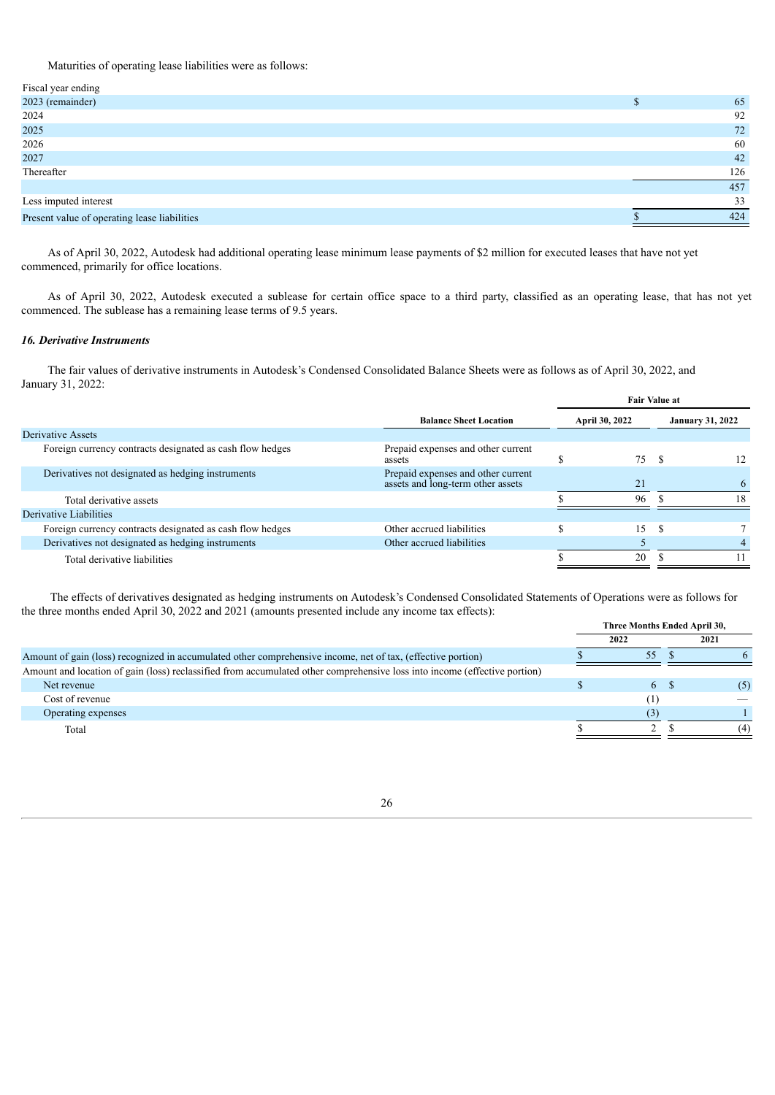Maturities of operating lease liabilities were as follows:

| Fiscal year ending                           |     |
|----------------------------------------------|-----|
| 2023 (remainder)                             | 65  |
| 2024                                         | 92  |
| 2025                                         | 72  |
| 2026                                         | 60  |
| 2027                                         | 42  |
| Thereafter                                   | 126 |
|                                              | 457 |
| Less imputed interest                        | 33  |
| Present value of operating lease liabilities | 424 |
|                                              |     |

As of April 30, 2022, Autodesk had additional operating lease minimum lease payments of \$2 million for executed leases that have not yet commenced, primarily for office locations.

As of April 30, 2022, Autodesk executed a sublease for certain office space to a third party, classified as an operating lease, that has not yet commenced. The sublease has a remaining lease terms of 9.5 years.

## *16. Derivative Instruments*

The fair values of derivative instruments in Autodesk's Condensed Consolidated Balance Sheets were as follows as of April 30, 2022, and January 31, 2022:

|                                                           |                                                                         |  | <b>Fair Value at</b> |                         |    |  |  |
|-----------------------------------------------------------|-------------------------------------------------------------------------|--|----------------------|-------------------------|----|--|--|
|                                                           | <b>Balance Sheet Location</b>                                           |  | April 30, 2022       | <b>January 31, 2022</b> |    |  |  |
| Derivative Assets                                         |                                                                         |  |                      |                         |    |  |  |
| Foreign currency contracts designated as cash flow hedges | Prepaid expenses and other current<br>assets                            |  | 75                   | - \$                    | 12 |  |  |
| Derivatives not designated as hedging instruments         | Prepaid expenses and other current<br>assets and long-term other assets |  | 21                   |                         | 6  |  |  |
| Total derivative assets                                   |                                                                         |  | 96                   |                         | 18 |  |  |
| Derivative Liabilities                                    |                                                                         |  |                      |                         |    |  |  |
| Foreign currency contracts designated as cash flow hedges | Other accrued liabilities                                               |  | 15                   |                         |    |  |  |
| Derivatives not designated as hedging instruments         | Other accrued liabilities                                               |  |                      |                         | 4  |  |  |
| Total derivative liabilities                              |                                                                         |  | 20                   |                         |    |  |  |

The effects of derivatives designated as hedging instruments on Autodesk's Condensed Consolidated Statements of Operations were as follows for the three months ended April 30, 2022 and 2021 (amounts presented include any income tax effects):

|                                                                                                                           | Three Months Ended April 30, |      |
|---------------------------------------------------------------------------------------------------------------------------|------------------------------|------|
|                                                                                                                           | 2022                         | 2021 |
| Amount of gain (loss) recognized in accumulated other comprehensive income, net of tax, (effective portion)               | 55                           |      |
| Amount and location of gain (loss) reclassified from accumulated other comprehensive loss into income (effective portion) |                              |      |
| Net revenue                                                                                                               | 6 \$                         | (5)  |
| Cost of revenue                                                                                                           |                              |      |
| Operating expenses                                                                                                        | (3)                          |      |
| Total                                                                                                                     |                              | (4)  |
|                                                                                                                           |                              |      |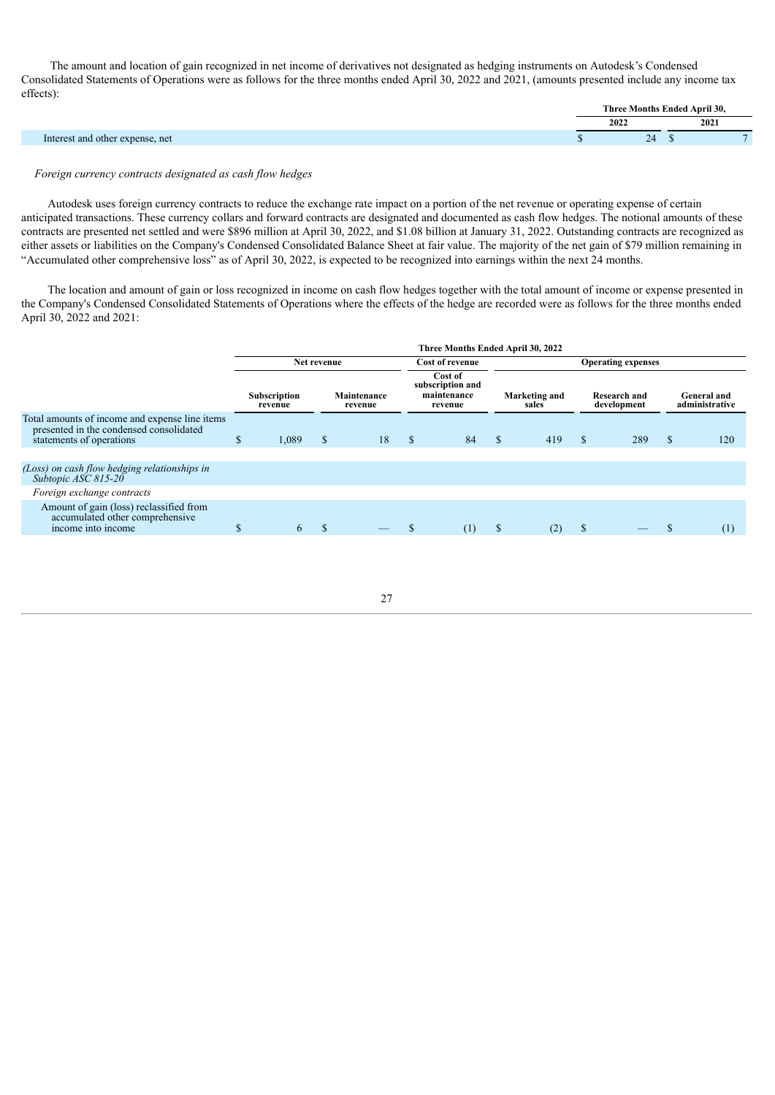The amount and location of gain recognized in net income of derivatives not designated as hedging instruments on Autodesk's Condensed Consolidated Statements of Operations were as follows for the three months ended April 30, 2022 and 2021, (amounts presented include any income tax effects):

| 2022                                       | 2021 |
|--------------------------------------------|------|
| 24<br>terest and other expense, net<br>Int |      |

#### *Foreign currency contracts designated as cash flow hedges*

Autodesk uses foreign currency contracts to reduce the exchange rate impact on a portion of the net revenue or operating expense of certain anticipated transactions. These currency collars and forward contracts are designated and documented as cash flow hedges. The notional amounts of these contracts are presented net settled and were \$896 million at April 30, 2022, and \$1.08 billion at January 31, 2022. Outstanding contracts are recognized as either assets or liabilities on the Company's Condensed Consolidated Balance Sheet at fair value. The majority of the net gain of \$79 million remaining in "Accumulated other comprehensive loss" as of April 30, 2022, is expected to be recognized into earnings within the next 24 months.

The location and amount of gain or loss recognized in income on cash flow hedges together with the total amount of income or expense presented in the Company's Condensed Consolidated Statements of Operations where the effects of the hedge are recorded were as follows for the three months ended April 30, 2022 and 2021:

|                                                                                                                       | Three Months Ended April 30, 2022 |                                    |             |             |               |                                                       |                           |     |                                    |     |                               |     |
|-----------------------------------------------------------------------------------------------------------------------|-----------------------------------|------------------------------------|-------------|-------------|---------------|-------------------------------------------------------|---------------------------|-----|------------------------------------|-----|-------------------------------|-----|
|                                                                                                                       |                                   |                                    | Net revenue |             |               | <b>Cost of revenue</b>                                | <b>Operating expenses</b> |     |                                    |     |                               |     |
|                                                                                                                       |                                   | Subscription<br>revenue<br>revenue |             | Maintenance |               | Cost of<br>subscription and<br>maintenance<br>revenue | Marketing and<br>sales    |     | <b>Research and</b><br>development |     | General and<br>administrative |     |
| Total amounts of income and expense line items<br>presented in the condensed consolidated<br>statements of operations | \$                                | 1,089                              | \$          | 18          | <sup>\$</sup> | 84                                                    | <sup>\$</sup>             | 419 | S                                  | 289 | S                             | 120 |
| (Loss) on cash flow hedging relationships in<br>Subtopic ASC 815-20                                                   |                                   |                                    |             |             |               |                                                       |                           |     |                                    |     |                               |     |
| Foreign exchange contracts                                                                                            |                                   |                                    |             |             |               |                                                       |                           |     |                                    |     |                               |     |
| Amount of gain (loss) reclassified from<br>accumulated other comprehensive<br>income into income                      | J.                                | 6                                  | \$.         |             |               | (1)                                                   | S                         | (2) | D                                  |     |                               | (1) |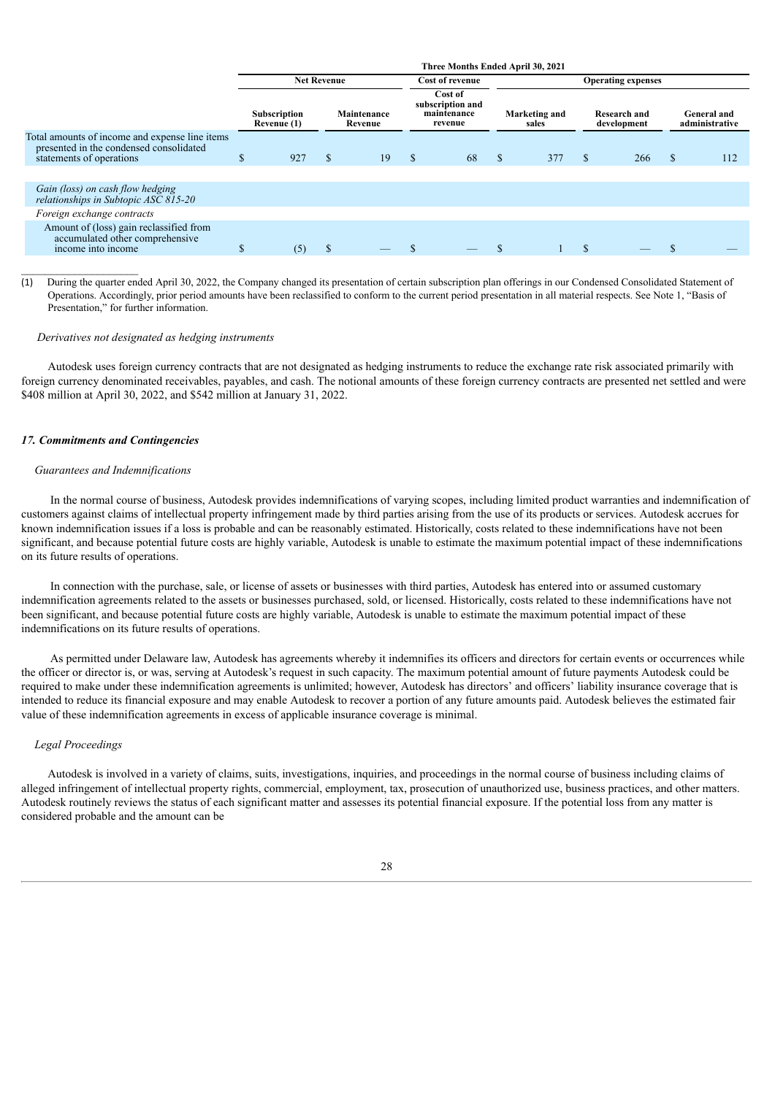| Three Months Ended April 30, 2021 |                    |                             |    |                        |                    |                                                    |       |               |     |                                    |                                      |
|-----------------------------------|--------------------|-----------------------------|----|------------------------|--------------------|----------------------------------------------------|-------|---------------|-----|------------------------------------|--------------------------------------|
|                                   | <b>Net Revenue</b> |                             |    |                        |                    | <b>Operating expenses</b>                          |       |               |     |                                    |                                      |
|                                   |                    |                             |    |                        | Cost of<br>revenue |                                                    | sales |               |     |                                    | <b>General</b> and<br>administrative |
| D                                 | 927                | \$                          | 19 | \$                     | 68                 | <sup>\$</sup>                                      | 377   | \$            | 266 | S                                  | 112                                  |
|                                   |                    |                             |    |                        |                    |                                                    |       |               |     |                                    |                                      |
|                                   |                    |                             |    |                        |                    |                                                    |       |               |     |                                    |                                      |
|                                   |                    |                             |    |                        |                    |                                                    |       |               |     |                                    |                                      |
| \$.                               | (5)                | \$                          |    |                        |                    |                                                    |       | \$.           |     |                                    |                                      |
|                                   |                    | Subscription<br>Revenue (1) |    | Maintenance<br>Revenue |                    | Cost of revenue<br>subscription and<br>maintenance |       | Marketing and |     | <b>Research and</b><br>development |                                      |

(1) During the quarter ended April 30, 2022, the Company changed its presentation of certain subscription plan offerings in our Condensed Consolidated Statement of Operations. Accordingly, prior period amounts have been reclassified to conform to the current period presentation in all material respects. See Note 1, "Basis of Presentation," for further information.

#### *Derivatives not designated as hedging instruments*

Autodesk uses foreign currency contracts that are not designated as hedging instruments to reduce the exchange rate risk associated primarily with foreign currency denominated receivables, payables, and cash. The notional amounts of these foreign currency contracts are presented net settled and were \$408 million at April 30, 2022, and \$542 million at January 31, 2022.

#### *17. Commitments and Contingencies*

 $\mathcal{L}_\text{max}$ 

#### *Guarantees and Indemnifications*

In the normal course of business, Autodesk provides indemnifications of varying scopes, including limited product warranties and indemnification of customers against claims of intellectual property infringement made by third parties arising from the use of its products or services. Autodesk accrues for known indemnification issues if a loss is probable and can be reasonably estimated. Historically, costs related to these indemnifications have not been significant, and because potential future costs are highly variable, Autodesk is unable to estimate the maximum potential impact of these indemnifications on its future results of operations.

In connection with the purchase, sale, or license of assets or businesses with third parties, Autodesk has entered into or assumed customary indemnification agreements related to the assets or businesses purchased, sold, or licensed. Historically, costs related to these indemnifications have not been significant, and because potential future costs are highly variable, Autodesk is unable to estimate the maximum potential impact of these indemnifications on its future results of operations.

As permitted under Delaware law, Autodesk has agreements whereby it indemnifies its officers and directors for certain events or occurrences while the officer or director is, or was, serving at Autodesk's request in such capacity. The maximum potential amount of future payments Autodesk could be required to make under these indemnification agreements is unlimited; however, Autodesk has directors' and officers' liability insurance coverage that is intended to reduce its financial exposure and may enable Autodesk to recover a portion of any future amounts paid. Autodesk believes the estimated fair value of these indemnification agreements in excess of applicable insurance coverage is minimal.

#### *Legal Proceedings*

Autodesk is involved in a variety of claims, suits, investigations, inquiries, and proceedings in the normal course of business including claims of alleged infringement of intellectual property rights, commercial, employment, tax, prosecution of unauthorized use, business practices, and other matters. Autodesk routinely reviews the status of each significant matter and assesses its potential financial exposure. If the potential loss from any matter is considered probable and the amount can be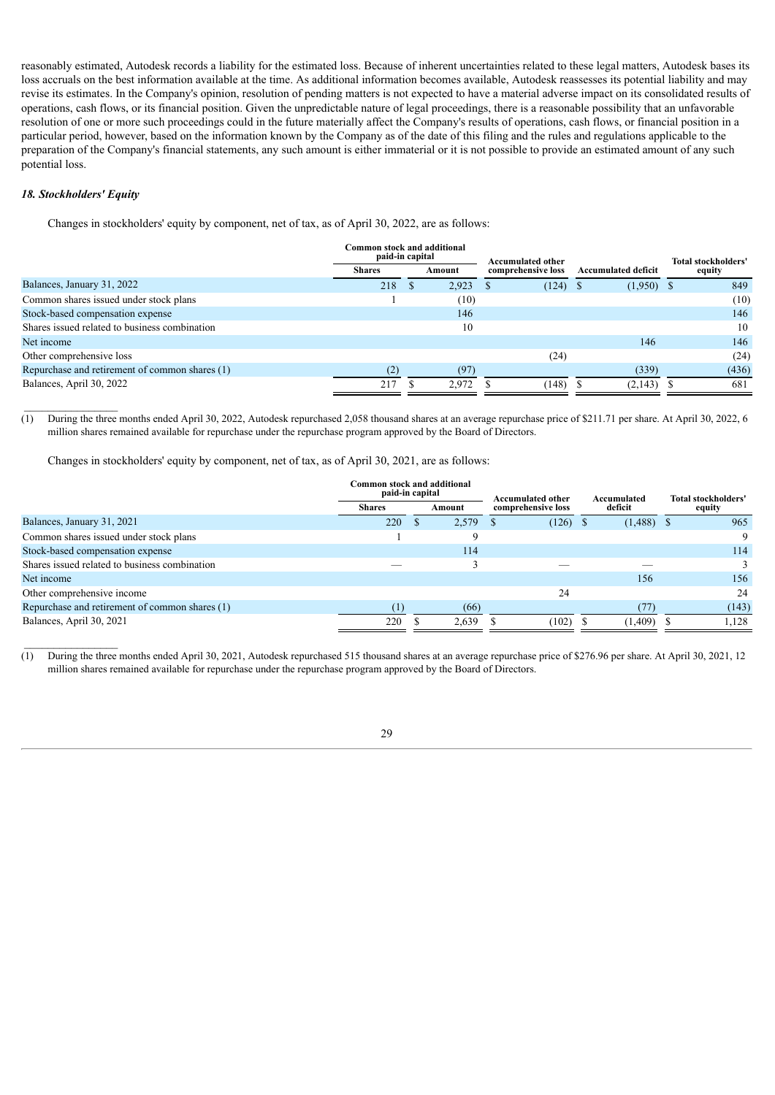reasonably estimated, Autodesk records a liability for the estimated loss. Because of inherent uncertainties related to these legal matters, Autodesk bases its loss accruals on the best information available at the time. As additional information becomes available, Autodesk reassesses its potential liability and may revise its estimates. In the Company's opinion, resolution of pending matters is not expected to have a material adverse impact on its consolidated results of operations, cash flows, or its financial position. Given the unpredictable nature of legal proceedings, there is a reasonable possibility that an unfavorable resolution of one or more such proceedings could in the future materially affect the Company's results of operations, cash flows, or financial position in a particular period, however, based on the information known by the Company as of the date of this filing and the rules and regulations applicable to the preparation of the Company's financial statements, any such amount is either immaterial or it is not possible to provide an estimated amount of any such potential loss.

## *18. Stockholders' Equity*

Changes in stockholders' equity by component, net of tax, as of April 30, 2022, are as follows:

|                                                | Common stock and additional<br>paid-in capital |        | <b>Accumulated other</b> |    |                            | <b>Total stockholders'</b> |
|------------------------------------------------|------------------------------------------------|--------|--------------------------|----|----------------------------|----------------------------|
|                                                | <b>Shares</b>                                  | Amount | comprehensive loss       |    | <b>Accumulated deficit</b> | equity                     |
| Balances, January 31, 2022                     | 218                                            | 2.923  | (124)                    | -8 | $(1,950)$ \$               | 849                        |
| Common shares issued under stock plans         |                                                | (10)   |                          |    |                            | (10)                       |
| Stock-based compensation expense               |                                                | 146    |                          |    |                            | 146                        |
| Shares issued related to business combination  |                                                | 10     |                          |    |                            | 10                         |
| Net income                                     |                                                |        |                          |    | 146                        | 146                        |
| Other comprehensive loss                       |                                                |        | (24)                     |    |                            | (24)                       |
| Repurchase and retirement of common shares (1) | (2)                                            | (97)   |                          |    | (339)                      | (436)                      |
| Balances, April 30, 2022                       | 217                                            | 2.972  | (148)                    |    | (2,143)                    | 681                        |

(1) During the three months ended April 30, 2022, Autodesk repurchased 2,058 thousand shares at an average repurchase price of \$211.71 per share. At April 30, 2022, 6 million shares remained available for repurchase under the repurchase program approved by the Board of Directors.

Changes in stockholders' equity by component, net of tax, as of April 30, 2021, are as follows:

|                                                | Common stock and additional<br>paid-in capital |  |        | Accumulated other  |            | Accumulated |              |        | <b>Total stockholders'</b> |
|------------------------------------------------|------------------------------------------------|--|--------|--------------------|------------|-------------|--------------|--------|----------------------------|
|                                                | <b>Shares</b>                                  |  | Amount | comprehensive loss |            | deficit     |              | equity |                            |
| Balances, January 31, 2021                     | 220                                            |  | 2,579  |                    | $(126)$ \$ |             | $(1,488)$ \$ |        | 965                        |
| Common shares issued under stock plans         |                                                |  | Q      |                    |            |             |              |        | 9                          |
| Stock-based compensation expense               |                                                |  | 114    |                    |            |             |              |        | 114                        |
| Shares issued related to business combination  |                                                |  |        |                    |            |             |              |        |                            |
| Net income                                     |                                                |  |        |                    |            |             | 156          |        | 156                        |
| Other comprehensive income                     |                                                |  |        |                    | 24         |             |              |        | 24                         |
| Repurchase and retirement of common shares (1) | $\left(1\right)$                               |  | (66)   |                    |            |             | (77)         |        | (143)                      |
| Balances, April 30, 2021                       | 220                                            |  | 2,639  |                    | (102)      |             | (1, 409)     |        | 1.128                      |

(1) During the three months ended April 30, 2021, Autodesk repurchased 515 thousand shares at an average repurchase price of \$276.96 per share. At April 30, 2021, 12 million shares remained available for repurchase under the repurchase program approved by the Board of Directors.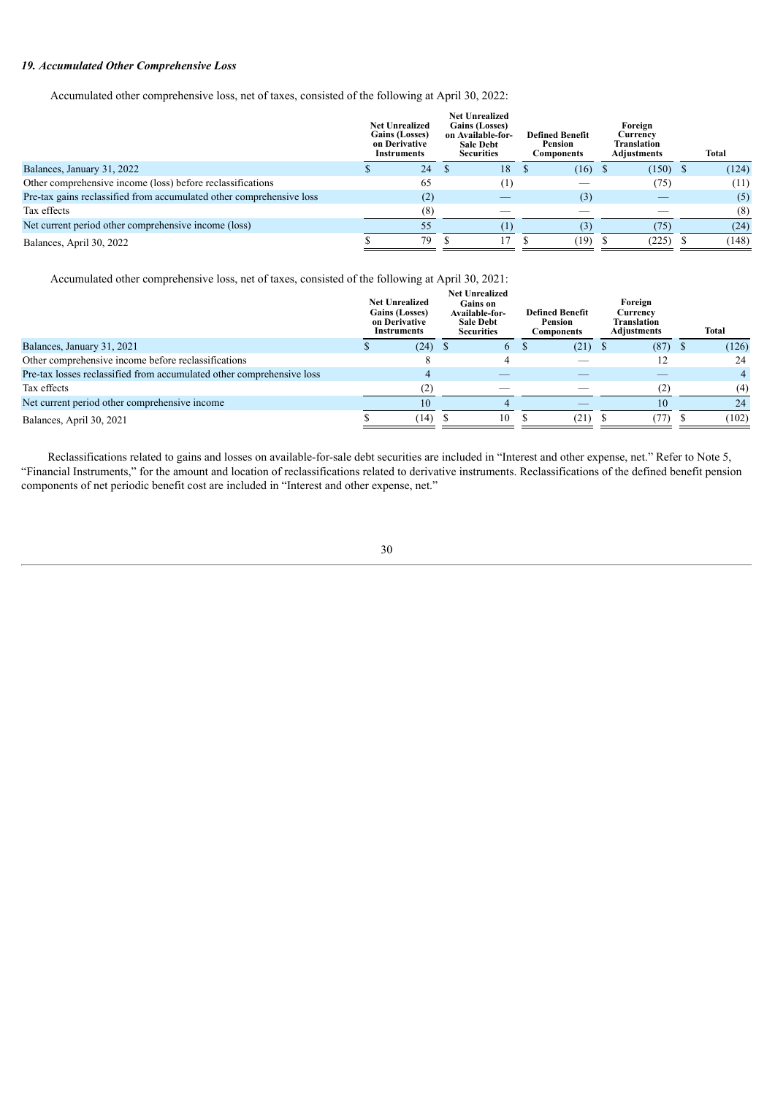## *19. Accumulated Other Comprehensive Loss*

Accumulated other comprehensive loss, net of taxes, consisted of the following at April 30, 2022:

|                                                                      | <b>Net Unrealized</b><br>Gains (Losses)<br>on Derivative<br>Instruments | <b>Net Unrealized</b><br><b>Gains (Losses)</b><br>on Available-for-<br><b>Sale Debt</b><br><b>Securities</b> | <b>Defined Benefit</b><br>Pension<br>Components | Foreign<br>Currencv<br>Translation<br><b>Adjustments</b> | Total |
|----------------------------------------------------------------------|-------------------------------------------------------------------------|--------------------------------------------------------------------------------------------------------------|-------------------------------------------------|----------------------------------------------------------|-------|
| Balances, January 31, 2022                                           | 24                                                                      | 18                                                                                                           | $(16)$ \$                                       | $(150)$ \$                                               | (124) |
| Other comprehensive income (loss) before reclassifications           | 65                                                                      | $^{(1)}$                                                                                                     |                                                 | (75)                                                     | (11)  |
| Pre-tax gains reclassified from accumulated other comprehensive loss | (2)                                                                     |                                                                                                              | (3)                                             |                                                          | (5)   |
| Tax effects                                                          | (8)                                                                     |                                                                                                              |                                                 |                                                          | (8)   |
| Net current period other comprehensive income (loss)                 | 55                                                                      |                                                                                                              | (3)                                             | (75)                                                     | (24)  |
| Balances, April 30, 2022                                             | 79                                                                      |                                                                                                              | (19)                                            | (225)                                                    | (148) |

Accumulated other comprehensive loss, net of taxes, consisted of the following at April 30, 2021:

| (126) |
|-------|
| 24    |
|       |
| (4)   |
| 24    |
| (102) |
|       |

Reclassifications related to gains and losses on available-for-sale debt securities are included in "Interest and other expense, net." Refer to Note 5, "Financial Instruments," for the amount and location of reclassifications related to derivative instruments. Reclassifications of the defined benefit pension components of net periodic benefit cost are included in "Interest and other expense, net."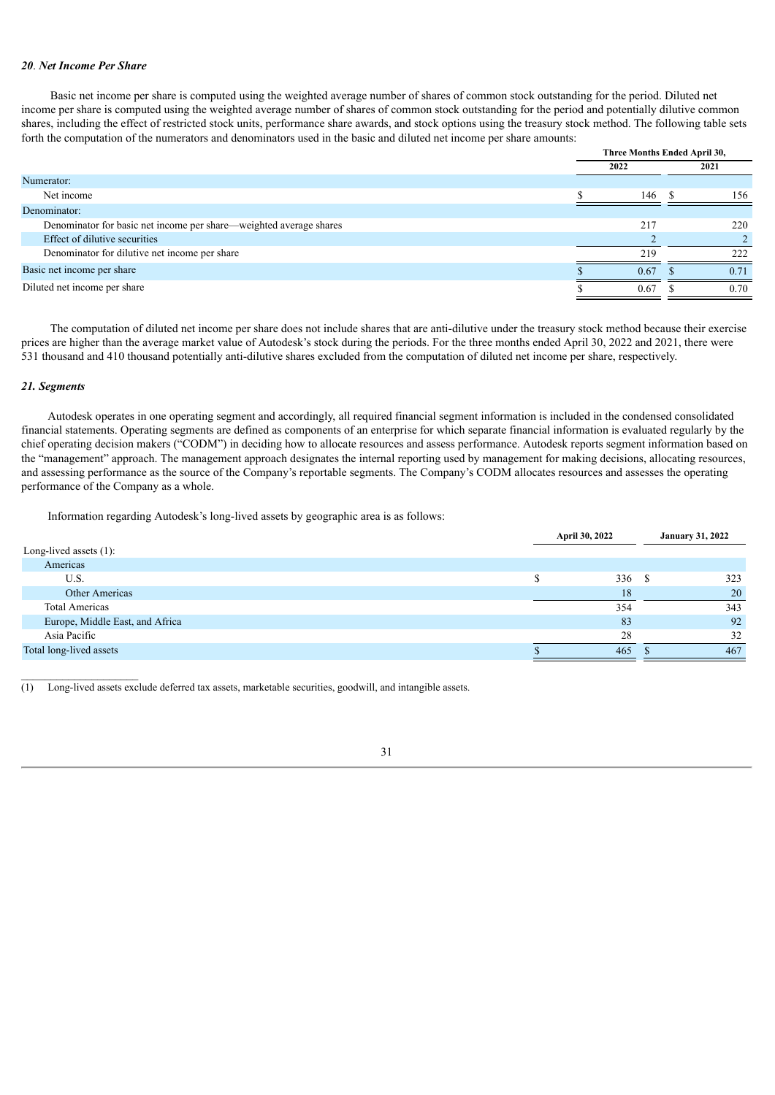#### *20*. *Net Income Per Share*

Basic net income per share is computed using the weighted average number of shares of common stock outstanding for the period. Diluted net income per share is computed using the weighted average number of shares of common stock outstanding for the period and potentially dilutive common shares, including the effect of restricted stock units, performance share awards, and stock options using the treasury stock method. The following table sets forth the computation of the numerators and denominators used in the basic and diluted net income per share amounts:

|                                                                    | Three Months Ended April 30, |  |      |
|--------------------------------------------------------------------|------------------------------|--|------|
|                                                                    | 2022                         |  | 2021 |
| Numerator:                                                         |                              |  |      |
| Net income                                                         | 146                          |  | 156  |
| Denominator:                                                       |                              |  |      |
| Denominator for basic net income per share—weighted average shares | 217                          |  | 220  |
| Effect of dilutive securities                                      |                              |  |      |
| Denominator for dilutive net income per share                      | 219                          |  | 222  |
| Basic net income per share                                         | 0.67                         |  | 0.71 |
| Diluted net income per share                                       | 0.67                         |  | 0.70 |
|                                                                    |                              |  |      |

The computation of diluted net income per share does not include shares that are anti-dilutive under the treasury stock method because their exercise prices are higher than the average market value of Autodesk's stock during the periods. For the three months ended April 30, 2022 and 2021, there were 531 thousand and 410 thousand potentially anti-dilutive shares excluded from the computation of diluted net income per share, respectively.

#### *21. Segments*

 $\mathcal{L}_\text{max}$ 

Autodesk operates in one operating segment and accordingly, all required financial segment information is included in the condensed consolidated financial statements. Operating segments are defined as components of an enterprise for which separate financial information is evaluated regularly by the chief operating decision makers ("CODM") in deciding how to allocate resources and assess performance. Autodesk reports segment information based on the "management" approach. The management approach designates the internal reporting used by management for making decisions, allocating resources, and assessing performance as the source of the Company's reportable segments. The Company's CODM allocates resources and assesses the operating performance of the Company as a whole.

Information regarding Autodesk's long-lived assets by geographic area is as follows:

|                                 | April 30, 2022 |     | <b>January 31, 2022</b> |
|---------------------------------|----------------|-----|-------------------------|
| Long-lived assets $(1)$ :       |                |     |                         |
| Americas                        |                |     |                         |
| U.S.                            | 336            | - 8 | 323                     |
| Other Americas                  | 18             |     | 20                      |
| <b>Total Americas</b>           | 354            |     | 343                     |
| Europe, Middle East, and Africa | 83             |     | 92                      |
| Asia Pacific                    | 28             |     | 32                      |
| Total long-lived assets         | 465            |     | 467                     |

<span id="page-30-0"></span>(1) Long-lived assets exclude deferred tax assets, marketable securities, goodwill, and intangible assets.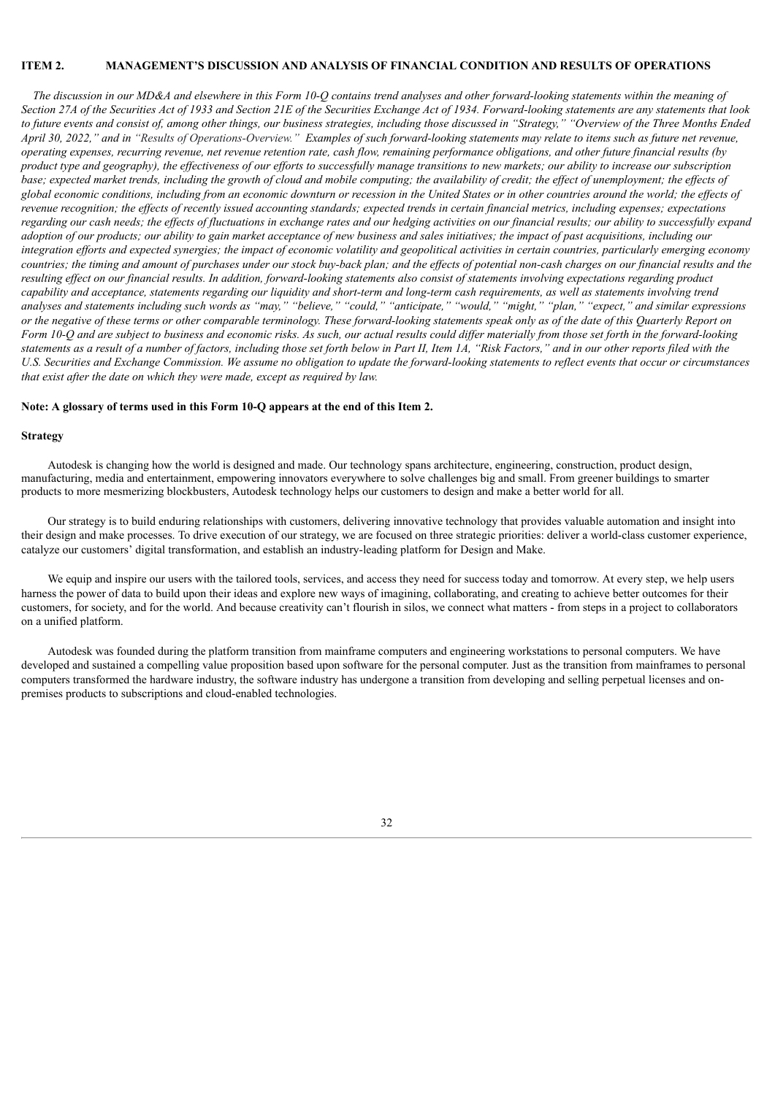#### **ITEM 2. MANAGEMENT'S DISCUSSION AND ANALYSIS OF FINANCIAL CONDITION AND RESULTS OF OPERATIONS**

The discussion in our MD&A and elsewhere in this Form 10-O contains trend analyses and other forward-looking statements within the meaning of Section 27A of the Securities Act of 1933 and Section 21E of the Securities Exchange Act of 1934. Forward-looking statements are any statements that look to future events and consist of, among other things, our business strategies, including those discussed in "Strategy," "Overview of the Three Months Ended April 30, 2022," and in "Results of Operations-Overview." Examples of such forward-looking statements may relate to items such as future net revenue, operating expenses, recurring revenue, net revenue retention rate, cash flow, remaining performance obligations, and other future financial results (by product type and geography), the effectiveness of our efforts to successfully manage transitions to new markets; our ability to increase our subscription base; expected market trends, including the growth of cloud and mobile computing; the availability of credit; the effect of unemployment; the effects of global economic conditions, including from an economic downturn or recession in the United States or in other countries around the world; the effects of revenue recognition; the effects of recently issued accounting standards; expected trends in certain financial metrics, including expenses; expectations regarding our cash needs; the effects of fluctuations in exchange rates and our hedging activities on our financial results; our ability to successfully expand adoption of our products; our ability to gain market acceptance of new business and sales initiatives; the impact of past acquisitions, including our integration efforts and expected synergies; the impact of economic volatility and geopolitical activities in certain countries, particularly emerging economy countries; the timing and amount of purchases under our stock buy-back plan; and the effects of potential non-cash charges on our financial results and the resulting effect on our financial results. In addition, forward-looking statements also consist of statements involving expectations regarding product capability and acceptance, statements regarding our liquidity and short-term and long-term cash requirements, as well as statements involving trend analyses and statements including such words as "may," "believe," "could," "anticipate," "would," "might," "plan," "expect," and similar expressions or the negative of these terms or other comparable terminology. These forward-looking statements speak only as of the date of this Quarterly Report on Form 10-Q and are subject to business and economic risks. As such, our actual results could differ materially from those set forth in the forward-looking statements as a result of a number of factors, including those set forth below in Part II, Item 1A, "Risk Factors," and in our other reports filed with the U.S. Securities and Exchange Commission. We assume no obligation to update the forward-looking statements to reflect events that occur or circumstances *that exist after the date on which they were made, except as required by law.*

#### **Note: A glossary of terms used in this Form 10-Q appears at the end of this Item 2.**

#### **Strategy**

Autodesk is changing how the world is designed and made. Our technology spans architecture, engineering, construction, product design, manufacturing, media and entertainment, empowering innovators everywhere to solve challenges big and small. From greener buildings to smarter products to more mesmerizing blockbusters, Autodesk technology helps our customers to design and make a better world for all.

Our strategy is to build enduring relationships with customers, delivering innovative technology that provides valuable automation and insight into their design and make processes. To drive execution of our strategy, we are focused on three strategic priorities: deliver a world-class customer experience, catalyze our customers' digital transformation, and establish an industry-leading platform for Design and Make.

We equip and inspire our users with the tailored tools, services, and access they need for success today and tomorrow. At every step, we help users harness the power of data to build upon their ideas and explore new ways of imagining, collaborating, and creating to achieve better outcomes for their customers, for society, and for the world. And because creativity can't flourish in silos, we connect what matters - from steps in a project to collaborators on a unified platform.

Autodesk was founded during the platform transition from mainframe computers and engineering workstations to personal computers. We have developed and sustained a compelling value proposition based upon software for the personal computer. Just as the transition from mainframes to personal computers transformed the hardware industry, the software industry has undergone a transition from developing and selling perpetual licenses and onpremises products to subscriptions and cloud-enabled technologies.

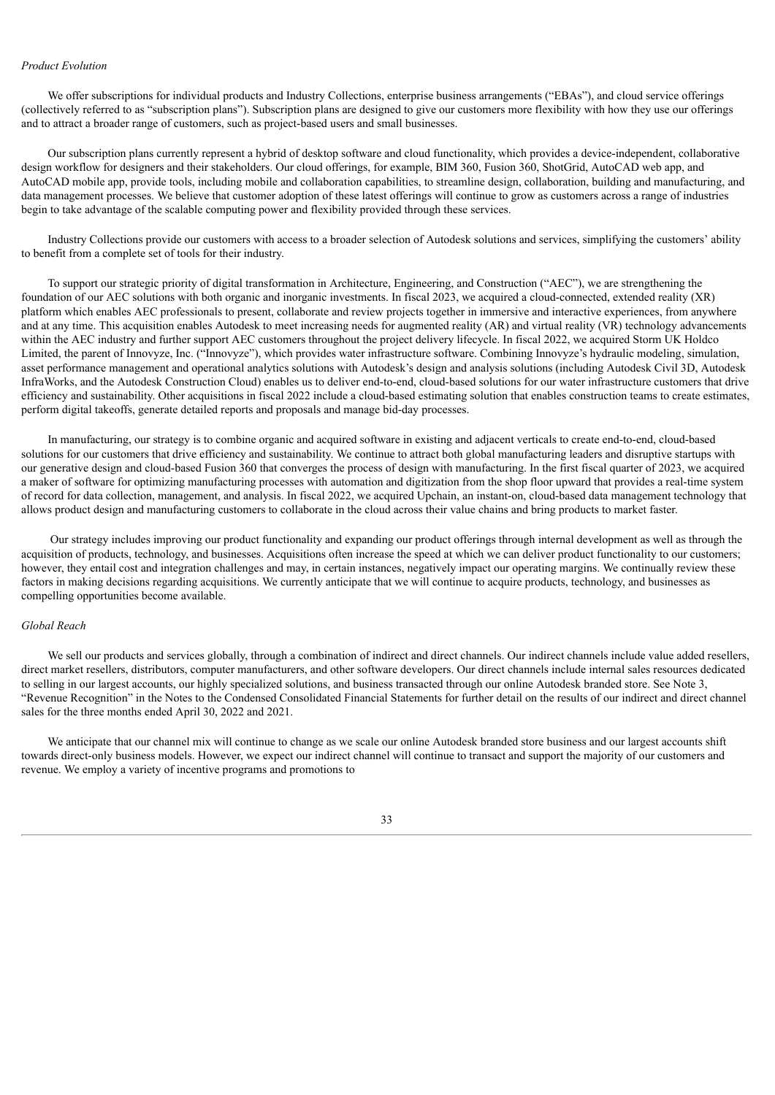#### *Product Evolution*

We offer subscriptions for individual products and Industry Collections, enterprise business arrangements ("EBAs"), and cloud service offerings (collectively referred to as "subscription plans"). Subscription plans are designed to give our customers more flexibility with how they use our offerings and to attract a broader range of customers, such as project-based users and small businesses.

Our subscription plans currently represent a hybrid of desktop software and cloud functionality, which provides a device-independent, collaborative design workflow for designers and their stakeholders. Our cloud offerings, for example, BIM 360, Fusion 360, ShotGrid, AutoCAD web app, and AutoCAD mobile app, provide tools, including mobile and collaboration capabilities, to streamline design, collaboration, building and manufacturing, and data management processes. We believe that customer adoption of these latest offerings will continue to grow as customers across a range of industries begin to take advantage of the scalable computing power and flexibility provided through these services.

Industry Collections provide our customers with access to a broader selection of Autodesk solutions and services, simplifying the customers' ability to benefit from a complete set of tools for their industry.

To support our strategic priority of digital transformation in Architecture, Engineering, and Construction ("AEC"), we are strengthening the foundation of our AEC solutions with both organic and inorganic investments. In fiscal 2023, we acquired a cloud-connected, extended reality (XR) platform which enables AEC professionals to present, collaborate and review projects together in immersive and interactive experiences, from anywhere and at any time. This acquisition enables Autodesk to meet increasing needs for augmented reality (AR) and virtual reality (VR) technology advancements within the AEC industry and further support AEC customers throughout the project delivery lifecycle. In fiscal 2022, we acquired Storm UK Holdco Limited, the parent of Innovyze, Inc. ("Innovyze"), which provides water infrastructure software. Combining Innovyze's hydraulic modeling, simulation, asset performance management and operational analytics solutions with Autodesk's design and analysis solutions (including Autodesk Civil 3D, Autodesk InfraWorks, and the Autodesk Construction Cloud) enables us to deliver end-to-end, cloud-based solutions for our water infrastructure customers that drive efficiency and sustainability. Other acquisitions in fiscal 2022 include a cloud-based estimating solution that enables construction teams to create estimates, perform digital takeoffs, generate detailed reports and proposals and manage bid-day processes.

In manufacturing, our strategy is to combine organic and acquired software in existing and adjacent verticals to create end-to-end, cloud-based solutions for our customers that drive efficiency and sustainability. We continue to attract both global manufacturing leaders and disruptive startups with our generative design and cloud-based Fusion 360 that converges the process of design with manufacturing. In the first fiscal quarter of 2023, we acquired a maker of software for optimizing manufacturing processes with automation and digitization from the shop floor upward that provides a real-time system of record for data collection, management, and analysis. In fiscal 2022, we acquired Upchain, an instant-on, cloud-based data management technology that allows product design and manufacturing customers to collaborate in the cloud across their value chains and bring products to market faster.

Our strategy includes improving our product functionality and expanding our product offerings through internal development as well as through the acquisition of products, technology, and businesses. Acquisitions often increase the speed at which we can deliver product functionality to our customers; however, they entail cost and integration challenges and may, in certain instances, negatively impact our operating margins. We continually review these factors in making decisions regarding acquisitions. We currently anticipate that we will continue to acquire products, technology, and businesses as compelling opportunities become available.

#### *Global Reach*

We sell our products and services globally, through a combination of indirect and direct channels. Our indirect channels include value added resellers, direct market resellers, distributors, computer manufacturers, and other software developers. Our direct channels include internal sales resources dedicated to selling in our largest accounts, our highly specialized solutions, and business transacted through our online Autodesk branded store. See Note 3, "Revenue Recognition" in the Notes to the Condensed Consolidated Financial Statements for further detail on the results of our indirect and direct channel sales for the three months ended April 30, 2022 and 2021.

We anticipate that our channel mix will continue to change as we scale our online Autodesk branded store business and our largest accounts shift towards direct-only business models. However, we expect our indirect channel will continue to transact and support the majority of our customers and revenue. We employ a variety of incentive programs and promotions to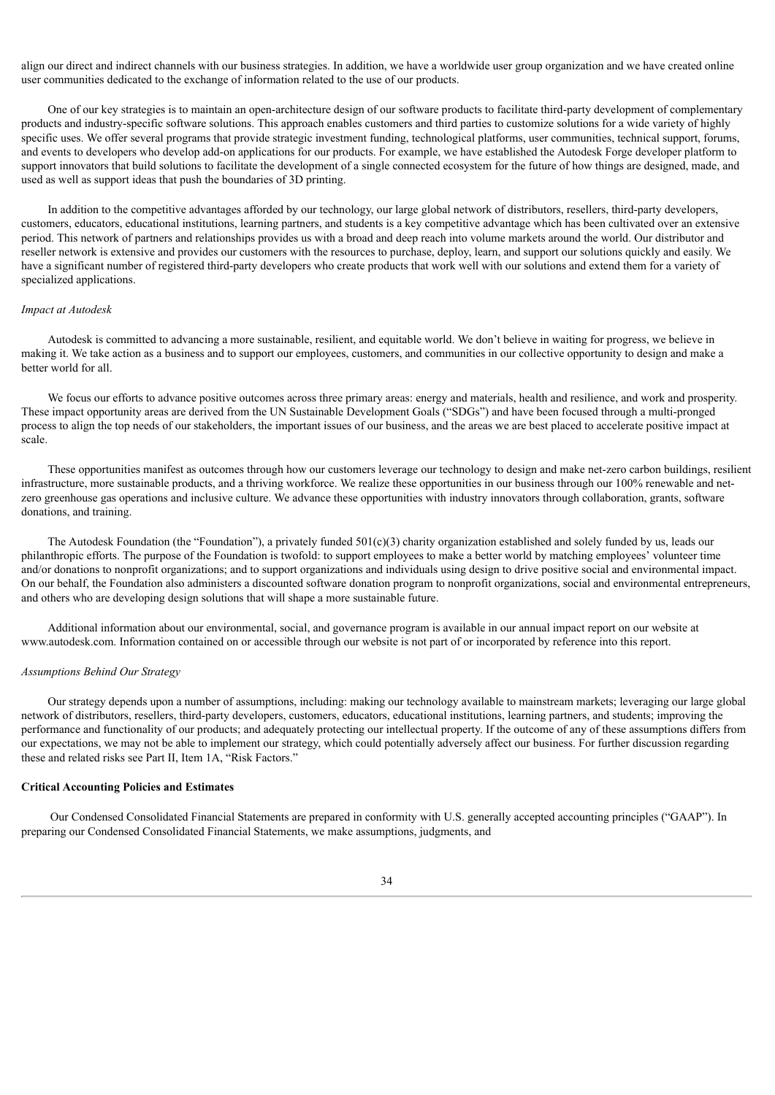align our direct and indirect channels with our business strategies. In addition, we have a worldwide user group organization and we have created online user communities dedicated to the exchange of information related to the use of our products.

One of our key strategies is to maintain an open-architecture design of our software products to facilitate third-party development of complementary products and industry-specific software solutions. This approach enables customers and third parties to customize solutions for a wide variety of highly specific uses. We offer several programs that provide strategic investment funding, technological platforms, user communities, technical support, forums, and events to developers who develop add-on applications for our products. For example, we have established the Autodesk Forge developer platform to support innovators that build solutions to facilitate the development of a single connected ecosystem for the future of how things are designed, made, and used as well as support ideas that push the boundaries of 3D printing.

In addition to the competitive advantages afforded by our technology, our large global network of distributors, resellers, third-party developers, customers, educators, educational institutions, learning partners, and students is a key competitive advantage which has been cultivated over an extensive period. This network of partners and relationships provides us with a broad and deep reach into volume markets around the world. Our distributor and reseller network is extensive and provides our customers with the resources to purchase, deploy, learn, and support our solutions quickly and easily. We have a significant number of registered third-party developers who create products that work well with our solutions and extend them for a variety of specialized applications.

#### *Impact at Autodesk*

Autodesk is committed to advancing a more sustainable, resilient, and equitable world. We don't believe in waiting for progress, we believe in making it. We take action as a business and to support our employees, customers, and communities in our collective opportunity to design and make a better world for all.

We focus our efforts to advance positive outcomes across three primary areas: energy and materials, health and resilience, and work and prosperity. These impact opportunity areas are derived from the UN Sustainable Development Goals ("SDGs") and have been focused through a multi-pronged process to align the top needs of our stakeholders, the important issues of our business, and the areas we are best placed to accelerate positive impact at scale.

These opportunities manifest as outcomes through how our customers leverage our technology to design and make net-zero carbon buildings, resilient infrastructure, more sustainable products, and a thriving workforce. We realize these opportunities in our business through our 100% renewable and netzero greenhouse gas operations and inclusive culture. We advance these opportunities with industry innovators through collaboration, grants, software donations, and training.

The Autodesk Foundation (the "Foundation"), a privately funded 501(c)(3) charity organization established and solely funded by us, leads our philanthropic efforts. The purpose of the Foundation is twofold: to support employees to make a better world by matching employees' volunteer time and/or donations to nonprofit organizations; and to support organizations and individuals using design to drive positive social and environmental impact. On our behalf, the Foundation also administers a discounted software donation program to nonprofit organizations, social and environmental entrepreneurs, and others who are developing design solutions that will shape a more sustainable future.

Additional information about our environmental, social, and governance program is available in our annual impact report on our website at www.autodesk.com. Information contained on or accessible through our website is not part of or incorporated by reference into this report.

#### *Assumptions Behind Our Strategy*

Our strategy depends upon a number of assumptions, including: making our technology available to mainstream markets; leveraging our large global network of distributors, resellers, third-party developers, customers, educators, educational institutions, learning partners, and students; improving the performance and functionality of our products; and adequately protecting our intellectual property. If the outcome of any of these assumptions differs from our expectations, we may not be able to implement our strategy, which could potentially adversely affect our business. For further discussion regarding these and related risks see Part II, Item 1A, "Risk Factors."

#### **Critical Accounting Policies and Estimates**

Our Condensed Consolidated Financial Statements are prepared in conformity with U.S. generally accepted accounting principles ("GAAP"). In preparing our Condensed Consolidated Financial Statements, we make assumptions, judgments, and

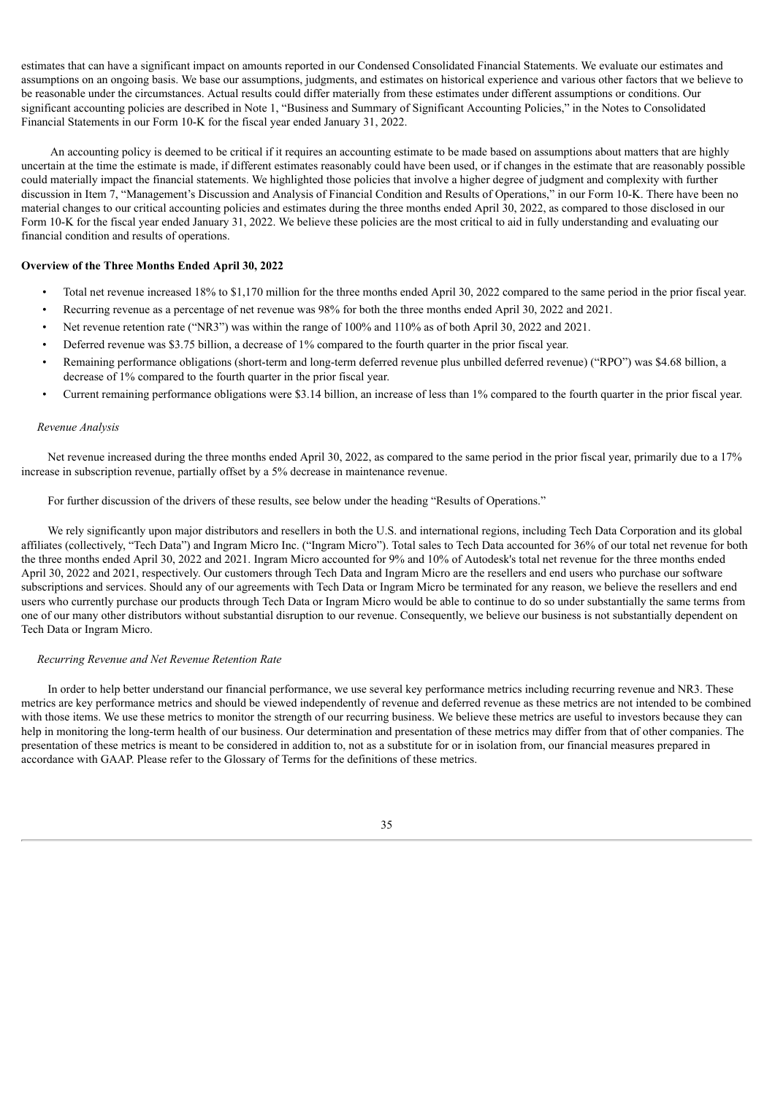estimates that can have a significant impact on amounts reported in our Condensed Consolidated Financial Statements. We evaluate our estimates and assumptions on an ongoing basis. We base our assumptions, judgments, and estimates on historical experience and various other factors that we believe to be reasonable under the circumstances. Actual results could differ materially from these estimates under different assumptions or conditions. Our significant accounting policies are described in Note 1, "Business and Summary of Significant Accounting Policies," in the Notes to Consolidated Financial Statements in our Form 10-K for the fiscal year ended January 31, 2022.

An accounting policy is deemed to be critical if it requires an accounting estimate to be made based on assumptions about matters that are highly uncertain at the time the estimate is made, if different estimates reasonably could have been used, or if changes in the estimate that are reasonably possible could materially impact the financial statements. We highlighted those policies that involve a higher degree of judgment and complexity with further discussion in Item 7, "Management's Discussion and Analysis of Financial Condition and Results of Operations," in our Form 10-K. There have been no material changes to our critical accounting policies and estimates during the three months ended April 30, 2022, as compared to those disclosed in our Form 10-K for the fiscal year ended January 31, 2022. We believe these policies are the most critical to aid in fully understanding and evaluating our financial condition and results of operations.

#### **Overview of the Three Months Ended April 30, 2022**

- Total net revenue increased 18% to \$1,170 million for the three months ended April 30, 2022 compared to the same period in the prior fiscal year.
- Recurring revenue as a percentage of net revenue was 98% for both the three months ended April 30, 2022 and 2021.
- Net revenue retention rate ("NR3") was within the range of 100% and 110% as of both April 30, 2022 and 2021.
- Deferred revenue was \$3.75 billion, a decrease of 1% compared to the fourth quarter in the prior fiscal year.
- Remaining performance obligations (short-term and long-term deferred revenue plus unbilled deferred revenue) ("RPO") was \$4.68 billion, a decrease of 1% compared to the fourth quarter in the prior fiscal year.
- Current remaining performance obligations were \$3.14 billion, an increase of less than 1% compared to the fourth quarter in the prior fiscal year.

#### *Revenue Analysis*

Net revenue increased during the three months ended April 30, 2022, as compared to the same period in the prior fiscal year, primarily due to a 17% increase in subscription revenue, partially offset by a 5% decrease in maintenance revenue.

For further discussion of the drivers of these results, see below under the heading "Results of Operations."

We rely significantly upon major distributors and resellers in both the U.S. and international regions, including Tech Data Corporation and its global affiliates (collectively, "Tech Data") and Ingram Micro Inc. ("Ingram Micro"). Total sales to Tech Data accounted for 36% of our total net revenue for both the three months ended April 30, 2022 and 2021. Ingram Micro accounted for 9% and 10% of Autodesk's total net revenue for the three months ended April 30, 2022 and 2021, respectively. Our customers through Tech Data and Ingram Micro are the resellers and end users who purchase our software subscriptions and services. Should any of our agreements with Tech Data or Ingram Micro be terminated for any reason, we believe the resellers and end users who currently purchase our products through Tech Data or Ingram Micro would be able to continue to do so under substantially the same terms from one of our many other distributors without substantial disruption to our revenue. Consequently, we believe our business is not substantially dependent on Tech Data or Ingram Micro.

#### *Recurring Revenue and Net Revenue Retention Rate*

In order to help better understand our financial performance, we use several key performance metrics including recurring revenue and NR3. These metrics are key performance metrics and should be viewed independently of revenue and deferred revenue as these metrics are not intended to be combined with those items. We use these metrics to monitor the strength of our recurring business. We believe these metrics are useful to investors because they can help in monitoring the long-term health of our business. Our determination and presentation of these metrics may differ from that of other companies. The presentation of these metrics is meant to be considered in addition to, not as a substitute for or in isolation from, our financial measures prepared in accordance with GAAP. Please refer to the Glossary of Terms for the definitions of these metrics.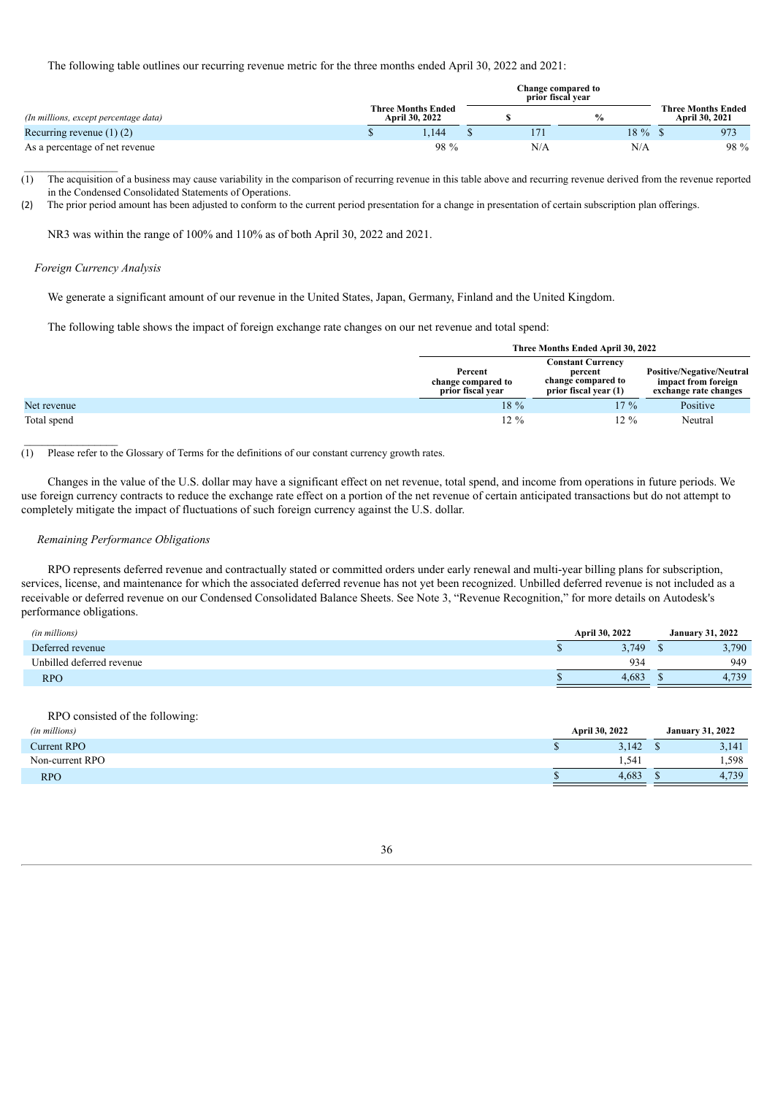The following table outlines our recurring revenue metric for the three months ended April 30, 2022 and 2021:

|                                       |                                             | Change compared to<br>prior fiscal vear |               |     |                                             |  |      |  |  |  |
|---------------------------------------|---------------------------------------------|-----------------------------------------|---------------|-----|---------------------------------------------|--|------|--|--|--|
| (In millions, except percentage data) | <b>Three Months Ended</b><br>April 30, 2022 |                                         | $\frac{0}{0}$ |     | <b>Three Months Ended</b><br>April 30, 2021 |  |      |  |  |  |
| Recurring revenue $(1)$ $(2)$         |                                             | .144                                    |               |     | 18 %                                        |  | 973  |  |  |  |
| As a percentage of net revenue        |                                             | 98 %                                    |               | N/A | N/A                                         |  | 98 % |  |  |  |

(1) The acquisition of a business may cause variability in the comparison of recurring revenue in this table above and recurring revenue derived from the revenue reported in the Condensed Consolidated Statements of Operations.

(2) The prior period amount has been adjusted to conform to the current period presentation for a change in presentation of certain subscription plan offerings.

NR3 was within the range of 100% and 110% as of both April 30, 2022 and 2021.

#### *Foreign Currency Analysis*

 $\frac{1}{2}$  , where  $\frac{1}{2}$  , where  $\frac{1}{2}$ 

We generate a significant amount of our revenue in the United States, Japan, Germany, Finland and the United Kingdom.

The following table shows the impact of foreign exchange rate changes on our net revenue and total spend:

|             |                                                    | Three Months Ended April 30, 2022                                                  |                                                                                  |  |  |
|-------------|----------------------------------------------------|------------------------------------------------------------------------------------|----------------------------------------------------------------------------------|--|--|
|             | Percent<br>change compared to<br>prior fiscal year | <b>Constant Currency</b><br>percent<br>change compared to<br>prior fiscal year (1) | <b>Positive/Negative/Neutral</b><br>impact from foreign<br>exchange rate changes |  |  |
| Net revenue | 18 %                                               | $17\%$                                                                             | Positive                                                                         |  |  |
| Total spend | $12\%$                                             | $12\%$                                                                             | Neutral                                                                          |  |  |

#### (1) Please refer to the Glossary of Terms for the definitions of our constant currency growth rates.

Changes in the value of the U.S. dollar may have a significant effect on net revenue, total spend, and income from operations in future periods. We use foreign currency contracts to reduce the exchange rate effect on a portion of the net revenue of certain anticipated transactions but do not attempt to completely mitigate the impact of fluctuations of such foreign currency against the U.S. dollar.

#### *Remaining Performance Obligations*

RPO represents deferred revenue and contractually stated or committed orders under early renewal and multi-year billing plans for subscription, services, license, and maintenance for which the associated deferred revenue has not yet been recognized. Unbilled deferred revenue is not included as a receivable or deferred revenue on our Condensed Consolidated Balance Sheets. See Note 3, "Revenue Recognition," for more details on Autodesk's performance obligations.

| (in millions)             | April 30, 2022 |  | <b>January 31, 2022</b> |  |  |
|---------------------------|----------------|--|-------------------------|--|--|
| Deferred revenue          | 3.749          |  | 3,790                   |  |  |
| Unbilled deferred revenue | 934            |  | 949                     |  |  |
| <b>RPO</b>                | 4.683          |  | 4,739                   |  |  |

RPO consisted of the following:

| (in millions)   | April 30, 2022 |       |  | <b>January 31, 2022</b> |  |  |
|-----------------|----------------|-------|--|-------------------------|--|--|
| Current RPO     |                | 3,142 |  | 3,141                   |  |  |
| Non-current RPO |                | 1.541 |  | .598                    |  |  |
| <b>RPO</b>      |                | 4.683 |  | 4,739                   |  |  |
|                 |                |       |  |                         |  |  |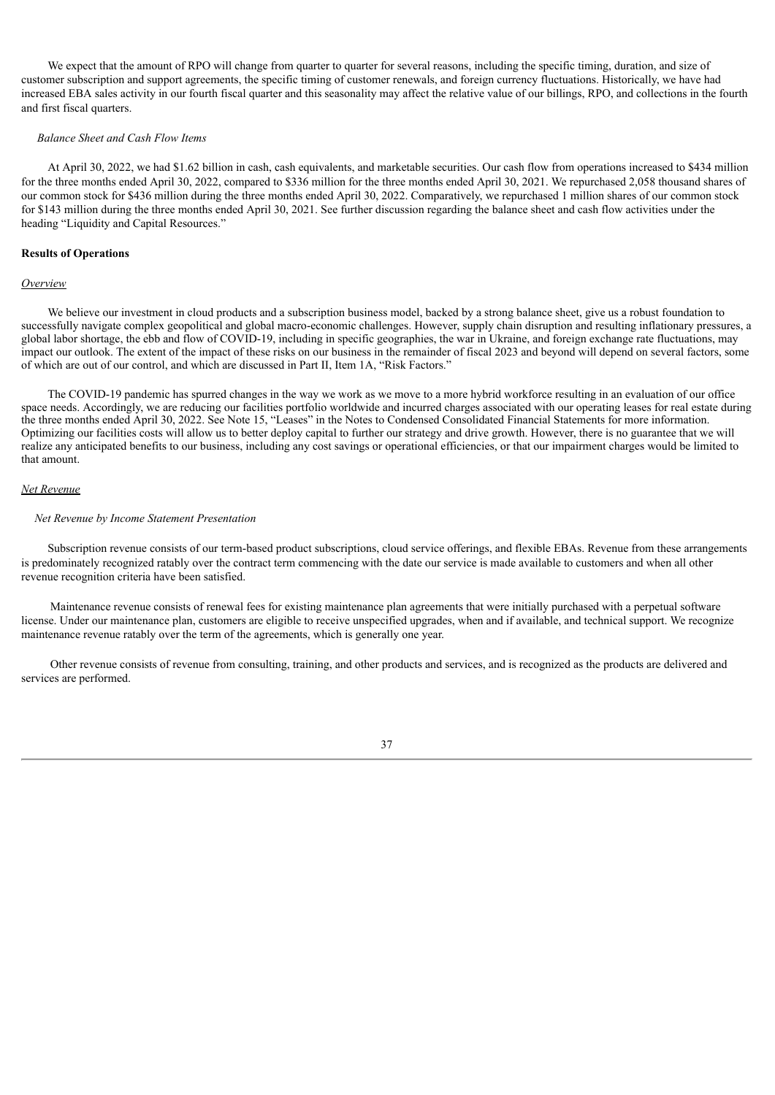We expect that the amount of RPO will change from quarter to quarter for several reasons, including the specific timing, duration, and size of customer subscription and support agreements, the specific timing of customer renewals, and foreign currency fluctuations. Historically, we have had increased EBA sales activity in our fourth fiscal quarter and this seasonality may affect the relative value of our billings, RPO, and collections in the fourth and first fiscal quarters.

#### *Balance Sheet and Cash Flow Items*

At April 30, 2022, we had \$1.62 billion in cash, cash equivalents, and marketable securities. Our cash flow from operations increased to \$434 million for the three months ended April 30, 2022, compared to \$336 million for the three months ended April 30, 2021. We repurchased 2,058 thousand shares of our common stock for \$436 million during the three months ended April 30, 2022. Comparatively, we repurchased 1 million shares of our common stock for \$143 million during the three months ended April 30, 2021. See further discussion regarding the balance sheet and cash flow activities under the heading "Liquidity and Capital Resources."

#### **Results of Operations**

#### *Overview*

We believe our investment in cloud products and a subscription business model, backed by a strong balance sheet, give us a robust foundation to successfully navigate complex geopolitical and global macro-economic challenges. However, supply chain disruption and resulting inflationary pressures, a global labor shortage, the ebb and flow of COVID-19, including in specific geographies, the war in Ukraine, and foreign exchange rate fluctuations, may impact our outlook. The extent of the impact of these risks on our business in the remainder of fiscal 2023 and beyond will depend on several factors, some of which are out of our control, and which are discussed in Part II, Item 1A, "Risk Factors."

The COVID-19 pandemic has spurred changes in the way we work as we move to a more hybrid workforce resulting in an evaluation of our office space needs. Accordingly, we are reducing our facilities portfolio worldwide and incurred charges associated with our operating leases for real estate during the three months ended April 30, 2022. See Note 15, "Leases" in the Notes to Condensed Consolidated Financial Statements for more information. Optimizing our facilities costs will allow us to better deploy capital to further our strategy and drive growth. However, there is no guarantee that we will realize any anticipated benefits to our business, including any cost savings or operational efficiencies, or that our impairment charges would be limited to that amount.

### *Net Revenue*

### *Net Revenue by Income Statement Presentation*

Subscription revenue consists of our term-based product subscriptions, cloud service offerings, and flexible EBAs. Revenue from these arrangements is predominately recognized ratably over the contract term commencing with the date our service is made available to customers and when all other revenue recognition criteria have been satisfied.

Maintenance revenue consists of renewal fees for existing maintenance plan agreements that were initially purchased with a perpetual software license. Under our maintenance plan, customers are eligible to receive unspecified upgrades, when and if available, and technical support. We recognize maintenance revenue ratably over the term of the agreements, which is generally one year.

Other revenue consists of revenue from consulting, training, and other products and services, and is recognized as the products are delivered and services are performed.

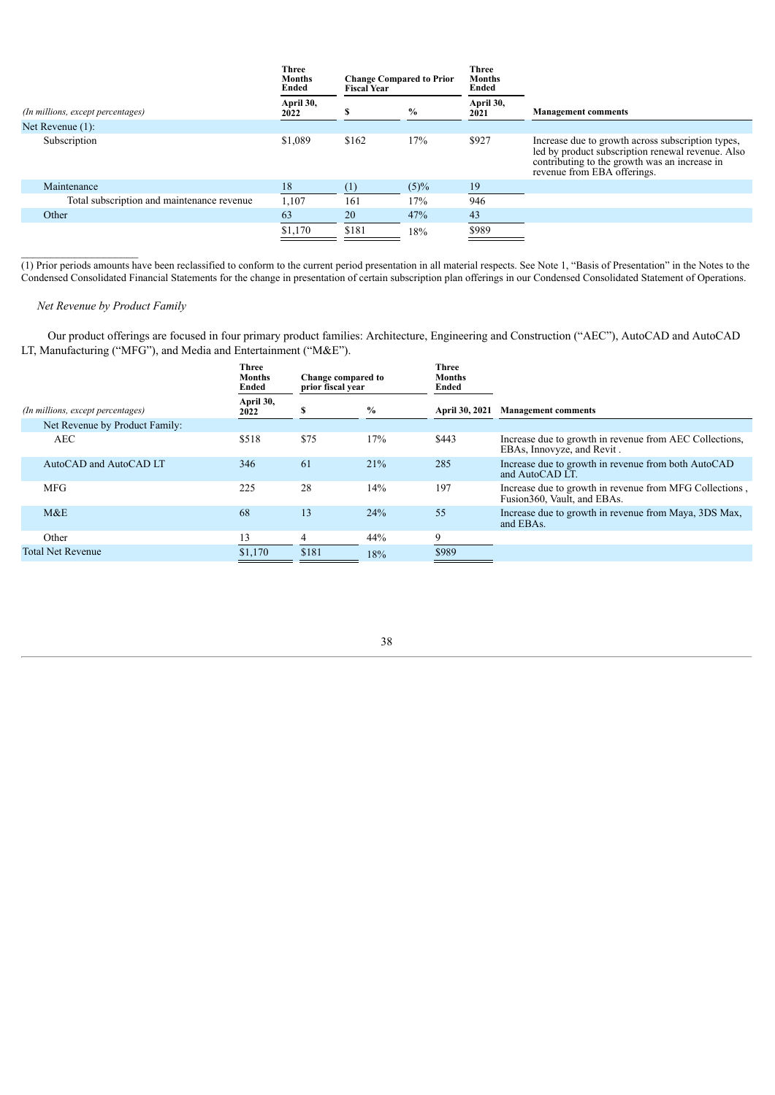|                                            | <b>Three</b><br><b>Months</b><br>Ended |       | <b>Three</b><br><b>Change Compared to Prior</b><br><b>Months</b><br>Ended<br><b>Fiscal Year</b> |                   |                                                                                                                                                                                        |
|--------------------------------------------|----------------------------------------|-------|-------------------------------------------------------------------------------------------------|-------------------|----------------------------------------------------------------------------------------------------------------------------------------------------------------------------------------|
| (In millions, except percentages)          | April 30,<br>2022                      |       | $\%$                                                                                            | April 30,<br>2021 | <b>Management comments</b>                                                                                                                                                             |
| Net Revenue $(1)$ :                        |                                        |       |                                                                                                 |                   |                                                                                                                                                                                        |
| Subscription                               | \$1,089                                | \$162 | 17%                                                                                             | \$927             | Increase due to growth across subscription types,<br>led by product subscription renewal revenue. Also<br>contributing to the growth was an increase in<br>revenue from EBA offerings. |
| Maintenance                                | 18                                     |       | $(5)\%$                                                                                         | 19                |                                                                                                                                                                                        |
| Total subscription and maintenance revenue | 1,107                                  | 161   | 17%                                                                                             | 946               |                                                                                                                                                                                        |
| Other                                      | 63                                     | 20    | 47%                                                                                             | 43                |                                                                                                                                                                                        |
|                                            | \$1,170                                | \$181 | 18%                                                                                             | \$989             |                                                                                                                                                                                        |

 $(1)$  Prior periods amounts have been reclassified to conform to the current period presentation in all material respects. See Note 1, "Basis of Presentation" in the Notes to the Condensed Consolidated Financial Statements for the change in presentation of certain subscription plan offerings in our Condensed Consolidated Statement of Operations.

# *Net Revenue by Product Family*

 $\mathcal{L}_\text{max}$ 

Our product offerings are focused in four primary product families: Architecture, Engineering and Construction ("AEC"), AutoCAD and AutoCAD LT, Manufacturing ("MFG"), and Media and Entertainment ("M&E").

| <b>Three</b><br><b>Months</b><br>Ended | Change compared to<br>prior fiscal vear |      | Three<br><b>Months</b><br>Ended |                                                                                         |
|----------------------------------------|-----------------------------------------|------|---------------------------------|-----------------------------------------------------------------------------------------|
| April 30,<br>2022                      | э                                       | $\%$ | April 30, 2021                  | <b>Management comments</b>                                                              |
|                                        |                                         |      |                                 |                                                                                         |
| \$518                                  | \$75                                    | 17%  | \$443                           | Increase due to growth in revenue from AEC Collections,<br>EBAs, Innovyze, and Revit.   |
| 346                                    | 61                                      | 21%  | 285                             | Increase due to growth in revenue from both AutoCAD<br>and AutoCAD LT.                  |
| 225                                    | 28                                      | 14%  | 197                             | Increase due to growth in revenue from MFG Collections,<br>Fusion 360, Vault, and EBAs. |
| 68                                     | 13                                      | 24%  | 55                              | Increase due to growth in revenue from Maya, 3DS Max,<br>and EBAs.                      |
| 13                                     | 4                                       | 44%  | 9                               |                                                                                         |
| \$1,170                                | \$181                                   | 18%  | \$989                           |                                                                                         |
|                                        |                                         |      |                                 |                                                                                         |

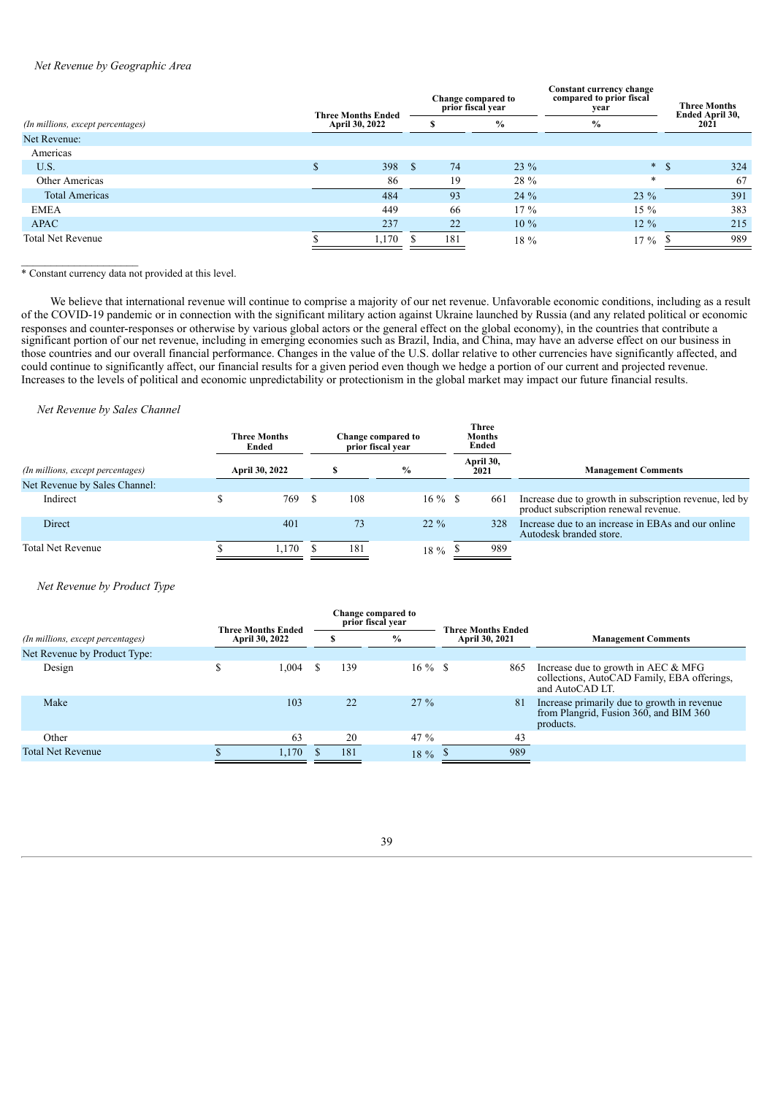# *Net Revenue by Geographic Area*

|                |              |                                                                      |        | Constant currency change<br>compared to prior fiscal<br>year |  | <b>Three Months</b><br>Ended April 30, |      |      |  |      |  |
|----------------|--------------|----------------------------------------------------------------------|--------|--------------------------------------------------------------|--|----------------------------------------|------|------|--|------|--|
| April 30, 2022 |              |                                                                      |        |                                                              |  |                                        | $\%$ | $\%$ |  | 2021 |  |
|                |              |                                                                      |        |                                                              |  |                                        |      |      |  |      |  |
|                |              |                                                                      |        |                                                              |  |                                        |      |      |  |      |  |
|                | <sup>S</sup> | 74                                                                   | $23\%$ |                                                              |  | 324                                    |      |      |  |      |  |
|                |              | 19                                                                   | 28 %   | $\ast$                                                       |  | 67                                     |      |      |  |      |  |
|                |              | 93                                                                   | $24\%$ | $23\%$                                                       |  | 391                                    |      |      |  |      |  |
|                |              | -66                                                                  | $17\%$ | $15\%$                                                       |  | 383                                    |      |      |  |      |  |
|                |              | 22                                                                   | $10\%$ | $12\%$                                                       |  | 215                                    |      |      |  |      |  |
|                |              | 181                                                                  | 18 %   | $17\%$                                                       |  | 989                                    |      |      |  |      |  |
|                |              | <b>Three Months Ended</b><br>398<br>86<br>484<br>449<br>237<br>1,170 |        | <b>Change compared to</b><br>prior fiscal year               |  |                                        |      |      |  |      |  |

\* Constant currency data not provided at this level.

 $\mathcal{L}_\text{max}$ 

We believe that international revenue will continue to comprise a majority of our net revenue. Unfavorable economic conditions, including as a result of the COVID-19 pandemic or in connection with the significant military action against Ukraine launched by Russia (and any related political or economic responses and counter-responses or otherwise by various global actors or the general effect on the global economy), in the countries that contribute a significant portion of our net revenue, including in emerging economies such as Brazil, India, and China, may have an adverse effect on our business in those countries and our overall financial performance. Changes in the value of the U.S. dollar relative to other currencies have significantly affected, and could continue to significantly affect, our financial results for a given period even though we hedge a portion of our current and projected revenue. Increases to the levels of political and economic unpredictability or protectionism in the global market may impact our future financial results.

### *Net Revenue by Sales Channel*

|                                   | <b>Three Months</b><br>Ended |  |     | Change compared to<br>prior fiscal year |  | <b>Three</b><br><b>Months</b><br>Ended |                                                                                                 |
|-----------------------------------|------------------------------|--|-----|-----------------------------------------|--|----------------------------------------|-------------------------------------------------------------------------------------------------|
| (In millions, except percentages) | April 30, 2022               |  |     | $\frac{0}{0}$                           |  | April 30,<br>2021                      | <b>Management Comments</b>                                                                      |
| Net Revenue by Sales Channel:     |                              |  |     |                                         |  |                                        |                                                                                                 |
| Indirect                          | 769                          |  | 108 | $16\%$ \$                               |  | 661                                    | Increase due to growth in subscription revenue, led by<br>product subscription renewal revenue. |
| Direct                            | 401                          |  | 73  | $22\%$                                  |  | 328                                    | Increase due to an increase in EBAs and our online<br>Autodesk branded store.                   |
| <b>Total Net Revenue</b>          | 1.170                        |  | 181 | 18 %                                    |  | 989                                    |                                                                                                 |

### *Net Revenue by Product Type*

|                                   |   | <b>Three Months Ended</b> |  |      | Change compared to<br>prior fiscal vear |                | <b>Three Months Ended</b> |                                                                                                         |
|-----------------------------------|---|---------------------------|--|------|-----------------------------------------|----------------|---------------------------|---------------------------------------------------------------------------------------------------------|
| (In millions, except percentages) |   | April 30, 2022            |  | $\%$ |                                         | April 30, 2021 |                           | <b>Management Comments</b>                                                                              |
| Net Revenue by Product Type:      |   |                           |  |      |                                         |                |                           |                                                                                                         |
| Design                            | J | 1.004                     |  | 139  | $16 \%$ \$                              |                | 865                       | Increase due to growth in AEC $& MFG$<br>collections, AutoCAD Family, EBA offerings,<br>and AutoCAD LT. |
| Make                              |   | 103                       |  | 22   | $27\%$                                  |                | 81                        | Increase primarily due to growth in revenue<br>from Plangrid, Fusion 360, and BIM 360<br>products.      |
| Other                             |   | 63                        |  | 20   | 47 $%$                                  |                | 43                        |                                                                                                         |
| <b>Total Net Revenue</b>          |   | 1,170                     |  | 181  | 18 %                                    |                | 989                       |                                                                                                         |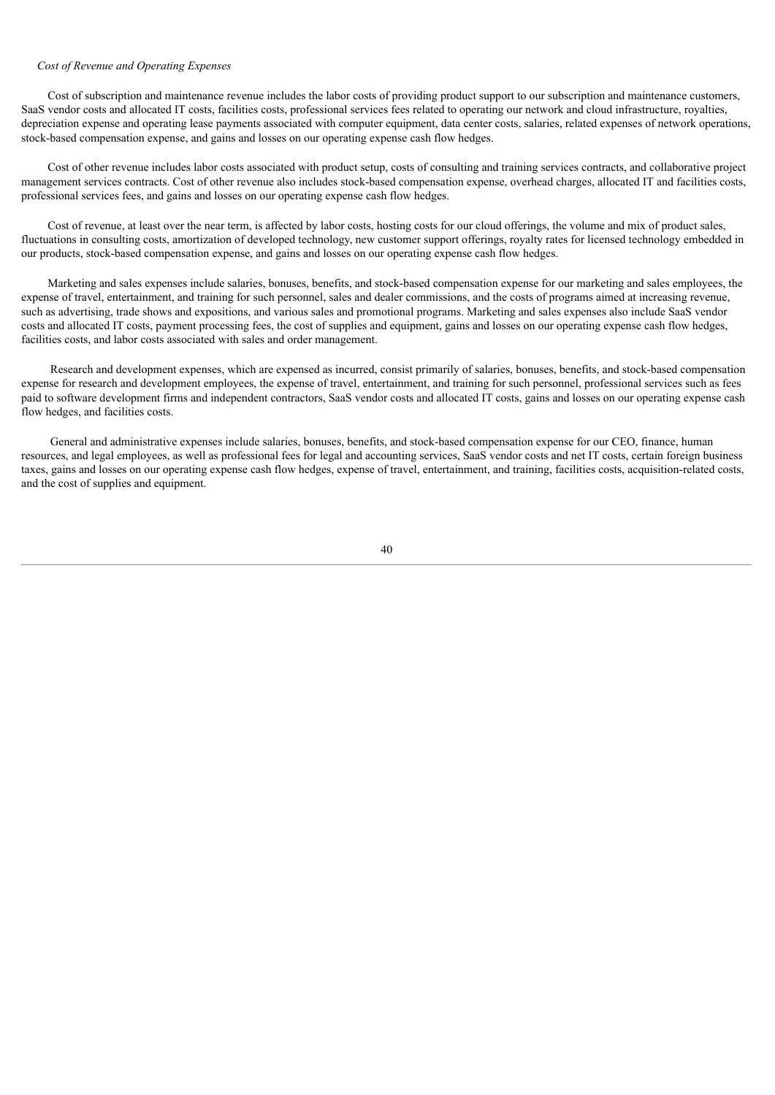# *Cost of Revenue and Operating Expenses*

Cost of subscription and maintenance revenue includes the labor costs of providing product support to our subscription and maintenance customers, SaaS vendor costs and allocated IT costs, facilities costs, professional services fees related to operating our network and cloud infrastructure, royalties, depreciation expense and operating lease payments associated with computer equipment, data center costs, salaries, related expenses of network operations, stock-based compensation expense, and gains and losses on our operating expense cash flow hedges.

Cost of other revenue includes labor costs associated with product setup, costs of consulting and training services contracts, and collaborative project management services contracts. Cost of other revenue also includes stock-based compensation expense, overhead charges, allocated IT and facilities costs, professional services fees, and gains and losses on our operating expense cash flow hedges.

Cost of revenue, at least over the near term, is affected by labor costs, hosting costs for our cloud offerings, the volume and mix of product sales, fluctuations in consulting costs, amortization of developed technology, new customer support offerings, royalty rates for licensed technology embedded in our products, stock-based compensation expense, and gains and losses on our operating expense cash flow hedges.

Marketing and sales expenses include salaries, bonuses, benefits, and stock-based compensation expense for our marketing and sales employees, the expense of travel, entertainment, and training for such personnel, sales and dealer commissions, and the costs of programs aimed at increasing revenue, such as advertising, trade shows and expositions, and various sales and promotional programs. Marketing and sales expenses also include SaaS vendor costs and allocated IT costs, payment processing fees, the cost of supplies and equipment, gains and losses on our operating expense cash flow hedges, facilities costs, and labor costs associated with sales and order management.

Research and development expenses, which are expensed as incurred, consist primarily of salaries, bonuses, benefits, and stock-based compensation expense for research and development employees, the expense of travel, entertainment, and training for such personnel, professional services such as fees paid to software development firms and independent contractors, SaaS vendor costs and allocated IT costs, gains and losses on our operating expense cash flow hedges, and facilities costs.

General and administrative expenses include salaries, bonuses, benefits, and stock-based compensation expense for our CEO, finance, human resources, and legal employees, as well as professional fees for legal and accounting services, SaaS vendor costs and net IT costs, certain foreign business taxes, gains and losses on our operating expense cash flow hedges, expense of travel, entertainment, and training, facilities costs, acquisition-related costs, and the cost of supplies and equipment.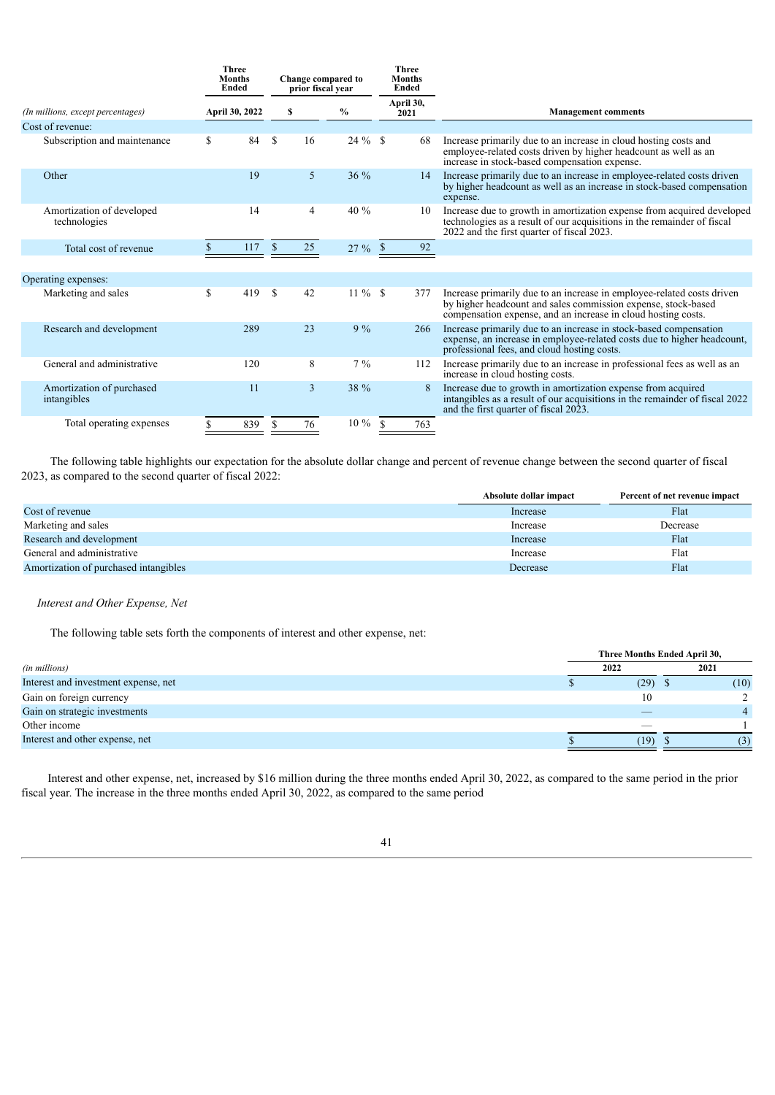|                                           | <b>Three</b><br><b>Months</b><br><b>Ended</b> |                    | prior fiscal vear | Change compared to |                   | <b>Three</b><br><b>Months</b><br><b>Ended</b> |                                                                                                                                                                                                          |
|-------------------------------------------|-----------------------------------------------|--------------------|-------------------|--------------------|-------------------|-----------------------------------------------|----------------------------------------------------------------------------------------------------------------------------------------------------------------------------------------------------------|
| (In millions, except percentages)         | April 30, 2022                                | $\frac{0}{0}$<br>s |                   |                    | April 30,<br>2021 |                                               | <b>Management comments</b>                                                                                                                                                                               |
| Cost of revenue:                          |                                               |                    |                   |                    |                   |                                               |                                                                                                                                                                                                          |
| Subscription and maintenance              | \$<br>84                                      | <sup>\$</sup>      | 16                | $24 \%$ \$         |                   | 68                                            | Increase primarily due to an increase in cloud hosting costs and<br>employee-related costs driven by higher headcount as well as an<br>increase in stock-based compensation expense.                     |
| Other                                     | 19                                            |                    | 5                 | $36\%$             |                   | 14                                            | Increase primarily due to an increase in employee-related costs driven<br>by higher headcount as well as an increase in stock-based compensation<br>expense.                                             |
| Amortization of developed<br>technologies | 14                                            |                    | 4                 | 40 %               |                   | 10                                            | Increase due to growth in amortization expense from acquired developed<br>technologies as a result of our acquisitions in the remainder of fiscal<br>2022 and the first quarter of fiscal 2023.          |
| Total cost of revenue                     | 117                                           | \$                 | 25                | 27%                | <sup>\$</sup>     | 92                                            |                                                                                                                                                                                                          |
|                                           |                                               |                    |                   |                    |                   |                                               |                                                                                                                                                                                                          |
| Operating expenses:                       |                                               |                    |                   |                    |                   |                                               |                                                                                                                                                                                                          |
| Marketing and sales                       | \$<br>419                                     | <sup>\$</sup>      | 42                | $11\%$ \$          |                   | 377                                           | Increase primarily due to an increase in employee-related costs driven<br>by higher headcount and sales commission expense, stock-based<br>compensation expense, and an increase in cloud hosting costs. |
| Research and development                  | 289                                           |                    | 23                | 9%                 |                   | 266                                           | Increase primarily due to an increase in stock-based compensation<br>expense, an increase in employee-related costs due to higher headcount,<br>professional fees, and cloud hosting costs.              |
| General and administrative                | 120                                           |                    | 8                 | $7\frac{9}{6}$     |                   | 112                                           | Increase primarily due to an increase in professional fees as well as an<br>increase in cloud hosting costs.                                                                                             |
| Amortization of purchased<br>intangibles  | 11                                            |                    | $\overline{3}$    | 38 %               |                   |                                               | Increase due to growth in amortization expense from acquired<br>intangibles as a result of our acquisitions in the remainder of fiscal 2022<br>and the first quarter of fiscal 2023.                     |
| Total operating expenses                  | 839                                           | \$                 | 76                | $10\%$             | <sup>\$</sup>     | 763                                           |                                                                                                                                                                                                          |
|                                           |                                               |                    |                   |                    |                   |                                               |                                                                                                                                                                                                          |

The following table highlights our expectation for the absolute dollar change and percent of revenue change between the second quarter of fiscal 2023, as compared to the second quarter of fiscal 2022:

|                                       | Absolute dollar impact | Percent of net revenue impact |
|---------------------------------------|------------------------|-------------------------------|
| Cost of revenue                       | Increase               | Flat                          |
| Marketing and sales                   | Increase               | Decrease                      |
| Research and development              | Increase               | Flat                          |
| General and administrative            | Increase               | Flat                          |
| Amortization of purchased intangibles | Decrease               | Flat                          |

## *Interest and Other Expense, Net*

The following table sets forth the components of interest and other expense, net:

|                                      | Three Months Ended April 30, |      |  |      |  |  |  |
|--------------------------------------|------------------------------|------|--|------|--|--|--|
| (in millions)                        |                              | 2022 |  | 2021 |  |  |  |
| Interest and investment expense, net |                              | (29) |  | (10) |  |  |  |
| Gain on foreign currency             |                              | 10   |  |      |  |  |  |
| Gain on strategic investments        |                              |      |  |      |  |  |  |
| Other income                         |                              |      |  |      |  |  |  |
| Interest and other expense, net      |                              | (19) |  | (3)  |  |  |  |

Interest and other expense, net, increased by \$16 million during the three months ended April 30, 2022, as compared to the same period in the prior fiscal year. The increase in the three months ended April 30, 2022, as compared to the same period

| ٠ |  |
|---|--|
|   |  |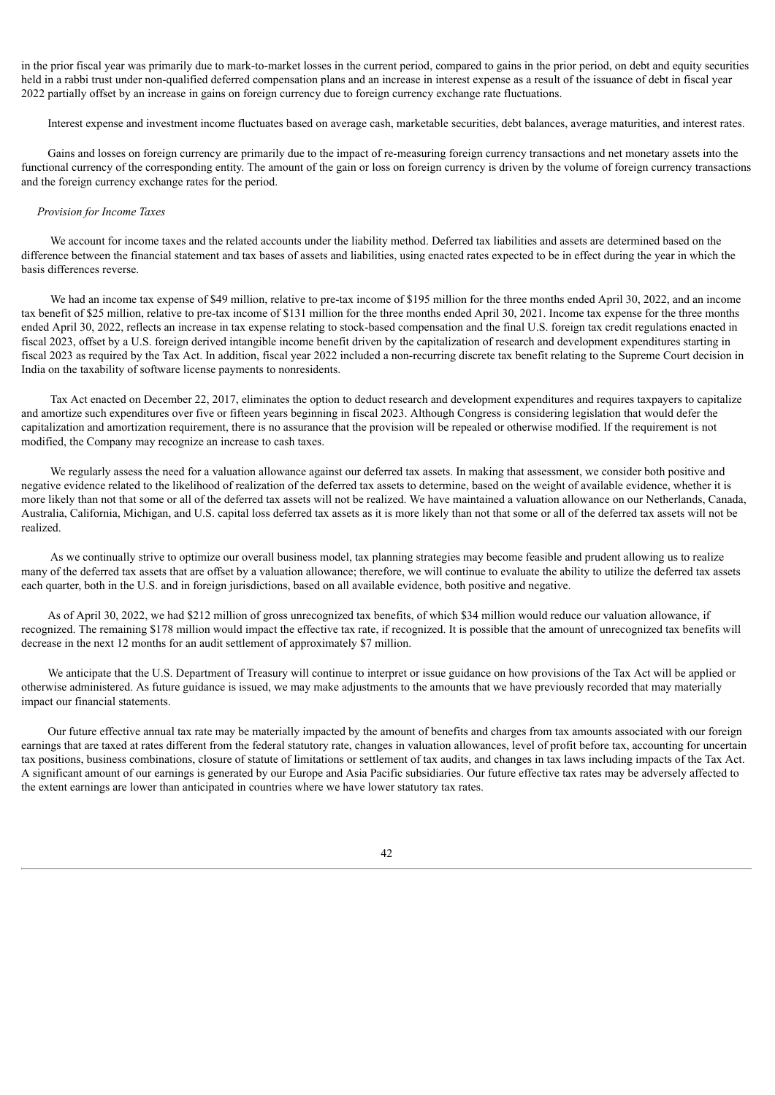in the prior fiscal year was primarily due to mark-to-market losses in the current period, compared to gains in the prior period, on debt and equity securities held in a rabbi trust under non-qualified deferred compensation plans and an increase in interest expense as a result of the issuance of debt in fiscal year 2022 partially offset by an increase in gains on foreign currency due to foreign currency exchange rate fluctuations.

Interest expense and investment income fluctuates based on average cash, marketable securities, debt balances, average maturities, and interest rates.

Gains and losses on foreign currency are primarily due to the impact of re-measuring foreign currency transactions and net monetary assets into the functional currency of the corresponding entity. The amount of the gain or loss on foreign currency is driven by the volume of foreign currency transactions and the foreign currency exchange rates for the period.

# *Provision for Income Taxes*

We account for income taxes and the related accounts under the liability method. Deferred tax liabilities and assets are determined based on the difference between the financial statement and tax bases of assets and liabilities, using enacted rates expected to be in effect during the year in which the basis differences reverse.

We had an income tax expense of \$49 million, relative to pre-tax income of \$195 million for the three months ended April 30, 2022, and an income tax benefit of \$25 million, relative to pre-tax income of \$131 million for the three months ended April 30, 2021. Income tax expense for the three months ended April 30, 2022, reflects an increase in tax expense relating to stock-based compensation and the final U.S. foreign tax credit regulations enacted in fiscal 2023, offset by a U.S. foreign derived intangible income benefit driven by the capitalization of research and development expenditures starting in fiscal 2023 as required by the Tax Act. In addition, fiscal year 2022 included a non-recurring discrete tax benefit relating to the Supreme Court decision in India on the taxability of software license payments to nonresidents.

Tax Act enacted on December 22, 2017, eliminates the option to deduct research and development expenditures and requires taxpayers to capitalize and amortize such expenditures over five or fifteen years beginning in fiscal 2023. Although Congress is considering legislation that would defer the capitalization and amortization requirement, there is no assurance that the provision will be repealed or otherwise modified. If the requirement is not modified, the Company may recognize an increase to cash taxes.

We regularly assess the need for a valuation allowance against our deferred tax assets. In making that assessment, we consider both positive and negative evidence related to the likelihood of realization of the deferred tax assets to determine, based on the weight of available evidence, whether it is more likely than not that some or all of the deferred tax assets will not be realized. We have maintained a valuation allowance on our Netherlands, Canada, Australia, California, Michigan, and U.S. capital loss deferred tax assets as it is more likely than not that some or all of the deferred tax assets will not be realized.

As we continually strive to optimize our overall business model, tax planning strategies may become feasible and prudent allowing us to realize many of the deferred tax assets that are offset by a valuation allowance; therefore, we will continue to evaluate the ability to utilize the deferred tax assets each quarter, both in the U.S. and in foreign jurisdictions, based on all available evidence, both positive and negative.

As of April 30, 2022, we had \$212 million of gross unrecognized tax benefits, of which \$34 million would reduce our valuation allowance, if recognized. The remaining \$178 million would impact the effective tax rate, if recognized. It is possible that the amount of unrecognized tax benefits will decrease in the next 12 months for an audit settlement of approximately \$7 million.

We anticipate that the U.S. Department of Treasury will continue to interpret or issue guidance on how provisions of the Tax Act will be applied or otherwise administered. As future guidance is issued, we may make adjustments to the amounts that we have previously recorded that may materially impact our financial statements.

Our future effective annual tax rate may be materially impacted by the amount of benefits and charges from tax amounts associated with our foreign earnings that are taxed at rates different from the federal statutory rate, changes in valuation allowances, level of profit before tax, accounting for uncertain tax positions, business combinations, closure of statute of limitations or settlement of tax audits, and changes in tax laws including impacts of the Tax Act. A significant amount of our earnings is generated by our Europe and Asia Pacific subsidiaries. Our future effective tax rates may be adversely affected to the extent earnings are lower than anticipated in countries where we have lower statutory tax rates.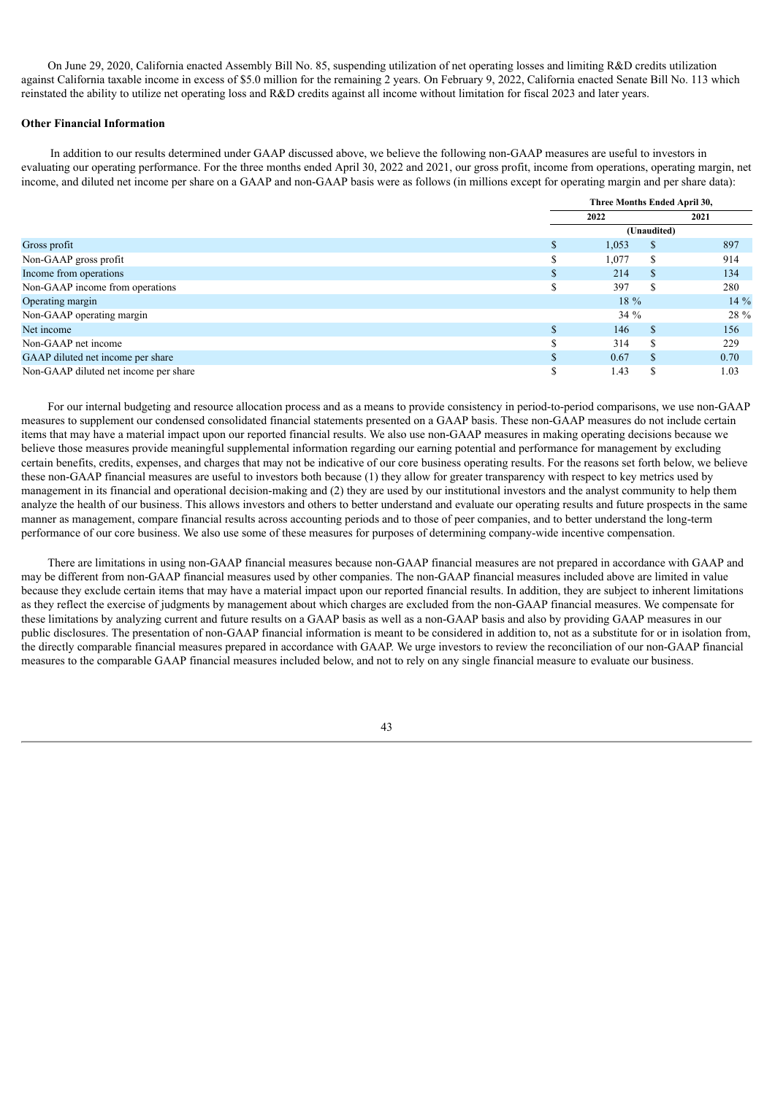On June 29, 2020, California enacted Assembly Bill No. 85, suspending utilization of net operating losses and limiting R&D credits utilization against California taxable income in excess of \$5.0 million for the remaining 2 years. On February 9, 2022, California enacted Senate Bill No. 113 which reinstated the ability to utilize net operating loss and R&D credits against all income without limitation for fiscal 2023 and later years.

# **Other Financial Information**

In addition to our results determined under GAAP discussed above, we believe the following non-GAAP measures are useful to investors in evaluating our operating performance. For the three months ended April 30, 2022 and 2021, our gross profit, income from operations, operating margin, net income, and diluted net income per share on a GAAP and non-GAAP basis were as follows (in millions except for operating margin and per share data):

|                                       |    | Three Months Ended April 30, |               |        |  |  |
|---------------------------------------|----|------------------------------|---------------|--------|--|--|
|                                       |    | 2022                         |               | 2021   |  |  |
|                                       |    |                              | (Unaudited)   |        |  |  |
| Gross profit                          | \$ | 1,053                        | S             | 897    |  |  |
| Non-GAAP gross profit                 |    | 1,077                        | \$.           | 914    |  |  |
| Income from operations                | S  | 214                          | \$.           | 134    |  |  |
| Non-GAAP income from operations       |    | 397                          |               | 280    |  |  |
| Operating margin                      |    | $18\%$                       |               | $14\%$ |  |  |
| Non-GAAP operating margin             |    | 34%                          |               | 28 %   |  |  |
| Net income                            |    | 146                          | <sup>\$</sup> | 156    |  |  |
| Non-GAAP net income                   |    | 314                          | £.            | 229    |  |  |
| GAAP diluted net income per share     | S  | 0.67                         | <b>S</b>      | 0.70   |  |  |
| Non-GAAP diluted net income per share | S  | 1.43                         | \$.           | 1.03   |  |  |

For our internal budgeting and resource allocation process and as a means to provide consistency in period-to-period comparisons, we use non-GAAP measures to supplement our condensed consolidated financial statements presented on a GAAP basis. These non-GAAP measures do not include certain items that may have a material impact upon our reported financial results. We also use non-GAAP measures in making operating decisions because we believe those measures provide meaningful supplemental information regarding our earning potential and performance for management by excluding certain benefits, credits, expenses, and charges that may not be indicative of our core business operating results. For the reasons set forth below, we believe these non-GAAP financial measures are useful to investors both because (1) they allow for greater transparency with respect to key metrics used by management in its financial and operational decision-making and (2) they are used by our institutional investors and the analyst community to help them analyze the health of our business. This allows investors and others to better understand and evaluate our operating results and future prospects in the same manner as management, compare financial results across accounting periods and to those of peer companies, and to better understand the long-term performance of our core business. We also use some of these measures for purposes of determining company-wide incentive compensation.

There are limitations in using non-GAAP financial measures because non-GAAP financial measures are not prepared in accordance with GAAP and may be different from non-GAAP financial measures used by other companies. The non-GAAP financial measures included above are limited in value because they exclude certain items that may have a material impact upon our reported financial results. In addition, they are subject to inherent limitations as they reflect the exercise of judgments by management about which charges are excluded from the non-GAAP financial measures. We compensate for these limitations by analyzing current and future results on a GAAP basis as well as a non-GAAP basis and also by providing GAAP measures in our public disclosures. The presentation of non-GAAP financial information is meant to be considered in addition to, not as a substitute for or in isolation from, the directly comparable financial measures prepared in accordance with GAAP. We urge investors to review the reconciliation of our non-GAAP financial measures to the comparable GAAP financial measures included below, and not to rely on any single financial measure to evaluate our business.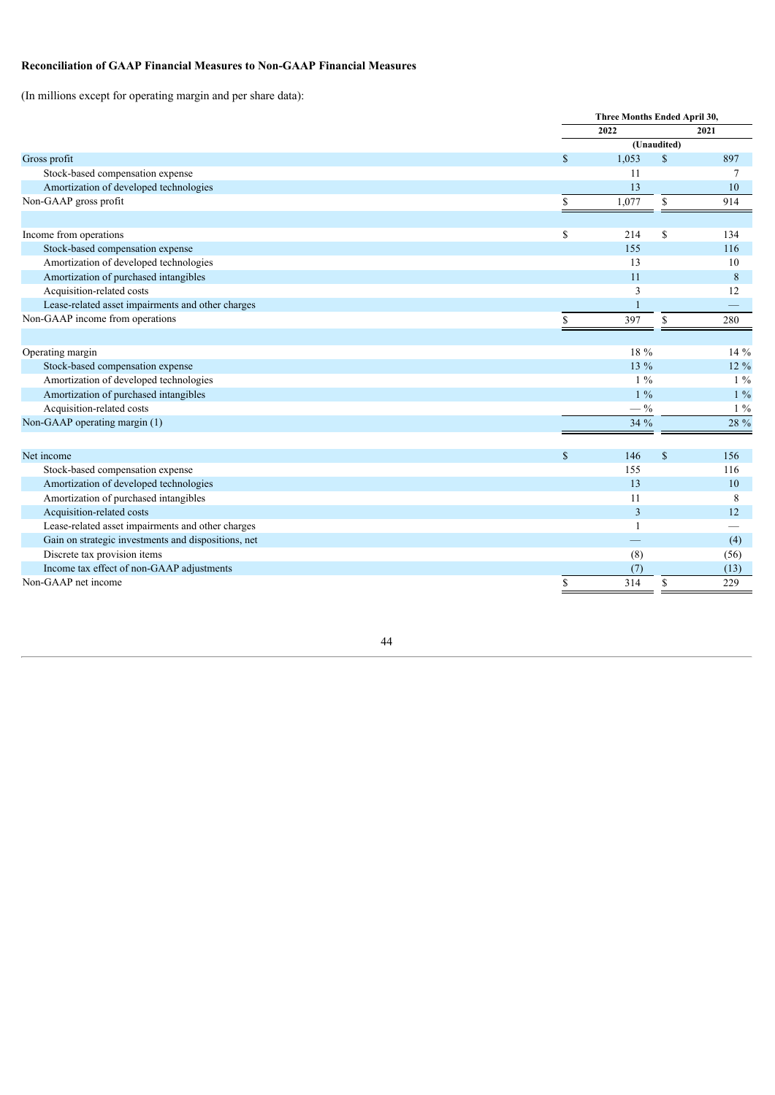# **Reconciliation of GAAP Financial Measures to Non-GAAP Financial Measures**

(In millions except for operating margin and per share data):

|                                                     |              | Three Months Ended April 30, |    |       |  |  |
|-----------------------------------------------------|--------------|------------------------------|----|-------|--|--|
|                                                     |              | 2022                         |    | 2021  |  |  |
|                                                     |              | (Unaudited)                  |    |       |  |  |
| Gross profit                                        | $\mathbb{S}$ | 1,053                        | \$ | 897   |  |  |
| Stock-based compensation expense                    |              | 11                           |    | 7     |  |  |
| Amortization of developed technologies              |              | 13                           |    | 10    |  |  |
| Non-GAAP gross profit                               | \$           | 1,077                        | \$ | 914   |  |  |
|                                                     |              |                              |    |       |  |  |
| Income from operations                              | \$           | 214                          | \$ | 134   |  |  |
| Stock-based compensation expense                    |              | 155                          |    | 116   |  |  |
| Amortization of developed technologies              |              | 13                           |    | 10    |  |  |
| Amortization of purchased intangibles               |              | 11                           |    | 8     |  |  |
| Acquisition-related costs                           |              | 3                            |    | 12    |  |  |
| Lease-related asset impairments and other charges   |              |                              |    |       |  |  |
| Non-GAAP income from operations                     | \$           | 397                          | \$ | 280   |  |  |
|                                                     |              |                              |    |       |  |  |
| Operating margin                                    |              | 18 %                         |    | 14 %  |  |  |
| Stock-based compensation expense                    |              | 13 %                         |    | 12 %  |  |  |
| Amortization of developed technologies              |              | $1\%$                        |    | $1\%$ |  |  |
| Amortization of purchased intangibles               |              | $1\%$                        |    | $1\%$ |  |  |
| Acquisition-related costs                           |              | $-$ %                        |    | $1\%$ |  |  |
| Non-GAAP operating margin (1)                       |              | 34 %                         |    | 28 %  |  |  |
|                                                     |              |                              |    |       |  |  |
| Net income                                          | \$           | 146                          | \$ | 156   |  |  |
| Stock-based compensation expense                    |              | 155                          |    | 116   |  |  |
| Amortization of developed technologies              |              | 13                           |    | 10    |  |  |
| Amortization of purchased intangibles               |              | 11                           |    | 8     |  |  |
| Acquisition-related costs                           |              | $\overline{3}$               |    | 12    |  |  |
| Lease-related asset impairments and other charges   |              |                              |    |       |  |  |
| Gain on strategic investments and dispositions, net |              |                              |    | (4)   |  |  |
| Discrete tax provision items                        |              | (8)                          |    | (56)  |  |  |
| Income tax effect of non-GAAP adjustments           |              | (7)                          |    | (13)  |  |  |
| Non-GAAP net income                                 | \$           | 314                          | \$ | 229   |  |  |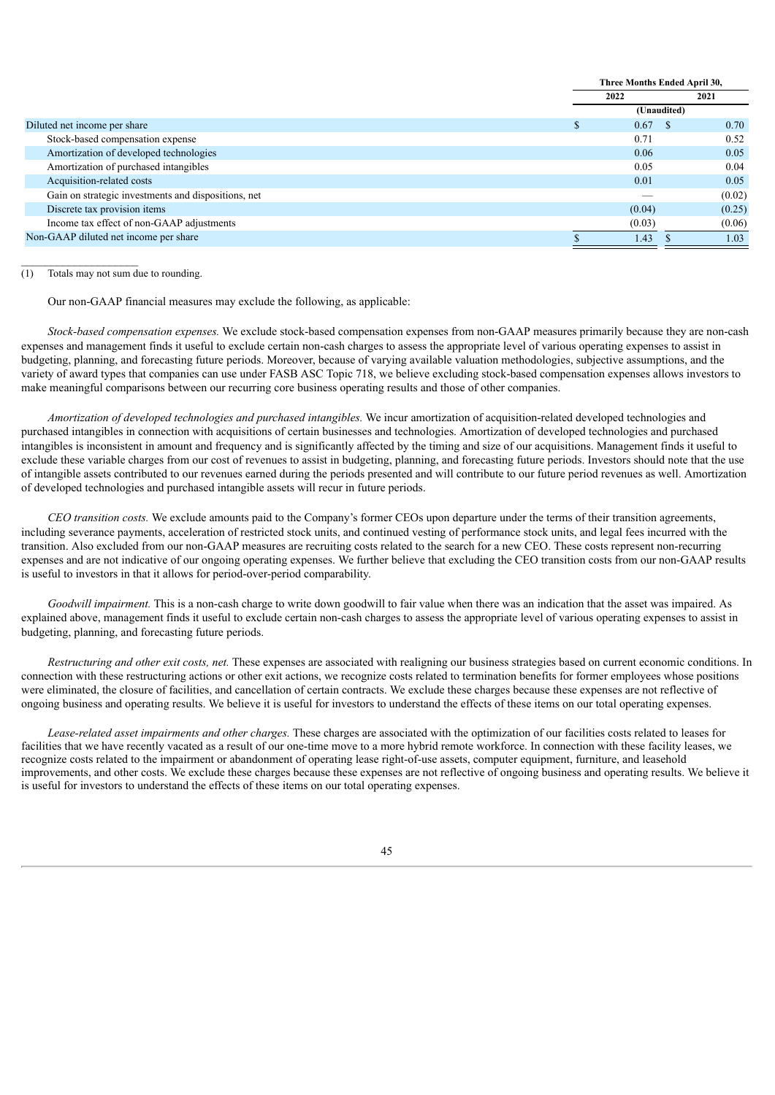|                                                     | Three Months Ended April 30, |             |                  |  |
|-----------------------------------------------------|------------------------------|-------------|------------------|--|
|                                                     |                              | 2022        | 2021             |  |
|                                                     |                              | (Unaudited) |                  |  |
| Diluted net income per share                        |                              | 0.67        | 0.70<br><b>S</b> |  |
| Stock-based compensation expense                    |                              | 0.71        | 0.52             |  |
| Amortization of developed technologies              |                              | 0.06        | 0.05             |  |
| Amortization of purchased intangibles               |                              | 0.05        | 0.04             |  |
| Acquisition-related costs                           |                              | 0.01        | 0.05             |  |
| Gain on strategic investments and dispositions, net |                              |             | (0.02)           |  |
| Discrete tax provision items                        |                              | (0.04)      | (0.25)           |  |
| Income tax effect of non-GAAP adjustments           |                              | (0.03)      | (0.06)           |  |
| Non-GAAP diluted net income per share               |                              | 1.43        | 1.03             |  |

(1) Totals may not sum due to rounding.

 $\mathcal{L}_\text{max}$ 

Our non-GAAP financial measures may exclude the following, as applicable:

*Stock-based compensation expenses.* We exclude stock-based compensation expenses from non-GAAP measures primarily because they are non-cash expenses and management finds it useful to exclude certain non-cash charges to assess the appropriate level of various operating expenses to assist in budgeting, planning, and forecasting future periods. Moreover, because of varying available valuation methodologies, subjective assumptions, and the variety of award types that companies can use under FASB ASC Topic 718, we believe excluding stock-based compensation expenses allows investors to make meaningful comparisons between our recurring core business operating results and those of other companies.

*Amortization of developed technologies and purchased intangibles.* We incur amortization of acquisition-related developed technologies and purchased intangibles in connection with acquisitions of certain businesses and technologies. Amortization of developed technologies and purchased intangibles is inconsistent in amount and frequency and is significantly affected by the timing and size of our acquisitions. Management finds it useful to exclude these variable charges from our cost of revenues to assist in budgeting, planning, and forecasting future periods. Investors should note that the use of intangible assets contributed to our revenues earned during the periods presented and will contribute to our future period revenues as well. Amortization of developed technologies and purchased intangible assets will recur in future periods.

*CEO transition costs.* We exclude amounts paid to the Company's former CEOs upon departure under the terms of their transition agreements, including severance payments, acceleration of restricted stock units, and continued vesting of performance stock units, and legal fees incurred with the transition. Also excluded from our non-GAAP measures are recruiting costs related to the search for a new CEO. These costs represent non-recurring expenses and are not indicative of our ongoing operating expenses. We further believe that excluding the CEO transition costs from our non-GAAP results is useful to investors in that it allows for period-over-period comparability.

*Goodwill impairment.* This is a non-cash charge to write down goodwill to fair value when there was an indication that the asset was impaired. As explained above, management finds it useful to exclude certain non-cash charges to assess the appropriate level of various operating expenses to assist in budgeting, planning, and forecasting future periods.

*Restructuring and other exit costs, net.* These expenses are associated with realigning our business strategies based on current economic conditions. In connection with these restructuring actions or other exit actions, we recognize costs related to termination benefits for former employees whose positions were eliminated, the closure of facilities, and cancellation of certain contracts. We exclude these charges because these expenses are not reflective of ongoing business and operating results. We believe it is useful for investors to understand the effects of these items on our total operating expenses.

*Lease-related asset impairments and other charges.* These charges are associated with the optimization of our facilities costs related to leases for facilities that we have recently vacated as a result of our one-time move to a more hybrid remote workforce. In connection with these facility leases, we recognize costs related to the impairment or abandonment of operating lease right-of-use assets, computer equipment, furniture, and leasehold improvements, and other costs. We exclude these charges because these expenses are not reflective of ongoing business and operating results. We believe it is useful for investors to understand the effects of these items on our total operating expenses.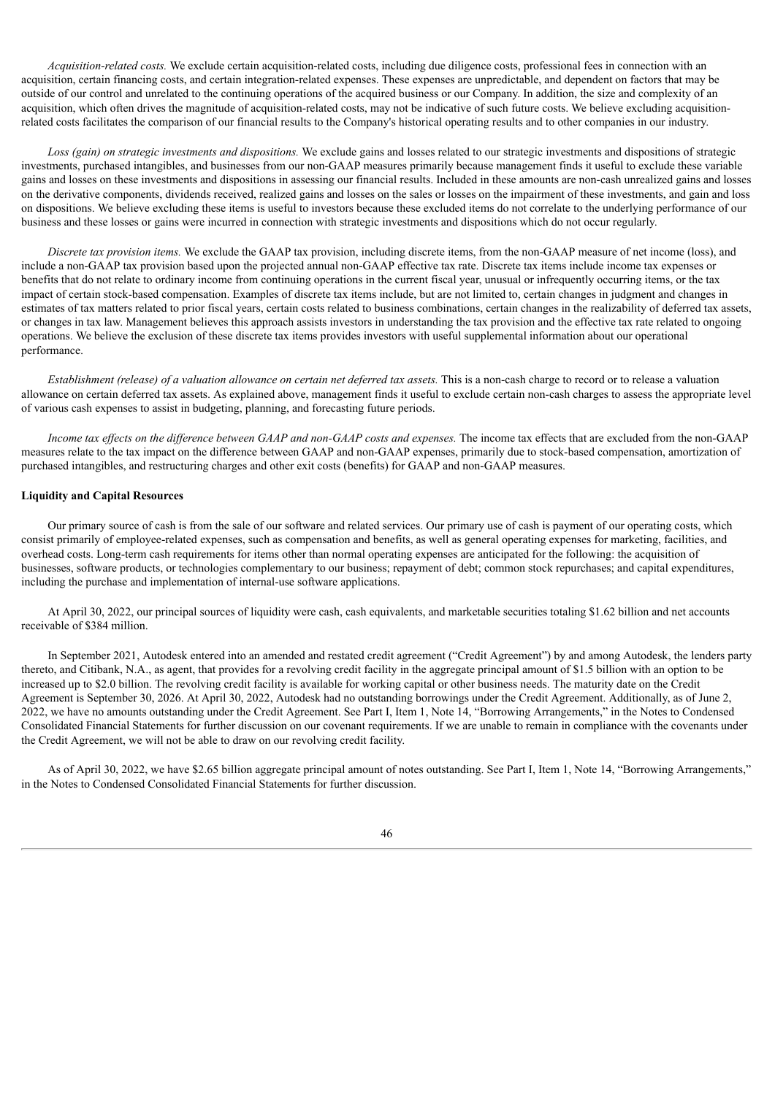*Acquisition-related costs.* We exclude certain acquisition-related costs, including due diligence costs, professional fees in connection with an acquisition, certain financing costs, and certain integration-related expenses. These expenses are unpredictable, and dependent on factors that may be outside of our control and unrelated to the continuing operations of the acquired business or our Company. In addition, the size and complexity of an acquisition, which often drives the magnitude of acquisition-related costs, may not be indicative of such future costs. We believe excluding acquisitionrelated costs facilitates the comparison of our financial results to the Company's historical operating results and to other companies in our industry.

*Loss (gain) on strategic investments and dispositions.* We exclude gains and losses related to our strategic investments and dispositions of strategic investments, purchased intangibles, and businesses from our non-GAAP measures primarily because management finds it useful to exclude these variable gains and losses on these investments and dispositions in assessing our financial results. Included in these amounts are non-cash unrealized gains and losses on the derivative components, dividends received, realized gains and losses on the sales or losses on the impairment of these investments, and gain and loss on dispositions. We believe excluding these items is useful to investors because these excluded items do not correlate to the underlying performance of our business and these losses or gains were incurred in connection with strategic investments and dispositions which do not occur regularly.

*Discrete tax provision items.* We exclude the GAAP tax provision, including discrete items, from the non-GAAP measure of net income (loss), and include a non-GAAP tax provision based upon the projected annual non-GAAP effective tax rate. Discrete tax items include income tax expenses or benefits that do not relate to ordinary income from continuing operations in the current fiscal year, unusual or infrequently occurring items, or the tax impact of certain stock-based compensation. Examples of discrete tax items include, but are not limited to, certain changes in judgment and changes in estimates of tax matters related to prior fiscal years, certain costs related to business combinations, certain changes in the realizability of deferred tax assets, or changes in tax law. Management believes this approach assists investors in understanding the tax provision and the effective tax rate related to ongoing operations. We believe the exclusion of these discrete tax items provides investors with useful supplemental information about our operational performance.

Establishment (release) of a valuation allowance on certain net deferred tax assets. This is a non-cash charge to record or to release a valuation allowance on certain deferred tax assets. As explained above, management finds it useful to exclude certain non-cash charges to assess the appropriate level of various cash expenses to assist in budgeting, planning, and forecasting future periods.

Income tax effects on the difference between GAAP and non-GAAP costs and expenses. The income tax effects that are excluded from the non-GAAP measures relate to the tax impact on the difference between GAAP and non-GAAP expenses, primarily due to stock-based compensation, amortization of purchased intangibles, and restructuring charges and other exit costs (benefits) for GAAP and non-GAAP measures.

# **Liquidity and Capital Resources**

Our primary source of cash is from the sale of our software and related services. Our primary use of cash is payment of our operating costs, which consist primarily of employee-related expenses, such as compensation and benefits, as well as general operating expenses for marketing, facilities, and overhead costs. Long-term cash requirements for items other than normal operating expenses are anticipated for the following: the acquisition of businesses, software products, or technologies complementary to our business; repayment of debt; common stock repurchases; and capital expenditures, including the purchase and implementation of internal-use software applications.

At April 30, 2022, our principal sources of liquidity were cash, cash equivalents, and marketable securities totaling \$1.62 billion and net accounts receivable of \$384 million.

In September 2021, Autodesk entered into an amended and restated credit agreement ("Credit Agreement") by and among Autodesk, the lenders party thereto, and Citibank, N.A., as agent, that provides for a revolving credit facility in the aggregate principal amount of \$1.5 billion with an option to be increased up to \$2.0 billion. The revolving credit facility is available for working capital or other business needs. The maturity date on the Credit Agreement is September 30, 2026. At April 30, 2022, Autodesk had no outstanding borrowings under the Credit Agreement. Additionally, as of June 2, 2022, we have no amounts outstanding under the Credit Agreement. See Part I, Item 1, Note 14, "Borrowing Arrangements," in the Notes to Condensed Consolidated Financial Statements for further discussion on our covenant requirements. If we are unable to remain in compliance with the covenants under the Credit Agreement, we will not be able to draw on our revolving credit facility.

As of April 30, 2022, we have \$2.65 billion aggregate principal amount of notes outstanding. See Part I, Item 1, Note 14, "Borrowing Arrangements," in the Notes to Condensed Consolidated Financial Statements for further discussion.

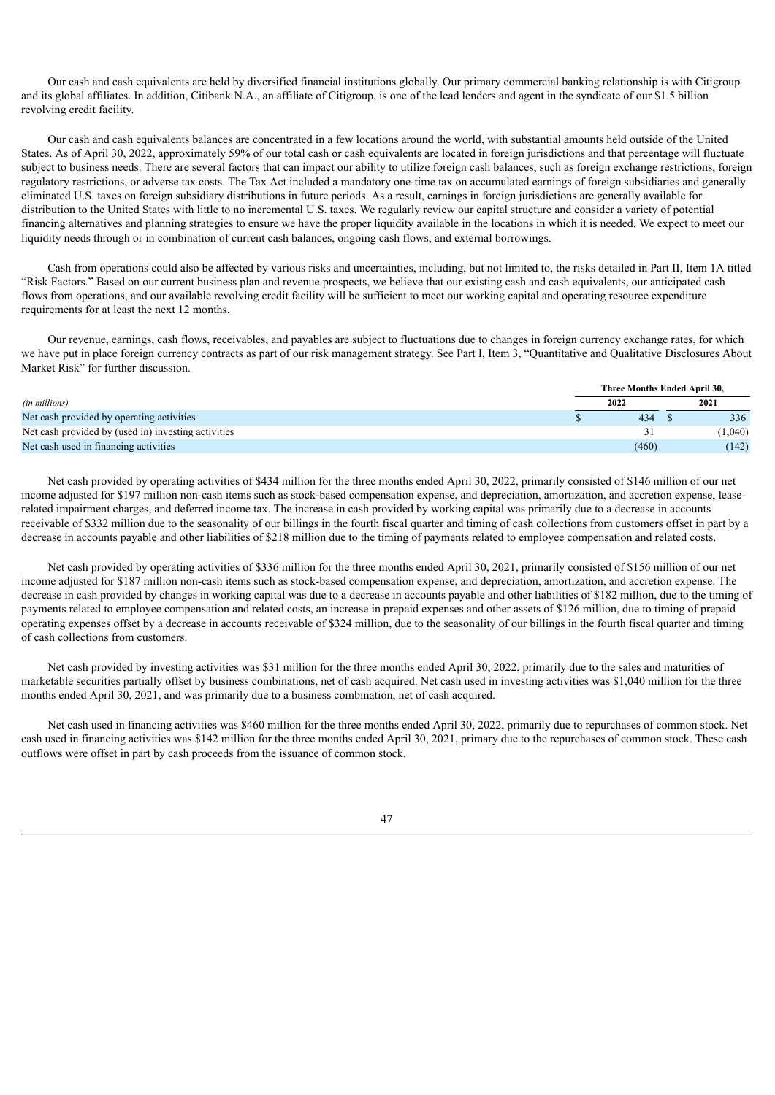Our cash and cash equivalents are held by diversified financial institutions globally. Our primary commercial banking relationship is with Citigroup and its global affiliates. In addition, Citibank N.A., an affiliate of Citigroup, is one of the lead lenders and agent in the syndicate of our \$1.5 billion revolving credit facility.

Our cash and cash equivalents balances are concentrated in a few locations around the world, with substantial amounts held outside of the United States. As of April 30, 2022, approximately 59% of our total cash or cash equivalents are located in foreign jurisdictions and that percentage will fluctuate subject to business needs. There are several factors that can impact our ability to utilize foreign cash balances, such as foreign exchange restrictions, foreign regulatory restrictions, or adverse tax costs. The Tax Act included a mandatory one-time tax on accumulated earnings of foreign subsidiaries and generally eliminated U.S. taxes on foreign subsidiary distributions in future periods. As a result, earnings in foreign jurisdictions are generally available for distribution to the United States with little to no incremental U.S. taxes. We regularly review our capital structure and consider a variety of potential financing alternatives and planning strategies to ensure we have the proper liquidity available in the locations in which it is needed. We expect to meet our liquidity needs through or in combination of current cash balances, ongoing cash flows, and external borrowings.

Cash from operations could also be affected by various risks and uncertainties, including, but not limited to, the risks detailed in Part II, Item 1A titled "Risk Factors." Based on our current business plan and revenue prospects, we believe that our existing cash and cash equivalents, our anticipated cash flows from operations, and our available revolving credit facility will be sufficient to meet our working capital and operating resource expenditure requirements for at least the next 12 months.

Our revenue, earnings, cash flows, receivables, and payables are subject to fluctuations due to changes in foreign currency exchange rates, for which we have put in place foreign currency contracts as part of our risk management strategy. See Part I, Item 3, "Quantitative and Qualitative Disclosures About Market Risk" for further discussion.

|                                                     | Three Months Ended April 30, |       |  |         |
|-----------------------------------------------------|------------------------------|-------|--|---------|
| (in millions)                                       |                              | 2022  |  | 2021    |
| Net cash provided by operating activities           |                              | 434   |  | 336     |
| Net cash provided by (used in) investing activities |                              |       |  | (1,040) |
| Net cash used in financing activities               |                              | (460) |  | (142)   |

Net cash provided by operating activities of \$434 million for the three months ended April 30, 2022, primarily consisted of \$146 million of our net income adjusted for \$197 million non-cash items such as stock-based compensation expense, and depreciation, amortization, and accretion expense, leaserelated impairment charges, and deferred income tax. The increase in cash provided by working capital was primarily due to a decrease in accounts receivable of \$332 million due to the seasonality of our billings in the fourth fiscal quarter and timing of cash collections from customers offset in part by a decrease in accounts payable and other liabilities of \$218 million due to the timing of payments related to employee compensation and related costs.

Net cash provided by operating activities of \$336 million for the three months ended April 30, 2021, primarily consisted of \$156 million of our net income adjusted for \$187 million non-cash items such as stock-based compensation expense, and depreciation, amortization, and accretion expense. The decrease in cash provided by changes in working capital was due to a decrease in accounts payable and other liabilities of \$182 million, due to the timing of payments related to employee compensation and related costs, an increase in prepaid expenses and other assets of \$126 million, due to timing of prepaid operating expenses offset by a decrease in accounts receivable of \$324 million, due to the seasonality of our billings in the fourth fiscal quarter and timing of cash collections from customers.

Net cash provided by investing activities was \$31 million for the three months ended April 30, 2022, primarily due to the sales and maturities of marketable securities partially offset by business combinations, net of cash acquired. Net cash used in investing activities was \$1,040 million for the three months ended April 30, 2021, and was primarily due to a business combination, net of cash acquired.

Net cash used in financing activities was \$460 million for the three months ended April 30, 2022, primarily due to repurchases of common stock. Net cash used in financing activities was \$142 million for the three months ended April 30, 2021, primary due to the repurchases of common stock. These cash outflows were offset in part by cash proceeds from the issuance of common stock.

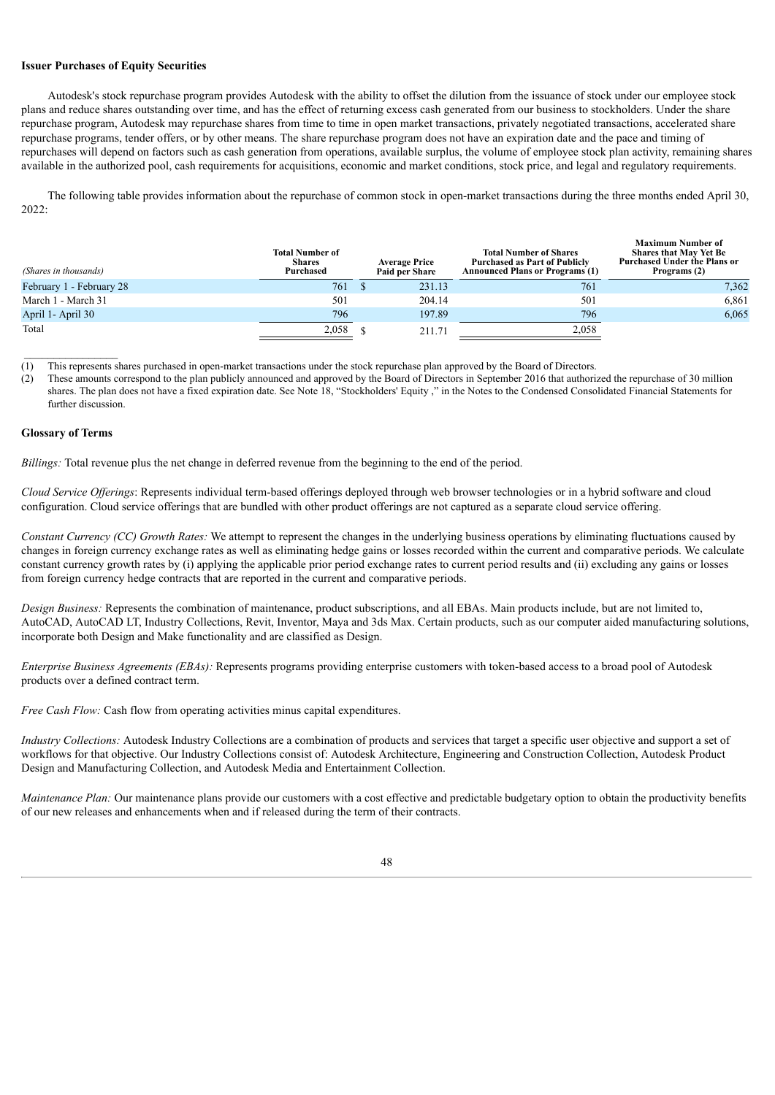# **Issuer Purchases of Equity Securities**

Autodesk's stock repurchase program provides Autodesk with the ability to offset the dilution from the issuance of stock under our employee stock plans and reduce shares outstanding over time, and has the effect of returning excess cash generated from our business to stockholders. Under the share repurchase program, Autodesk may repurchase shares from time to time in open market transactions, privately negotiated transactions, accelerated share repurchase programs, tender offers, or by other means. The share repurchase program does not have an expiration date and the pace and timing of repurchases will depend on factors such as cash generation from operations, available surplus, the volume of employee stock plan activity, remaining shares available in the authorized pool, cash requirements for acquisitions, economic and market conditions, stock price, and legal and regulatory requirements.

The following table provides information about the repurchase of common stock in open-market transactions during the three months ended April 30, 2022:

| (Shares in thousands)    | <b>Total Number of</b><br><b>Shares</b><br>Purchased | <b>Average Price</b><br><b>Paid per Share</b> | <b>Total Number of Shares</b><br><b>Purchased as Part of Publicly</b><br><b>Announced Plans or Programs (1)</b> | <b>Maximum Number of</b><br><b>Shares that May Yet Be</b><br><b>Purchased Under the Plans or</b><br>Programs (2) |
|--------------------------|------------------------------------------------------|-----------------------------------------------|-----------------------------------------------------------------------------------------------------------------|------------------------------------------------------------------------------------------------------------------|
| February 1 - February 28 | 761                                                  | 231.13                                        | 761                                                                                                             | 7,362                                                                                                            |
| March 1 - March 31       | 501                                                  | 204.14                                        | 501                                                                                                             | 6,861                                                                                                            |
| April 1- April 30        | 796                                                  | 197.89                                        | 796                                                                                                             | 6,065                                                                                                            |
| Total                    | 2,058                                                | 211.71                                        | 2,058                                                                                                           |                                                                                                                  |

(1) This represents shares purchased in open-market transactions under the stock repurchase plan approved by the Board of Directors.

(2) These amounts correspond to the plan publicly announced and approved by the Board of Directors in September 2016 that authorized the repurchase of 30 million shares. The plan does not have a fixed expiration date. See Note 18, "Stockholders' Equity ," in the Notes to the Condensed Consolidated Financial Statements for further discussion.

### **Glossary of Terms**

*Billings:* Total revenue plus the net change in deferred revenue from the beginning to the end of the period.

*Cloud Service Of erings*: Represents individual term-based offerings deployed through web browser technologies or in a hybrid software and cloud configuration. Cloud service offerings that are bundled with other product offerings are not captured as a separate cloud service offering.

*Constant Currency (CC) Growth Rates:* We attempt to represent the changes in the underlying business operations by eliminating fluctuations caused by changes in foreign currency exchange rates as well as eliminating hedge gains or losses recorded within the current and comparative periods. We calculate constant currency growth rates by (i) applying the applicable prior period exchange rates to current period results and (ii) excluding any gains or losses from foreign currency hedge contracts that are reported in the current and comparative periods.

*Design Business:* Represents the combination of maintenance, product subscriptions, and all EBAs. Main products include, but are not limited to, AutoCAD, AutoCAD LT, Industry Collections, Revit, Inventor, Maya and 3ds Max. Certain products, such as our computer aided manufacturing solutions, incorporate both Design and Make functionality and are classified as Design.

*Enterprise Business Agreements (EBAs):* Represents programs providing enterprise customers with token-based access to a broad pool of Autodesk products over a defined contract term.

*Free Cash Flow:* Cash flow from operating activities minus capital expenditures.

*Industry Collections:* Autodesk Industry Collections are a combination of products and services that target a specific user objective and support a set of workflows for that objective. Our Industry Collections consist of: Autodesk Architecture, Engineering and Construction Collection, Autodesk Product Design and Manufacturing Collection, and Autodesk Media and Entertainment Collection.

*Maintenance Plan:* Our maintenance plans provide our customers with a cost effective and predictable budgetary option to obtain the productivity benefits of our new releases and enhancements when and if released during the term of their contracts.

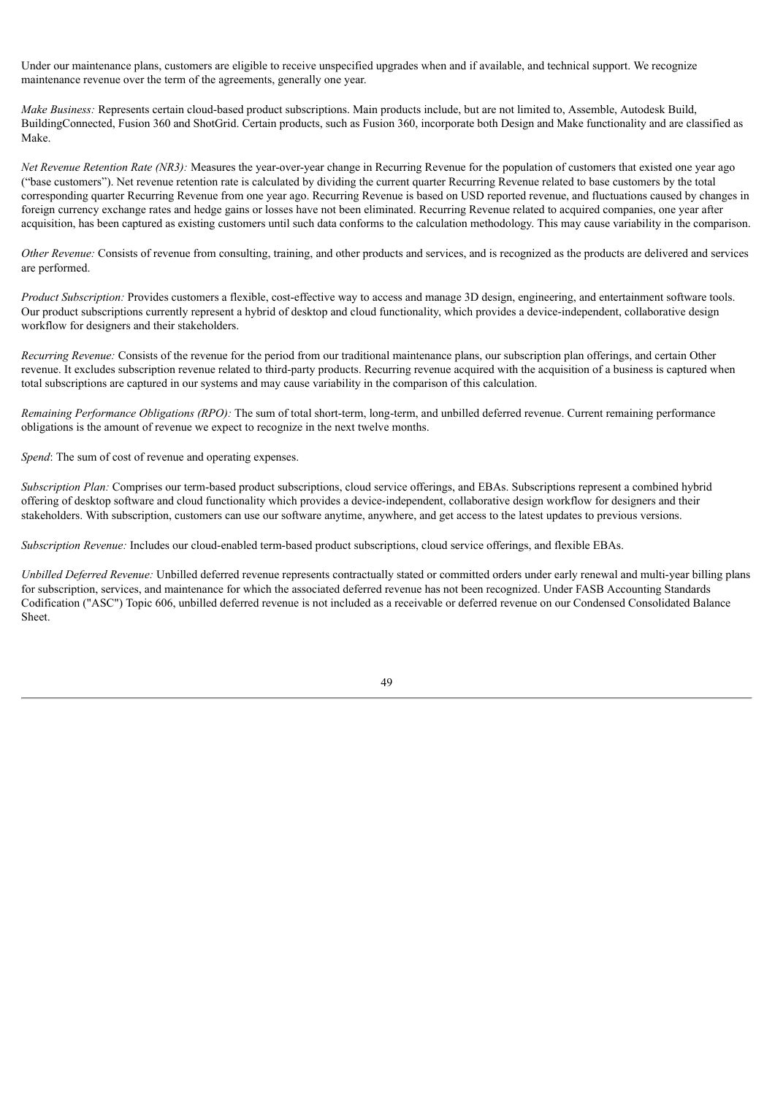Under our maintenance plans, customers are eligible to receive unspecified upgrades when and if available, and technical support. We recognize maintenance revenue over the term of the agreements, generally one year.

*Make Business:* Represents certain cloud-based product subscriptions. Main products include, but are not limited to, Assemble, Autodesk Build, BuildingConnected, Fusion 360 and ShotGrid. Certain products, such as Fusion 360, incorporate both Design and Make functionality and are classified as Make.

*Net Revenue Retention Rate (NR3):* Measures the year-over-year change in Recurring Revenue for the population of customers that existed one year ago ("base customers"). Net revenue retention rate is calculated by dividing the current quarter Recurring Revenue related to base customers by the total corresponding quarter Recurring Revenue from one year ago. Recurring Revenue is based on USD reported revenue, and fluctuations caused by changes in foreign currency exchange rates and hedge gains or losses have not been eliminated. Recurring Revenue related to acquired companies, one year after acquisition, has been captured as existing customers until such data conforms to the calculation methodology. This may cause variability in the comparison.

*Other Revenue:* Consists of revenue from consulting, training, and other products and services, and is recognized as the products are delivered and services are performed.

*Product Subscription:* Provides customers a flexible, cost-effective way to access and manage 3D design, engineering, and entertainment software tools. Our product subscriptions currently represent a hybrid of desktop and cloud functionality, which provides a device-independent, collaborative design workflow for designers and their stakeholders.

*Recurring Revenue:* Consists of the revenue for the period from our traditional maintenance plans, our subscription plan offerings, and certain Other revenue. It excludes subscription revenue related to third-party products. Recurring revenue acquired with the acquisition of a business is captured when total subscriptions are captured in our systems and may cause variability in the comparison of this calculation.

*Remaining Performance Obligations (RPO):* The sum of total short-term, long-term, and unbilled deferred revenue. Current remaining performance obligations is the amount of revenue we expect to recognize in the next twelve months.

*Spend*: The sum of cost of revenue and operating expenses.

*Subscription Plan:* Comprises our term-based product subscriptions, cloud service offerings, and EBAs. Subscriptions represent a combined hybrid offering of desktop software and cloud functionality which provides a device-independent, collaborative design workflow for designers and their stakeholders. With subscription, customers can use our software anytime, anywhere, and get access to the latest updates to previous versions.

*Subscription Revenue:* Includes our cloud-enabled term-based product subscriptions, cloud service offerings, and flexible EBAs.

*Unbilled Deferred Revenue:* Unbilled deferred revenue represents contractually stated or committed orders under early renewal and multi-year billing plans for subscription, services, and maintenance for which the associated deferred revenue has not been recognized. Under FASB Accounting Standards Codification ("ASC") Topic 606, unbilled deferred revenue is not included as a receivable or deferred revenue on our Condensed Consolidated Balance Sheet.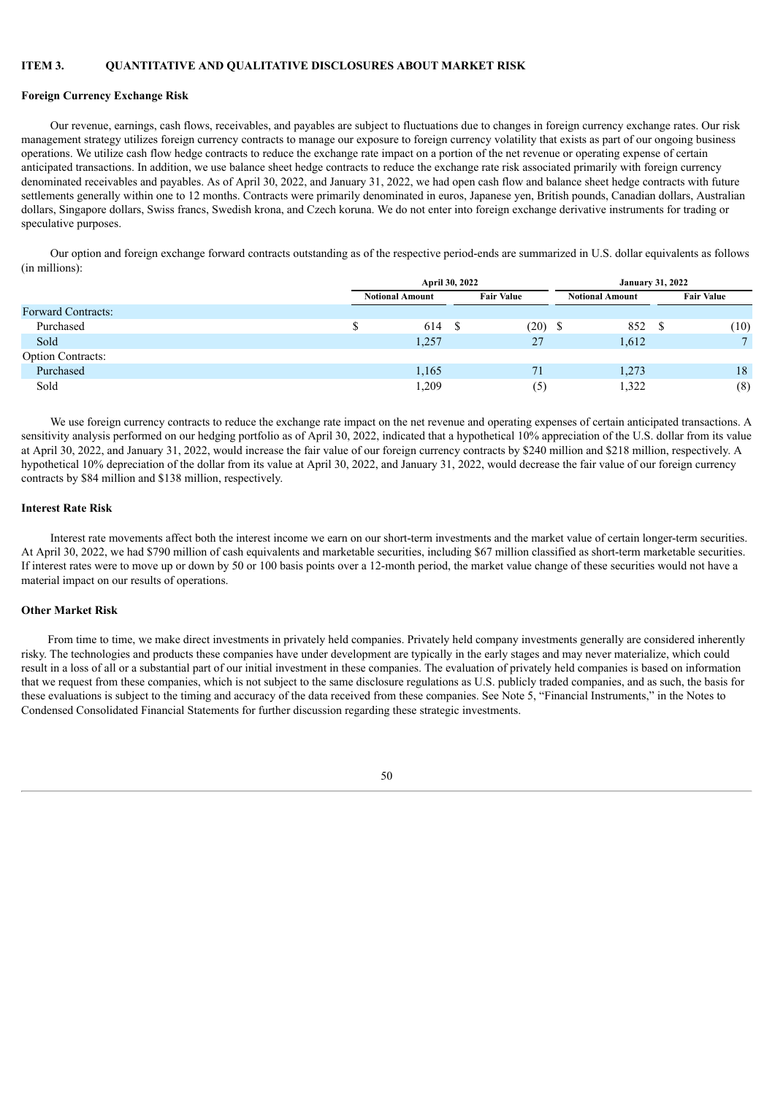## **ITEM 3. QUANTITATIVE AND QUALITATIVE DISCLOSURES ABOUT MARKET RISK**

# **Foreign Currency Exchange Risk**

Our revenue, earnings, cash flows, receivables, and payables are subject to fluctuations due to changes in foreign currency exchange rates. Our risk management strategy utilizes foreign currency contracts to manage our exposure to foreign currency volatility that exists as part of our ongoing business operations. We utilize cash flow hedge contracts to reduce the exchange rate impact on a portion of the net revenue or operating expense of certain anticipated transactions. In addition, we use balance sheet hedge contracts to reduce the exchange rate risk associated primarily with foreign currency denominated receivables and payables. As of April 30, 2022, and January 31, 2022, we had open cash flow and balance sheet hedge contracts with future settlements generally within one to 12 months. Contracts were primarily denominated in euros, Japanese yen, British pounds, Canadian dollars, Australian dollars, Singapore dollars, Swiss francs, Swedish krona, and Czech koruna. We do not enter into foreign exchange derivative instruments for trading or speculative purposes.

Our option and foreign exchange forward contracts outstanding as of the respective period-ends are summarized in U.S. dollar equivalents as follows (in millions):

|                           | April 30, 2022         |                   | <b>January 31, 2022</b> |                   |  |
|---------------------------|------------------------|-------------------|-------------------------|-------------------|--|
|                           | <b>Notional Amount</b> | <b>Fair Value</b> | <b>Notional Amount</b>  | <b>Fair Value</b> |  |
| <b>Forward Contracts:</b> |                        |                   |                         |                   |  |
| Purchased                 | \$<br>614              | (20)              | 852                     | (10)              |  |
| Sold                      | 1,257                  | 27                | 1,612                   |                   |  |
| <b>Option Contracts:</b>  |                        |                   |                         |                   |  |
| Purchased                 | 1,165                  | 71                | 1,273                   | 18                |  |
| Sold                      | 1,209                  | (5)               | 1,322                   | (8)               |  |

We use foreign currency contracts to reduce the exchange rate impact on the net revenue and operating expenses of certain anticipated transactions. A sensitivity analysis performed on our hedging portfolio as of April 30, 2022, indicated that a hypothetical 10% appreciation of the U.S. dollar from its value at April 30, 2022, and January 31, 2022, would increase the fair value of our foreign currency contracts by \$240 million and \$218 million, respectively. A hypothetical 10% depreciation of the dollar from its value at April 30, 2022, and January 31, 2022, would decrease the fair value of our foreign currency contracts by \$84 million and \$138 million, respectively.

# **Interest Rate Risk**

Interest rate movements affect both the interest income we earn on our short-term investments and the market value of certain longer-term securities. At April 30, 2022, we had \$790 million of cash equivalents and marketable securities, including \$67 million classified as short-term marketable securities. If interest rates were to move up or down by 50 or 100 basis points over a 12-month period, the market value change of these securities would not have a material impact on our results of operations.

### **Other Market Risk**

From time to time, we make direct investments in privately held companies. Privately held company investments generally are considered inherently risky. The technologies and products these companies have under development are typically in the early stages and may never materialize, which could result in a loss of all or a substantial part of our initial investment in these companies. The evaluation of privately held companies is based on information that we request from these companies, which is not subject to the same disclosure regulations as U.S. publicly traded companies, and as such, the basis for these evaluations is subject to the timing and accuracy of the data received from these companies. See Note 5, "Financial Instruments," in the Notes to Condensed Consolidated Financial Statements for further discussion regarding these strategic investments.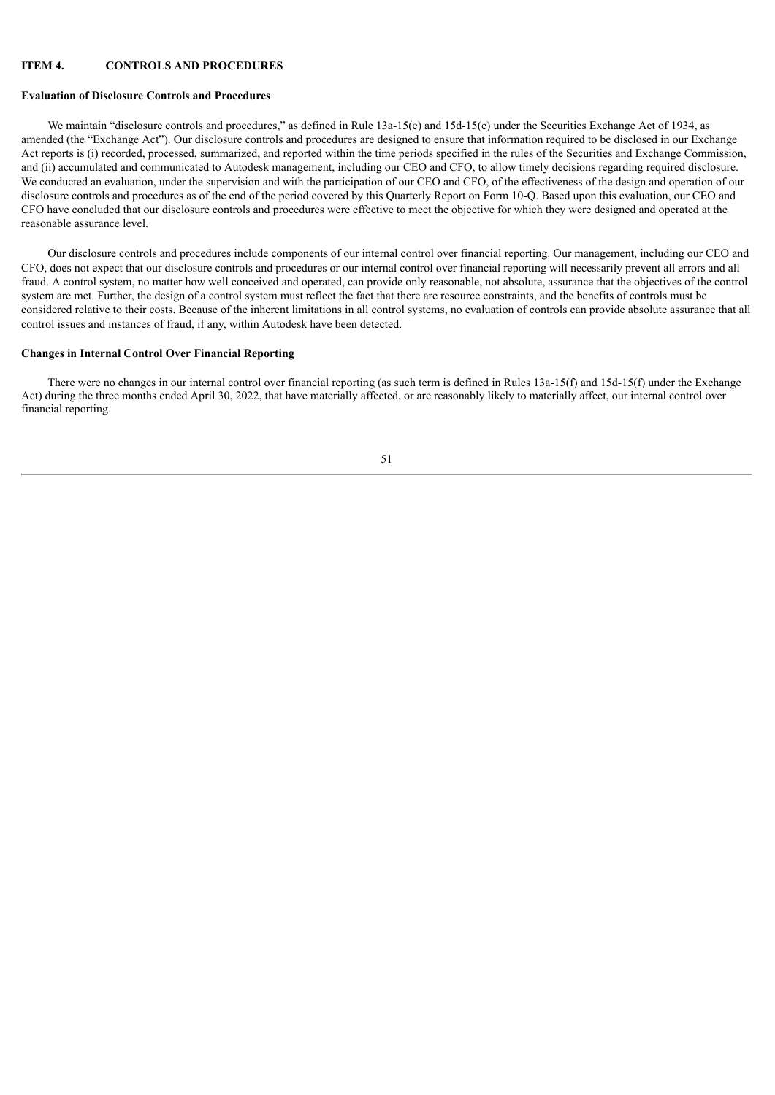### **ITEM 4. CONTROLS AND PROCEDURES**

### **Evaluation of Disclosure Controls and Procedures**

We maintain "disclosure controls and procedures," as defined in Rule 13a-15(e) and 15d-15(e) under the Securities Exchange Act of 1934, as amended (the "Exchange Act"). Our disclosure controls and procedures are designed to ensure that information required to be disclosed in our Exchange Act reports is (i) recorded, processed, summarized, and reported within the time periods specified in the rules of the Securities and Exchange Commission, and (ii) accumulated and communicated to Autodesk management, including our CEO and CFO, to allow timely decisions regarding required disclosure. We conducted an evaluation, under the supervision and with the participation of our CEO and CFO, of the effectiveness of the design and operation of our disclosure controls and procedures as of the end of the period covered by this Quarterly Report on Form 10-Q. Based upon this evaluation, our CEO and CFO have concluded that our disclosure controls and procedures were effective to meet the objective for which they were designed and operated at the reasonable assurance level.

Our disclosure controls and procedures include components of our internal control over financial reporting. Our management, including our CEO and CFO, does not expect that our disclosure controls and procedures or our internal control over financial reporting will necessarily prevent all errors and all fraud. A control system, no matter how well conceived and operated, can provide only reasonable, not absolute, assurance that the objectives of the control system are met. Further, the design of a control system must reflect the fact that there are resource constraints, and the benefits of controls must be considered relative to their costs. Because of the inherent limitations in all control systems, no evaluation of controls can provide absolute assurance that all control issues and instances of fraud, if any, within Autodesk have been detected.

### **Changes in Internal Control Over Financial Reporting**

There were no changes in our internal control over financial reporting (as such term is defined in Rules 13a-15(f) and 15d-15(f) under the Exchange Act) during the three months ended April 30, 2022, that have materially affected, or are reasonably likely to materially affect, our internal control over financial reporting.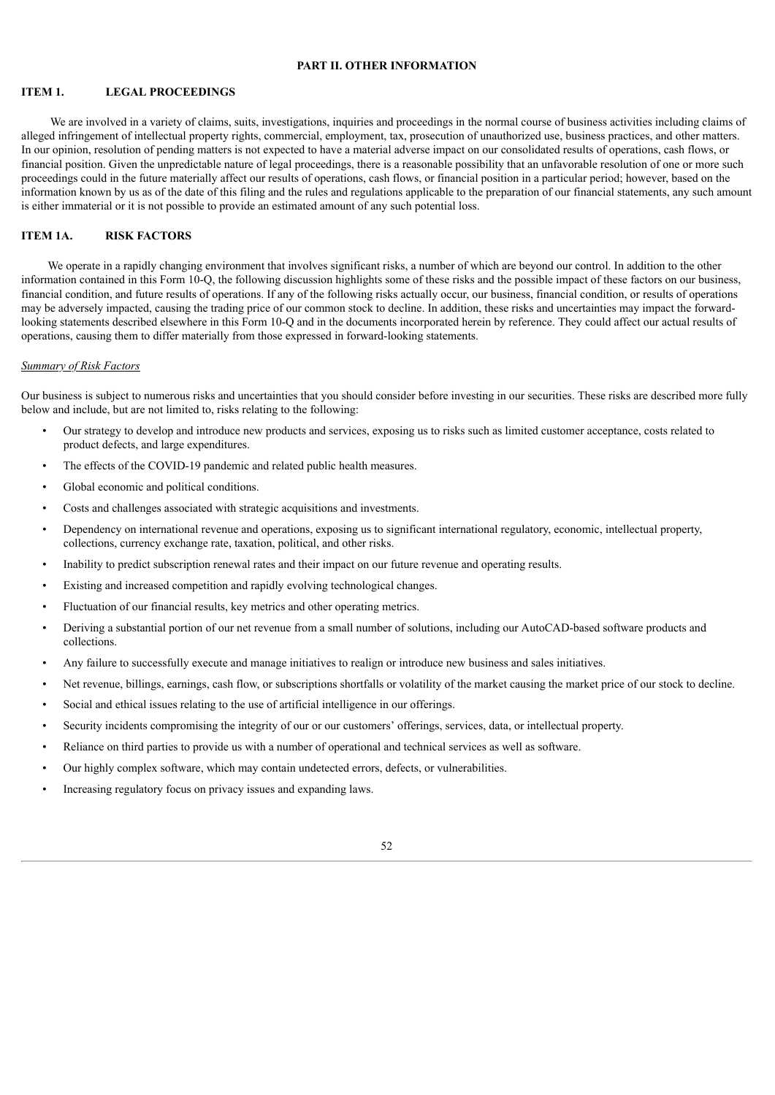## **PART II. OTHER INFORMATION**

# **ITEM 1. LEGAL PROCEEDINGS**

We are involved in a variety of claims, suits, investigations, inquiries and proceedings in the normal course of business activities including claims of alleged infringement of intellectual property rights, commercial, employment, tax, prosecution of unauthorized use, business practices, and other matters. In our opinion, resolution of pending matters is not expected to have a material adverse impact on our consolidated results of operations, cash flows, or financial position. Given the unpredictable nature of legal proceedings, there is a reasonable possibility that an unfavorable resolution of one or more such proceedings could in the future materially affect our results of operations, cash flows, or financial position in a particular period; however, based on the information known by us as of the date of this filing and the rules and regulations applicable to the preparation of our financial statements, any such amount is either immaterial or it is not possible to provide an estimated amount of any such potential loss.

### **ITEM 1A. RISK FACTORS**

We operate in a rapidly changing environment that involves significant risks, a number of which are beyond our control. In addition to the other information contained in this Form 10-Q, the following discussion highlights some of these risks and the possible impact of these factors on our business, financial condition, and future results of operations. If any of the following risks actually occur, our business, financial condition, or results of operations may be adversely impacted, causing the trading price of our common stock to decline. In addition, these risks and uncertainties may impact the forwardlooking statements described elsewhere in this Form 10-Q and in the documents incorporated herein by reference. They could affect our actual results of operations, causing them to differ materially from those expressed in forward-looking statements.

# *Summary of Risk Factors*

Our business is subject to numerous risks and uncertainties that you should consider before investing in our securities. These risks are described more fully below and include, but are not limited to, risks relating to the following:

- Our strategy to develop and introduce new products and services, exposing us to risks such as limited customer acceptance, costs related to product defects, and large expenditures.
- The effects of the COVID-19 pandemic and related public health measures.
- Global economic and political conditions.
- Costs and challenges associated with strategic acquisitions and investments.
- Dependency on international revenue and operations, exposing us to significant international regulatory, economic, intellectual property, collections, currency exchange rate, taxation, political, and other risks.
- Inability to predict subscription renewal rates and their impact on our future revenue and operating results.
- Existing and increased competition and rapidly evolving technological changes.
- Fluctuation of our financial results, key metrics and other operating metrics.
- Deriving a substantial portion of our net revenue from a small number of solutions, including our AutoCAD-based software products and collections.
- Any failure to successfully execute and manage initiatives to realign or introduce new business and sales initiatives.
- Net revenue, billings, earnings, cash flow, or subscriptions shortfalls or volatility of the market causing the market price of our stock to decline.
- Social and ethical issues relating to the use of artificial intelligence in our offerings.
- Security incidents compromising the integrity of our or our customers' offerings, services, data, or intellectual property.
- Reliance on third parties to provide us with a number of operational and technical services as well as software.
- Our highly complex software, which may contain undetected errors, defects, or vulnerabilities.
- Increasing regulatory focus on privacy issues and expanding laws.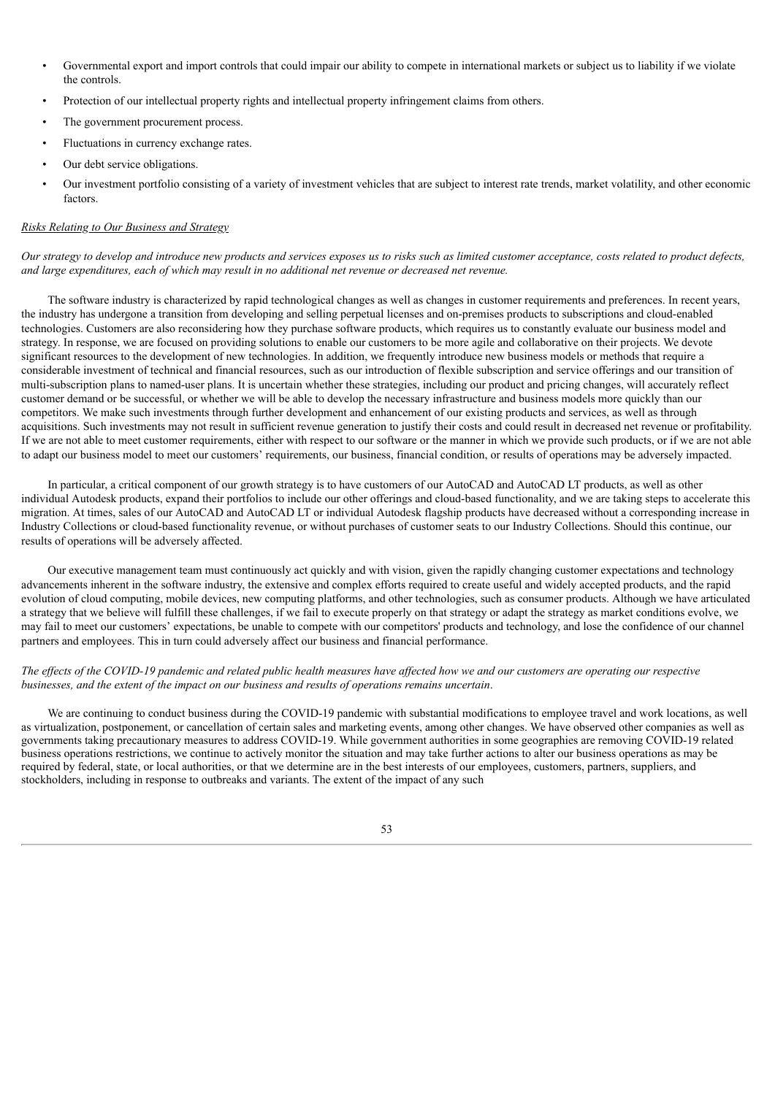- Governmental export and import controls that could impair our ability to compete in international markets or subject us to liability if we violate the controls.
- Protection of our intellectual property rights and intellectual property infringement claims from others.
- The government procurement process.
- Fluctuations in currency exchange rates.
- Our debt service obligations.
- Our investment portfolio consisting of a variety of investment vehicles that are subject to interest rate trends, market volatility, and other economic factors.

# *Risks Relating to Our Business and Strategy*

Our strategy to develop and introduce new products and services exposes us to risks such as limited customer acceptance, costs related to product defects, *and large expenditures, each of which may result in no additional net revenue or decreased net revenue.*

The software industry is characterized by rapid technological changes as well as changes in customer requirements and preferences. In recent years, the industry has undergone a transition from developing and selling perpetual licenses and on-premises products to subscriptions and cloud-enabled technologies. Customers are also reconsidering how they purchase software products, which requires us to constantly evaluate our business model and strategy. In response, we are focused on providing solutions to enable our customers to be more agile and collaborative on their projects. We devote significant resources to the development of new technologies. In addition, we frequently introduce new business models or methods that require a considerable investment of technical and financial resources, such as our introduction of flexible subscription and service offerings and our transition of multi-subscription plans to named-user plans. It is uncertain whether these strategies, including our product and pricing changes, will accurately reflect customer demand or be successful, or whether we will be able to develop the necessary infrastructure and business models more quickly than our competitors. We make such investments through further development and enhancement of our existing products and services, as well as through acquisitions. Such investments may not result in sufficient revenue generation to justify their costs and could result in decreased net revenue or profitability. If we are not able to meet customer requirements, either with respect to our software or the manner in which we provide such products, or if we are not able to adapt our business model to meet our customers' requirements, our business, financial condition, or results of operations may be adversely impacted.

In particular, a critical component of our growth strategy is to have customers of our AutoCAD and AutoCAD LT products, as well as other individual Autodesk products, expand their portfolios to include our other offerings and cloud-based functionality, and we are taking steps to accelerate this migration. At times, sales of our AutoCAD and AutoCAD LT or individual Autodesk flagship products have decreased without a corresponding increase in Industry Collections or cloud-based functionality revenue, or without purchases of customer seats to our Industry Collections. Should this continue, our results of operations will be adversely affected.

Our executive management team must continuously act quickly and with vision, given the rapidly changing customer expectations and technology advancements inherent in the software industry, the extensive and complex efforts required to create useful and widely accepted products, and the rapid evolution of cloud computing, mobile devices, new computing platforms, and other technologies, such as consumer products. Although we have articulated a strategy that we believe will fulfill these challenges, if we fail to execute properly on that strategy or adapt the strategy as market conditions evolve, we may fail to meet our customers' expectations, be unable to compete with our competitors' products and technology, and lose the confidence of our channel partners and employees. This in turn could adversely affect our business and financial performance.

### The effects of the COVID-19 pandemic and related public health measures have affected how we and our customers are operating our respective *businesses, and the extent of the impact on our business and results of operations remains uncertain*.

We are continuing to conduct business during the COVID-19 pandemic with substantial modifications to employee travel and work locations, as well as virtualization, postponement, or cancellation of certain sales and marketing events, among other changes. We have observed other companies as well as governments taking precautionary measures to address COVID-19. While government authorities in some geographies are removing COVID-19 related business operations restrictions, we continue to actively monitor the situation and may take further actions to alter our business operations as may be required by federal, state, or local authorities, or that we determine are in the best interests of our employees, customers, partners, suppliers, and stockholders, including in response to outbreaks and variants. The extent of the impact of any such

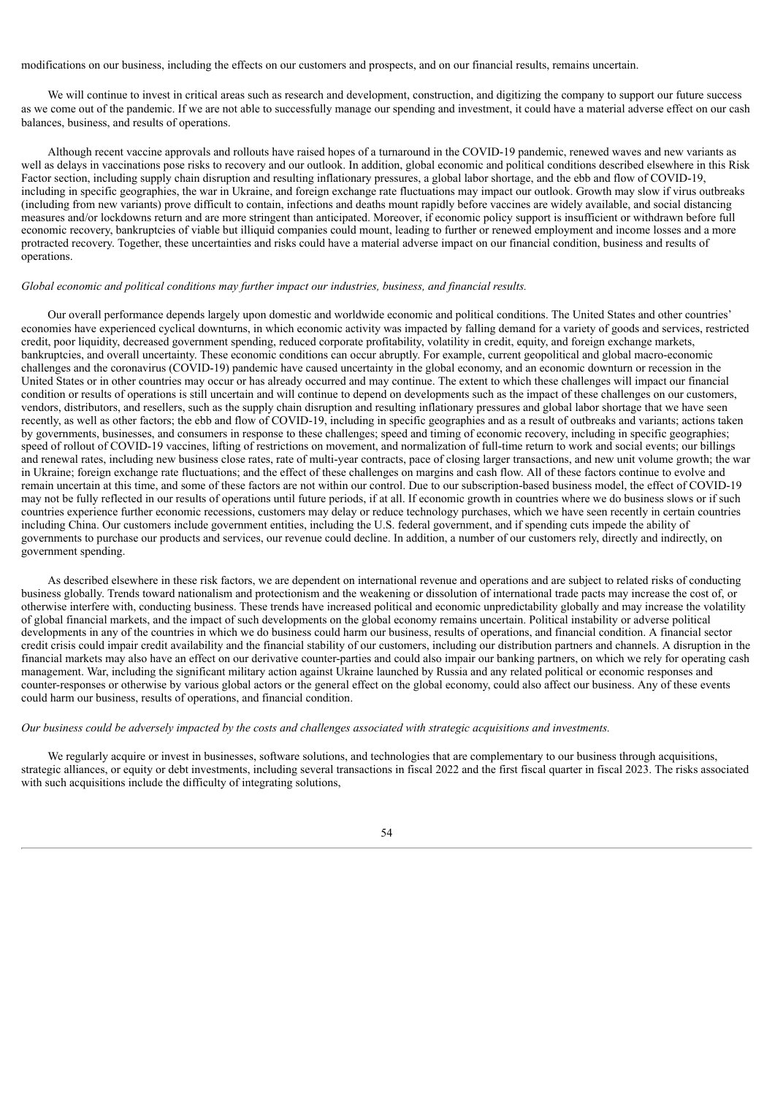modifications on our business, including the effects on our customers and prospects, and on our financial results, remains uncertain.

We will continue to invest in critical areas such as research and development, construction, and digitizing the company to support our future success as we come out of the pandemic. If we are not able to successfully manage our spending and investment, it could have a material adverse effect on our cash balances, business, and results of operations.

Although recent vaccine approvals and rollouts have raised hopes of a turnaround in the COVID-19 pandemic, renewed waves and new variants as well as delays in vaccinations pose risks to recovery and our outlook. In addition, global economic and political conditions described elsewhere in this Risk Factor section, including supply chain disruption and resulting inflationary pressures, a global labor shortage, and the ebb and flow of COVID-19, including in specific geographies, the war in Ukraine, and foreign exchange rate fluctuations may impact our outlook. Growth may slow if virus outbreaks (including from new variants) prove difficult to contain, infections and deaths mount rapidly before vaccines are widely available, and social distancing measures and/or lockdowns return and are more stringent than anticipated. Moreover, if economic policy support is insufficient or withdrawn before full economic recovery, bankruptcies of viable but illiquid companies could mount, leading to further or renewed employment and income losses and a more protracted recovery. Together, these uncertainties and risks could have a material adverse impact on our financial condition, business and results of operations.

### *Global economic and political conditions may further impact our industries, business, and financial results.*

Our overall performance depends largely upon domestic and worldwide economic and political conditions. The United States and other countries' economies have experienced cyclical downturns, in which economic activity was impacted by falling demand for a variety of goods and services, restricted credit, poor liquidity, decreased government spending, reduced corporate profitability, volatility in credit, equity, and foreign exchange markets, bankruptcies, and overall uncertainty. These economic conditions can occur abruptly. For example, current geopolitical and global macro-economic challenges and the coronavirus (COVID-19) pandemic have caused uncertainty in the global economy, and an economic downturn or recession in the United States or in other countries may occur or has already occurred and may continue. The extent to which these challenges will impact our financial condition or results of operations is still uncertain and will continue to depend on developments such as the impact of these challenges on our customers, vendors, distributors, and resellers, such as the supply chain disruption and resulting inflationary pressures and global labor shortage that we have seen recently, as well as other factors; the ebb and flow of COVID-19, including in specific geographies and as a result of outbreaks and variants; actions taken by governments, businesses, and consumers in response to these challenges; speed and timing of economic recovery, including in specific geographies; speed of rollout of COVID-19 vaccines, lifting of restrictions on movement, and normalization of full-time return to work and social events; our billings and renewal rates, including new business close rates, rate of multi-year contracts, pace of closing larger transactions, and new unit volume growth; the war in Ukraine; foreign exchange rate fluctuations; and the effect of these challenges on margins and cash flow. All of these factors continue to evolve and remain uncertain at this time, and some of these factors are not within our control. Due to our subscription-based business model, the effect of COVID-19 may not be fully reflected in our results of operations until future periods, if at all. If economic growth in countries where we do business slows or if such countries experience further economic recessions, customers may delay or reduce technology purchases, which we have seen recently in certain countries including China. Our customers include government entities, including the U.S. federal government, and if spending cuts impede the ability of governments to purchase our products and services, our revenue could decline. In addition, a number of our customers rely, directly and indirectly, on government spending.

As described elsewhere in these risk factors, we are dependent on international revenue and operations and are subject to related risks of conducting business globally. Trends toward nationalism and protectionism and the weakening or dissolution of international trade pacts may increase the cost of, or otherwise interfere with, conducting business. These trends have increased political and economic unpredictability globally and may increase the volatility of global financial markets, and the impact of such developments on the global economy remains uncertain. Political instability or adverse political developments in any of the countries in which we do business could harm our business, results of operations, and financial condition. A financial sector credit crisis could impair credit availability and the financial stability of our customers, including our distribution partners and channels. A disruption in the financial markets may also have an effect on our derivative counter-parties and could also impair our banking partners, on which we rely for operating cash management. War, including the significant military action against Ukraine launched by Russia and any related political or economic responses and counter-responses or otherwise by various global actors or the general effect on the global economy, could also affect our business. Any of these events could harm our business, results of operations, and financial condition.

### Our business could be adversely impacted by the costs and challenges associated with strategic acquisitions and investments.

We regularly acquire or invest in businesses, software solutions, and technologies that are complementary to our business through acquisitions, strategic alliances, or equity or debt investments, including several transactions in fiscal 2022 and the first fiscal quarter in fiscal 2023. The risks associated with such acquisitions include the difficulty of integrating solutions,

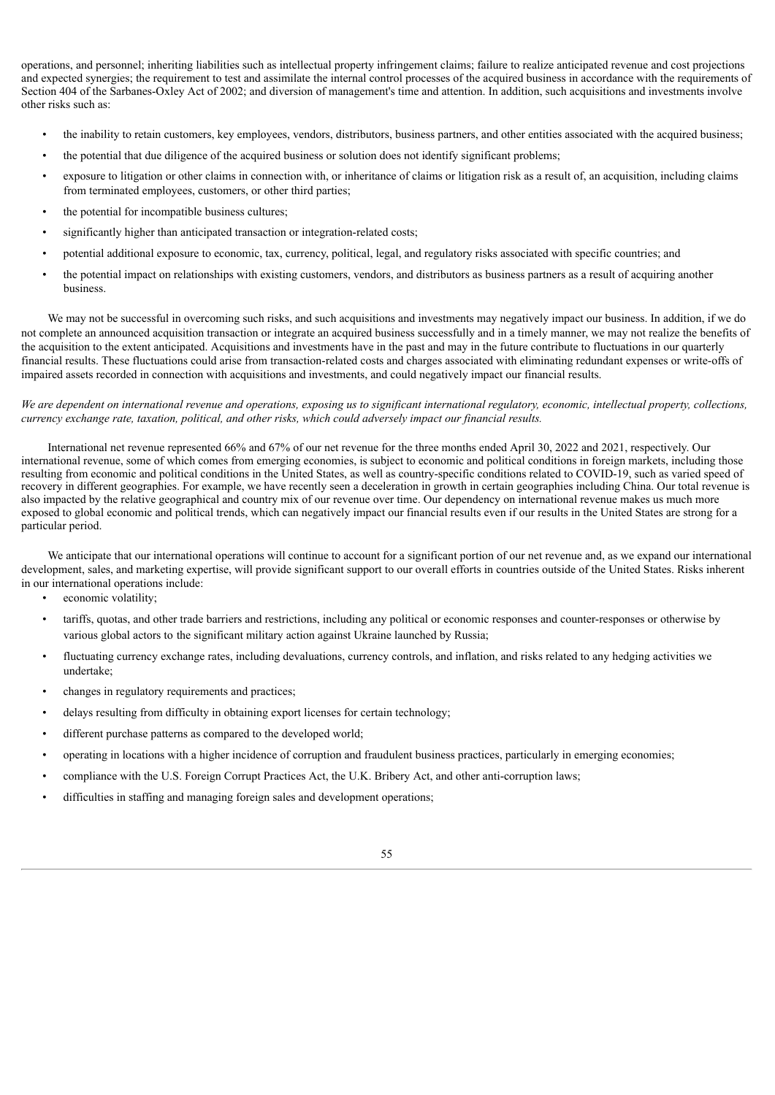operations, and personnel; inheriting liabilities such as intellectual property infringement claims; failure to realize anticipated revenue and cost projections and expected synergies; the requirement to test and assimilate the internal control processes of the acquired business in accordance with the requirements of Section 404 of the Sarbanes-Oxley Act of 2002; and diversion of management's time and attention. In addition, such acquisitions and investments involve other risks such as:

- the inability to retain customers, key employees, vendors, distributors, business partners, and other entities associated with the acquired business;
- the potential that due diligence of the acquired business or solution does not identify significant problems;
- exposure to litigation or other claims in connection with, or inheritance of claims or litigation risk as a result of, an acquisition, including claims from terminated employees, customers, or other third parties;
- the potential for incompatible business cultures;
- significantly higher than anticipated transaction or integration-related costs;
- potential additional exposure to economic, tax, currency, political, legal, and regulatory risks associated with specific countries; and
- the potential impact on relationships with existing customers, vendors, and distributors as business partners as a result of acquiring another business.

We may not be successful in overcoming such risks, and such acquisitions and investments may negatively impact our business. In addition, if we do not complete an announced acquisition transaction or integrate an acquired business successfully and in a timely manner, we may not realize the benefits of the acquisition to the extent anticipated. Acquisitions and investments have in the past and may in the future contribute to fluctuations in our quarterly financial results. These fluctuations could arise from transaction-related costs and charges associated with eliminating redundant expenses or write-offs of impaired assets recorded in connection with acquisitions and investments, and could negatively impact our financial results.

# We are dependent on international revenue and operations, exposing us to significant international regulatory, economic, intellectual property, collections, *currency exchange rate, taxation, political, and other risks, which could adversely impact our financial results.*

International net revenue represented 66% and 67% of our net revenue for the three months ended April 30, 2022 and 2021, respectively. Our international revenue, some of which comes from emerging economies, is subject to economic and political conditions in foreign markets, including those resulting from economic and political conditions in the United States, as well as country-specific conditions related to COVID-19, such as varied speed of recovery in different geographies. For example, we have recently seen a deceleration in growth in certain geographies including China. Our total revenue is also impacted by the relative geographical and country mix of our revenue over time. Our dependency on international revenue makes us much more exposed to global economic and political trends, which can negatively impact our financial results even if our results in the United States are strong for a particular period.

We anticipate that our international operations will continue to account for a significant portion of our net revenue and, as we expand our international development, sales, and marketing expertise, will provide significant support to our overall efforts in countries outside of the United States. Risks inherent in our international operations include:

- economic volatility;
- tariffs, quotas, and other trade barriers and restrictions, including any political or economic responses and counter-responses or otherwise by various global actors to the significant military action against Ukraine launched by Russia;
- fluctuating currency exchange rates, including devaluations, currency controls, and inflation, and risks related to any hedging activities we undertake;
- changes in regulatory requirements and practices;
- delays resulting from difficulty in obtaining export licenses for certain technology;
- different purchase patterns as compared to the developed world;
- operating in locations with a higher incidence of corruption and fraudulent business practices, particularly in emerging economies;
- compliance with the U.S. Foreign Corrupt Practices Act, the U.K. Bribery Act, and other anti-corruption laws;
- difficulties in staffing and managing foreign sales and development operations;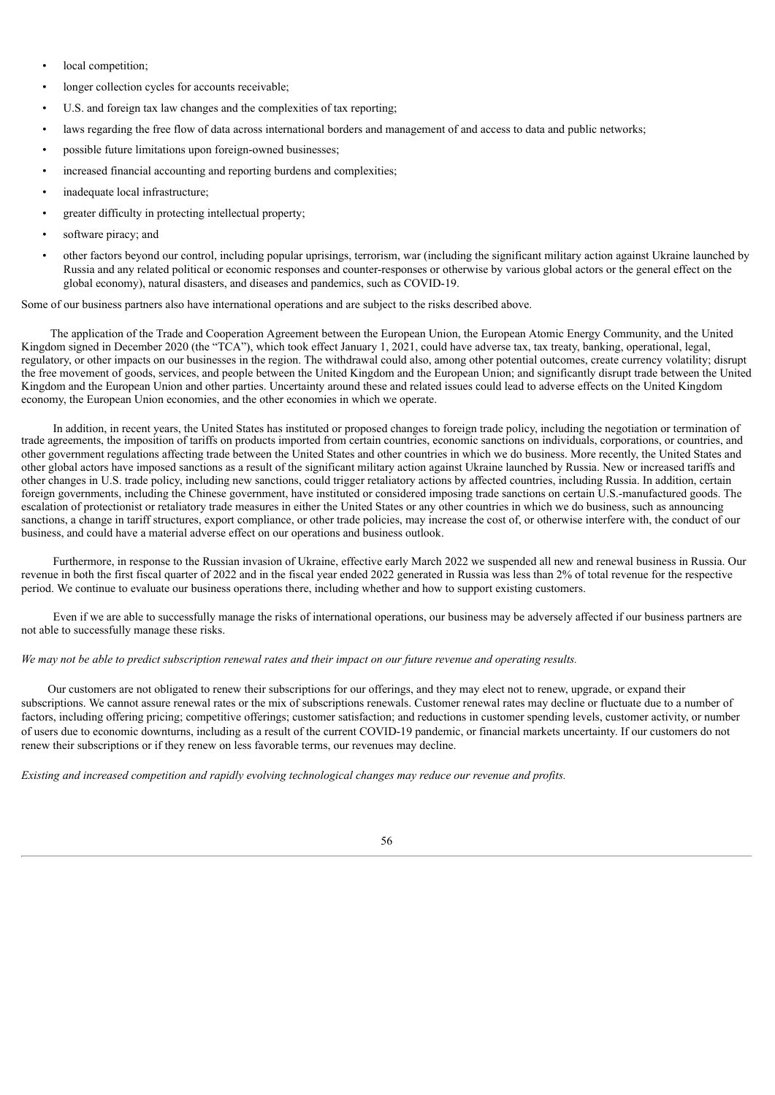- local competition;
- longer collection cycles for accounts receivable;
- U.S. and foreign tax law changes and the complexities of tax reporting;
- laws regarding the free flow of data across international borders and management of and access to data and public networks;
- possible future limitations upon foreign-owned businesses;
- increased financial accounting and reporting burdens and complexities;
- inadequate local infrastructure;
- greater difficulty in protecting intellectual property;
- software piracy; and
- other factors beyond our control, including popular uprisings, terrorism, war (including the significant military action against Ukraine launched by Russia and any related political or economic responses and counter-responses or otherwise by various global actors or the general effect on the global economy), natural disasters, and diseases and pandemics, such as COVID-19.

Some of our business partners also have international operations and are subject to the risks described above.

The application of the Trade and Cooperation Agreement between the European Union, the European Atomic Energy Community, and the United Kingdom signed in December 2020 (the "TCA"), which took effect January 1, 2021, could have adverse tax, tax treaty, banking, operational, legal, regulatory, or other impacts on our businesses in the region. The withdrawal could also, among other potential outcomes, create currency volatility; disrupt the free movement of goods, services, and people between the United Kingdom and the European Union; and significantly disrupt trade between the United Kingdom and the European Union and other parties. Uncertainty around these and related issues could lead to adverse effects on the United Kingdom economy, the European Union economies, and the other economies in which we operate.

In addition, in recent years, the United States has instituted or proposed changes to foreign trade policy, including the negotiation or termination of trade agreements, the imposition of tariffs on products imported from certain countries, economic sanctions on individuals, corporations, or countries, and other government regulations affecting trade between the United States and other countries in which we do business. More recently, the United States and other global actors have imposed sanctions as a result of the significant military action against Ukraine launched by Russia. New or increased tariffs and other changes in U.S. trade policy, including new sanctions, could trigger retaliatory actions by affected countries, including Russia. In addition, certain foreign governments, including the Chinese government, have instituted or considered imposing trade sanctions on certain U.S.-manufactured goods. The escalation of protectionist or retaliatory trade measures in either the United States or any other countries in which we do business, such as announcing sanctions, a change in tariff structures, export compliance, or other trade policies, may increase the cost of, or otherwise interfere with, the conduct of our business, and could have a material adverse effect on our operations and business outlook.

Furthermore, in response to the Russian invasion of Ukraine, effective early March 2022 we suspended all new and renewal business in Russia. Our revenue in both the first fiscal quarter of 2022 and in the fiscal year ended 2022 generated in Russia was less than 2% of total revenue for the respective period. We continue to evaluate our business operations there, including whether and how to support existing customers.

Even if we are able to successfully manage the risks of international operations, our business may be adversely affected if our business partners are not able to successfully manage these risks.

### We may not be able to predict subscription renewal rates and their impact on our future revenue and operating results.

Our customers are not obligated to renew their subscriptions for our offerings, and they may elect not to renew, upgrade, or expand their subscriptions. We cannot assure renewal rates or the mix of subscriptions renewals. Customer renewal rates may decline or fluctuate due to a number of factors, including offering pricing; competitive offerings; customer satisfaction; and reductions in customer spending levels, customer activity, or number of users due to economic downturns, including as a result of the current COVID-19 pandemic, or financial markets uncertainty. If our customers do not renew their subscriptions or if they renew on less favorable terms, our revenues may decline.

*Existing and increased competition and rapidly evolving technological changes may reduce our revenue and profits.*

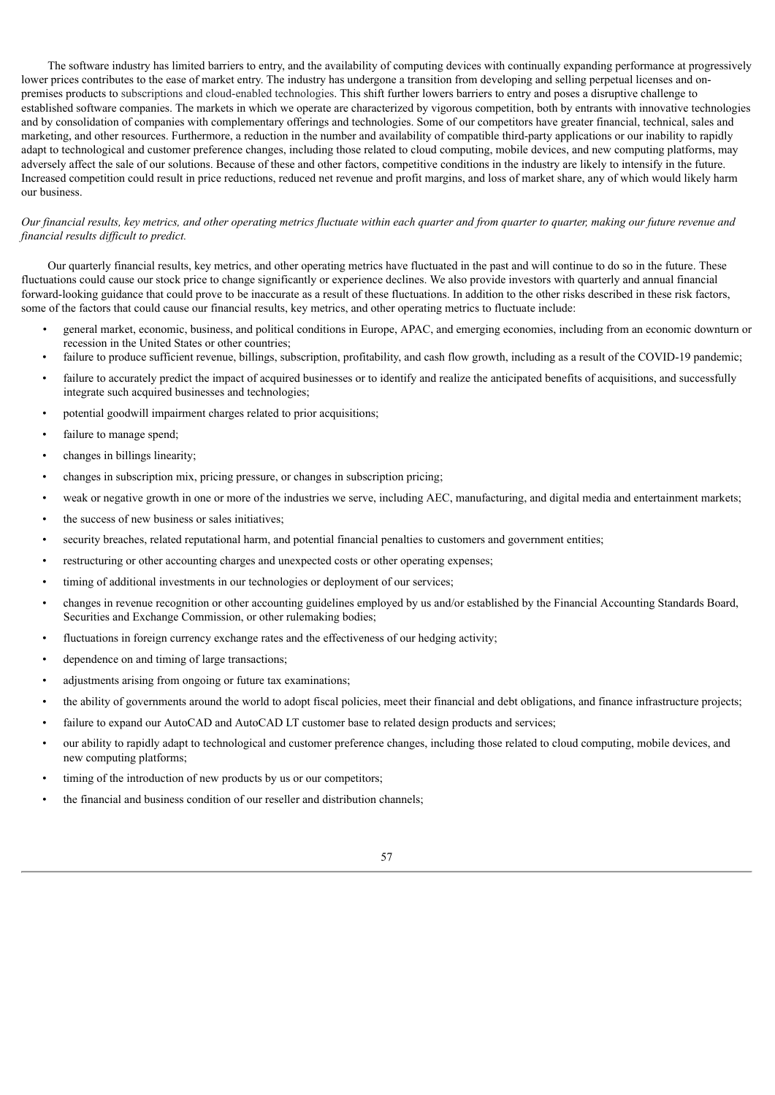The software industry has limited barriers to entry, and the availability of computing devices with continually expanding performance at progressively lower prices contributes to the ease of market entry. The industry has undergone a transition from developing and selling perpetual licenses and onpremises products to subscriptions and cloud-enabled technologies. This shift further lowers barriers to entry and poses a disruptive challenge to established software companies. The markets in which we operate are characterized by vigorous competition, both by entrants with innovative technologies and by consolidation of companies with complementary offerings and technologies. Some of our competitors have greater financial, technical, sales and marketing, and other resources. Furthermore, a reduction in the number and availability of compatible third-party applications or our inability to rapidly adapt to technological and customer preference changes, including those related to cloud computing, mobile devices, and new computing platforms, may adversely affect the sale of our solutions. Because of these and other factors, competitive conditions in the industry are likely to intensify in the future. Increased competition could result in price reductions, reduced net revenue and profit margins, and loss of market share, any of which would likely harm our business.

## Our financial results, key metrics, and other operating metrics fluctuate within each quarter and from quarter to quarter, making our future revenue and *financial results dif icult to predict.*

Our quarterly financial results, key metrics, and other operating metrics have fluctuated in the past and will continue to do so in the future. These fluctuations could cause our stock price to change significantly or experience declines. We also provide investors with quarterly and annual financial forward-looking guidance that could prove to be inaccurate as a result of these fluctuations. In addition to the other risks described in these risk factors, some of the factors that could cause our financial results, key metrics, and other operating metrics to fluctuate include:

- *•* general market, economic, business, and political conditions in Europe, APAC, and emerging economies, including from an economic downturn or recession in the United States or other countries;
- failure to produce sufficient revenue, billings, subscription, profitability, and cash flow growth, including as a result of the COVID-19 pandemic;
- failure to accurately predict the impact of acquired businesses or to identify and realize the anticipated benefits of acquisitions, and successfully integrate such acquired businesses and technologies;
- potential goodwill impairment charges related to prior acquisitions;
- failure to manage spend;
- changes in billings linearity;
- changes in subscription mix, pricing pressure, or changes in subscription pricing;
- weak or negative growth in one or more of the industries we serve, including AEC, manufacturing, and digital media and entertainment markets;
- the success of new business or sales initiatives;
- security breaches, related reputational harm, and potential financial penalties to customers and government entities;
- restructuring or other accounting charges and unexpected costs or other operating expenses;
- timing of additional investments in our technologies or deployment of our services;
- changes in revenue recognition or other accounting guidelines employed by us and/or established by the Financial Accounting Standards Board, Securities and Exchange Commission, or other rulemaking bodies;
- fluctuations in foreign currency exchange rates and the effectiveness of our hedging activity;
- dependence on and timing of large transactions;
- adjustments arising from ongoing or future tax examinations;
- the ability of governments around the world to adopt fiscal policies, meet their financial and debt obligations, and finance infrastructure projects;
- failure to expand our AutoCAD and AutoCAD LT customer base to related design products and services;
- our ability to rapidly adapt to technological and customer preference changes, including those related to cloud computing, mobile devices, and new computing platforms;
- timing of the introduction of new products by us or our competitors;
- the financial and business condition of our reseller and distribution channels;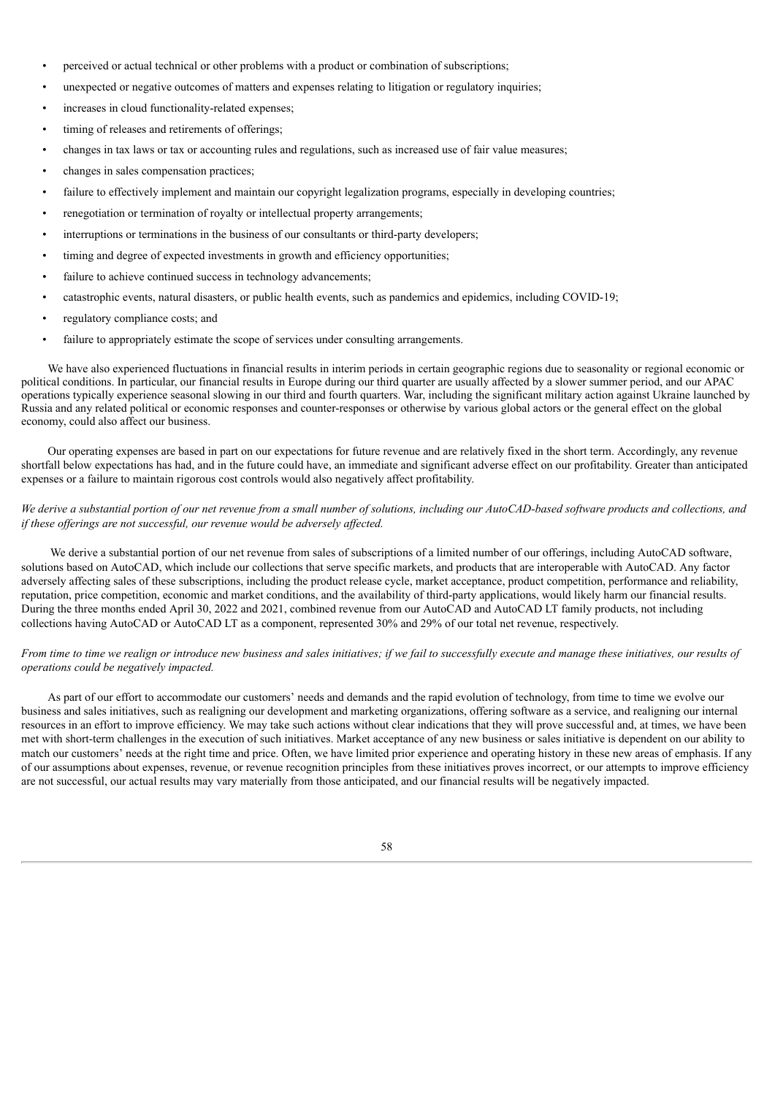- perceived or actual technical or other problems with a product or combination of subscriptions;
- unexpected or negative outcomes of matters and expenses relating to litigation or regulatory inquiries;
- increases in cloud functionality-related expenses;
- timing of releases and retirements of offerings:
- changes in tax laws or tax or accounting rules and regulations, such as increased use of fair value measures;
- changes in sales compensation practices;
- failure to effectively implement and maintain our copyright legalization programs, especially in developing countries;
- renegotiation or termination of royalty or intellectual property arrangements;
- interruptions or terminations in the business of our consultants or third-party developers;
- timing and degree of expected investments in growth and efficiency opportunities;
- failure to achieve continued success in technology advancements;
- catastrophic events, natural disasters, or public health events, such as pandemics and epidemics, including COVID-19;
- regulatory compliance costs; and
- failure to appropriately estimate the scope of services under consulting arrangements.

We have also experienced fluctuations in financial results in interim periods in certain geographic regions due to seasonality or regional economic or political conditions. In particular, our financial results in Europe during our third quarter are usually affected by a slower summer period, and our APAC operations typically experience seasonal slowing in our third and fourth quarters. War, including the significant military action against Ukraine launched by Russia and any related political or economic responses and counter-responses or otherwise by various global actors or the general effect on the global economy, could also affect our business.

Our operating expenses are based in part on our expectations for future revenue and are relatively fixed in the short term. Accordingly, any revenue shortfall below expectations has had, and in the future could have, an immediate and significant adverse effect on our profitability. Greater than anticipated expenses or a failure to maintain rigorous cost controls would also negatively affect profitability.

# We derive a substantial portion of our net revenue from a small number of solutions, including our AutoCAD-based software products and collections, and *if these of erings are not successful, our revenue would be adversely af ected.*

We derive a substantial portion of our net revenue from sales of subscriptions of a limited number of our offerings, including AutoCAD software, solutions based on AutoCAD, which include our collections that serve specific markets, and products that are interoperable with AutoCAD. Any factor adversely affecting sales of these subscriptions, including the product release cycle, market acceptance, product competition, performance and reliability, reputation, price competition, economic and market conditions, and the availability of third-party applications, would likely harm our financial results. During the three months ended April 30, 2022 and 2021, combined revenue from our AutoCAD and AutoCAD LT family products, not including collections having AutoCAD or AutoCAD LT as a component, represented 30% and 29% of our total net revenue, respectively.

# From time to time we realign or introduce new business and sales initiatives; if we fail to successfully execute and manage these initiatives, our results of *operations could be negatively impacted.*

As part of our effort to accommodate our customers' needs and demands and the rapid evolution of technology, from time to time we evolve our business and sales initiatives, such as realigning our development and marketing organizations, offering software as a service, and realigning our internal resources in an effort to improve efficiency. We may take such actions without clear indications that they will prove successful and, at times, we have been met with short-term challenges in the execution of such initiatives. Market acceptance of any new business or sales initiative is dependent on our ability to match our customers' needs at the right time and price. Often, we have limited prior experience and operating history in these new areas of emphasis. If any of our assumptions about expenses, revenue, or revenue recognition principles from these initiatives proves incorrect, or our attempts to improve efficiency are not successful, our actual results may vary materially from those anticipated, and our financial results will be negatively impacted.

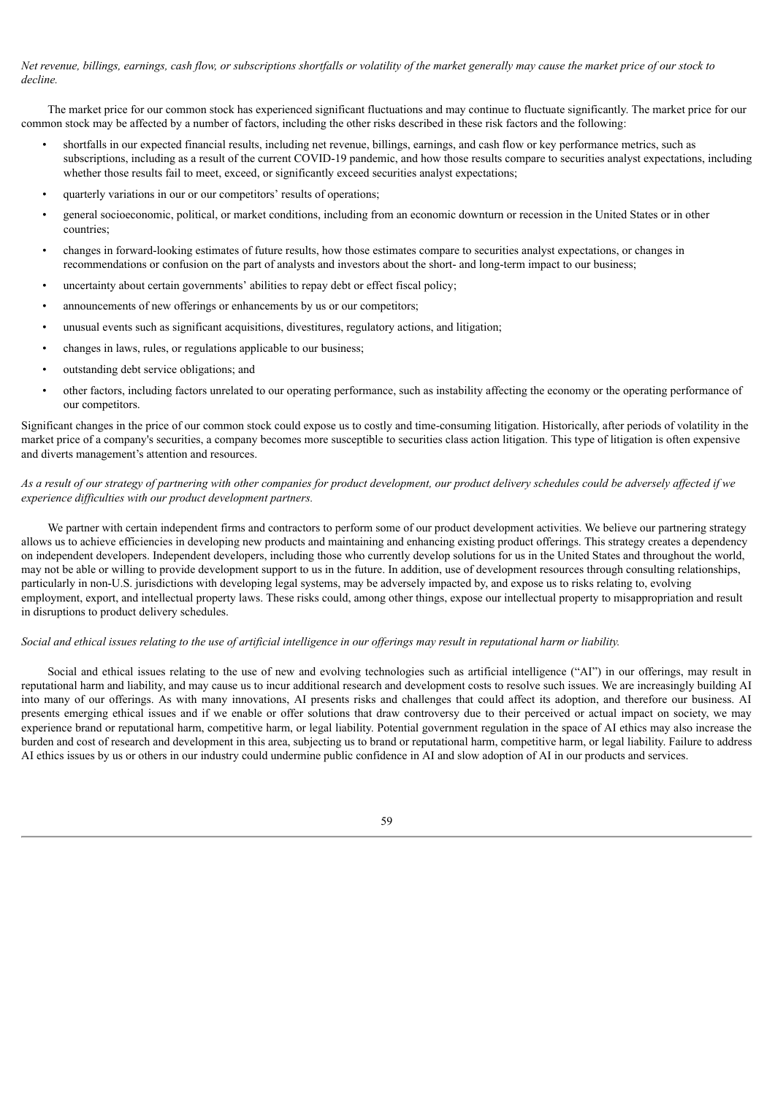Net revenue, billings, earnings, cash flow, or subscriptions shortfalls or volatility of the market generally may cause the market price of our stock to *decline.*

The market price for our common stock has experienced significant fluctuations and may continue to fluctuate significantly. The market price for our common stock may be affected by a number of factors, including the other risks described in these risk factors and the following:

- shortfalls in our expected financial results, including net revenue, billings, earnings, and cash flow or key performance metrics, such as subscriptions, including as a result of the current COVID-19 pandemic, and how those results compare to securities analyst expectations, including whether those results fail to meet, exceed, or significantly exceed securities analyst expectations;
- quarterly variations in our or our competitors' results of operations;
- general socioeconomic, political, or market conditions, including from an economic downturn or recession in the United States or in other countries;
- changes in forward-looking estimates of future results, how those estimates compare to securities analyst expectations, or changes in recommendations or confusion on the part of analysts and investors about the short- and long-term impact to our business;
- uncertainty about certain governments' abilities to repay debt or effect fiscal policy;
- announcements of new offerings or enhancements by us or our competitors;
- unusual events such as significant acquisitions, divestitures, regulatory actions, and litigation;
- changes in laws, rules, or regulations applicable to our business;
- outstanding debt service obligations; and
- other factors, including factors unrelated to our operating performance, such as instability affecting the economy or the operating performance of our competitors.

Significant changes in the price of our common stock could expose us to costly and time-consuming litigation. Historically, after periods of volatility in the market price of a company's securities, a company becomes more susceptible to securities class action litigation. This type of litigation is often expensive and diverts management's attention and resources.

### As a result of our strategy of partnering with other companies for product development, our product delivery schedules could be adversely affected if we *experience dif iculties with our product development partners.*

We partner with certain independent firms and contractors to perform some of our product development activities. We believe our partnering strategy allows us to achieve efficiencies in developing new products and maintaining and enhancing existing product offerings. This strategy creates a dependency on independent developers. Independent developers, including those who currently develop solutions for us in the United States and throughout the world, may not be able or willing to provide development support to us in the future. In addition, use of development resources through consulting relationships, particularly in non-U.S. jurisdictions with developing legal systems, may be adversely impacted by, and expose us to risks relating to, evolving employment, export, and intellectual property laws. These risks could, among other things, expose our intellectual property to misappropriation and result in disruptions to product delivery schedules.

#### Social and ethical issues relating to the use of artificial intelligence in our offerings may result in reputational harm or liability.

Social and ethical issues relating to the use of new and evolving technologies such as artificial intelligence ("AI") in our offerings, may result in reputational harm and liability, and may cause us to incur additional research and development costs to resolve such issues. We are increasingly building AI into many of our offerings. As with many innovations, AI presents risks and challenges that could affect its adoption, and therefore our business. AI presents emerging ethical issues and if we enable or offer solutions that draw controversy due to their perceived or actual impact on society, we may experience brand or reputational harm, competitive harm, or legal liability. Potential government regulation in the space of AI ethics may also increase the burden and cost of research and development in this area, subjecting us to brand or reputational harm, competitive harm, or legal liability. Failure to address AI ethics issues by us or others in our industry could undermine public confidence in AI and slow adoption of AI in our products and services.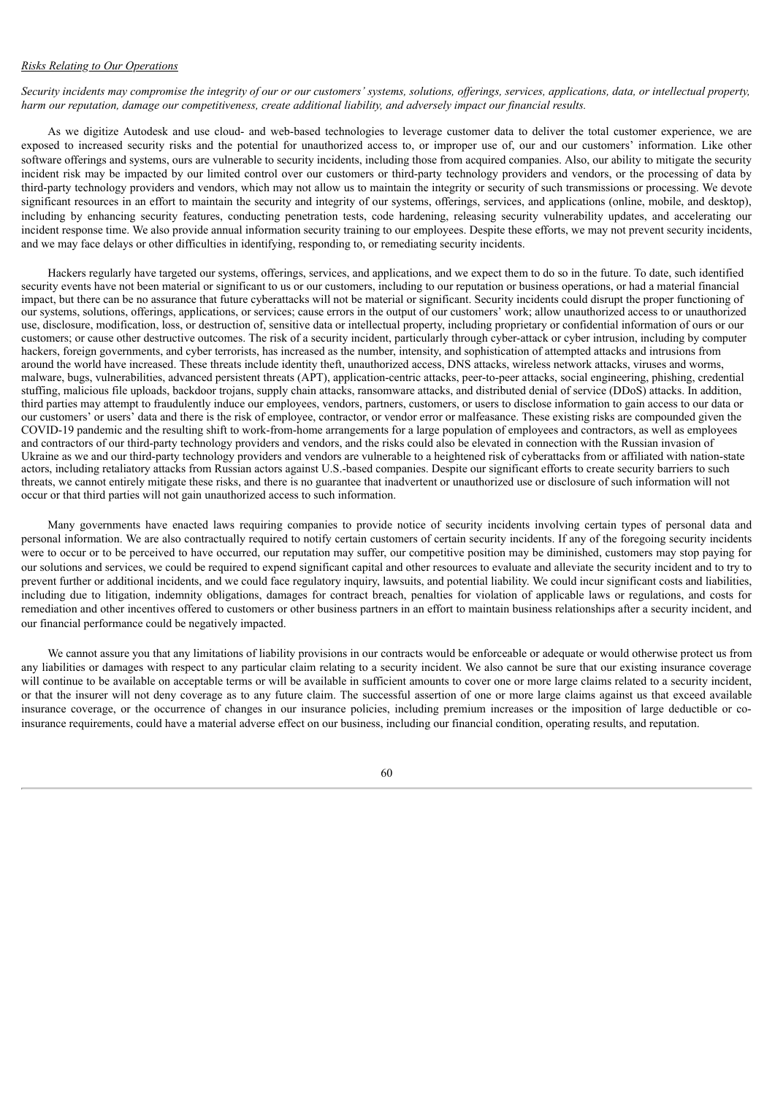## *Risks Relating to Our Operations*

Security incidents may compromise the integrity of our or our customers' systems, solutions, offerings, services, applications, data, or intellectual property, harm our reputation, damage our competitiveness, create additional liability, and adversely impact our financial results.

As we digitize Autodesk and use cloud- and web-based technologies to leverage customer data to deliver the total customer experience, we are exposed to increased security risks and the potential for unauthorized access to, or improper use of, our and our customers' information. Like other software offerings and systems, ours are vulnerable to security incidents, including those from acquired companies. Also, our ability to mitigate the security incident risk may be impacted by our limited control over our customers or third-party technology providers and vendors, or the processing of data by third-party technology providers and vendors, which may not allow us to maintain the integrity or security of such transmissions or processing. We devote significant resources in an effort to maintain the security and integrity of our systems, offerings, services, and applications (online, mobile, and desktop), including by enhancing security features, conducting penetration tests, code hardening, releasing security vulnerability updates, and accelerating our incident response time. We also provide annual information security training to our employees. Despite these efforts, we may not prevent security incidents, and we may face delays or other difficulties in identifying, responding to, or remediating security incidents.

Hackers regularly have targeted our systems, offerings, services, and applications, and we expect them to do so in the future. To date, such identified security events have not been material or significant to us or our customers, including to our reputation or business operations, or had a material financial impact, but there can be no assurance that future cyberattacks will not be material or significant. Security incidents could disrupt the proper functioning of our systems, solutions, offerings, applications, or services; cause errors in the output of our customers' work; allow unauthorized access to or unauthorized use, disclosure, modification, loss, or destruction of, sensitive data or intellectual property, including proprietary or confidential information of ours or our customers; or cause other destructive outcomes. The risk of a security incident, particularly through cyber-attack or cyber intrusion, including by computer hackers, foreign governments, and cyber terrorists, has increased as the number, intensity, and sophistication of attempted attacks and intrusions from around the world have increased. These threats include identity theft, unauthorized access, DNS attacks, wireless network attacks, viruses and worms, malware, bugs, vulnerabilities, advanced persistent threats (APT), application-centric attacks, peer-to-peer attacks, social engineering, phishing, credential stuffing, malicious file uploads, backdoor trojans, supply chain attacks, ransomware attacks, and distributed denial of service (DDoS) attacks. In addition, third parties may attempt to fraudulently induce our employees, vendors, partners, customers, or users to disclose information to gain access to our data or our customers' or users' data and there is the risk of employee, contractor, or vendor error or malfeasance. These existing risks are compounded given the COVID-19 pandemic and the resulting shift to work-from-home arrangements for a large population of employees and contractors, as well as employees and contractors of our third-party technology providers and vendors, and the risks could also be elevated in connection with the Russian invasion of Ukraine as we and our third-party technology providers and vendors are vulnerable to a heightened risk of cyberattacks from or affiliated with nation-state actors, including retaliatory attacks from Russian actors against U.S.-based companies. Despite our significant efforts to create security barriers to such threats, we cannot entirely mitigate these risks, and there is no guarantee that inadvertent or unauthorized use or disclosure of such information will not occur or that third parties will not gain unauthorized access to such information.

Many governments have enacted laws requiring companies to provide notice of security incidents involving certain types of personal data and personal information. We are also contractually required to notify certain customers of certain security incidents. If any of the foregoing security incidents were to occur or to be perceived to have occurred, our reputation may suffer, our competitive position may be diminished, customers may stop paying for our solutions and services, we could be required to expend significant capital and other resources to evaluate and alleviate the security incident and to try to prevent further or additional incidents, and we could face regulatory inquiry, lawsuits, and potential liability. We could incur significant costs and liabilities, including due to litigation, indemnity obligations, damages for contract breach, penalties for violation of applicable laws or regulations, and costs for remediation and other incentives offered to customers or other business partners in an effort to maintain business relationships after a security incident, and our financial performance could be negatively impacted.

We cannot assure you that any limitations of liability provisions in our contracts would be enforceable or adequate or would otherwise protect us from any liabilities or damages with respect to any particular claim relating to a security incident. We also cannot be sure that our existing insurance coverage will continue to be available on acceptable terms or will be available in sufficient amounts to cover one or more large claims related to a security incident, or that the insurer will not deny coverage as to any future claim. The successful assertion of one or more large claims against us that exceed available insurance coverage, or the occurrence of changes in our insurance policies, including premium increases or the imposition of large deductible or coinsurance requirements, could have a material adverse effect on our business, including our financial condition, operating results, and reputation.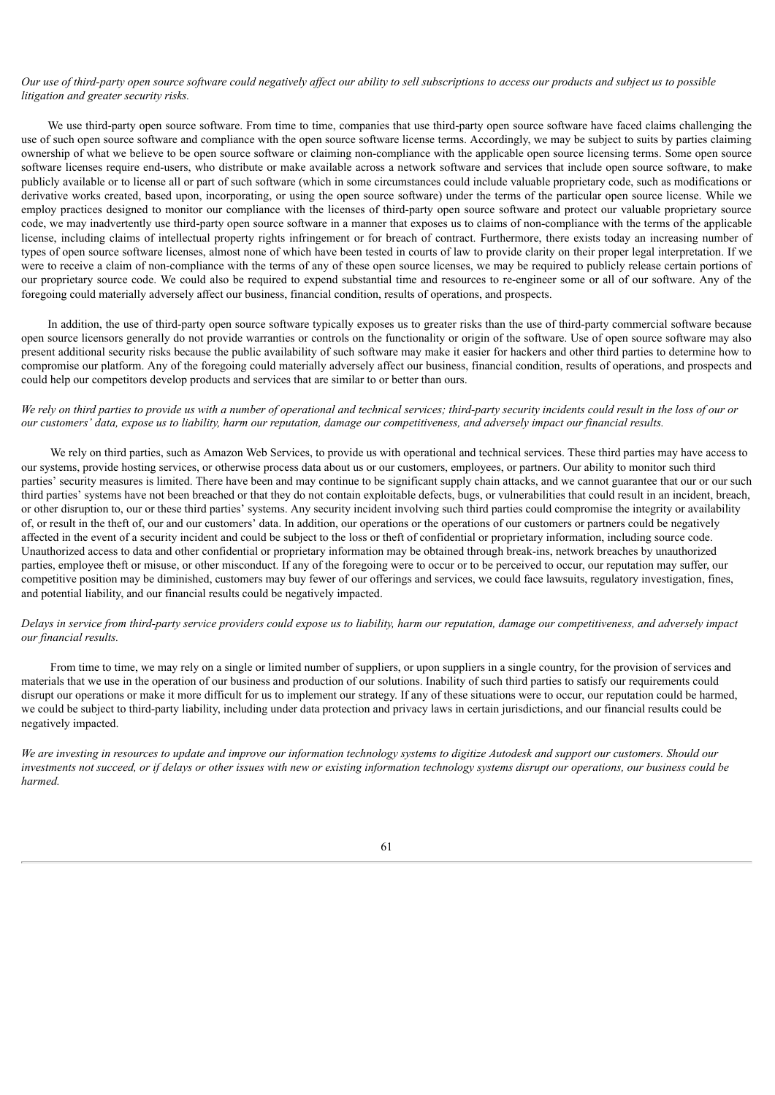## Our use of third-party open source software could negatively affect our ability to sell subscriptions to access our products and subject us to possible *litigation and greater security risks.*

We use third-party open source software. From time to time, companies that use third-party open source software have faced claims challenging the use of such open source software and compliance with the open source software license terms. Accordingly, we may be subject to suits by parties claiming ownership of what we believe to be open source software or claiming non-compliance with the applicable open source licensing terms. Some open source software licenses require end-users, who distribute or make available across a network software and services that include open source software, to make publicly available or to license all or part of such software (which in some circumstances could include valuable proprietary code, such as modifications or derivative works created, based upon, incorporating, or using the open source software) under the terms of the particular open source license. While we employ practices designed to monitor our compliance with the licenses of third-party open source software and protect our valuable proprietary source code, we may inadvertently use third-party open source software in a manner that exposes us to claims of non-compliance with the terms of the applicable license, including claims of intellectual property rights infringement or for breach of contract. Furthermore, there exists today an increasing number of types of open source software licenses, almost none of which have been tested in courts of law to provide clarity on their proper legal interpretation. If we were to receive a claim of non-compliance with the terms of any of these open source licenses, we may be required to publicly release certain portions of our proprietary source code. We could also be required to expend substantial time and resources to re-engineer some or all of our software. Any of the foregoing could materially adversely affect our business, financial condition, results of operations, and prospects.

In addition, the use of third-party open source software typically exposes us to greater risks than the use of third-party commercial software because open source licensors generally do not provide warranties or controls on the functionality or origin of the software. Use of open source software may also present additional security risks because the public availability of such software may make it easier for hackers and other third parties to determine how to compromise our platform. Any of the foregoing could materially adversely affect our business, financial condition, results of operations, and prospects and could help our competitors develop products and services that are similar to or better than ours.

# We rely on third parties to provide us with a number of operational and technical services: third-party security incidents could result in the loss of our or our customers' data, expose us to liability, harm our reputation, damage our competitiveness, and adversely impact our financial results.

We rely on third parties, such as Amazon Web Services, to provide us with operational and technical services. These third parties may have access to our systems, provide hosting services, or otherwise process data about us or our customers, employees, or partners. Our ability to monitor such third parties' security measures is limited. There have been and may continue to be significant supply chain attacks, and we cannot guarantee that our or our such third parties' systems have not been breached or that they do not contain exploitable defects, bugs, or vulnerabilities that could result in an incident, breach, or other disruption to, our or these third parties' systems. Any security incident involving such third parties could compromise the integrity or availability of, or result in the theft of, our and our customers' data. In addition, our operations or the operations of our customers or partners could be negatively affected in the event of a security incident and could be subject to the loss or theft of confidential or proprietary information, including source code. Unauthorized access to data and other confidential or proprietary information may be obtained through break-ins, network breaches by unauthorized parties, employee theft or misuse, or other misconduct. If any of the foregoing were to occur or to be perceived to occur, our reputation may suffer, our competitive position may be diminished, customers may buy fewer of our offerings and services, we could face lawsuits, regulatory investigation, fines, and potential liability, and our financial results could be negatively impacted.

### Delays in service from third-party service providers could expose us to liability, harm our reputation, damage our competitiveness, and adversely impact *our financial results.*

From time to time, we may rely on a single or limited number of suppliers, or upon suppliers in a single country, for the provision of services and materials that we use in the operation of our business and production of our solutions. Inability of such third parties to satisfy our requirements could disrupt our operations or make it more difficult for us to implement our strategy. If any of these situations were to occur, our reputation could be harmed, we could be subject to third-party liability, including under data protection and privacy laws in certain jurisdictions, and our financial results could be negatively impacted.

We are investing in resources to update and improve our information technology systems to digitize Autodesk and support our customers. Should our investments not succeed, or if delays or other issues with new or existing information technology systems disrupt our operations, our business could be *harmed.*

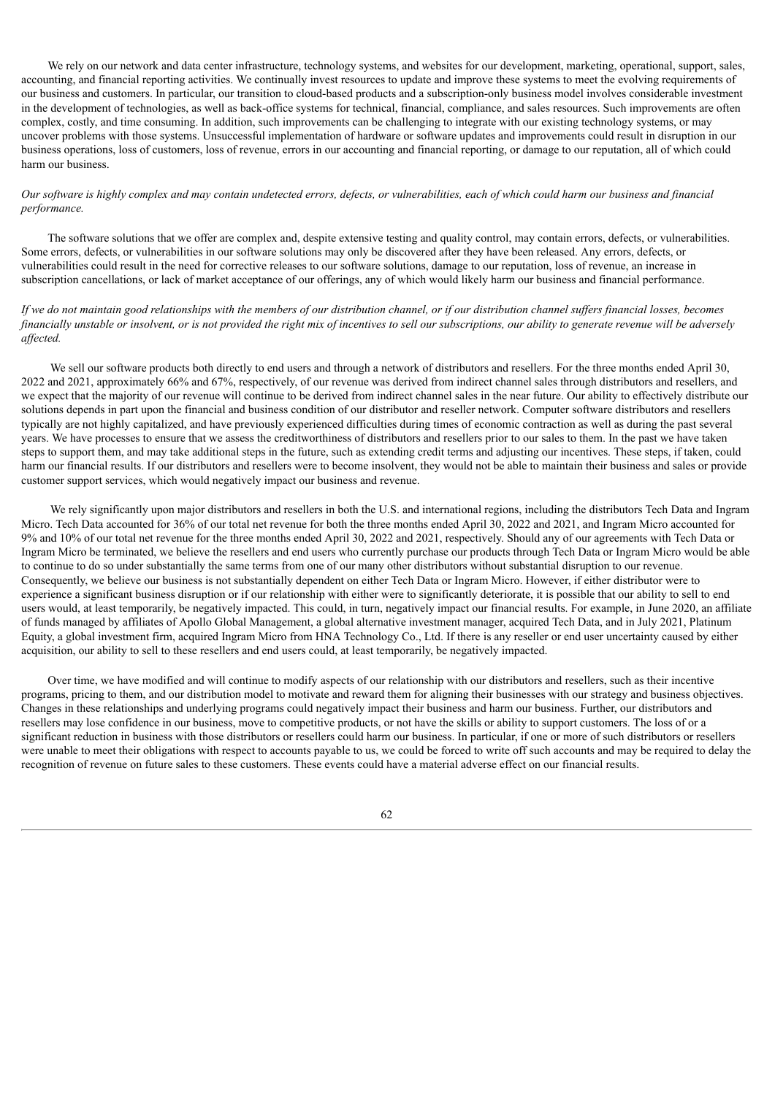We rely on our network and data center infrastructure, technology systems, and websites for our development, marketing, operational, support, sales, accounting, and financial reporting activities. We continually invest resources to update and improve these systems to meet the evolving requirements of our business and customers. In particular, our transition to cloud-based products and a subscription-only business model involves considerable investment in the development of technologies, as well as back-office systems for technical, financial, compliance, and sales resources. Such improvements are often complex, costly, and time consuming. In addition, such improvements can be challenging to integrate with our existing technology systems, or may uncover problems with those systems. Unsuccessful implementation of hardware or software updates and improvements could result in disruption in our business operations, loss of customers, loss of revenue, errors in our accounting and financial reporting, or damage to our reputation, all of which could harm our business.

## Our software is highly complex and may contain undetected errors, defects, or vulnerabilities, each of which could harm our business and financial *performance.*

The software solutions that we offer are complex and, despite extensive testing and quality control, may contain errors, defects, or vulnerabilities. Some errors, defects, or vulnerabilities in our software solutions may only be discovered after they have been released. Any errors, defects, or vulnerabilities could result in the need for corrective releases to our software solutions, damage to our reputation, loss of revenue, an increase in subscription cancellations, or lack of market acceptance of our offerings, any of which would likely harm our business and financial performance.

# If we do not maintain good relationships with the members of our distribution channel, or if our distribution channel suffers financial losses, becomes financially unstable or insolvent, or is not provided the right mix of incentives to sell our subscriptions, our ability to generate revenue will be adversely *af ected.*

We sell our software products both directly to end users and through a network of distributors and resellers. For the three months ended April 30, 2022 and 2021, approximately 66% and 67%, respectively, of our revenue was derived from indirect channel sales through distributors and resellers, and we expect that the majority of our revenue will continue to be derived from indirect channel sales in the near future. Our ability to effectively distribute our solutions depends in part upon the financial and business condition of our distributor and reseller network. Computer software distributors and resellers typically are not highly capitalized, and have previously experienced difficulties during times of economic contraction as well as during the past several years. We have processes to ensure that we assess the creditworthiness of distributors and resellers prior to our sales to them. In the past we have taken steps to support them, and may take additional steps in the future, such as extending credit terms and adjusting our incentives. These steps, if taken, could harm our financial results. If our distributors and resellers were to become insolvent, they would not be able to maintain their business and sales or provide customer support services, which would negatively impact our business and revenue.

We rely significantly upon major distributors and resellers in both the U.S. and international regions, including the distributors Tech Data and Ingram Micro. Tech Data accounted for 36% of our total net revenue for both the three months ended April 30, 2022 and 2021, and Ingram Micro accounted for 9% and 10% of our total net revenue for the three months ended April 30, 2022 and 2021, respectively. Should any of our agreements with Tech Data or Ingram Micro be terminated, we believe the resellers and end users who currently purchase our products through Tech Data or Ingram Micro would be able to continue to do so under substantially the same terms from one of our many other distributors without substantial disruption to our revenue. Consequently, we believe our business is not substantially dependent on either Tech Data or Ingram Micro. However, if either distributor were to experience a significant business disruption or if our relationship with either were to significantly deteriorate, it is possible that our ability to sell to end users would, at least temporarily, be negatively impacted. This could, in turn, negatively impact our financial results. For example, in June 2020, an affiliate of funds managed by affiliates of Apollo Global Management, a global alternative investment manager, acquired Tech Data, and in July 2021, Platinum Equity, a global investment firm, acquired Ingram Micro from HNA Technology Co., Ltd. If there is any reseller or end user uncertainty caused by either acquisition, our ability to sell to these resellers and end users could, at least temporarily, be negatively impacted.

Over time, we have modified and will continue to modify aspects of our relationship with our distributors and resellers, such as their incentive programs, pricing to them, and our distribution model to motivate and reward them for aligning their businesses with our strategy and business objectives. Changes in these relationships and underlying programs could negatively impact their business and harm our business. Further, our distributors and resellers may lose confidence in our business, move to competitive products, or not have the skills or ability to support customers. The loss of or a significant reduction in business with those distributors or resellers could harm our business. In particular, if one or more of such distributors or resellers were unable to meet their obligations with respect to accounts payable to us, we could be forced to write off such accounts and may be required to delay the recognition of revenue on future sales to these customers. These events could have a material adverse effect on our financial results.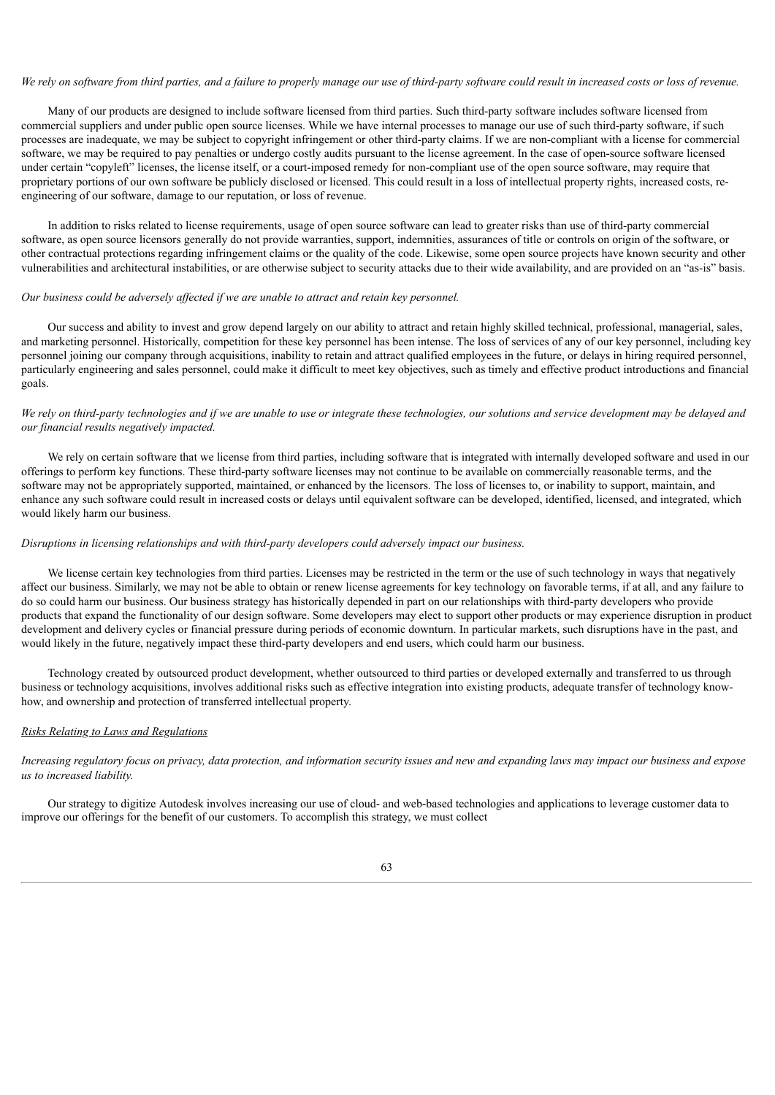### We rely on software from third parties, and a failure to properly manage our use of third-party software could result in increased costs or loss of revenue.

Many of our products are designed to include software licensed from third parties. Such third-party software includes software licensed from commercial suppliers and under public open source licenses. While we have internal processes to manage our use of such third-party software, if such processes are inadequate, we may be subject to copyright infringement or other third-party claims. If we are non-compliant with a license for commercial software, we may be required to pay penalties or undergo costly audits pursuant to the license agreement. In the case of open-source software licensed under certain "copyleft" licenses, the license itself, or a court-imposed remedy for non-compliant use of the open source software, may require that proprietary portions of our own software be publicly disclosed or licensed. This could result in a loss of intellectual property rights, increased costs, reengineering of our software, damage to our reputation, or loss of revenue.

In addition to risks related to license requirements, usage of open source software can lead to greater risks than use of third-party commercial software, as open source licensors generally do not provide warranties, support, indemnities, assurances of title or controls on origin of the software, or other contractual protections regarding infringement claims or the quality of the code. Likewise, some open source projects have known security and other vulnerabilities and architectural instabilities, or are otherwise subject to security attacks due to their wide availability, and are provided on an "as-is" basis.

### *Our business could be adversely af ected if we are unable to attract and retain key personnel.*

Our success and ability to invest and grow depend largely on our ability to attract and retain highly skilled technical, professional, managerial, sales, and marketing personnel. Historically, competition for these key personnel has been intense. The loss of services of any of our key personnel, including key personnel joining our company through acquisitions, inability to retain and attract qualified employees in the future, or delays in hiring required personnel, particularly engineering and sales personnel, could make it difficult to meet key objectives, such as timely and effective product introductions and financial goals.

We rely on third-party technologies and if we are unable to use or integrate these technologies, our solutions and service development may be delayed and *our financial results negatively impacted.*

We rely on certain software that we license from third parties, including software that is integrated with internally developed software and used in our offerings to perform key functions. These third-party software licenses may not continue to be available on commercially reasonable terms, and the software may not be appropriately supported, maintained, or enhanced by the licensors. The loss of licenses to, or inability to support, maintain, and enhance any such software could result in increased costs or delays until equivalent software can be developed, identified, licensed, and integrated, which would likely harm our business.

#### *Disruptions in licensing relationships and with third-party developers could adversely impact our business.*

We license certain key technologies from third parties. Licenses may be restricted in the term or the use of such technology in ways that negatively affect our business. Similarly, we may not be able to obtain or renew license agreements for key technology on favorable terms, if at all, and any failure to do so could harm our business. Our business strategy has historically depended in part on our relationships with third-party developers who provide products that expand the functionality of our design software. Some developers may elect to support other products or may experience disruption in product development and delivery cycles or financial pressure during periods of economic downturn. In particular markets, such disruptions have in the past, and would likely in the future, negatively impact these third-party developers and end users, which could harm our business.

Technology created by outsourced product development, whether outsourced to third parties or developed externally and transferred to us through business or technology acquisitions, involves additional risks such as effective integration into existing products, adequate transfer of technology knowhow, and ownership and protection of transferred intellectual property.

# *Risks Relating to Laws and Regulations*

Increasing regulatory focus on privacy, data protection, and information security issues and new and expanding laws may impact our business and expose *us to increased liability.*

Our strategy to digitize Autodesk involves increasing our use of cloud- and web-based technologies and applications to leverage customer data to improve our offerings for the benefit of our customers. To accomplish this strategy, we must collect

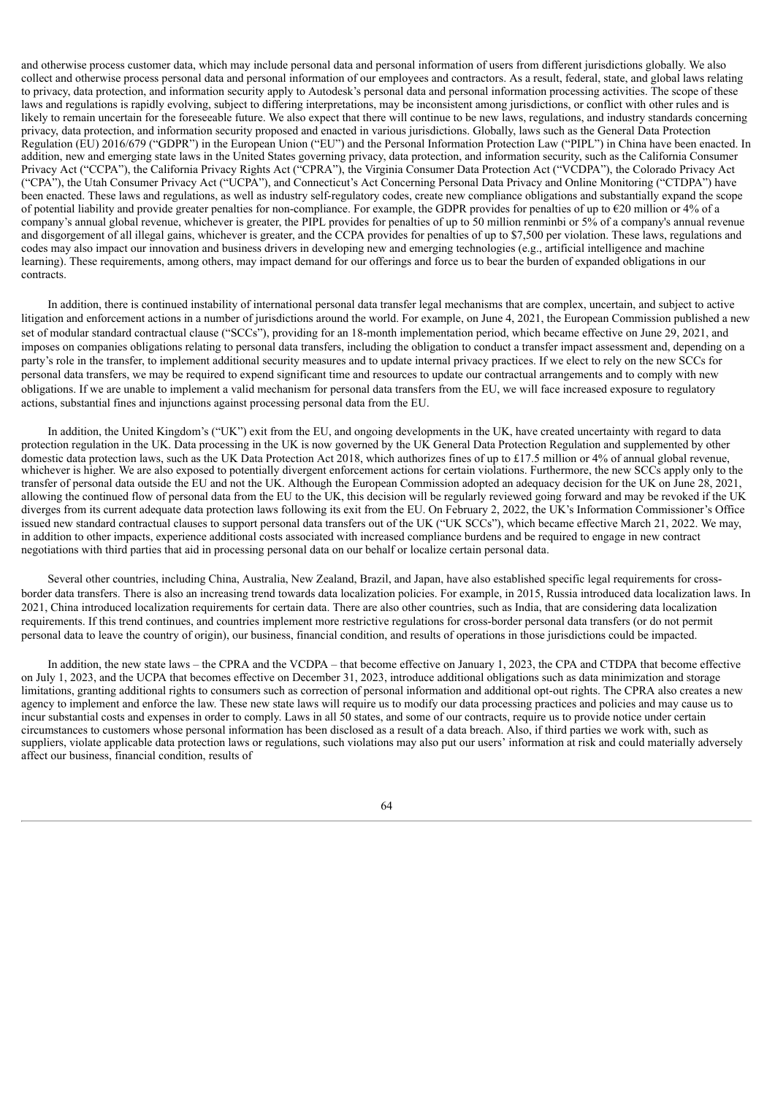and otherwise process customer data, which may include personal data and personal information of users from different jurisdictions globally. We also collect and otherwise process personal data and personal information of our employees and contractors. As a result, federal, state, and global laws relating to privacy, data protection, and information security apply to Autodesk's personal data and personal information processing activities. The scope of these laws and regulations is rapidly evolving, subject to differing interpretations, may be inconsistent among jurisdictions, or conflict with other rules and is likely to remain uncertain for the foreseeable future. We also expect that there will continue to be new laws, regulations, and industry standards concerning privacy, data protection, and information security proposed and enacted in various jurisdictions. Globally, laws such as the General Data Protection Regulation (EU) 2016/679 ("GDPR") in the European Union ("EU") and the Personal Information Protection Law ("PIPL") in China have been enacted. In addition, new and emerging state laws in the United States governing privacy, data protection, and information security, such as the California Consumer Privacy Act ("CCPA"), the California Privacy Rights Act ("CPRA"), the Virginia Consumer Data Protection Act ("VCDPA"), the Colorado Privacy Act ("CPA"), the Utah Consumer Privacy Act ("UCPA"), and Connecticut's Act Concerning Personal Data Privacy and Online Monitoring ("CTDPA") have been enacted. These laws and regulations, as well as industry self-regulatory codes, create new compliance obligations and substantially expand the scope of potential liability and provide greater penalties for non-compliance. For example, the GDPR provides for penalties of up to €20 million or 4% of a company's annual global revenue, whichever is greater, the PIPL provides for penalties of up to 50 million renminbi or 5% of a company's annual revenue and disgorgement of all illegal gains, whichever is greater, and the CCPA provides for penalties of up to \$7,500 per violation. These laws, regulations and codes may also impact our innovation and business drivers in developing new and emerging technologies (e.g., artificial intelligence and machine learning). These requirements, among others, may impact demand for our offerings and force us to bear the burden of expanded obligations in our contracts.

In addition, there is continued instability of international personal data transfer legal mechanisms that are complex, uncertain, and subject to active litigation and enforcement actions in a number of jurisdictions around the world. For example, on June 4, 2021, the European Commission published a new set of modular standard contractual clause ("SCCs"), providing for an 18-month implementation period, which became effective on June 29, 2021, and imposes on companies obligations relating to personal data transfers, including the obligation to conduct a transfer impact assessment and, depending on a party's role in the transfer, to implement additional security measures and to update internal privacy practices. If we elect to rely on the new SCCs for personal data transfers, we may be required to expend significant time and resources to update our contractual arrangements and to comply with new obligations. If we are unable to implement a valid mechanism for personal data transfers from the EU, we will face increased exposure to regulatory actions, substantial fines and injunctions against processing personal data from the EU.

In addition, the United Kingdom's ("UK") exit from the EU, and ongoing developments in the UK, have created uncertainty with regard to data protection regulation in the UK. Data processing in the UK is now governed by the UK General Data Protection Regulation and supplemented by other domestic data protection laws, such as the UK Data Protection Act 2018, which authorizes fines of up to £17.5 million or 4% of annual global revenue, whichever is higher. We are also exposed to potentially divergent enforcement actions for certain violations. Furthermore, the new SCCs apply only to the transfer of personal data outside the EU and not the UK. Although the European Commission adopted an adequacy decision for the UK on June 28, 2021, allowing the continued flow of personal data from the EU to the UK, this decision will be regularly reviewed going forward and may be revoked if the UK diverges from its current adequate data protection laws following its exit from the EU. On February 2, 2022, the UK's Information Commissioner's Office issued new standard contractual clauses to support personal data transfers out of the UK ("UK SCCs"), which became effective March 21, 2022. We may, in addition to other impacts, experience additional costs associated with increased compliance burdens and be required to engage in new contract negotiations with third parties that aid in processing personal data on our behalf or localize certain personal data.

Several other countries, including China, Australia, New Zealand, Brazil, and Japan, have also established specific legal requirements for crossborder data transfers. There is also an increasing trend towards data localization policies. For example, in 2015, Russia introduced data localization laws. In 2021, China introduced localization requirements for certain data. There are also other countries, such as India, that are considering data localization requirements. If this trend continues, and countries implement more restrictive regulations for cross-border personal data transfers (or do not permit personal data to leave the country of origin), our business, financial condition, and results of operations in those jurisdictions could be impacted.

In addition, the new state laws – the CPRA and the VCDPA – that become effective on January 1, 2023, the CPA and CTDPA that become effective on July 1, 2023, and the UCPA that becomes effective on December 31, 2023, introduce additional obligations such as data minimization and storage limitations, granting additional rights to consumers such as correction of personal information and additional opt-out rights. The CPRA also creates a new agency to implement and enforce the law. These new state laws will require us to modify our data processing practices and policies and may cause us to incur substantial costs and expenses in order to comply. Laws in all 50 states, and some of our contracts, require us to provide notice under certain circumstances to customers whose personal information has been disclosed as a result of a data breach. Also, if third parties we work with, such as suppliers, violate applicable data protection laws or regulations, such violations may also put our users' information at risk and could materially adversely affect our business, financial condition, results of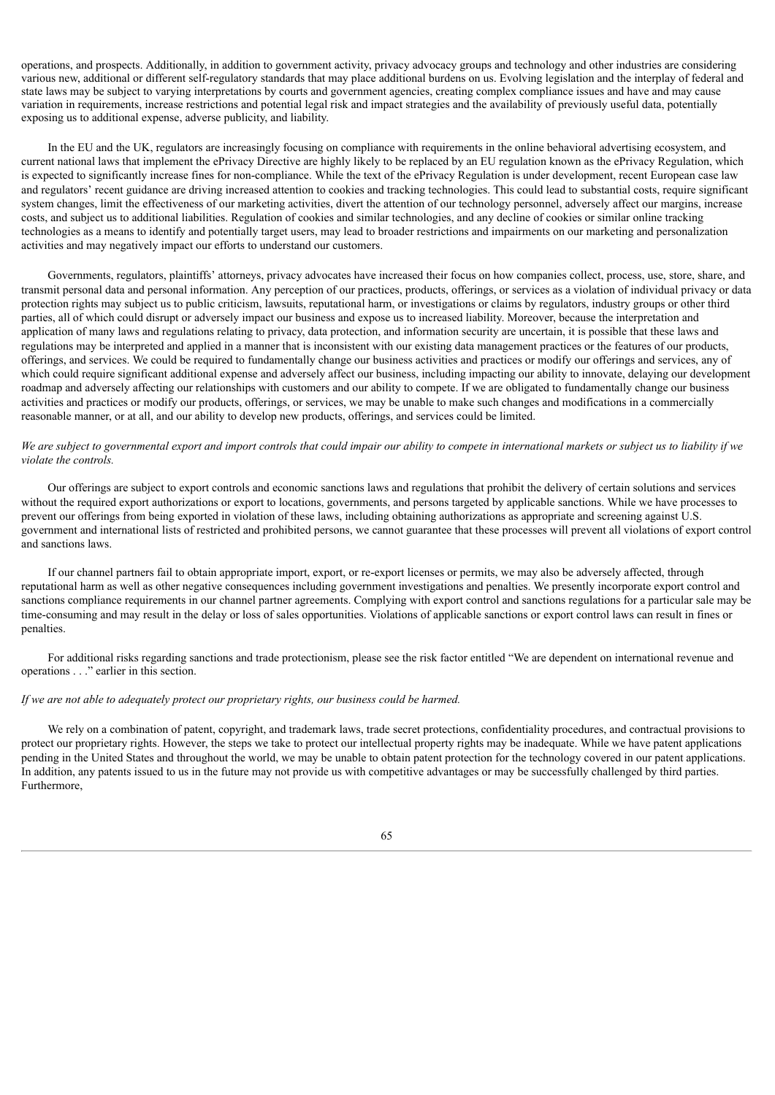operations, and prospects. Additionally, in addition to government activity, privacy advocacy groups and technology and other industries are considering various new, additional or different self-regulatory standards that may place additional burdens on us. Evolving legislation and the interplay of federal and state laws may be subject to varying interpretations by courts and government agencies, creating complex compliance issues and have and may cause variation in requirements, increase restrictions and potential legal risk and impact strategies and the availability of previously useful data, potentially exposing us to additional expense, adverse publicity, and liability.

In the EU and the UK, regulators are increasingly focusing on compliance with requirements in the online behavioral advertising ecosystem, and current national laws that implement the ePrivacy Directive are highly likely to be replaced by an EU regulation known as the ePrivacy Regulation, which is expected to significantly increase fines for non-compliance. While the text of the ePrivacy Regulation is under development, recent European case law and regulators' recent guidance are driving increased attention to cookies and tracking technologies. This could lead to substantial costs, require significant system changes, limit the effectiveness of our marketing activities, divert the attention of our technology personnel, adversely affect our margins, increase costs, and subject us to additional liabilities. Regulation of cookies and similar technologies, and any decline of cookies or similar online tracking technologies as a means to identify and potentially target users, may lead to broader restrictions and impairments on our marketing and personalization activities and may negatively impact our efforts to understand our customers.

Governments, regulators, plaintiffs' attorneys, privacy advocates have increased their focus on how companies collect, process, use, store, share, and transmit personal data and personal information. Any perception of our practices, products, offerings, or services as a violation of individual privacy or data protection rights may subject us to public criticism, lawsuits, reputational harm, or investigations or claims by regulators, industry groups or other third parties, all of which could disrupt or adversely impact our business and expose us to increased liability. Moreover, because the interpretation and application of many laws and regulations relating to privacy, data protection, and information security are uncertain, it is possible that these laws and regulations may be interpreted and applied in a manner that is inconsistent with our existing data management practices or the features of our products, offerings, and services. We could be required to fundamentally change our business activities and practices or modify our offerings and services, any of which could require significant additional expense and adversely affect our business, including impacting our ability to innovate, delaying our development roadmap and adversely affecting our relationships with customers and our ability to compete. If we are obligated to fundamentally change our business activities and practices or modify our products, offerings, or services, we may be unable to make such changes and modifications in a commercially reasonable manner, or at all, and our ability to develop new products, offerings, and services could be limited.

### We are subject to governmental export and import controls that could impair our ability to compete in international markets or subject us to liability if we *violate the controls.*

Our offerings are subject to export controls and economic sanctions laws and regulations that prohibit the delivery of certain solutions and services without the required export authorizations or export to locations, governments, and persons targeted by applicable sanctions. While we have processes to prevent our offerings from being exported in violation of these laws, including obtaining authorizations as appropriate and screening against U.S. government and international lists of restricted and prohibited persons, we cannot guarantee that these processes will prevent all violations of export control and sanctions laws.

If our channel partners fail to obtain appropriate import, export, or re-export licenses or permits, we may also be adversely affected, through reputational harm as well as other negative consequences including government investigations and penalties. We presently incorporate export control and sanctions compliance requirements in our channel partner agreements. Complying with export control and sanctions regulations for a particular sale may be time-consuming and may result in the delay or loss of sales opportunities. Violations of applicable sanctions or export control laws can result in fines or penalties.

For additional risks regarding sanctions and trade protectionism, please see the risk factor entitled "We are dependent on international revenue and operations . . ." earlier in this section.

#### *If we are not able to adequately protect our proprietary rights, our business could be harmed.*

We rely on a combination of patent, copyright, and trademark laws, trade secret protections, confidentiality procedures, and contractual provisions to protect our proprietary rights. However, the steps we take to protect our intellectual property rights may be inadequate. While we have patent applications pending in the United States and throughout the world, we may be unable to obtain patent protection for the technology covered in our patent applications. In addition, any patents issued to us in the future may not provide us with competitive advantages or may be successfully challenged by third parties. Furthermore,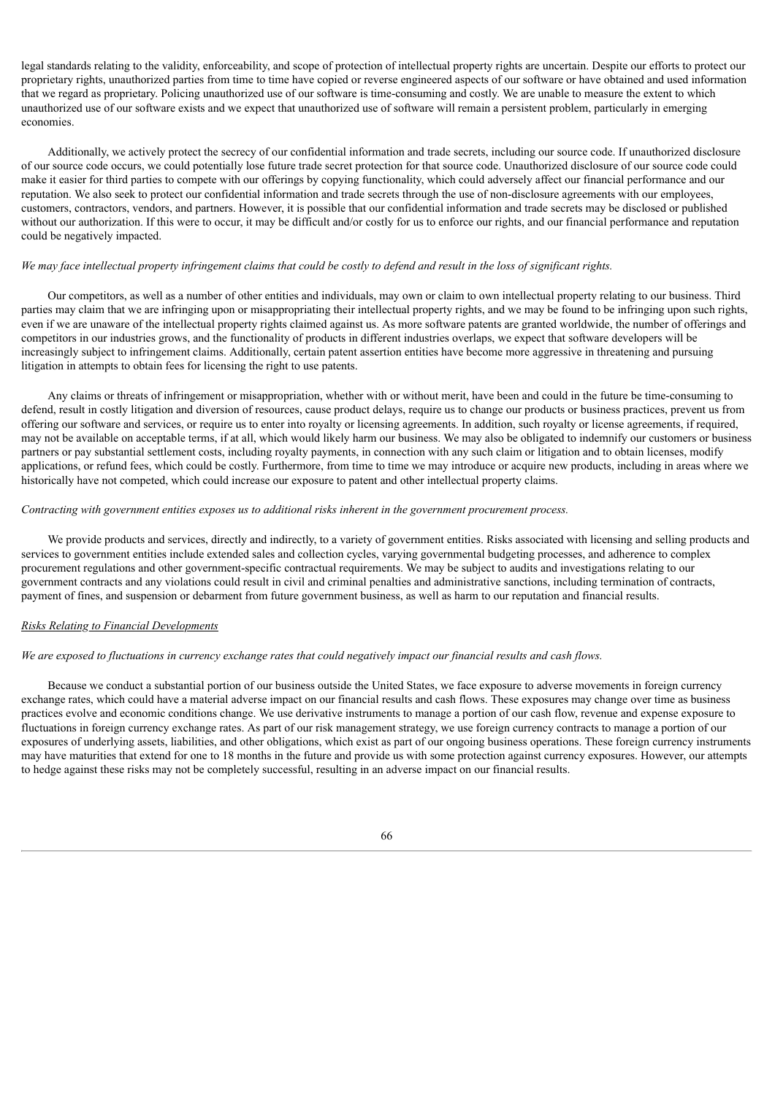legal standards relating to the validity, enforceability, and scope of protection of intellectual property rights are uncertain. Despite our efforts to protect our proprietary rights, unauthorized parties from time to time have copied or reverse engineered aspects of our software or have obtained and used information that we regard as proprietary. Policing unauthorized use of our software is time-consuming and costly. We are unable to measure the extent to which unauthorized use of our software exists and we expect that unauthorized use of software will remain a persistent problem, particularly in emerging economies.

Additionally, we actively protect the secrecy of our confidential information and trade secrets, including our source code. If unauthorized disclosure of our source code occurs, we could potentially lose future trade secret protection for that source code. Unauthorized disclosure of our source code could make it easier for third parties to compete with our offerings by copying functionality, which could adversely affect our financial performance and our reputation. We also seek to protect our confidential information and trade secrets through the use of non-disclosure agreements with our employees, customers, contractors, vendors, and partners. However, it is possible that our confidential information and trade secrets may be disclosed or published without our authorization. If this were to occur, it may be difficult and/or costly for us to enforce our rights, and our financial performance and reputation could be negatively impacted.

### We may face intellectual property infringement claims that could be costly to defend and result in the loss of significant rights.

Our competitors, as well as a number of other entities and individuals, may own or claim to own intellectual property relating to our business. Third parties may claim that we are infringing upon or misappropriating their intellectual property rights, and we may be found to be infringing upon such rights, even if we are unaware of the intellectual property rights claimed against us. As more software patents are granted worldwide, the number of offerings and competitors in our industries grows, and the functionality of products in different industries overlaps, we expect that software developers will be increasingly subject to infringement claims. Additionally, certain patent assertion entities have become more aggressive in threatening and pursuing litigation in attempts to obtain fees for licensing the right to use patents.

Any claims or threats of infringement or misappropriation, whether with or without merit, have been and could in the future be time-consuming to defend, result in costly litigation and diversion of resources, cause product delays, require us to change our products or business practices, prevent us from offering our software and services, or require us to enter into royalty or licensing agreements. In addition, such royalty or license agreements, if required, may not be available on acceptable terms, if at all, which would likely harm our business. We may also be obligated to indemnify our customers or business partners or pay substantial settlement costs, including royalty payments, in connection with any such claim or litigation and to obtain licenses, modify applications, or refund fees, which could be costly. Furthermore, from time to time we may introduce or acquire new products, including in areas where we historically have not competed, which could increase our exposure to patent and other intellectual property claims.

### *Contracting with government entities exposes us to additional risks inherent in the government procurement process.*

We provide products and services, directly and indirectly, to a variety of government entities. Risks associated with licensing and selling products and services to government entities include extended sales and collection cycles, varying governmental budgeting processes, and adherence to complex procurement regulations and other government-specific contractual requirements. We may be subject to audits and investigations relating to our government contracts and any violations could result in civil and criminal penalties and administrative sanctions, including termination of contracts, payment of fines, and suspension or debarment from future government business, as well as harm to our reputation and financial results.

#### *Risks Relating to Financial Developments*

# We are exposed to fluctuations in currency exchange rates that could negatively impact our financial results and cash flows.

Because we conduct a substantial portion of our business outside the United States, we face exposure to adverse movements in foreign currency exchange rates, which could have a material adverse impact on our financial results and cash flows. These exposures may change over time as business practices evolve and economic conditions change. We use derivative instruments to manage a portion of our cash flow, revenue and expense exposure to fluctuations in foreign currency exchange rates. As part of our risk management strategy, we use foreign currency contracts to manage a portion of our exposures of underlying assets, liabilities, and other obligations, which exist as part of our ongoing business operations. These foreign currency instruments may have maturities that extend for one to 18 months in the future and provide us with some protection against currency exposures. However, our attempts to hedge against these risks may not be completely successful, resulting in an adverse impact on our financial results.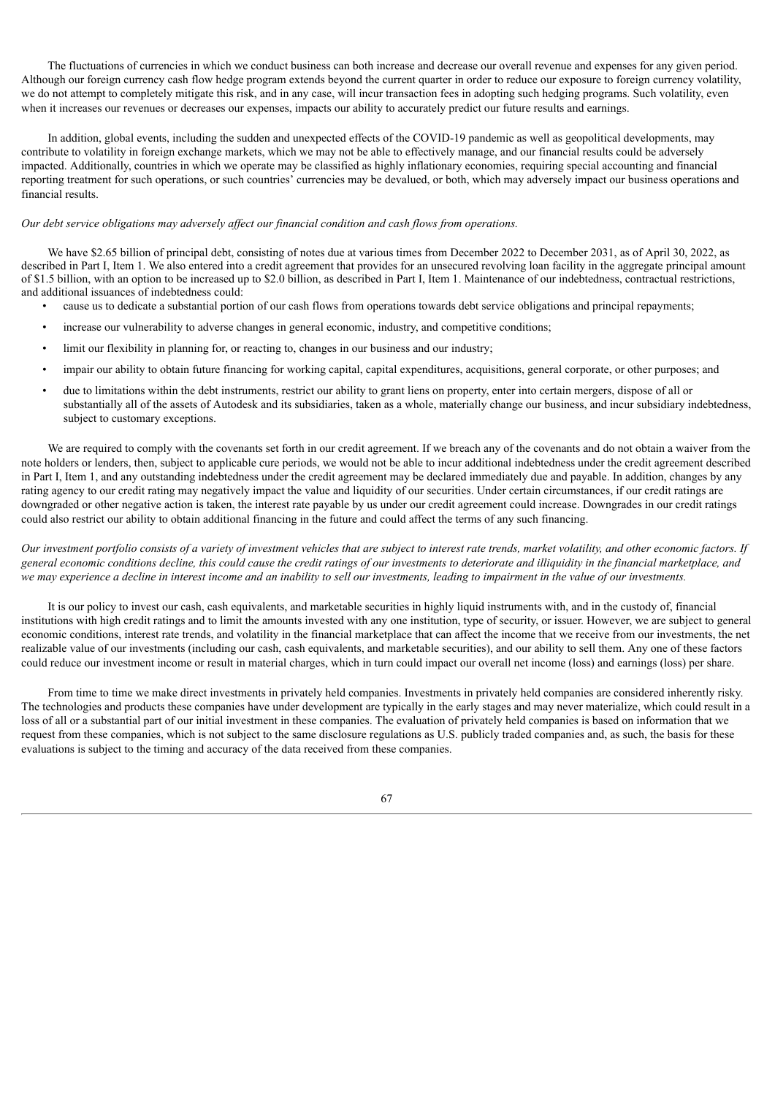The fluctuations of currencies in which we conduct business can both increase and decrease our overall revenue and expenses for any given period. Although our foreign currency cash flow hedge program extends beyond the current quarter in order to reduce our exposure to foreign currency volatility, we do not attempt to completely mitigate this risk, and in any case, will incur transaction fees in adopting such hedging programs. Such volatility, even when it increases our revenues or decreases our expenses, impacts our ability to accurately predict our future results and earnings.

In addition, global events, including the sudden and unexpected effects of the COVID-19 pandemic as well as geopolitical developments, may contribute to volatility in foreign exchange markets, which we may not be able to effectively manage, and our financial results could be adversely impacted. Additionally, countries in which we operate may be classified as highly inflationary economies, requiring special accounting and financial reporting treatment for such operations, or such countries' currencies may be devalued, or both, which may adversely impact our business operations and financial results.

### *Our debt service obligations may adversely af ect our financial condition and cash flows from operations.*

We have \$2.65 billion of principal debt, consisting of notes due at various times from December 2022 to December 2031, as of April 30, 2022, as described in Part I, Item 1. We also entered into a credit agreement that provides for an unsecured revolving loan facility in the aggregate principal amount of \$1.5 billion, with an option to be increased up to \$2.0 billion, as described in Part I, Item 1. Maintenance of our indebtedness, contractual restrictions, and additional issuances of indebtedness could:

- cause us to dedicate a substantial portion of our cash flows from operations towards debt service obligations and principal repayments;
- increase our vulnerability to adverse changes in general economic, industry, and competitive conditions;
- limit our flexibility in planning for, or reacting to, changes in our business and our industry;
- impair our ability to obtain future financing for working capital, capital expenditures, acquisitions, general corporate, or other purposes; and
- due to limitations within the debt instruments, restrict our ability to grant liens on property, enter into certain mergers, dispose of all or substantially all of the assets of Autodesk and its subsidiaries, taken as a whole, materially change our business, and incur subsidiary indebtedness, subject to customary exceptions.

We are required to comply with the covenants set forth in our credit agreement. If we breach any of the covenants and do not obtain a waiver from the note holders or lenders, then, subject to applicable cure periods, we would not be able to incur additional indebtedness under the credit agreement described in Part I, Item 1, and any outstanding indebtedness under the credit agreement may be declared immediately due and payable. In addition, changes by any rating agency to our credit rating may negatively impact the value and liquidity of our securities. Under certain circumstances, if our credit ratings are downgraded or other negative action is taken, the interest rate payable by us under our credit agreement could increase. Downgrades in our credit ratings could also restrict our ability to obtain additional financing in the future and could affect the terms of any such financing.

Our investment portfolio consists of a variety of investment vehicles that are subject to interest rate trends, market volatility, and other economic factors. If general economic conditions decline, this could cause the credit ratings of our investments to deteriorate and illiquidity in the financial marketplace, and we may experience a decline in interest income and an inability to sell our investments, leading to impairment in the value of our investments.

It is our policy to invest our cash, cash equivalents, and marketable securities in highly liquid instruments with, and in the custody of, financial institutions with high credit ratings and to limit the amounts invested with any one institution, type of security, or issuer. However, we are subject to general economic conditions, interest rate trends, and volatility in the financial marketplace that can affect the income that we receive from our investments, the net realizable value of our investments (including our cash, cash equivalents, and marketable securities), and our ability to sell them. Any one of these factors could reduce our investment income or result in material charges, which in turn could impact our overall net income (loss) and earnings (loss) per share.

From time to time we make direct investments in privately held companies. Investments in privately held companies are considered inherently risky. The technologies and products these companies have under development are typically in the early stages and may never materialize, which could result in a loss of all or a substantial part of our initial investment in these companies. The evaluation of privately held companies is based on information that we request from these companies, which is not subject to the same disclosure regulations as U.S. publicly traded companies and, as such, the basis for these evaluations is subject to the timing and accuracy of the data received from these companies.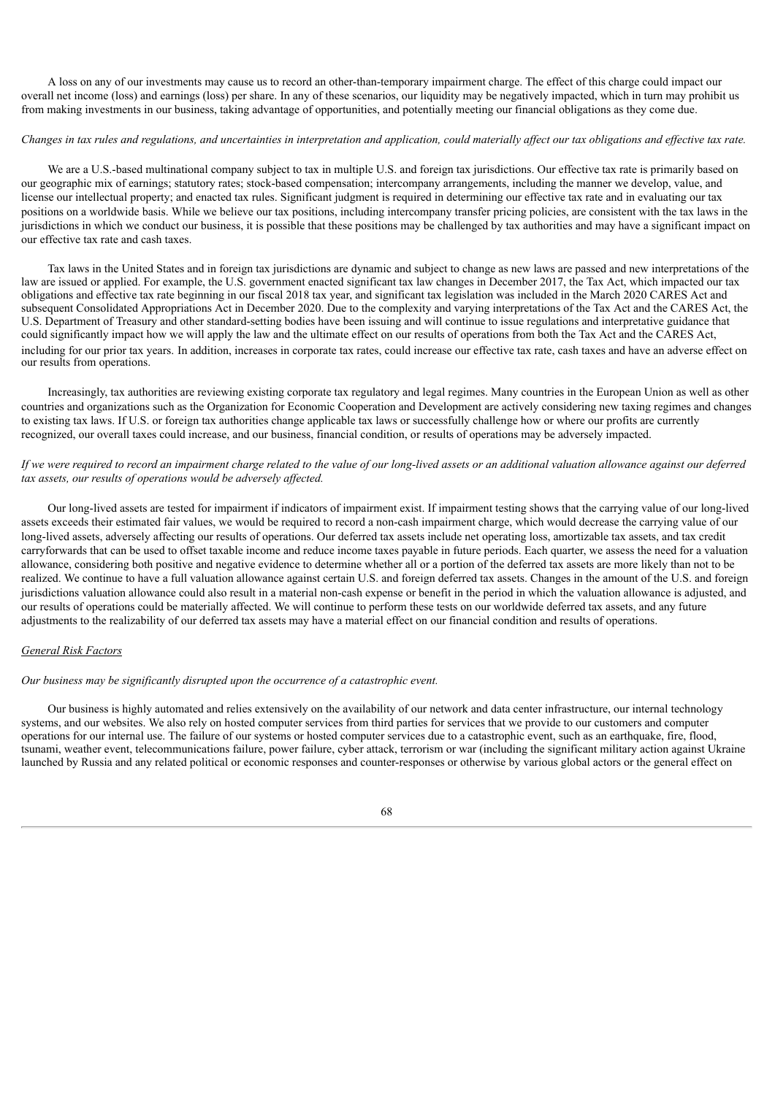A loss on any of our investments may cause us to record an other-than-temporary impairment charge. The effect of this charge could impact our overall net income (loss) and earnings (loss) per share. In any of these scenarios, our liquidity may be negatively impacted, which in turn may prohibit us from making investments in our business, taking advantage of opportunities, and potentially meeting our financial obligations as they come due.

## Changes in tax rules and regulations, and uncertainties in interpretation and application, could materially affect our tax obligations and effective tax rate.

We are a U.S.-based multinational company subject to tax in multiple U.S. and foreign tax jurisdictions. Our effective tax rate is primarily based on our geographic mix of earnings; statutory rates; stock-based compensation; intercompany arrangements, including the manner we develop, value, and license our intellectual property; and enacted tax rules. Significant judgment is required in determining our effective tax rate and in evaluating our tax positions on a worldwide basis. While we believe our tax positions, including intercompany transfer pricing policies, are consistent with the tax laws in the jurisdictions in which we conduct our business, it is possible that these positions may be challenged by tax authorities and may have a significant impact on our effective tax rate and cash taxes.

Tax laws in the United States and in foreign tax jurisdictions are dynamic and subject to change as new laws are passed and new interpretations of the law are issued or applied. For example, the U.S. government enacted significant tax law changes in December 2017, the Tax Act, which impacted our tax obligations and effective tax rate beginning in our fiscal 2018 tax year, and significant tax legislation was included in the March 2020 CARES Act and subsequent Consolidated Appropriations Act in December 2020. Due to the complexity and varying interpretations of the Tax Act and the CARES Act, the U.S. Department of Treasury and other standard-setting bodies have been issuing and will continue to issue regulations and interpretative guidance that could significantly impact how we will apply the law and the ultimate effect on our results of operations from both the Tax Act and the CARES Act, including for our prior tax years. In addition, increases in corporate tax rates, could increase our effective tax rate, cash taxes and have an adverse effect on our results from operations.

Increasingly, tax authorities are reviewing existing corporate tax regulatory and legal regimes. Many countries in the European Union as well as other countries and organizations such as the Organization for Economic Cooperation and Development are actively considering new taxing regimes and changes to existing tax laws. If U.S. or foreign tax authorities change applicable tax laws or successfully challenge how or where our profits are currently recognized, our overall taxes could increase, and our business, financial condition, or results of operations may be adversely impacted.

# If we were required to record an impairment charge related to the value of our long-lived assets or an additional valuation allowance against our deferred *tax assets, our results of operations would be adversely af ected.*

Our long-lived assets are tested for impairment if indicators of impairment exist. If impairment testing shows that the carrying value of our long-lived assets exceeds their estimated fair values, we would be required to record a non-cash impairment charge, which would decrease the carrying value of our long-lived assets, adversely affecting our results of operations. Our deferred tax assets include net operating loss, amortizable tax assets, and tax credit carryforwards that can be used to offset taxable income and reduce income taxes payable in future periods. Each quarter, we assess the need for a valuation allowance, considering both positive and negative evidence to determine whether all or a portion of the deferred tax assets are more likely than not to be realized. We continue to have a full valuation allowance against certain U.S. and foreign deferred tax assets. Changes in the amount of the U.S. and foreign jurisdictions valuation allowance could also result in a material non-cash expense or benefit in the period in which the valuation allowance is adjusted, and our results of operations could be materially affected. We will continue to perform these tests on our worldwide deferred tax assets, and any future adjustments to the realizability of our deferred tax assets may have a material effect on our financial condition and results of operations.

## *General Risk Factors*

### *Our business may be significantly disrupted upon the occurrence of a catastrophic event.*

Our business is highly automated and relies extensively on the availability of our network and data center infrastructure, our internal technology systems, and our websites. We also rely on hosted computer services from third parties for services that we provide to our customers and computer operations for our internal use. The failure of our systems or hosted computer services due to a catastrophic event, such as an earthquake, fire, flood, tsunami, weather event, telecommunications failure, power failure, cyber attack, terrorism or war (including the significant military action against Ukraine launched by Russia and any related political or economic responses and counter-responses or otherwise by various global actors or the general effect on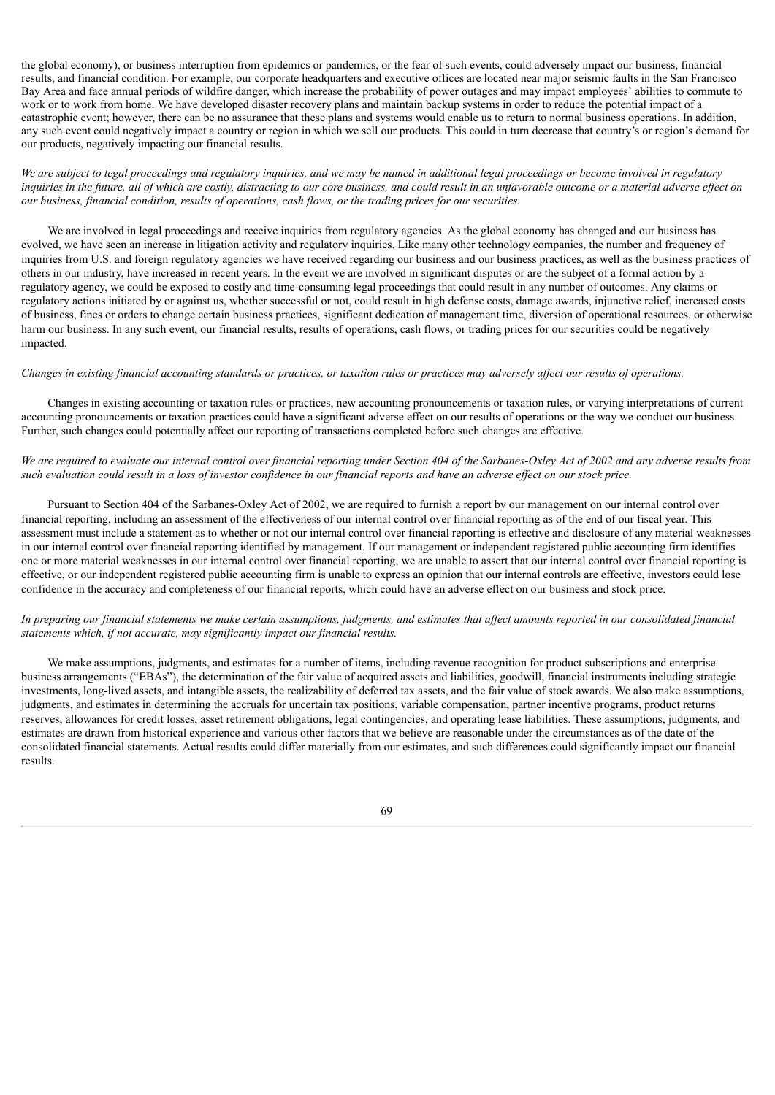the global economy), or business interruption from epidemics or pandemics, or the fear of such events, could adversely impact our business, financial results, and financial condition. For example, our corporate headquarters and executive offices are located near major seismic faults in the San Francisco Bay Area and face annual periods of wildfire danger, which increase the probability of power outages and may impact employees' abilities to commute to work or to work from home. We have developed disaster recovery plans and maintain backup systems in order to reduce the potential impact of a catastrophic event; however, there can be no assurance that these plans and systems would enable us to return to normal business operations. In addition, any such event could negatively impact a country or region in which we sell our products. This could in turn decrease that country's or region's demand for our products, negatively impacting our financial results.

We are subject to legal proceedings and regulatory inquiries, and we may be named in additional legal proceedings or become involved in regulatory inquiries in the future, all of which are costly, distracting to our core business, and could result in an unfavorable outcome or a material adverse effect on *our business, financial condition, results of operations, cash flows, or the trading prices for our securities.*

We are involved in legal proceedings and receive inquiries from regulatory agencies. As the global economy has changed and our business has evolved, we have seen an increase in litigation activity and regulatory inquiries. Like many other technology companies, the number and frequency of inquiries from U.S. and foreign regulatory agencies we have received regarding our business and our business practices, as well as the business practices of others in our industry, have increased in recent years. In the event we are involved in significant disputes or are the subject of a formal action by a regulatory agency, we could be exposed to costly and time-consuming legal proceedings that could result in any number of outcomes. Any claims or regulatory actions initiated by or against us, whether successful or not, could result in high defense costs, damage awards, injunctive relief, increased costs of business, fines or orders to change certain business practices, significant dedication of management time, diversion of operational resources, or otherwise harm our business. In any such event, our financial results, results of operations, cash flows, or trading prices for our securities could be negatively impacted.

### Changes in existing financial accounting standards or practices, or taxation rules or practices may adversely affect our results of operations.

Changes in existing accounting or taxation rules or practices, new accounting pronouncements or taxation rules, or varying interpretations of current accounting pronouncements or taxation practices could have a significant adverse effect on our results of operations or the way we conduct our business. Further, such changes could potentially affect our reporting of transactions completed before such changes are effective.

# We are required to evaluate our internal control over financial reporting under Section 404 of the Sarbanes-Oxley Act of 2002 and any adverse results from such evaluation could result in a loss of investor confidence in our financial reports and have an adverse effect on our stock price.

Pursuant to Section 404 of the Sarbanes-Oxley Act of 2002, we are required to furnish a report by our management on our internal control over financial reporting, including an assessment of the effectiveness of our internal control over financial reporting as of the end of our fiscal year. This assessment must include a statement as to whether or not our internal control over financial reporting is effective and disclosure of any material weaknesses in our internal control over financial reporting identified by management. If our management or independent registered public accounting firm identifies one or more material weaknesses in our internal control over financial reporting, we are unable to assert that our internal control over financial reporting is effective, or our independent registered public accounting firm is unable to express an opinion that our internal controls are effective, investors could lose confidence in the accuracy and completeness of our financial reports, which could have an adverse effect on our business and stock price.

# In preparing our financial statements we make certain assumptions, judgments, and estimates that affect amounts reported in our consolidated financial *statements which, if not accurate, may significantly impact our financial results.*

We make assumptions, judgments, and estimates for a number of items, including revenue recognition for product subscriptions and enterprise business arrangements ("EBAs"), the determination of the fair value of acquired assets and liabilities, goodwill, financial instruments including strategic investments, long-lived assets, and intangible assets, the realizability of deferred tax assets, and the fair value of stock awards. We also make assumptions, judgments, and estimates in determining the accruals for uncertain tax positions, variable compensation, partner incentive programs, product returns reserves, allowances for credit losses, asset retirement obligations, legal contingencies, and operating lease liabilities. These assumptions, judgments, and estimates are drawn from historical experience and various other factors that we believe are reasonable under the circumstances as of the date of the consolidated financial statements. Actual results could differ materially from our estimates, and such differences could significantly impact our financial results.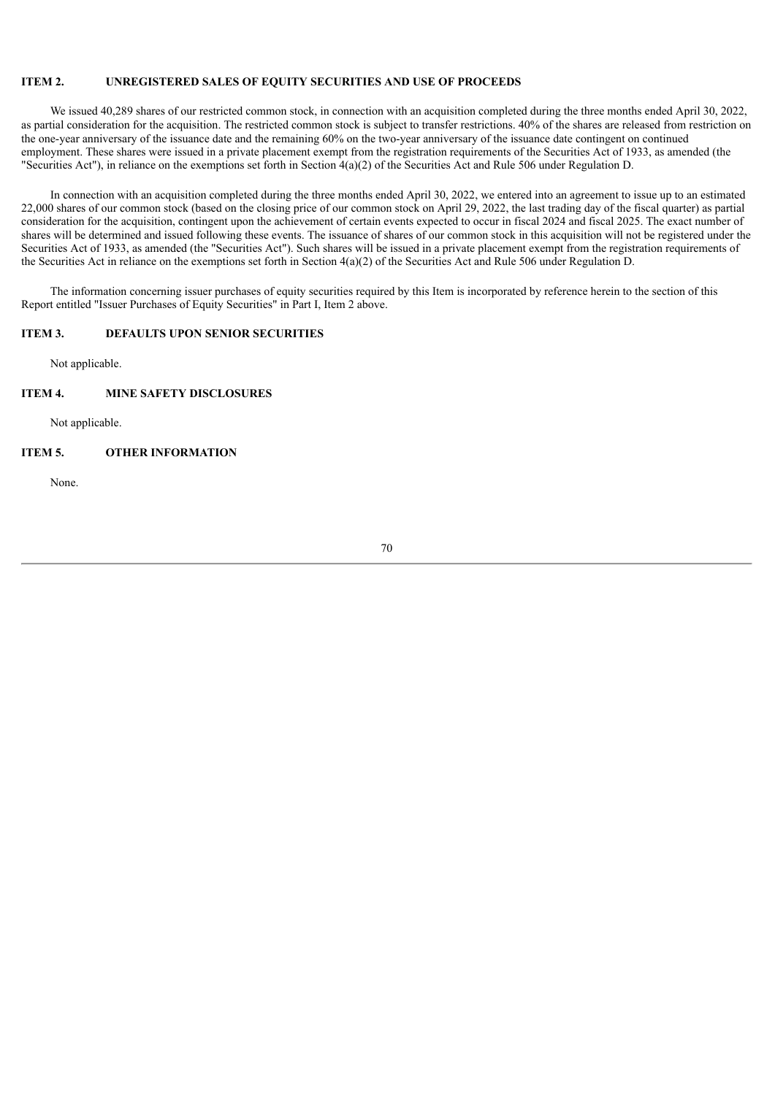# **ITEM 2. UNREGISTERED SALES OF EQUITY SECURITIES AND USE OF PROCEEDS**

We issued 40,289 shares of our restricted common stock, in connection with an acquisition completed during the three months ended April 30, 2022, as partial consideration for the acquisition. The restricted common stock is subject to transfer restrictions. 40% of the shares are released from restriction on the one-year anniversary of the issuance date and the remaining 60% on the two-year anniversary of the issuance date contingent on continued employment. These shares were issued in a private placement exempt from the registration requirements of the Securities Act of 1933, as amended (the "Securities Act"), in reliance on the exemptions set forth in Section 4(a)(2) of the Securities Act and Rule 506 under Regulation D.

In connection with an acquisition completed during the three months ended April 30, 2022, we entered into an agreement to issue up to an estimated 22,000 shares of our common stock (based on the closing price of our common stock on April 29, 2022, the last trading day of the fiscal quarter) as partial consideration for the acquisition, contingent upon the achievement of certain events expected to occur in fiscal 2024 and fiscal 2025. The exact number of shares will be determined and issued following these events. The issuance of shares of our common stock in this acquisition will not be registered under the Securities Act of 1933, as amended (the "Securities Act"). Such shares will be issued in a private placement exempt from the registration requirements of the Securities Act in reliance on the exemptions set forth in Section  $4(a)(2)$  of the Securities Act and Rule 506 under Regulation D.

The information concerning issuer purchases of equity securities required by this Item is incorporated by reference herein to the section of this Report entitled "Issuer Purchases of Equity Securities" in Part I, Item 2 above.

# **ITEM 3. DEFAULTS UPON SENIOR SECURITIES**

Not applicable.

### **ITEM 4. MINE SAFETY DISCLOSURES**

Not applicable.

# **ITEM 5. OTHER INFORMATION**

None.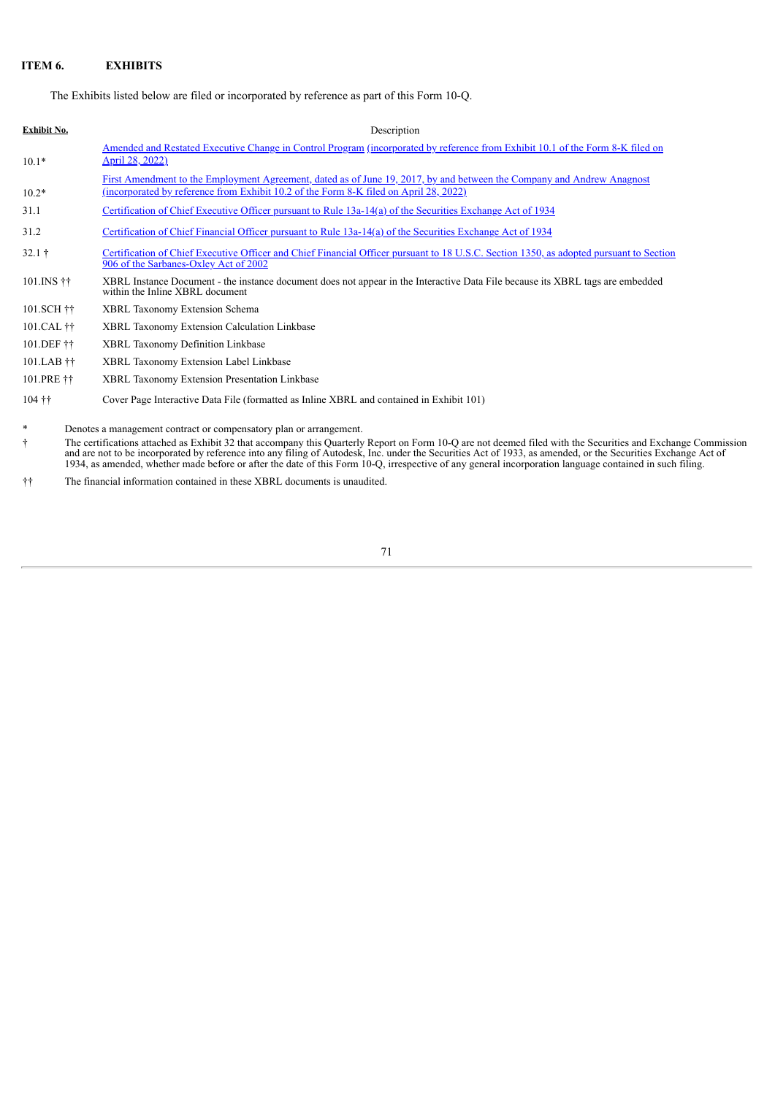# **ITEM 6. EXHIBITS**

The Exhibits listed below are filed or incorporated by reference as part of this Form 10-Q.

| Exhibit No.                         | Description                                                                                                                                                                                                     |
|-------------------------------------|-----------------------------------------------------------------------------------------------------------------------------------------------------------------------------------------------------------------|
| $10.1*$                             | Amended and Restated Executive Change in Control Program (incorporated by reference from Exhibit 10.1 of the Form 8-K filed on<br><u>April 28, 2022)</u>                                                        |
| $10.2*$                             | First Amendment to the Employment Agreement, dated as of June 19, 2017, by and between the Company and Andrew Anagnost<br>(incorporated by reference from Exhibit 10.2 of the Form 8-K filed on April 28, 2022) |
| 31.1                                | Certification of Chief Executive Officer pursuant to Rule 13a-14(a) of the Securities Exchange Act of 1934                                                                                                      |
| 31.2                                | Certification of Chief Financial Officer pursuant to Rule 13a-14(a) of the Securities Exchange Act of 1934                                                                                                      |
| $32.1 +$                            | Certification of Chief Executive Officer and Chief Financial Officer pursuant to 18 U.S.C. Section 1350, as adopted pursuant to Section<br>906 of the Sarbanes-Oxley Act of 2002                                |
| $101$ . INS $\ddagger \ddagger$     | XBRL Instance Document - the instance document does not appear in the Interactive Data File because its XBRL tags are embedded<br>within the Inline XBRL document                                               |
| 101.SCH ††                          | <b>XBRL Taxonomy Extension Schema</b>                                                                                                                                                                           |
| 101.CAL ††                          | <b>XBRL Taxonomy Extension Calculation Linkbase</b>                                                                                                                                                             |
| 101.DEF ††                          | <b>XBRL Taxonomy Definition Linkbase</b>                                                                                                                                                                        |
| $101$ .LAB $\ddagger\ddagger$       | XBRL Taxonomy Extension Label Linkbase                                                                                                                                                                          |
| <b><i>AAA</i> PERSONAL PROPERTY</b> |                                                                                                                                                                                                                 |

101.PRE †† XBRL Taxonomy Extension Presentation Linkbase

104 †† Cover Page Interactive Data File (formatted as Inline XBRL and contained in Exhibit 101)

Denotes a management contract or compensatory plan or arrangement.

† The certifications attached as Exhibit 32 that accompany this Quarterly Report on Form 10-Q are not deemed filed with the Securities and Exchange Commission and are not to be incorporated by reference into any filing of Autodesk, Inc. under the Securities Act of 1933, as amended, or the Securities Exchange Act of 1934, as amended, whether made before or after the date of this Form 10-Q, irrespective of any general incorporation language contained in such filing.

†† The financial information contained in these XBRL documents is unaudited.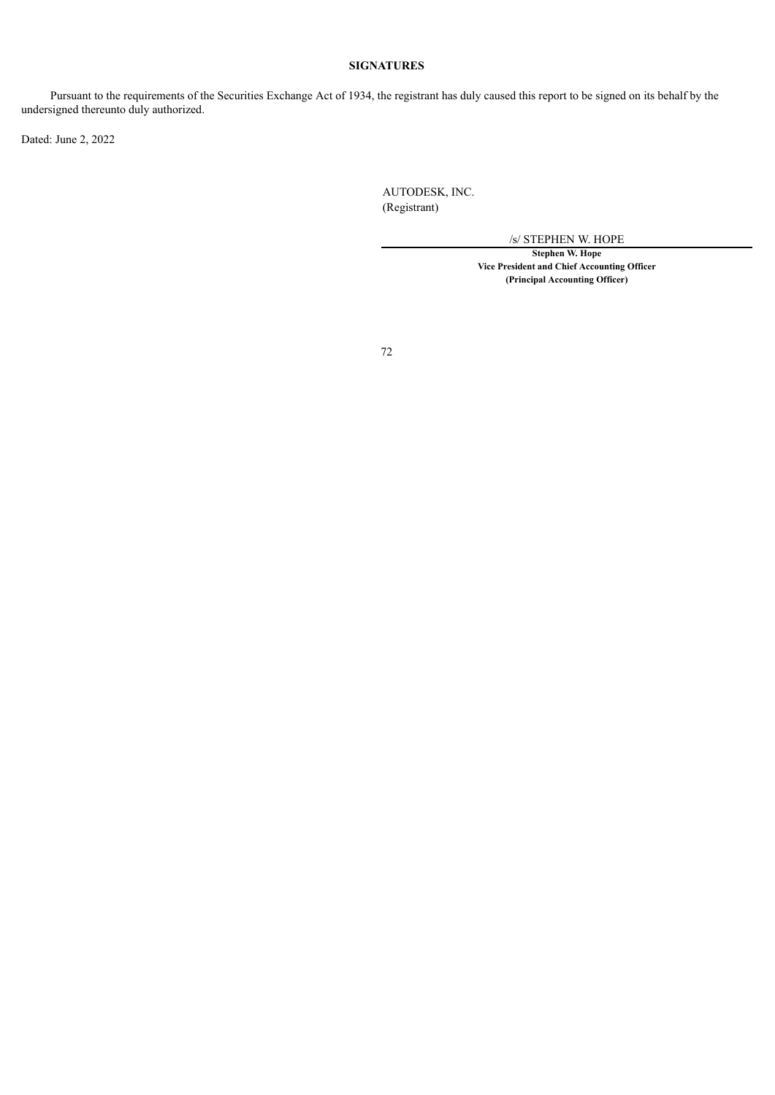# **SIGNATURES**

Pursuant to the requirements of the Securities Exchange Act of 1934, the registrant has duly caused this report to be signed on its behalf by the undersigned thereunto duly authorized.

Dated: June 2, 2022

AUTODESK, INC. (Registrant)

/s/ STEPHEN W. HOPE

**Stephen W. Hope Vice President and Chief Accounting Officer (Principal Accounting Officer)**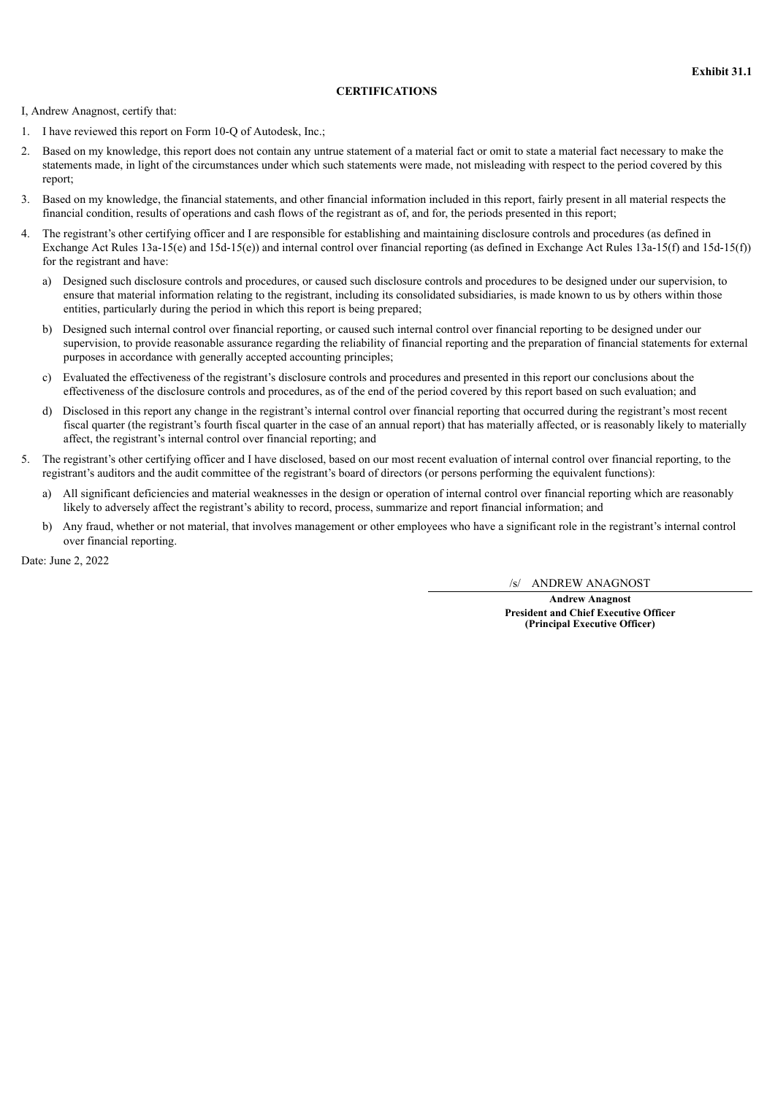## **CERTIFICATIONS**

I, Andrew Anagnost, certify that:

- 1. I have reviewed this report on Form 10-Q of Autodesk, Inc.;
- 2. Based on my knowledge, this report does not contain any untrue statement of a material fact or omit to state a material fact necessary to make the statements made, in light of the circumstances under which such statements were made, not misleading with respect to the period covered by this report;
- 3. Based on my knowledge, the financial statements, and other financial information included in this report, fairly present in all material respects the financial condition, results of operations and cash flows of the registrant as of, and for, the periods presented in this report;
- 4. The registrant's other certifying officer and I are responsible for establishing and maintaining disclosure controls and procedures (as defined in Exchange Act Rules 13a-15(e) and 15d-15(e)) and internal control over financial reporting (as defined in Exchange Act Rules 13a-15(f) and 15d-15(f)) for the registrant and have:
	- a) Designed such disclosure controls and procedures, or caused such disclosure controls and procedures to be designed under our supervision, to ensure that material information relating to the registrant, including its consolidated subsidiaries, is made known to us by others within those entities, particularly during the period in which this report is being prepared;
	- b) Designed such internal control over financial reporting, or caused such internal control over financial reporting to be designed under our supervision, to provide reasonable assurance regarding the reliability of financial reporting and the preparation of financial statements for external purposes in accordance with generally accepted accounting principles;
	- c) Evaluated the effectiveness of the registrant's disclosure controls and procedures and presented in this report our conclusions about the effectiveness of the disclosure controls and procedures, as of the end of the period covered by this report based on such evaluation; and
	- d) Disclosed in this report any change in the registrant's internal control over financial reporting that occurred during the registrant's most recent fiscal quarter (the registrant's fourth fiscal quarter in the case of an annual report) that has materially affected, or is reasonably likely to materially affect, the registrant's internal control over financial reporting; and
- 5. The registrant's other certifying officer and I have disclosed, based on our most recent evaluation of internal control over financial reporting, to the registrant's auditors and the audit committee of the registrant's board of directors (or persons performing the equivalent functions):
	- a) All significant deficiencies and material weaknesses in the design or operation of internal control over financial reporting which are reasonably likely to adversely affect the registrant's ability to record, process, summarize and report financial information; and
	- b) Any fraud, whether or not material, that involves management or other employees who have a significant role in the registrant's internal control over financial reporting.

Date: June 2, 2022

/s/ ANDREW ANAGNOST

**Andrew Anagnost President and Chief Executive Officer (Principal Executive Officer)**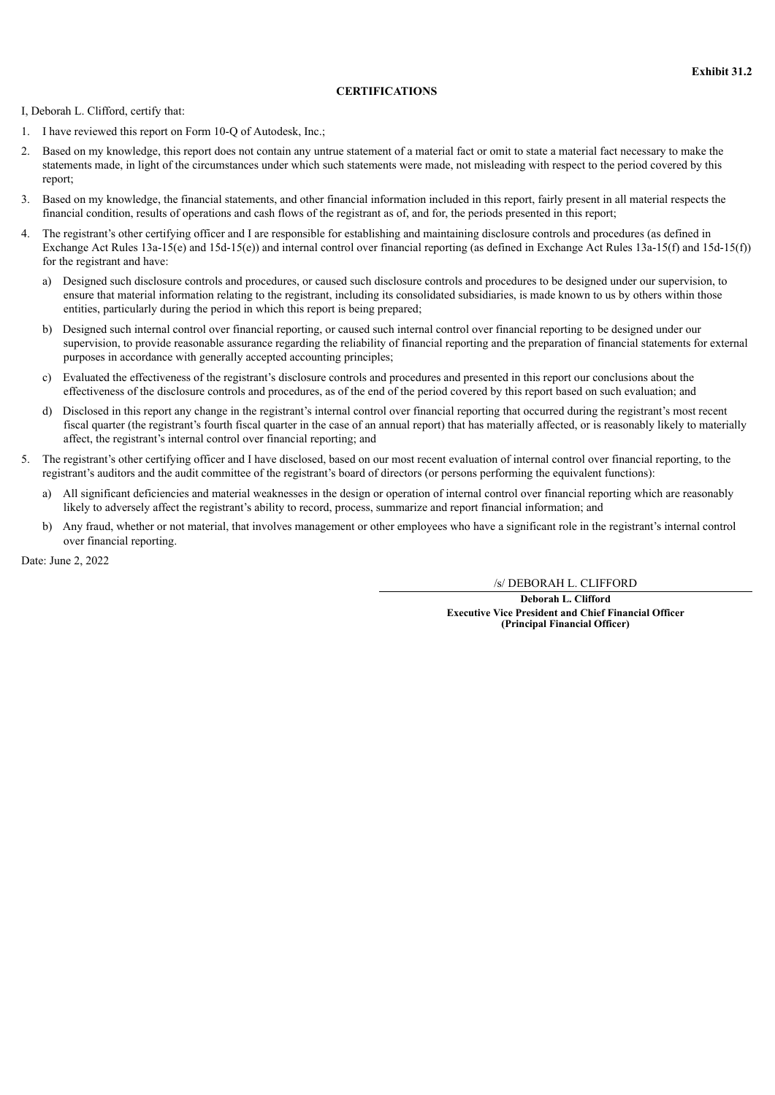## **CERTIFICATIONS**

I, Deborah L. Clifford, certify that:

- 1. I have reviewed this report on Form 10-Q of Autodesk, Inc.;
- 2. Based on my knowledge, this report does not contain any untrue statement of a material fact or omit to state a material fact necessary to make the statements made, in light of the circumstances under which such statements were made, not misleading with respect to the period covered by this report;
- 3. Based on my knowledge, the financial statements, and other financial information included in this report, fairly present in all material respects the financial condition, results of operations and cash flows of the registrant as of, and for, the periods presented in this report;
- 4. The registrant's other certifying officer and I are responsible for establishing and maintaining disclosure controls and procedures (as defined in Exchange Act Rules 13a-15(e) and 15d-15(e)) and internal control over financial reporting (as defined in Exchange Act Rules 13a-15(f) and 15d-15(f)) for the registrant and have:
	- a) Designed such disclosure controls and procedures, or caused such disclosure controls and procedures to be designed under our supervision, to ensure that material information relating to the registrant, including its consolidated subsidiaries, is made known to us by others within those entities, particularly during the period in which this report is being prepared;
	- b) Designed such internal control over financial reporting, or caused such internal control over financial reporting to be designed under our supervision, to provide reasonable assurance regarding the reliability of financial reporting and the preparation of financial statements for external purposes in accordance with generally accepted accounting principles;
	- c) Evaluated the effectiveness of the registrant's disclosure controls and procedures and presented in this report our conclusions about the effectiveness of the disclosure controls and procedures, as of the end of the period covered by this report based on such evaluation; and
	- d) Disclosed in this report any change in the registrant's internal control over financial reporting that occurred during the registrant's most recent fiscal quarter (the registrant's fourth fiscal quarter in the case of an annual report) that has materially affected, or is reasonably likely to materially affect, the registrant's internal control over financial reporting; and
- 5. The registrant's other certifying officer and I have disclosed, based on our most recent evaluation of internal control over financial reporting, to the registrant's auditors and the audit committee of the registrant's board of directors (or persons performing the equivalent functions):
	- a) All significant deficiencies and material weaknesses in the design or operation of internal control over financial reporting which are reasonably likely to adversely affect the registrant's ability to record, process, summarize and report financial information; and
	- b) Any fraud, whether or not material, that involves management or other employees who have a significant role in the registrant's internal control over financial reporting.

Date: June 2, 2022

/s/ DEBORAH L. CLIFFORD

**Deborah L. Clifford Executive Vice President and Chief Financial Officer (Principal Financial Officer)**